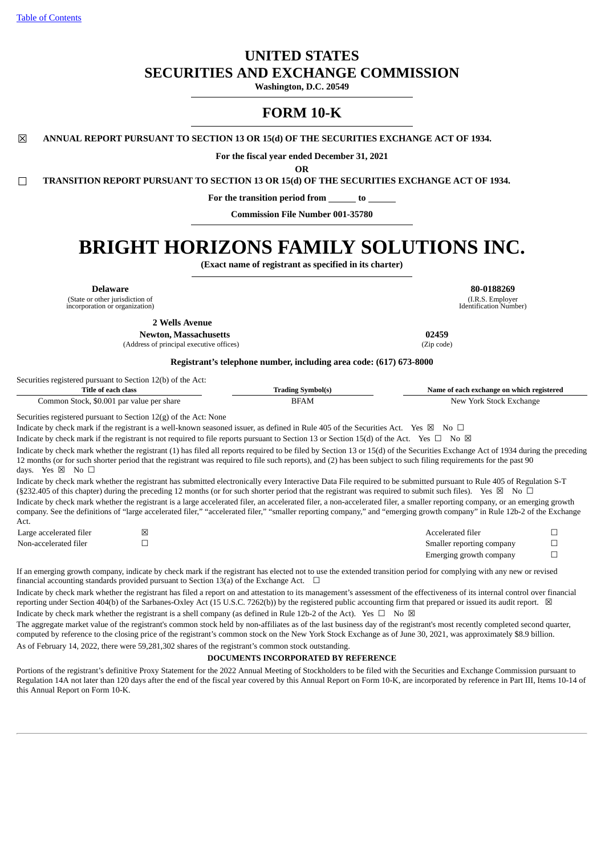# **UNITED STATES SECURITIES AND EXCHANGE COMMISSION**

**Washington, D.C. 20549**

# **FORM 10-K**

☒ **ANNUAL REPORT PURSUANT TO SECTION 13 OR 15(d) OF THE SECURITIES EXCHANGE ACT OF 1934.**

**For the fiscal year ended December 31, 2021**

**OR**

☐ **TRANSITION REPORT PURSUANT TO SECTION 13 OR 15(d) OF THE SECURITIES EXCHANGE ACT OF 1934.**

**For the transition period from to**

**Commission File Number 001-35780**

# **BRIGHT HORIZONS FAMILY SOLUTIONS INC.**

**(Exact name of registrant as specified in its charter)**

**Delaware 80-0188269** (State or other jurisdiction of incorporation or organization)

**2 Wells Avenue**

**Newton, Massachusetts 02459** (Address of principal executive offices) (Zip code)

(I.R.S. Employer Identification Number)

# **Registrant's telephone number, including area code: (617) 673-8000**

| Securities registered pursuant to Section 12(b) of the Act: |                          |                                           |
|-------------------------------------------------------------|--------------------------|-------------------------------------------|
| Title of each class                                         | <b>Trading Symbol(s)</b> | Name of each exchange on which registered |
| Common Stock, \$0.001 par value per share                   | BFAM                     | New York Stock Exchange                   |

Securities registered pursuant to Section 12(g) of the Act: None

Indicate by check mark if the registrant is a well-known seasoned issuer, as defined in Rule 405 of the Securities Act. Yes  $\boxtimes$  No  $\Box$ 

Indicate by check mark if the registrant is not required to file reports pursuant to Section 13 or Section 15(d) of the Act. Yes  $\Box$  No  $\boxtimes$ 

Indicate by check mark whether the registrant (1) has filed all reports required to be filed by Section 13 or 15(d) of the Securities Exchange Act of 1934 during the preceding 12 months (or for such shorter period that the registrant was required to file such reports), and (2) has been subject to such filing requirements for the past 90 days. Yes  $\boxtimes$  No  $\Box$ 

Indicate by check mark whether the registrant has submitted electronically every Interactive Data File required to be submitted pursuant to Rule 405 of Regulation S-T (§232.405 of this chapter) during the preceding 12 months (or for such shorter period that the registrant was required to submit such files). Yes ⊠ No □ Indicate by check mark whether the registrant is a large accelerated filer, an accelerated filer, a non-accelerated filer, a smaller reporting company, or an emerging growth company. See the definitions of "large accelerated filer," "accelerated filer," "smaller reporting company," and "emerging growth company" in Rule 12b-2 of the Exchange Act.

| Large accelerated filer | Accelerated filer         |  |
|-------------------------|---------------------------|--|
| Non-accelerated filer   | Smaller reporting company |  |
|                         | Emerging growth company   |  |

If an emerging growth company, indicate by check mark if the registrant has elected not to use the extended transition period for complying with any new or revised financial accounting standards provided pursuant to Section 13(a) of the Exchange Act.  $\Box$ 

Indicate by check mark whether the registrant has filed a report on and attestation to its management's assessment of the effectiveness of its internal control over financial reporting under Section 404(b) of the Sarbanes-Oxley Act (15 U.S.C. 7262(b)) by the registered public accounting firm that prepared or issued its audit report.  $\boxtimes$ Indicate by check mark whether the registrant is a shell company (as defined in Rule 12b-2 of the Act). Yes  $\Box$  No  $\boxtimes$ 

The aggregate market value of the registrant's common stock held by non-affiliates as of the last business day of the registrant's most recently completed second quarter, computed by reference to the closing price of the registrant's common stock on the New York Stock Exchange as of June 30, 2021, was approximately \$8.9 billion. As of February 14, 2022, there were 59,281,302 shares of the registrant's common stock outstanding.

#### **DOCUMENTS INCORPORATED BY REFERENCE**

<span id="page-0-0"></span>Portions of the registrant's definitive Proxy Statement for the 2022 Annual Meeting of Stockholders to be filed with the Securities and Exchange Commission pursuant to Regulation 14A not later than 120 days after the end of the fiscal year covered by this Annual Report on Form 10-K, are incorporated by reference in Part III, Items 10-14 of this Annual Report on Form 10-K.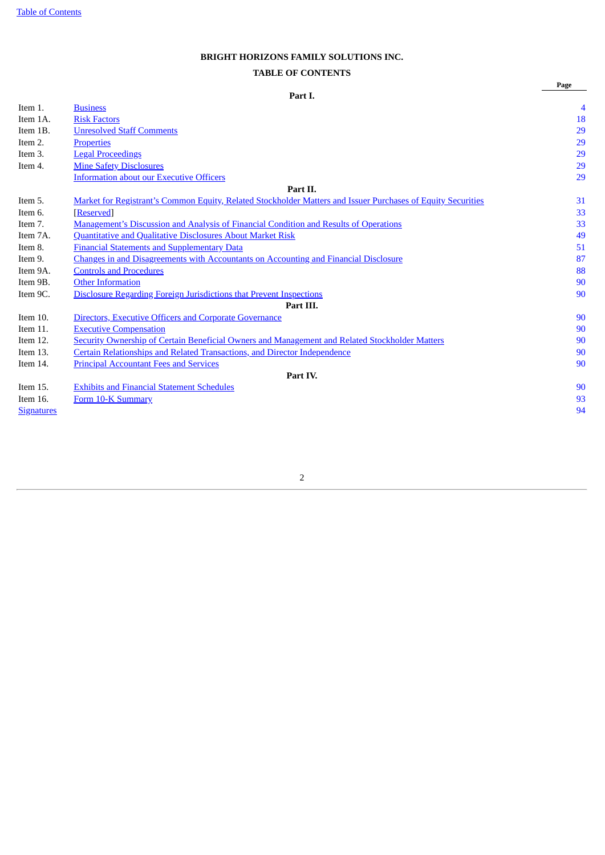# **BRIGHT HORIZONS FAMILY SOLUTIONS INC.**

# **TABLE OF CONTENTS**

|                   |                                                                                                              | Page |
|-------------------|--------------------------------------------------------------------------------------------------------------|------|
|                   | Part I.                                                                                                      |      |
| Item 1.           | <b>Business</b>                                                                                              | 4    |
| Item 1A.          | <b>Risk Factors</b>                                                                                          | 18   |
| Item 1B.          | <b>Unresolved Staff Comments</b>                                                                             | 29   |
| Item 2.           | <b>Properties</b>                                                                                            | 29   |
| Item 3.           | <b>Legal Proceedings</b>                                                                                     | 29   |
| Item 4.           | <b>Mine Safety Disclosures</b>                                                                               | 29   |
|                   | <b>Information about our Executive Officers</b>                                                              | 29   |
|                   | Part II.                                                                                                     |      |
| Item 5.           | Market for Registrant's Common Equity, Related Stockholder Matters and Issuer Purchases of Equity Securities | 31   |
| Item 6.           | [Reserved]                                                                                                   | 33   |
| Item 7.           | <b>Management's Discussion and Analysis of Financial Condition and Results of Operations</b>                 | 33   |
| Item 7A.          | <b>Quantitative and Qualitative Disclosures About Market Risk</b>                                            | 49   |
| Item 8.           | <b>Financial Statements and Supplementary Data</b>                                                           | 51   |
| Item 9.           | Changes in and Disagreements with Accountants on Accounting and Financial Disclosure                         | 87   |
| Item 9A.          | <b>Controls and Procedures</b>                                                                               | 88   |
| Item 9B.          | <b>Other Information</b>                                                                                     | 90   |
| Item 9C.          | <b>Disclosure Regarding Foreign Jurisdictions that Prevent Inspections</b>                                   | 90   |
|                   | Part III.                                                                                                    |      |
| Item 10.          | <b>Directors, Executive Officers and Corporate Governance</b>                                                | 90   |
| Item 11.          | <b>Executive Compensation</b>                                                                                | 90   |
| Item 12.          | Security Ownership of Certain Beneficial Owners and Management and Related Stockholder Matters               | 90   |
| Item 13.          | <b>Certain Relationships and Related Transactions, and Director Independence</b>                             | 90   |
| Item 14.          | <b>Principal Accountant Fees and Services</b>                                                                | 90   |
|                   | Part IV.                                                                                                     |      |
| Item 15.          | <b>Exhibits and Financial Statement Schedules</b>                                                            | 90   |
| Item 16.          | Form 10-K Summary                                                                                            | 93   |
| <b>Signatures</b> |                                                                                                              | 94   |
|                   |                                                                                                              |      |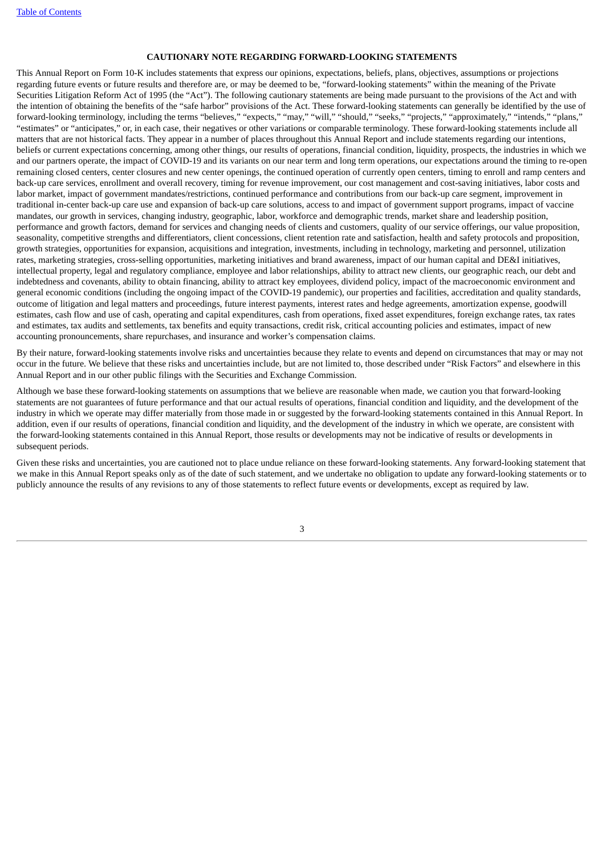#### **CAUTIONARY NOTE REGARDING FORWARD-LOOKING STATEMENTS**

This Annual Report on Form 10-K includes statements that express our opinions, expectations, beliefs, plans, objectives, assumptions or projections regarding future events or future results and therefore are, or may be deemed to be, "forward-looking statements" within the meaning of the Private Securities Litigation Reform Act of 1995 (the "Act"). The following cautionary statements are being made pursuant to the provisions of the Act and with the intention of obtaining the benefits of the "safe harbor" provisions of the Act. These forward-looking statements can generally be identified by the use of forward-looking terminology, including the terms "believes," "expects," "may," "will," "should," "seeks," "projects," "approximately," "intends," "plans," "estimates" or "anticipates," or, in each case, their negatives or other variations or comparable terminology. These forward-looking statements include all matters that are not historical facts. They appear in a number of places throughout this Annual Report and include statements regarding our intentions, beliefs or current expectations concerning, among other things, our results of operations, financial condition, liquidity, prospects, the industries in which we and our partners operate, the impact of COVID-19 and its variants on our near term and long term operations, our expectations around the timing to re-open remaining closed centers, center closures and new center openings, the continued operation of currently open centers, timing to enroll and ramp centers and back-up care services, enrollment and overall recovery, timing for revenue improvement, our cost management and cost-saving initiatives, labor costs and labor market, impact of government mandates/restrictions, continued performance and contributions from our back-up care segment, improvement in traditional in-center back-up care use and expansion of back-up care solutions, access to and impact of government support programs, impact of vaccine mandates, our growth in services, changing industry, geographic, labor, workforce and demographic trends, market share and leadership position, performance and growth factors, demand for services and changing needs of clients and customers, quality of our service offerings, our value proposition, seasonality, competitive strengths and differentiators, client concessions, client retention rate and satisfaction, health and safety protocols and proposition, growth strategies, opportunities for expansion, acquisitions and integration, investments, including in technology, marketing and personnel, utilization rates, marketing strategies, cross-selling opportunities, marketing initiatives and brand awareness, impact of our human capital and DE&I initiatives, intellectual property, legal and regulatory compliance, employee and labor relationships, ability to attract new clients, our geographic reach, our debt and indebtedness and covenants, ability to obtain financing, ability to attract key employees, dividend policy, impact of the macroeconomic environment and general economic conditions (including the ongoing impact of the COVID-19 pandemic), our properties and facilities, accreditation and quality standards, outcome of litigation and legal matters and proceedings, future interest payments, interest rates and hedge agreements, amortization expense, goodwill estimates, cash flow and use of cash, operating and capital expenditures, cash from operations, fixed asset expenditures, foreign exchange rates, tax rates and estimates, tax audits and settlements, tax benefits and equity transactions, credit risk, critical accounting policies and estimates, impact of new accounting pronouncements, share repurchases, and insurance and worker's compensation claims.

By their nature, forward-looking statements involve risks and uncertainties because they relate to events and depend on circumstances that may or may not occur in the future. We believe that these risks and uncertainties include, but are not limited to, those described under "Risk Factors" and elsewhere in this Annual Report and in our other public filings with the Securities and Exchange Commission.

Although we base these forward-looking statements on assumptions that we believe are reasonable when made, we caution you that forward-looking statements are not guarantees of future performance and that our actual results of operations, financial condition and liquidity, and the development of the industry in which we operate may differ materially from those made in or suggested by the forward-looking statements contained in this Annual Report. In addition, even if our results of operations, financial condition and liquidity, and the development of the industry in which we operate, are consistent with the forward-looking statements contained in this Annual Report, those results or developments may not be indicative of results or developments in subsequent periods.

Given these risks and uncertainties, you are cautioned not to place undue reliance on these forward-looking statements. Any forward-looking statement that we make in this Annual Report speaks only as of the date of such statement, and we undertake no obligation to update any forward-looking statements or to publicly announce the results of any revisions to any of those statements to reflect future events or developments, except as required by law.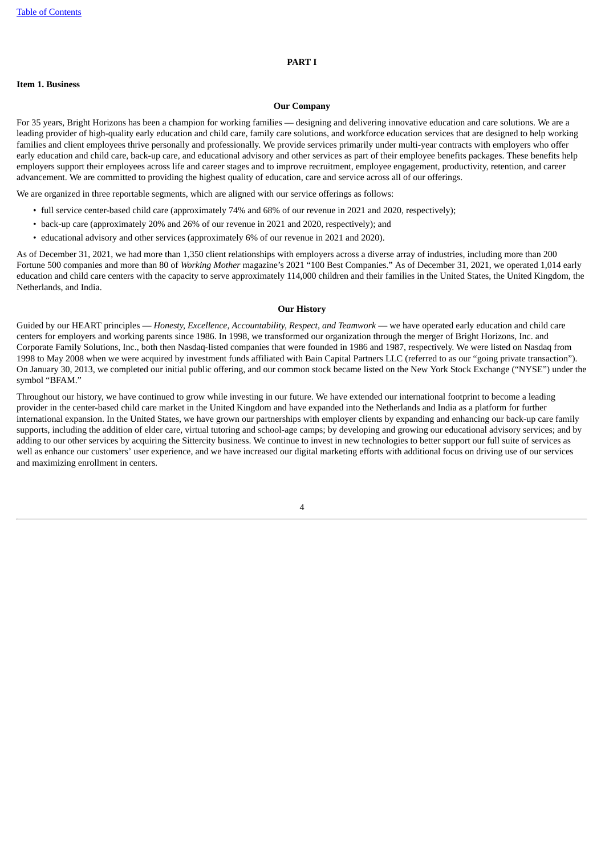#### **PART I**

# <span id="page-3-0"></span>**Item 1. Business**

#### **Our Company**

For 35 years, Bright Horizons has been a champion for working families — designing and delivering innovative education and care solutions. We are a leading provider of high-quality early education and child care, family care solutions, and workforce education services that are designed to help working families and client employees thrive personally and professionally. We provide services primarily under multi-year contracts with employers who offer early education and child care, back-up care, and educational advisory and other services as part of their employee benefits packages. These benefits help employers support their employees across life and career stages and to improve recruitment, employee engagement, productivity, retention, and career advancement. We are committed to providing the highest quality of education, care and service across all of our offerings.

We are organized in three reportable segments, which are aligned with our service offerings as follows:

- full service center-based child care (approximately 74% and 68% of our revenue in 2021 and 2020, respectively);
- back-up care (approximately 20% and 26% of our revenue in 2021 and 2020, respectively); and
- educational advisory and other services (approximately 6% of our revenue in 2021 and 2020).

As of December 31, 2021, we had more than 1,350 client relationships with employers across a diverse array of industries, including more than 200 Fortune 500 companies and more than 80 of *Working Mother* magazine's 2021 "100 Best Companies." As of December 31, 2021, we operated 1,014 early education and child care centers with the capacity to serve approximately 114,000 children and their families in the United States, the United Kingdom, the Netherlands, and India.

#### **Our History**

Guided by our HEART principles — *Honesty, Excellence, Accountability, Respect, and Teamwork* — we have operated early education and child care centers for employers and working parents since 1986. In 1998, we transformed our organization through the merger of Bright Horizons, Inc. and Corporate Family Solutions, Inc., both then Nasdaq-listed companies that were founded in 1986 and 1987, respectively. We were listed on Nasdaq from 1998 to May 2008 when we were acquired by investment funds affiliated with Bain Capital Partners LLC (referred to as our "going private transaction"). On January 30, 2013, we completed our initial public offering, and our common stock became listed on the New York Stock Exchange ("NYSE") under the symbol "BFAM."

Throughout our history, we have continued to grow while investing in our future. We have extended our international footprint to become a leading provider in the center-based child care market in the United Kingdom and have expanded into the Netherlands and India as a platform for further international expansion. In the United States, we have grown our partnerships with employer clients by expanding and enhancing our back-up care family supports, including the addition of elder care, virtual tutoring and school-age camps; by developing and growing our educational advisory services; and by adding to our other services by acquiring the Sittercity business. We continue to invest in new technologies to better support our full suite of services as well as enhance our customers' user experience, and we have increased our digital marketing efforts with additional focus on driving use of our services and maximizing enrollment in centers.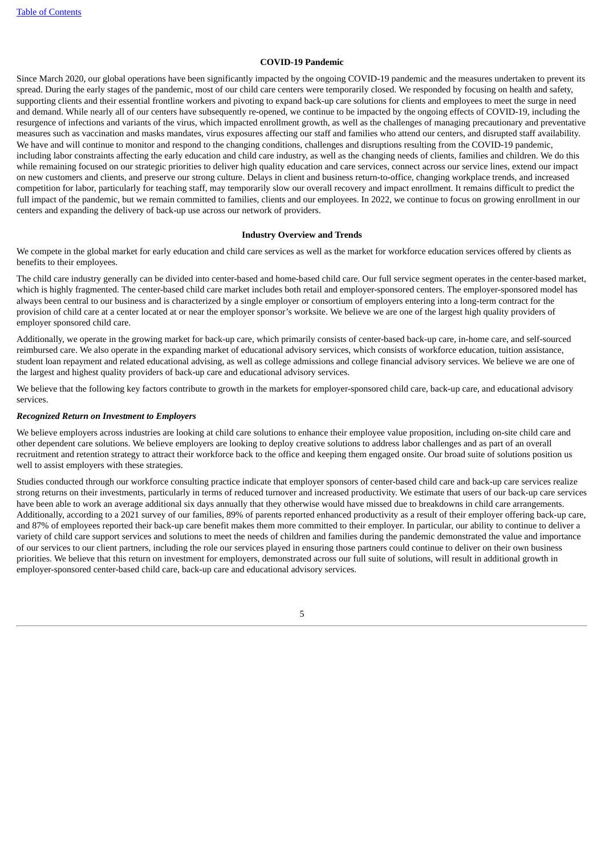# **COVID-19 Pandemic**

Since March 2020, our global operations have been significantly impacted by the ongoing COVID-19 pandemic and the measures undertaken to prevent its spread. During the early stages of the pandemic, most of our child care centers were temporarily closed. We responded by focusing on health and safety, supporting clients and their essential frontline workers and pivoting to expand back-up care solutions for clients and employees to meet the surge in need and demand. While nearly all of our centers have subsequently re-opened, we continue to be impacted by the ongoing effects of COVID-19, including the resurgence of infections and variants of the virus, which impacted enrollment growth, as well as the challenges of managing precautionary and preventative measures such as vaccination and masks mandates, virus exposures affecting our staff and families who attend our centers, and disrupted staff availability. We have and will continue to monitor and respond to the changing conditions, challenges and disruptions resulting from the COVID-19 pandemic, including labor constraints affecting the early education and child care industry, as well as the changing needs of clients, families and children. We do this while remaining focused on our strategic priorities to deliver high quality education and care services, connect across our service lines, extend our impact on new customers and clients, and preserve our strong culture. Delays in client and business return-to-office, changing workplace trends, and increased competition for labor, particularly for teaching staff, may temporarily slow our overall recovery and impact enrollment. It remains difficult to predict the full impact of the pandemic, but we remain committed to families, clients and our employees. In 2022, we continue to focus on growing enrollment in our centers and expanding the delivery of back-up use across our network of providers.

#### **Industry Overview and Trends**

We compete in the global market for early education and child care services as well as the market for workforce education services offered by clients as benefits to their employees.

The child care industry generally can be divided into center-based and home-based child care. Our full service segment operates in the center-based market, which is highly fragmented. The center-based child care market includes both retail and employer-sponsored centers. The employer-sponsored model has always been central to our business and is characterized by a single employer or consortium of employers entering into a long-term contract for the provision of child care at a center located at or near the employer sponsor's worksite. We believe we are one of the largest high quality providers of employer sponsored child care.

Additionally, we operate in the growing market for back-up care, which primarily consists of center-based back-up care, in-home care, and self-sourced reimbursed care. We also operate in the expanding market of educational advisory services, which consists of workforce education, tuition assistance, student loan repayment and related educational advising, as well as college admissions and college financial advisory services. We believe we are one of the largest and highest quality providers of back-up care and educational advisory services.

We believe that the following key factors contribute to growth in the markets for employer-sponsored child care, back-up care, and educational advisory services.

# *Recognized Return on Investment to Employers*

We believe employers across industries are looking at child care solutions to enhance their employee value proposition, including on-site child care and other dependent care solutions. We believe employers are looking to deploy creative solutions to address labor challenges and as part of an overall recruitment and retention strategy to attract their workforce back to the office and keeping them engaged onsite. Our broad suite of solutions position us well to assist employers with these strategies.

Studies conducted through our workforce consulting practice indicate that employer sponsors of center-based child care and back-up care services realize strong returns on their investments, particularly in terms of reduced turnover and increased productivity. We estimate that users of our back-up care services have been able to work an average additional six days annually that they otherwise would have missed due to breakdowns in child care arrangements. Additionally, according to a 2021 survey of our families, 89% of parents reported enhanced productivity as a result of their employer offering back-up care, and 87% of employees reported their back-up care benefit makes them more committed to their employer. In particular, our ability to continue to deliver a variety of child care support services and solutions to meet the needs of children and families during the pandemic demonstrated the value and importance of our services to our client partners, including the role our services played in ensuring those partners could continue to deliver on their own business priorities. We believe that this return on investment for employers, demonstrated across our full suite of solutions, will result in additional growth in employer-sponsored center-based child care, back-up care and educational advisory services.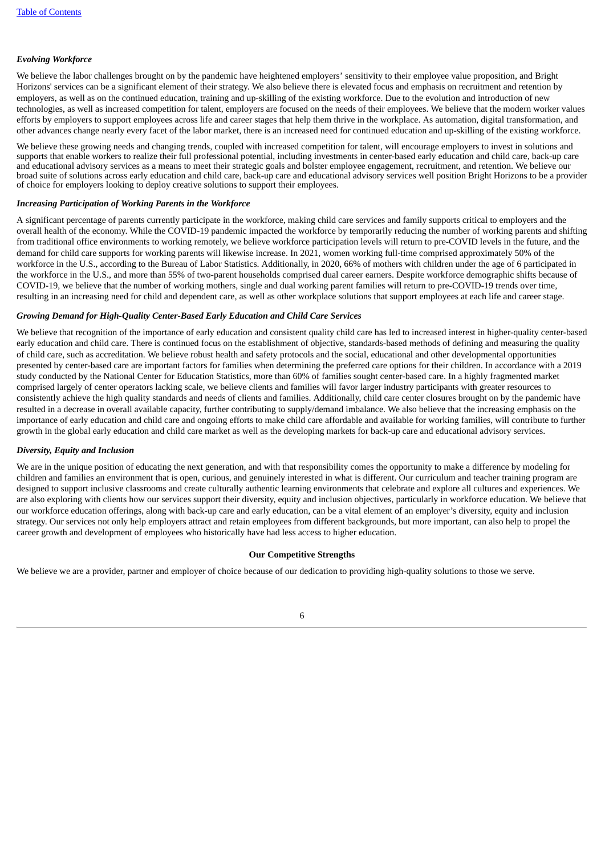# *Evolving Workforce*

We believe the labor challenges brought on by the pandemic have heightened employers' sensitivity to their employee value proposition, and Bright Horizons' services can be a significant element of their strategy. We also believe there is elevated focus and emphasis on recruitment and retention by employers, as well as on the continued education, training and up-skilling of the existing workforce. Due to the evolution and introduction of new technologies, as well as increased competition for talent, employers are focused on the needs of their employees. We believe that the modern worker values efforts by employers to support employees across life and career stages that help them thrive in the workplace. As automation, digital transformation, and other advances change nearly every facet of the labor market, there is an increased need for continued education and up-skilling of the existing workforce.

We believe these growing needs and changing trends, coupled with increased competition for talent, will encourage employers to invest in solutions and supports that enable workers to realize their full professional potential, including investments in center-based early education and child care, back-up care and educational advisory services as a means to meet their strategic goals and bolster employee engagement, recruitment, and retention. We believe our broad suite of solutions across early education and child care, back-up care and educational advisory services well position Bright Horizons to be a provider of choice for employers looking to deploy creative solutions to support their employees.

# *Increasing Participation of Working Parents in the Workforce*

A significant percentage of parents currently participate in the workforce, making child care services and family supports critical to employers and the overall health of the economy. While the COVID-19 pandemic impacted the workforce by temporarily reducing the number of working parents and shifting from traditional office environments to working remotely, we believe workforce participation levels will return to pre-COVID levels in the future, and the demand for child care supports for working parents will likewise increase. In 2021, women working full-time comprised approximately 50% of the workforce in the U.S., according to the Bureau of Labor Statistics. Additionally, in 2020, 66% of mothers with children under the age of 6 participated in the workforce in the U.S., and more than 55% of two-parent households comprised dual career earners. Despite workforce demographic shifts because of COVID-19, we believe that the number of working mothers, single and dual working parent families will return to pre-COVID-19 trends over time, resulting in an increasing need for child and dependent care, as well as other workplace solutions that support employees at each life and career stage.

# *Growing Demand for High-Quality Center-Based Early Education and Child Care Services*

We believe that recognition of the importance of early education and consistent quality child care has led to increased interest in higher-quality center-based early education and child care. There is continued focus on the establishment of objective, standards-based methods of defining and measuring the quality of child care, such as accreditation. We believe robust health and safety protocols and the social, educational and other developmental opportunities presented by center-based care are important factors for families when determining the preferred care options for their children. In accordance with a 2019 study conducted by the National Center for Education Statistics, more than 60% of families sought center-based care. In a highly fragmented market comprised largely of center operators lacking scale, we believe clients and families will favor larger industry participants with greater resources to consistently achieve the high quality standards and needs of clients and families. Additionally, child care center closures brought on by the pandemic have resulted in a decrease in overall available capacity, further contributing to supply/demand imbalance. We also believe that the increasing emphasis on the importance of early education and child care and ongoing efforts to make child care affordable and available for working families, will contribute to further growth in the global early education and child care market as well as the developing markets for back-up care and educational advisory services.

# *Diversity, Equity and Inclusion*

We are in the unique position of educating the next generation, and with that responsibility comes the opportunity to make a difference by modeling for children and families an environment that is open, curious, and genuinely interested in what is different. Our curriculum and teacher training program are designed to support inclusive classrooms and create culturally authentic learning environments that celebrate and explore all cultures and experiences. We are also exploring with clients how our services support their diversity, equity and inclusion objectives, particularly in workforce education. We believe that our workforce education offerings, along with back-up care and early education, can be a vital element of an employer's diversity, equity and inclusion strategy. Our services not only help employers attract and retain employees from different backgrounds, but more important, can also help to propel the career growth and development of employees who historically have had less access to higher education.

# **Our Competitive Strengths**

We believe we are a provider, partner and employer of choice because of our dedication to providing high-quality solutions to those we serve.

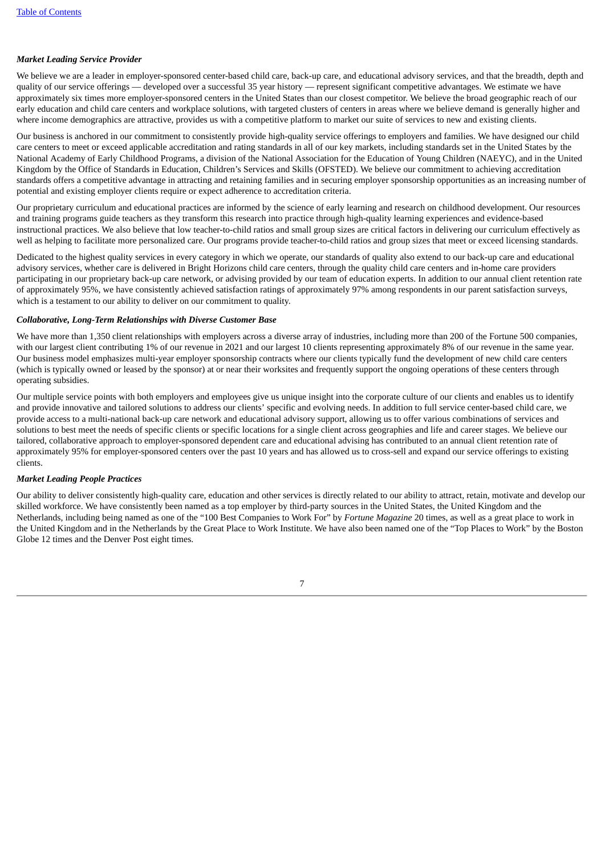# *Market Leading Service Provider*

We believe we are a leader in employer-sponsored center-based child care, back-up care, and educational advisory services, and that the breadth, depth and quality of our service offerings — developed over a successful 35 year history — represent significant competitive advantages. We estimate we have approximately six times more employer-sponsored centers in the United States than our closest competitor. We believe the broad geographic reach of our early education and child care centers and workplace solutions, with targeted clusters of centers in areas where we believe demand is generally higher and where income demographics are attractive, provides us with a competitive platform to market our suite of services to new and existing clients.

Our business is anchored in our commitment to consistently provide high-quality service offerings to employers and families. We have designed our child care centers to meet or exceed applicable accreditation and rating standards in all of our key markets, including standards set in the United States by the National Academy of Early Childhood Programs, a division of the National Association for the Education of Young Children (NAEYC), and in the United Kingdom by the Office of Standards in Education, Children's Services and Skills (OFSTED). We believe our commitment to achieving accreditation standards offers a competitive advantage in attracting and retaining families and in securing employer sponsorship opportunities as an increasing number of potential and existing employer clients require or expect adherence to accreditation criteria.

Our proprietary curriculum and educational practices are informed by the science of early learning and research on childhood development. Our resources and training programs guide teachers as they transform this research into practice through high-quality learning experiences and evidence-based instructional practices. We also believe that low teacher-to-child ratios and small group sizes are critical factors in delivering our curriculum effectively as well as helping to facilitate more personalized care. Our programs provide teacher-to-child ratios and group sizes that meet or exceed licensing standards.

Dedicated to the highest quality services in every category in which we operate, our standards of quality also extend to our back-up care and educational advisory services, whether care is delivered in Bright Horizons child care centers, through the quality child care centers and in-home care providers participating in our proprietary back-up care network, or advising provided by our team of education experts. In addition to our annual client retention rate of approximately 95%, we have consistently achieved satisfaction ratings of approximately 97% among respondents in our parent satisfaction surveys, which is a testament to our ability to deliver on our commitment to quality.

## *Collaborative, Long-Term Relationships with Diverse Customer Base*

We have more than 1,350 client relationships with employers across a diverse array of industries, including more than 200 of the Fortune 500 companies, with our largest client contributing 1% of our revenue in 2021 and our largest 10 clients representing approximately 8% of our revenue in the same year. Our business model emphasizes multi-year employer sponsorship contracts where our clients typically fund the development of new child care centers (which is typically owned or leased by the sponsor) at or near their worksites and frequently support the ongoing operations of these centers through operating subsidies.

Our multiple service points with both employers and employees give us unique insight into the corporate culture of our clients and enables us to identify and provide innovative and tailored solutions to address our clients' specific and evolving needs. In addition to full service center-based child care, we provide access to a multi-national back-up care network and educational advisory support, allowing us to offer various combinations of services and solutions to best meet the needs of specific clients or specific locations for a single client across geographies and life and career stages. We believe our tailored, collaborative approach to employer-sponsored dependent care and educational advising has contributed to an annual client retention rate of approximately 95% for employer-sponsored centers over the past 10 years and has allowed us to cross-sell and expand our service offerings to existing clients.

# *Market Leading People Practices*

Our ability to deliver consistently high-quality care, education and other services is directly related to our ability to attract, retain, motivate and develop our skilled workforce. We have consistently been named as a top employer by third-party sources in the United States, the United Kingdom and the Netherlands, including being named as one of the "100 Best Companies to Work For" by *Fortune Magazine* 20 times, as well as a great place to work in the United Kingdom and in the Netherlands by the Great Place to Work Institute. We have also been named one of the "Top Places to Work" by the Boston Globe 12 times and the Denver Post eight times.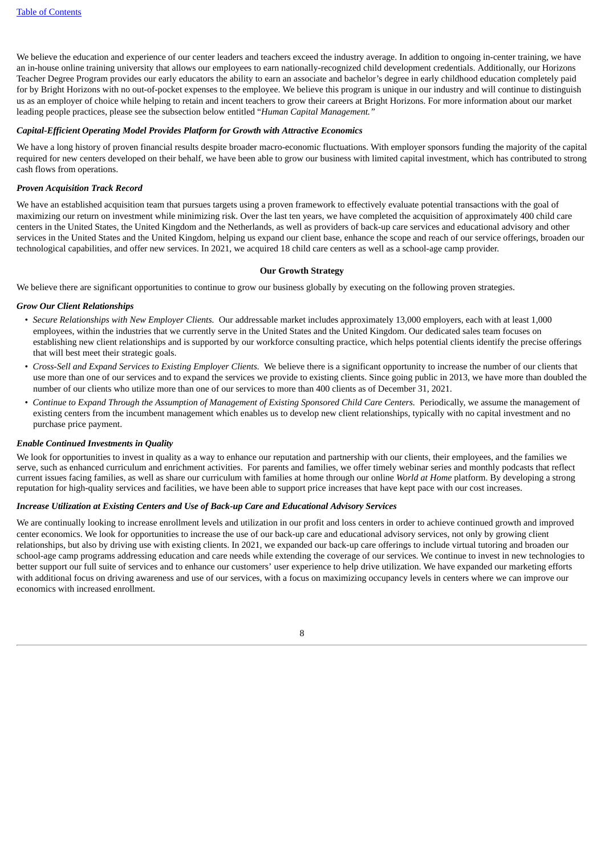We believe the education and experience of our center leaders and teachers exceed the industry average. In addition to ongoing in-center training, we have an in-house online training university that allows our employees to earn nationally-recognized child development credentials. Additionally, our Horizons Teacher Degree Program provides our early educators the ability to earn an associate and bachelor's degree in early childhood education completely paid for by Bright Horizons with no out-of-pocket expenses to the employee. We believe this program is unique in our industry and will continue to distinguish us as an employer of choice while helping to retain and incent teachers to grow their careers at Bright Horizons. For more information about our market leading people practices, please see the subsection below entitled "*Human Capital Management."*

#### *Capital-Efficient Operating Model Provides Platform for Growth with Attractive Economics*

We have a long history of proven financial results despite broader macro-economic fluctuations. With employer sponsors funding the majority of the capital required for new centers developed on their behalf, we have been able to grow our business with limited capital investment, which has contributed to strong cash flows from operations.

# *Proven Acquisition Track Record*

We have an established acquisition team that pursues targets using a proven framework to effectively evaluate potential transactions with the goal of maximizing our return on investment while minimizing risk. Over the last ten years, we have completed the acquisition of approximately 400 child care centers in the United States, the United Kingdom and the Netherlands, as well as providers of back-up care services and educational advisory and other services in the United States and the United Kingdom, helping us expand our client base, enhance the scope and reach of our service offerings, broaden our technological capabilities, and offer new services. In 2021, we acquired 18 child care centers as well as a school-age camp provider.

#### **Our Growth Strategy**

We believe there are significant opportunities to continue to grow our business globally by executing on the following proven strategies.

# *Grow Our Client Relationships*

- *Secure Relationships with New Employer Clients.* Our addressable market includes approximately 13,000 employers, each with at least 1,000 employees, within the industries that we currently serve in the United States and the United Kingdom. Our dedicated sales team focuses on establishing new client relationships and is supported by our workforce consulting practice, which helps potential clients identify the precise offerings that will best meet their strategic goals.
- *Cross-Sell and Expand Services to Existing Employer Clients.* We believe there is a significant opportunity to increase the number of our clients that use more than one of our services and to expand the services we provide to existing clients. Since going public in 2013, we have more than doubled the number of our clients who utilize more than one of our services to more than 400 clients as of December 31, 2021.
- Continue to Expand Through the Assumption of Management of Existing Sponsored Child Care Centers. Periodically, we assume the management of existing centers from the incumbent management which enables us to develop new client relationships, typically with no capital investment and no purchase price payment.

#### *Enable Continued Investments in Quality*

We look for opportunities to invest in quality as a way to enhance our reputation and partnership with our clients, their employees, and the families we serve, such as enhanced curriculum and enrichment activities. For parents and families, we offer timely webinar series and monthly podcasts that reflect current issues facing families, as well as share our curriculum with families at home through our online *World at Home* platform. By developing a strong reputation for high-quality services and facilities, we have been able to support price increases that have kept pace with our cost increases.

#### *Increase Utilization at Existing Centers and Use of Back-up Care and Educational Advisory Services*

We are continually looking to increase enrollment levels and utilization in our profit and loss centers in order to achieve continued growth and improved center economics. We look for opportunities to increase the use of our back-up care and educational advisory services, not only by growing client relationships, but also by driving use with existing clients. In 2021, we expanded our back-up care offerings to include virtual tutoring and broaden our school-age camp programs addressing education and care needs while extending the coverage of our services. We continue to invest in new technologies to better support our full suite of services and to enhance our customers' user experience to help drive utilization. We have expanded our marketing efforts with additional focus on driving awareness and use of our services, with a focus on maximizing occupancy levels in centers where we can improve our economics with increased enrollment.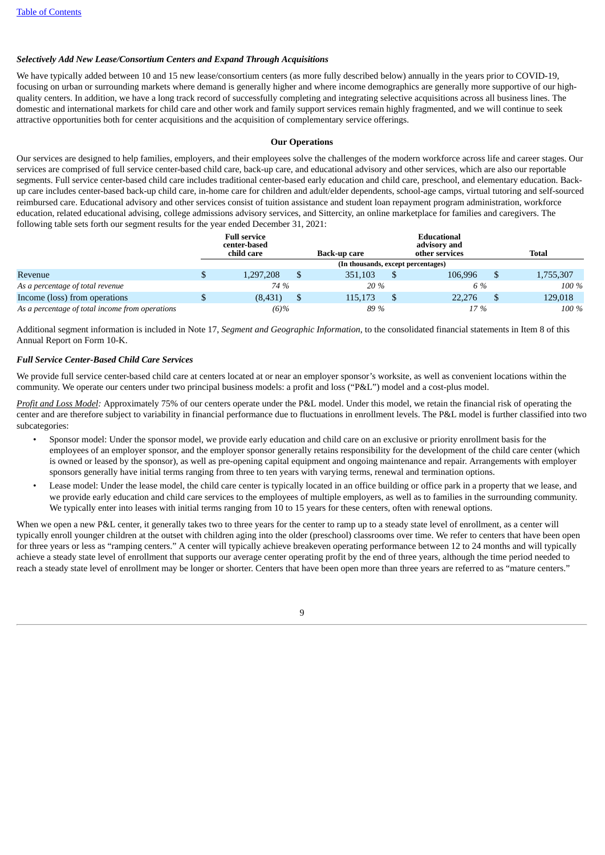# *Selectively Add New Lease/Consortium Centers and Expand Through Acquisitions*

We have typically added between 10 and 15 new lease/consortium centers (as more fully described below) annually in the years prior to COVID-19, focusing on urban or surrounding markets where demand is generally higher and where income demographics are generally more supportive of our highquality centers. In addition, we have a long track record of successfully completing and integrating selective acquisitions across all business lines. The domestic and international markets for child care and other work and family support services remain highly fragmented, and we will continue to seek attractive opportunities both for center acquisitions and the acquisition of complementary service offerings.

# **Our Operations**

Our services are designed to help families, employers, and their employees solve the challenges of the modern workforce across life and career stages. Our services are comprised of full service center-based child care, back-up care, and educational advisory and other services, which are also our reportable segments. Full service center-based child care includes traditional center-based early education and child care, preschool, and elementary education. Backup care includes center-based back-up child care, in-home care for children and adult/elder dependents, school-age camps, virtual tutoring and self-sourced reimbursed care. Educational advisory and other services consist of tuition assistance and student loan repayment program administration, workforce education, related educational advising, college admissions advisory services, and Sittercity, an online marketplace for families and caregivers. The following table sets forth our segment results for the year ended December 31, 2021:

|                                                 | <b>Full service</b><br>center-based |                                    | <b>Educational</b><br>advisory and |              |
|-------------------------------------------------|-------------------------------------|------------------------------------|------------------------------------|--------------|
|                                                 | child care                          | Back-up care                       | other services                     | <b>Total</b> |
|                                                 |                                     | (In thousands, except percentages) |                                    |              |
| Revenue                                         | 1.297.208                           | 351,103                            | 106.996                            | 1,755,307    |
| As a percentage of total revenue                | 74 %                                | <b>20 %</b>                        | 6 %                                | 100 %        |
| Income (loss) from operations                   | (8,431)                             | 115,173                            | 22.276                             | 129,018      |
| As a percentage of total income from operations | $(6)\%$                             | 89 %                               | 17 %                               | 100 %        |

Additional segment information is included in Note 17, *Segment and Geographic Information*, to the consolidated financial statements in Item 8 of this Annual Report on Form 10-K.

# *Full Service Center-Based Child Care Services*

We provide full service center-based child care at centers located at or near an employer sponsor's worksite, as well as convenient locations within the community. We operate our centers under two principal business models: a profit and loss ("P&L") model and a cost-plus model.

*Profit and Loss Model:* Approximately 75% of our centers operate under the P&L model. Under this model, we retain the financial risk of operating the center and are therefore subject to variability in financial performance due to fluctuations in enrollment levels. The P&L model is further classified into two subcategories:

- Sponsor model: Under the sponsor model, we provide early education and child care on an exclusive or priority enrollment basis for the employees of an employer sponsor, and the employer sponsor generally retains responsibility for the development of the child care center (which is owned or leased by the sponsor), as well as pre-opening capital equipment and ongoing maintenance and repair. Arrangements with employer sponsors generally have initial terms ranging from three to ten years with varying terms, renewal and termination options.
- Lease model: Under the lease model, the child care center is typically located in an office building or office park in a property that we lease, and we provide early education and child care services to the employees of multiple employers, as well as to families in the surrounding community. We typically enter into leases with initial terms ranging from 10 to 15 years for these centers, often with renewal options.

When we open a new P&L center, it generally takes two to three years for the center to ramp up to a steady state level of enrollment, as a center will typically enroll younger children at the outset with children aging into the older (preschool) classrooms over time. We refer to centers that have been open for three years or less as "ramping centers." A center will typically achieve breakeven operating performance between 12 to 24 months and will typically achieve a steady state level of enrollment that supports our average center operating profit by the end of three years, although the time period needed to reach a steady state level of enrollment may be longer or shorter. Centers that have been open more than three years are referred to as "mature centers."

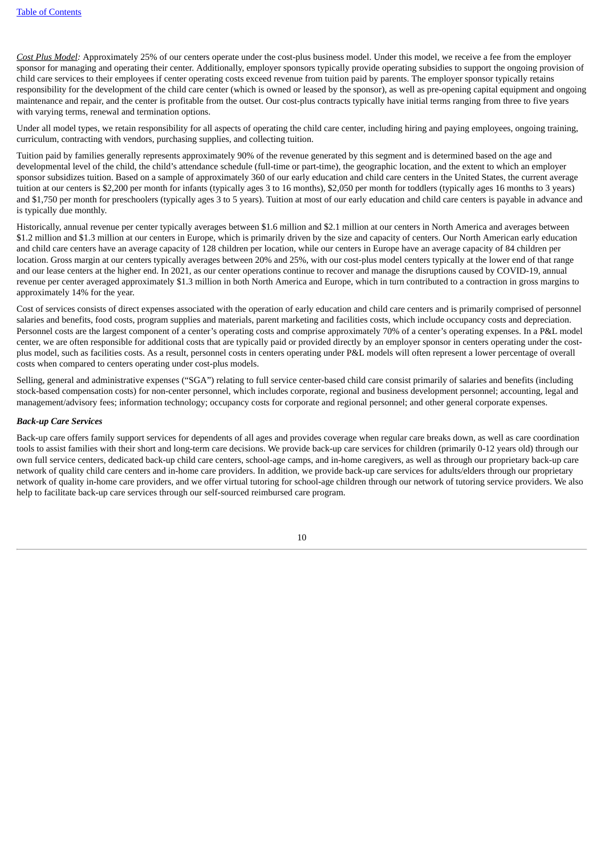*Cost Plus Model:* Approximately 25% of our centers operate under the cost-plus business model. Under this model, we receive a fee from the employer sponsor for managing and operating their center. Additionally, employer sponsors typically provide operating subsidies to support the ongoing provision of child care services to their employees if center operating costs exceed revenue from tuition paid by parents. The employer sponsor typically retains responsibility for the development of the child care center (which is owned or leased by the sponsor), as well as pre-opening capital equipment and ongoing maintenance and repair, and the center is profitable from the outset. Our cost-plus contracts typically have initial terms ranging from three to five years with varying terms, renewal and termination options.

Under all model types, we retain responsibility for all aspects of operating the child care center, including hiring and paying employees, ongoing training, curriculum, contracting with vendors, purchasing supplies, and collecting tuition.

Tuition paid by families generally represents approximately 90% of the revenue generated by this segment and is determined based on the age and developmental level of the child, the child's attendance schedule (full-time or part-time), the geographic location, and the extent to which an employer sponsor subsidizes tuition. Based on a sample of approximately 360 of our early education and child care centers in the United States, the current average tuition at our centers is \$2,200 per month for infants (typically ages 3 to 16 months), \$2,050 per month for toddlers (typically ages 16 months to 3 years) and \$1,750 per month for preschoolers (typically ages 3 to 5 years). Tuition at most of our early education and child care centers is payable in advance and is typically due monthly.

Historically, annual revenue per center typically averages between \$1.6 million and \$2.1 million at our centers in North America and averages between \$1.2 million and \$1.3 million at our centers in Europe, which is primarily driven by the size and capacity of centers. Our North American early education and child care centers have an average capacity of 128 children per location, while our centers in Europe have an average capacity of 84 children per location. Gross margin at our centers typically averages between 20% and 25%, with our cost-plus model centers typically at the lower end of that range and our lease centers at the higher end. In 2021, as our center operations continue to recover and manage the disruptions caused by COVID-19, annual revenue per center averaged approximately \$1.3 million in both North America and Europe, which in turn contributed to a contraction in gross margins to approximately 14% for the year.

Cost of services consists of direct expenses associated with the operation of early education and child care centers and is primarily comprised of personnel salaries and benefits, food costs, program supplies and materials, parent marketing and facilities costs, which include occupancy costs and depreciation. Personnel costs are the largest component of a center's operating costs and comprise approximately 70% of a center's operating expenses. In a P&L model center, we are often responsible for additional costs that are typically paid or provided directly by an employer sponsor in centers operating under the costplus model, such as facilities costs. As a result, personnel costs in centers operating under P&L models will often represent a lower percentage of overall costs when compared to centers operating under cost-plus models.

Selling, general and administrative expenses ("SGA") relating to full service center-based child care consist primarily of salaries and benefits (including stock-based compensation costs) for non-center personnel, which includes corporate, regional and business development personnel; accounting, legal and management/advisory fees; information technology; occupancy costs for corporate and regional personnel; and other general corporate expenses.

## *Back-up Care Services*

Back-up care offers family support services for dependents of all ages and provides coverage when regular care breaks down, as well as care coordination tools to assist families with their short and long-term care decisions. We provide back-up care services for children (primarily 0-12 years old) through our own full service centers, dedicated back-up child care centers, school-age camps, and in-home caregivers, as well as through our proprietary back-up care network of quality child care centers and in-home care providers. In addition, we provide back-up care services for adults/elders through our proprietary network of quality in-home care providers, and we offer virtual tutoring for school-age children through our network of tutoring service providers. We also help to facilitate back-up care services through our self-sourced reimbursed care program.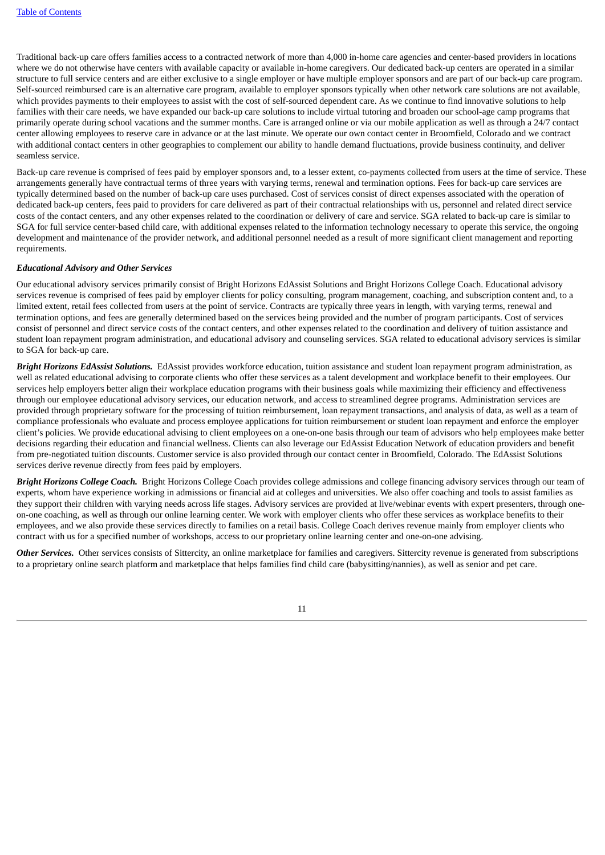Traditional back-up care offers families access to a contracted network of more than 4,000 in-home care agencies and center-based providers in locations where we do not otherwise have centers with available capacity or available in-home caregivers. Our dedicated back-up centers are operated in a similar structure to full service centers and are either exclusive to a single employer or have multiple employer sponsors and are part of our back-up care program. Self-sourced reimbursed care is an alternative care program, available to employer sponsors typically when other network care solutions are not available, which provides payments to their employees to assist with the cost of self-sourced dependent care. As we continue to find innovative solutions to help families with their care needs, we have expanded our back-up care solutions to include virtual tutoring and broaden our school-age camp programs that primarily operate during school vacations and the summer months. Care is arranged online or via our mobile application as well as through a 24/7 contact center allowing employees to reserve care in advance or at the last minute. We operate our own contact center in Broomfield, Colorado and we contract with additional contact centers in other geographies to complement our ability to handle demand fluctuations, provide business continuity, and deliver seamless service.

Back-up care revenue is comprised of fees paid by employer sponsors and, to a lesser extent, co-payments collected from users at the time of service. These arrangements generally have contractual terms of three years with varying terms, renewal and termination options. Fees for back-up care services are typically determined based on the number of back-up care uses purchased. Cost of services consist of direct expenses associated with the operation of dedicated back-up centers, fees paid to providers for care delivered as part of their contractual relationships with us, personnel and related direct service costs of the contact centers, and any other expenses related to the coordination or delivery of care and service. SGA related to back-up care is similar to SGA for full service center-based child care, with additional expenses related to the information technology necessary to operate this service, the ongoing development and maintenance of the provider network, and additional personnel needed as a result of more significant client management and reporting requirements.

#### *Educational Advisory and Other Services*

Our educational advisory services primarily consist of Bright Horizons EdAssist Solutions and Bright Horizons College Coach. Educational advisory services revenue is comprised of fees paid by employer clients for policy consulting, program management, coaching, and subscription content and, to a limited extent, retail fees collected from users at the point of service. Contracts are typically three years in length, with varying terms, renewal and termination options, and fees are generally determined based on the services being provided and the number of program participants. Cost of services consist of personnel and direct service costs of the contact centers, and other expenses related to the coordination and delivery of tuition assistance and student loan repayment program administration, and educational advisory and counseling services. SGA related to educational advisory services is similar to SGA for back-up care.

*Bright Horizons EdAssist Solutions.* EdAssist provides workforce education, tuition assistance and student loan repayment program administration, as well as related educational advising to corporate clients who offer these services as a talent development and workplace benefit to their employees. Our services help employers better align their workplace education programs with their business goals while maximizing their efficiency and effectiveness through our employee educational advisory services, our education network, and access to streamlined degree programs. Administration services are provided through proprietary software for the processing of tuition reimbursement, loan repayment transactions, and analysis of data, as well as a team of compliance professionals who evaluate and process employee applications for tuition reimbursement or student loan repayment and enforce the employer client's policies. We provide educational advising to client employees on a one-on-one basis through our team of advisors who help employees make better decisions regarding their education and financial wellness. Clients can also leverage our EdAssist Education Network of education providers and benefit from pre-negotiated tuition discounts. Customer service is also provided through our contact center in Broomfield, Colorado. The EdAssist Solutions services derive revenue directly from fees paid by employers.

*Bright Horizons College Coach.* Bright Horizons College Coach provides college admissions and college financing advisory services through our team of experts, whom have experience working in admissions or financial aid at colleges and universities. We also offer coaching and tools to assist families as they support their children with varying needs across life stages. Advisory services are provided at live/webinar events with expert presenters, through oneon-one coaching, as well as through our online learning center. We work with employer clients who offer these services as workplace benefits to their employees, and we also provide these services directly to families on a retail basis. College Coach derives revenue mainly from employer clients who contract with us for a specified number of workshops, access to our proprietary online learning center and one-on-one advising.

*Other Services.* Other services consists of Sittercity, an online marketplace for families and caregivers. Sittercity revenue is generated from subscriptions to a proprietary online search platform and marketplace that helps families find child care (babysitting/nannies), as well as senior and pet care.

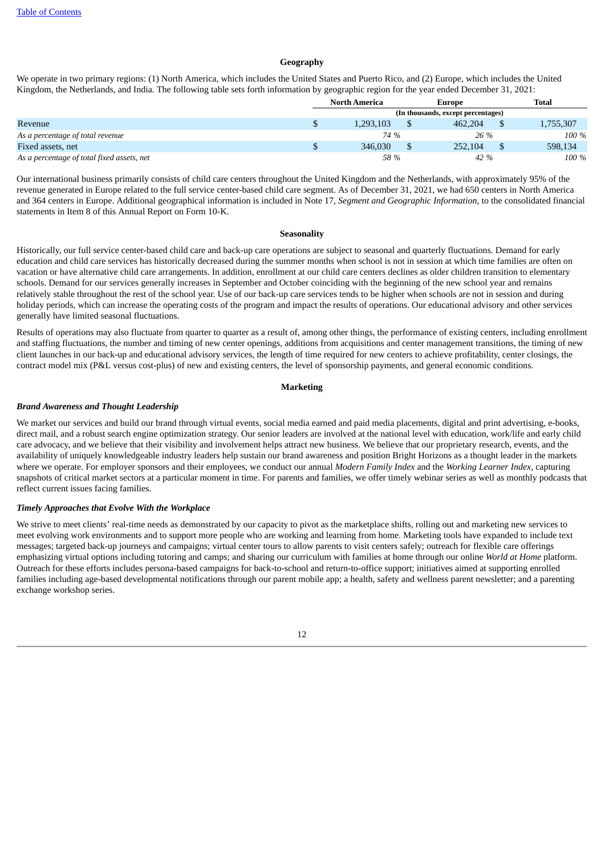# **Geography**

We operate in two primary regions: (1) North America, which includes the United States and Puerto Rico, and (2) Europe, which includes the United Kingdom, the Netherlands, and India. The following table sets forth information by geographic region for the year ended December 31, 2021:

|                                            | <b>North America</b> | <b>Europe</b>                      | <b>Total</b> |
|--------------------------------------------|----------------------|------------------------------------|--------------|
|                                            |                      | (In thousands, except percentages) |              |
| Revenue                                    | 1,293,103            | 462,204                            | 1,755,307    |
| As a percentage of total revenue           | 74 %                 | 26 %                               | 100 %        |
| Fixed assets, net                          | 346,030              | 252,104                            | 598,134      |
| As a percentage of total fixed assets, net | 58 %                 | 42 %                               | 100 %        |

Our international business primarily consists of child care centers throughout the United Kingdom and the Netherlands, with approximately 95% of the revenue generated in Europe related to the full service center-based child care segment. As of December 31, 2021, we had 650 centers in North America and 364 centers in Europe. Additional geographical information is included in Note 17, *Segment and Geographic Information*, to the consolidated financial statements in Item 8 of this Annual Report on Form 10-K.

#### **Seasonality**

Historically, our full service center-based child care and back-up care operations are subject to seasonal and quarterly fluctuations. Demand for early education and child care services has historically decreased during the summer months when school is not in session at which time families are often on vacation or have alternative child care arrangements. In addition, enrollment at our child care centers declines as older children transition to elementary schools. Demand for our services generally increases in September and October coinciding with the beginning of the new school year and remains relatively stable throughout the rest of the school year. Use of our back-up care services tends to be higher when schools are not in session and during holiday periods, which can increase the operating costs of the program and impact the results of operations. Our educational advisory and other services generally have limited seasonal fluctuations.

Results of operations may also fluctuate from quarter to quarter as a result of, among other things, the performance of existing centers, including enrollment and staffing fluctuations, the number and timing of new center openings, additions from acquisitions and center management transitions, the timing of new client launches in our back-up and educational advisory services, the length of time required for new centers to achieve profitability, center closings, the contract model mix (P&L versus cost-plus) of new and existing centers, the level of sponsorship payments, and general economic conditions.

# **Marketing**

## *Brand Awareness and Thought Leadership*

We market our services and build our brand through virtual events, social media earned and paid media placements, digital and print advertising, e-books, direct mail, and a robust search engine optimization strategy. Our senior leaders are involved at the national level with education, work/life and early child care advocacy, and we believe that their visibility and involvement helps attract new business. We believe that our proprietary research, events, and the availability of uniquely knowledgeable industry leaders help sustain our brand awareness and position Bright Horizons as a thought leader in the markets where we operate. For employer sponsors and their employees, we conduct our annual *Modern Family Index* and the *Working Learner Index,* capturing snapshots of critical market sectors at a particular moment in time. For parents and families, we offer timely webinar series as well as monthly podcasts that reflect current issues facing families.

# *Timely Approaches that Evolve With the Workplace*

We strive to meet clients' real-time needs as demonstrated by our capacity to pivot as the marketplace shifts, rolling out and marketing new services to meet evolving work environments and to support more people who are working and learning from home. Marketing tools have expanded to include text messages; targeted back-up journeys and campaigns; virtual center tours to allow parents to visit centers safely; outreach for flexible care offerings emphasizing virtual options including tutoring and camps; and sharing our curriculum with families at home through our online *World at Home* platform. Outreach for these efforts includes persona-based campaigns for back-to-school and return-to-office support; initiatives aimed at supporting enrolled families including age-based developmental notifications through our parent mobile app; a health, safety and wellness parent newsletter; and a parenting exchange workshop series.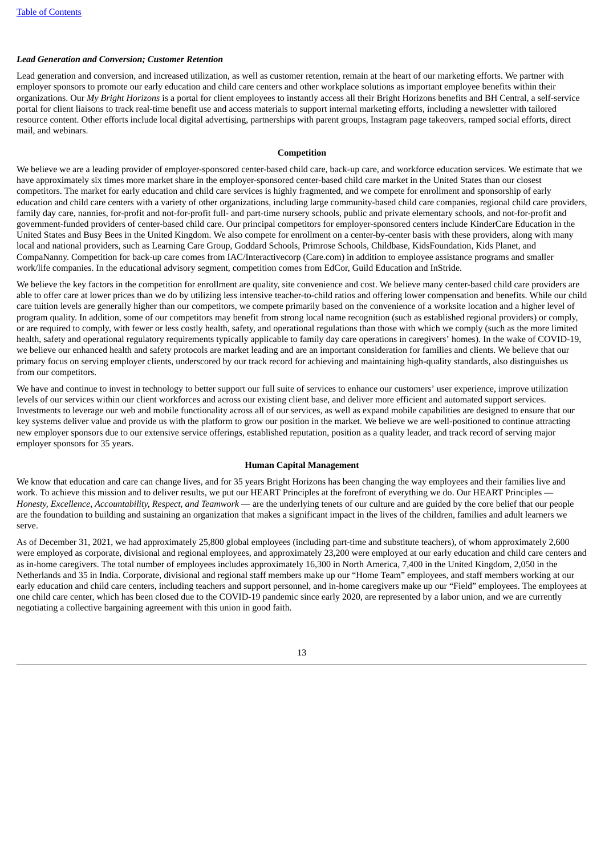# *Lead Generation and Conversion; Customer Retention*

Lead generation and conversion, and increased utilization, as well as customer retention, remain at the heart of our marketing efforts. We partner with employer sponsors to promote our early education and child care centers and other workplace solutions as important employee benefits within their organizations. Our *My Bright Horizons* is a portal for client employees to instantly access all their Bright Horizons benefits and BH Central, a self-service portal for client liaisons to track real-time benefit use and access materials to support internal marketing efforts, including a newsletter with tailored resource content. Other efforts include local digital advertising, partnerships with parent groups, Instagram page takeovers, ramped social efforts, direct mail, and webinars.

# **Competition**

We believe we are a leading provider of employer-sponsored center-based child care, back-up care, and workforce education services. We estimate that we have approximately six times more market share in the employer-sponsored center-based child care market in the United States than our closest competitors. The market for early education and child care services is highly fragmented, and we compete for enrollment and sponsorship of early education and child care centers with a variety of other organizations, including large community-based child care companies, regional child care providers, family day care, nannies, for-profit and not-for-profit full- and part-time nursery schools, public and private elementary schools, and not-for-profit and government-funded providers of center-based child care. Our principal competitors for employer-sponsored centers include KinderCare Education in the United States and Busy Bees in the United Kingdom. We also compete for enrollment on a center-by-center basis with these providers, along with many local and national providers, such as Learning Care Group, Goddard Schools, Primrose Schools, Childbase, KidsFoundation, Kids Planet, and CompaNanny. Competition for back-up care comes from IAC/Interactivecorp (Care.com) in addition to employee assistance programs and smaller work/life companies. In the educational advisory segment, competition comes from EdCor, Guild Education and InStride.

We believe the key factors in the competition for enrollment are quality, site convenience and cost. We believe many center-based child care providers are able to offer care at lower prices than we do by utilizing less intensive teacher-to-child ratios and offering lower compensation and benefits. While our child care tuition levels are generally higher than our competitors, we compete primarily based on the convenience of a worksite location and a higher level of program quality. In addition, some of our competitors may benefit from strong local name recognition (such as established regional providers) or comply, or are required to comply, with fewer or less costly health, safety, and operational regulations than those with which we comply (such as the more limited health, safety and operational regulatory requirements typically applicable to family day care operations in caregivers' homes). In the wake of COVID-19, we believe our enhanced health and safety protocols are market leading and are an important consideration for families and clients. We believe that our primary focus on serving employer clients, underscored by our track record for achieving and maintaining high-quality standards, also distinguishes us from our competitors.

We have and continue to invest in technology to better support our full suite of services to enhance our customers' user experience, improve utilization levels of our services within our client workforces and across our existing client base, and deliver more efficient and automated support services. Investments to leverage our web and mobile functionality across all of our services, as well as expand mobile capabilities are designed to ensure that our key systems deliver value and provide us with the platform to grow our position in the market. We believe we are well-positioned to continue attracting new employer sponsors due to our extensive service offerings, established reputation, position as a quality leader, and track record of serving major employer sponsors for 35 years.

# **Human Capital Management**

We know that education and care can change lives, and for 35 years Bright Horizons has been changing the way employees and their families live and work. To achieve this mission and to deliver results, we put our HEART Principles at the forefront of everything we do. Our HEART Principles -*Honesty, Excellence, Accountability, Respect, and Teamwork* — are the underlying tenets of our culture and are guided by the core belief that our people are the foundation to building and sustaining an organization that makes a significant impact in the lives of the children, families and adult learners we serve.

As of December 31, 2021, we had approximately 25,800 global employees (including part-time and substitute teachers), of whom approximately 2,600 were employed as corporate, divisional and regional employees, and approximately 23,200 were employed at our early education and child care centers and as in-home caregivers. The total number of employees includes approximately 16,300 in North America, 7,400 in the United Kingdom, 2,050 in the Netherlands and 35 in India. Corporate, divisional and regional staff members make up our "Home Team" employees, and staff members working at our early education and child care centers, including teachers and support personnel, and in-home caregivers make up our "Field" employees. The employees at one child care center, which has been closed due to the COVID-19 pandemic since early 2020, are represented by a labor union, and we are currently negotiating a collective bargaining agreement with this union in good faith.

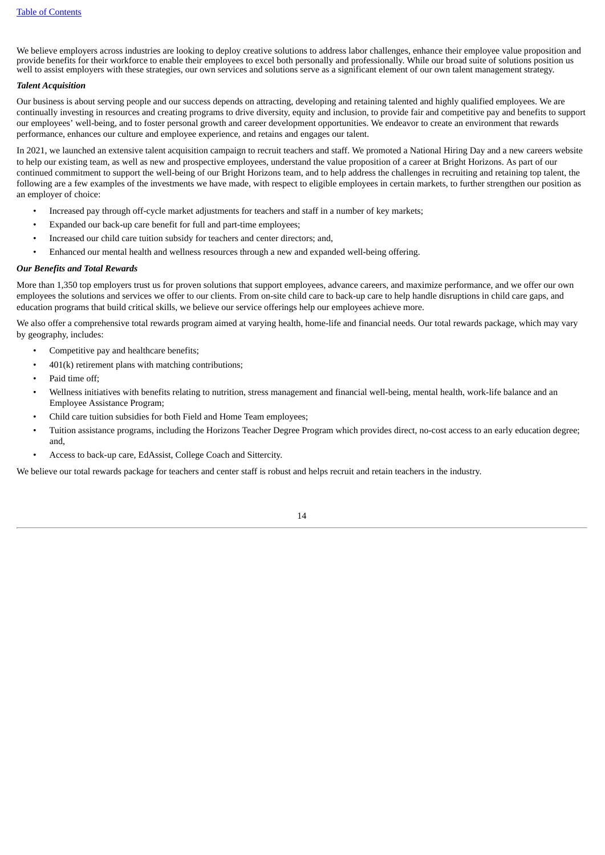We believe employers across industries are looking to deploy creative solutions to address labor challenges, enhance their employee value proposition and provide benefits for their workforce to enable their employees to excel both personally and professionally. While our broad suite of solutions position us well to assist employers with these strategies, our own services and solutions serve as a significant element of our own talent management strategy.

# *Talent Acquisition*

Our business is about serving people and our success depends on attracting, developing and retaining talented and highly qualified employees. We are continually investing in resources and creating programs to drive diversity, equity and inclusion, to provide fair and competitive pay and benefits to support our employees' well-being, and to foster personal growth and career development opportunities. We endeavor to create an environment that rewards performance, enhances our culture and employee experience, and retains and engages our talent.

In 2021, we launched an extensive talent acquisition campaign to recruit teachers and staff. We promoted a National Hiring Day and a new careers website to help our existing team, as well as new and prospective employees, understand the value proposition of a career at Bright Horizons. As part of our continued commitment to support the well-being of our Bright Horizons team, and to help address the challenges in recruiting and retaining top talent, the following are a few examples of the investments we have made, with respect to eligible employees in certain markets, to further strengthen our position as an employer of choice:

- Increased pay through off-cycle market adjustments for teachers and staff in a number of key markets;
- Expanded our back-up care benefit for full and part-time employees;
- Increased our child care tuition subsidy for teachers and center directors; and,
- Enhanced our mental health and wellness resources through a new and expanded well-being offering.

# *Our Benefits and Total Rewards*

More than 1,350 top employers trust us for proven solutions that support employees, advance careers, and maximize performance, and we offer our own employees the solutions and services we offer to our clients. From on-site child care to back-up care to help handle disruptions in child care gaps, and education programs that build critical skills, we believe our service offerings help our employees achieve more.

We also offer a comprehensive total rewards program aimed at varying health, home-life and financial needs. Our total rewards package, which may vary by geography, includes:

- Competitive pay and healthcare benefits;
- 401(k) retirement plans with matching contributions;
- Paid time off;
- Wellness initiatives with benefits relating to nutrition, stress management and financial well-being, mental health, work-life balance and an Employee Assistance Program;
- Child care tuition subsidies for both Field and Home Team employees;
- Tuition assistance programs, including the Horizons Teacher Degree Program which provides direct, no-cost access to an early education degree; and,
- Access to back-up care, EdAssist, College Coach and Sittercity.

We believe our total rewards package for teachers and center staff is robust and helps recruit and retain teachers in the industry.

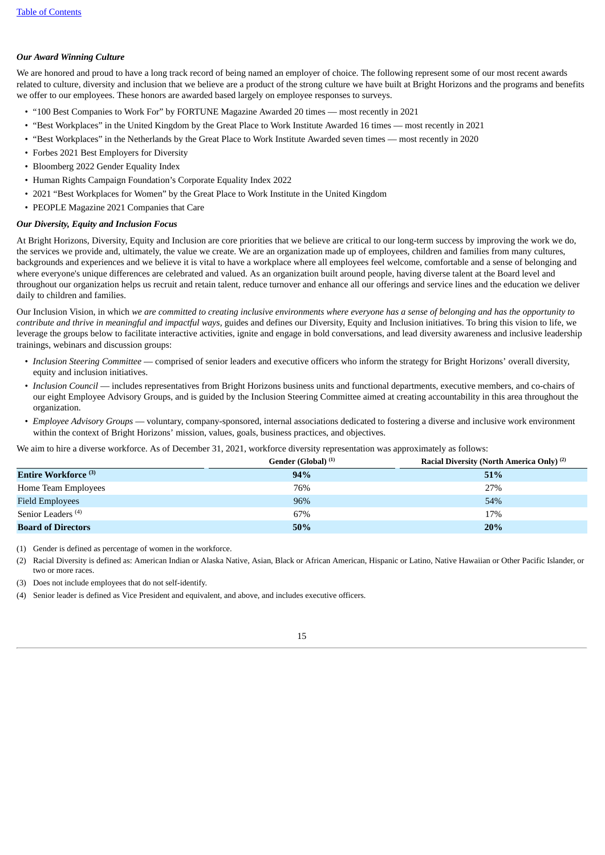# *Our Award Winning Culture*

We are honored and proud to have a long track record of being named an employer of choice. The following represent some of our most recent awards related to culture, diversity and inclusion that we believe are a product of the strong culture we have built at Bright Horizons and the programs and benefits we offer to our employees. These honors are awarded based largely on employee responses to surveys.

- "100 Best Companies to Work For" by FORTUNE Magazine Awarded 20 times most recently in 2021
- "Best Workplaces" in the United Kingdom by the Great Place to Work Institute Awarded 16 times most recently in 2021
- "Best Workplaces" in the Netherlands by the Great Place to Work Institute Awarded seven times most recently in 2020
- Forbes 2021 Best Employers for Diversity
- Bloomberg 2022 Gender Equality Index
- Human Rights Campaign Foundation's Corporate Equality Index 2022
- 2021 "Best Workplaces for Women" by the Great Place to Work Institute in the United Kingdom
- PEOPLE Magazine 2021 Companies that Care

#### *Our Diversity, Equity and Inclusion Focus*

At Bright Horizons, Diversity, Equity and Inclusion are core priorities that we believe are critical to our long-term success by improving the work we do, the services we provide and, ultimately, the value we create. We are an organization made up of employees, children and families from many cultures, backgrounds and experiences and we believe it is vital to have a workplace where all employees feel welcome, comfortable and a sense of belonging and where everyone's unique differences are celebrated and valued. As an organization built around people, having diverse talent at the Board level and throughout our organization helps us recruit and retain talent, reduce turnover and enhance all our offerings and service lines and the education we deliver daily to children and families.

Our Inclusion Vision, in which we are committed to creating inclusive environments where everyone has a sense of belonging and has the opportunity to *contribute and thrive in meaningful and impactful ways,* guides and defines our Diversity, Equity and Inclusion initiatives. To bring this vision to life, we leverage the groups below to facilitate interactive activities, ignite and engage in bold conversations, and lead diversity awareness and inclusive leadership trainings, webinars and discussion groups:

- *Inclusion Steering Committee* comprised of senior leaders and executive officers who inform the strategy for Bright Horizons' overall diversity, equity and inclusion initiatives.
- *Inclusion Council* includes representatives from Bright Horizons business units and functional departments, executive members, and co-chairs of our eight Employee Advisory Groups, and is guided by the Inclusion Steering Committee aimed at creating accountability in this area throughout the organization.
- *Employee Advisory Groups* voluntary, company-sponsored, internal associations dedicated to fostering a diverse and inclusive work environment within the context of Bright Horizons' mission, values, goals, business practices, and objectives.

We aim to hire a diverse workforce. As of December 31, 2021, workforce diversity representation was approximately as follows:

|                                 | Gender (Global) <sup>(1)</sup> | Racial Diversity (North America Only) <sup>(2)</sup> |
|---------------------------------|--------------------------------|------------------------------------------------------|
| Entire Workforce <sup>(3)</sup> | 94%                            | 51%                                                  |
| Home Team Employees             | 76%                            | 27%                                                  |
| <b>Field Employees</b>          | 96%                            | 54%                                                  |
| Senior Leaders <sup>(4)</sup>   | 67%                            | 17%                                                  |
| <b>Board of Directors</b>       | 50%                            | 20%                                                  |

(1) Gender is defined as percentage of women in the workforce.

(2) Racial Diversity is defined as: American Indian or Alaska Native, Asian, Black or African American, Hispanic or Latino, Native Hawaiian or Other Pacific Islander, or two or more races.

(3) Does not include employees that do not self-identify.

(4) Senior leader is defined as Vice President and equivalent, and above, and includes executive officers.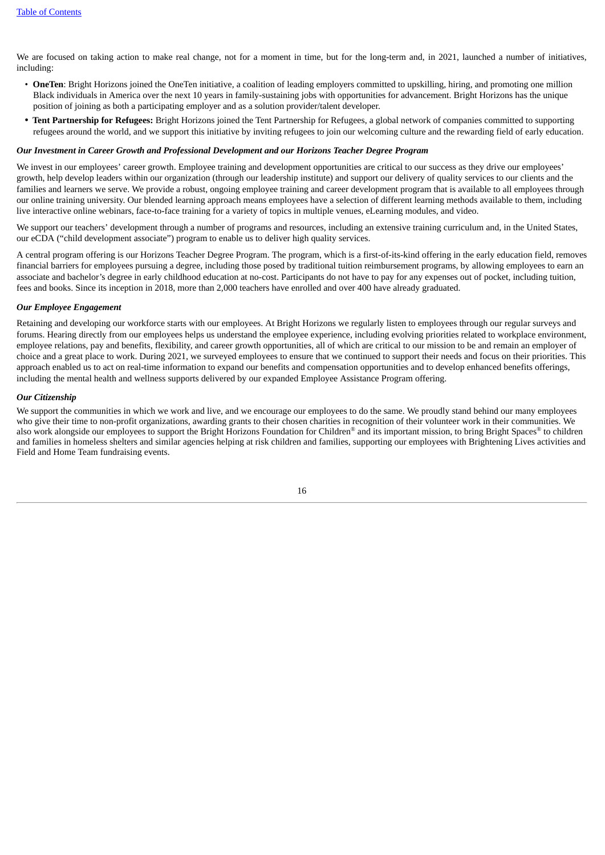We are focused on taking action to make real change, not for a moment in time, but for the long-term and, in 2021, launched a number of initiatives, including:

- **OneTen**: Bright Horizons joined the OneTen initiative, a coalition of leading employers committed to upskilling, hiring, and promoting one million Black individuals in America over the next 10 years in family-sustaining jobs with opportunities for advancement. Bright Horizons has the unique position of joining as both a participating employer and as a solution provider/talent developer.
- **Tent Partnership for Refugees:** Bright Horizons joined the Tent Partnership for Refugees, a global network of companies committed to supporting refugees around the world, and we support this initiative by inviting refugees to join our welcoming culture and the rewarding field of early education.

#### *Our Investment in Career Growth and Professional Development and our Horizons Teacher Degree Program*

We invest in our employees' career growth. Employee training and development opportunities are critical to our success as they drive our employees' growth, help develop leaders within our organization (through our leadership institute) and support our delivery of quality services to our clients and the families and learners we serve. We provide a robust, ongoing employee training and career development program that is available to all employees through our online training university. Our blended learning approach means employees have a selection of different learning methods available to them, including live interactive online webinars, face-to-face training for a variety of topics in multiple venues, eLearning modules, and video.

We support our teachers' development through a number of programs and resources, including an extensive training curriculum and, in the United States, our eCDA ("child development associate") program to enable us to deliver high quality services.

A central program offering is our Horizons Teacher Degree Program. The program, which is a first-of-its-kind offering in the early education field, removes financial barriers for employees pursuing a degree, including those posed by traditional tuition reimbursement programs, by allowing employees to earn an associate and bachelor's degree in early childhood education at no-cost. Participants do not have to pay for any expenses out of pocket, including tuition, fees and books. Since its inception in 2018, more than 2,000 teachers have enrolled and over 400 have already graduated.

#### *Our Employee Engagement*

Retaining and developing our workforce starts with our employees. At Bright Horizons we regularly listen to employees through our regular surveys and forums. Hearing directly from our employees helps us understand the employee experience, including evolving priorities related to workplace environment, employee relations, pay and benefits, flexibility, and career growth opportunities, all of which are critical to our mission to be and remain an employer of choice and a great place to work. During 2021, we surveyed employees to ensure that we continued to support their needs and focus on their priorities. This approach enabled us to act on real-time information to expand our benefits and compensation opportunities and to develop enhanced benefits offerings, including the mental health and wellness supports delivered by our expanded Employee Assistance Program offering.

## *Our Citizenship*

We support the communities in which we work and live, and we encourage our employees to do the same. We proudly stand behind our many employees who give their time to non-profit organizations, awarding grants to their chosen charities in recognition of their volunteer work in their communities. We also work alongside our employees to support the Bright Horizons Foundation for Children® and its important mission, to bring Bright Spaces® to children and families in homeless shelters and similar agencies helping at risk children and families, supporting our employees with Brightening Lives activities and Field and Home Team fundraising events.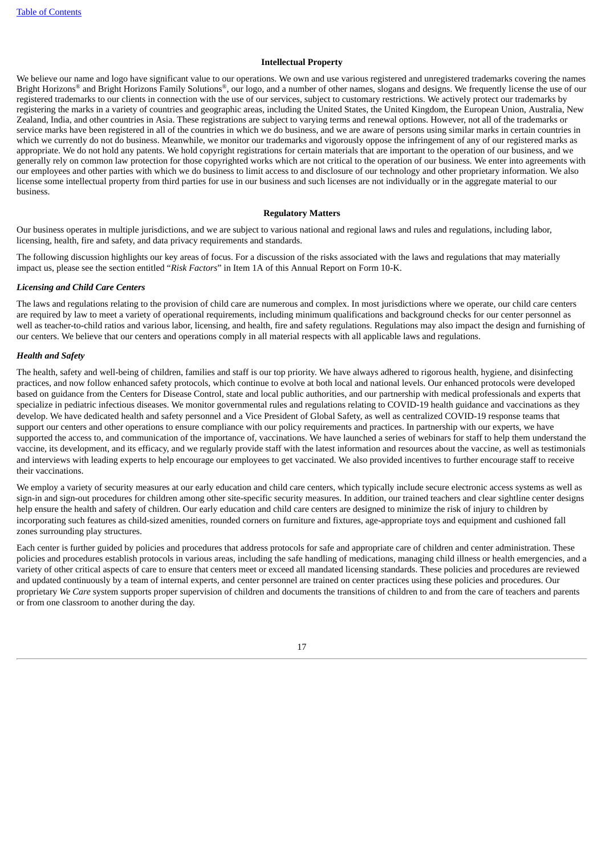# **Intellectual Property**

We believe our name and logo have significant value to our operations. We own and use various registered and unregistered trademarks covering the names Bright Horizons® and Bright Horizons Family Solutions®, our logo, and a number of other names, slogans and designs. We frequently license the use of our registered trademarks to our clients in connection with the use of our services, subject to customary restrictions. We actively protect our trademarks by registering the marks in a variety of countries and geographic areas, including the United States, the United Kingdom, the European Union, Australia, New Zealand, India, and other countries in Asia. These registrations are subject to varying terms and renewal options. However, not all of the trademarks or service marks have been registered in all of the countries in which we do business, and we are aware of persons using similar marks in certain countries in which we currently do not do business. Meanwhile, we monitor our trademarks and vigorously oppose the infringement of any of our registered marks as appropriate. We do not hold any patents. We hold copyright registrations for certain materials that are important to the operation of our business, and we generally rely on common law protection for those copyrighted works which are not critical to the operation of our business. We enter into agreements with our employees and other parties with which we do business to limit access to and disclosure of our technology and other proprietary information. We also license some intellectual property from third parties for use in our business and such licenses are not individually or in the aggregate material to our business.

#### **Regulatory Matters**

Our business operates in multiple jurisdictions, and we are subject to various national and regional laws and rules and regulations, including labor, licensing, health, fire and safety, and data privacy requirements and standards.

The following discussion highlights our key areas of focus. For a discussion of the risks associated with the laws and regulations that may materially impact us, please see the section entitled "*Risk Factors*" in Item 1A of this Annual Report on Form 10-K.

# *Licensing and Child Care Centers*

The laws and regulations relating to the provision of child care are numerous and complex. In most jurisdictions where we operate, our child care centers are required by law to meet a variety of operational requirements, including minimum qualifications and background checks for our center personnel as well as teacher-to-child ratios and various labor, licensing, and health, fire and safety regulations. Regulations may also impact the design and furnishing of our centers. We believe that our centers and operations comply in all material respects with all applicable laws and regulations.

#### *Health and Safety*

The health, safety and well-being of children, families and staff is our top priority. We have always adhered to rigorous health, hygiene, and disinfecting practices, and now follow enhanced safety protocols, which continue to evolve at both local and national levels. Our enhanced protocols were developed based on guidance from the Centers for Disease Control, state and local public authorities, and our partnership with medical professionals and experts that specialize in pediatric infectious diseases. We monitor governmental rules and regulations relating to COVID-19 health guidance and vaccinations as they develop. We have dedicated health and safety personnel and a Vice President of Global Safety, as well as centralized COVID-19 response teams that support our centers and other operations to ensure compliance with our policy requirements and practices. In partnership with our experts, we have supported the access to, and communication of the importance of, vaccinations. We have launched a series of webinars for staff to help them understand the vaccine, its development, and its efficacy, and we regularly provide staff with the latest information and resources about the vaccine, as well as testimonials and interviews with leading experts to help encourage our employees to get vaccinated. We also provided incentives to further encourage staff to receive their vaccinations.

We employ a variety of security measures at our early education and child care centers, which typically include secure electronic access systems as well as sign-in and sign-out procedures for children among other site-specific security measures. In addition, our trained teachers and clear sightline center designs help ensure the health and safety of children. Our early education and child care centers are designed to minimize the risk of injury to children by incorporating such features as child-sized amenities, rounded corners on furniture and fixtures, age-appropriate toys and equipment and cushioned fall zones surrounding play structures.

Each center is further guided by policies and procedures that address protocols for safe and appropriate care of children and center administration. These policies and procedures establish protocols in various areas, including the safe handling of medications, managing child illness or health emergencies, and a variety of other critical aspects of care to ensure that centers meet or exceed all mandated licensing standards. These policies and procedures are reviewed and updated continuously by a team of internal experts, and center personnel are trained on center practices using these policies and procedures. Our proprietary *We Care* system supports proper supervision of children and documents the transitions of children to and from the care of teachers and parents or from one classroom to another during the day.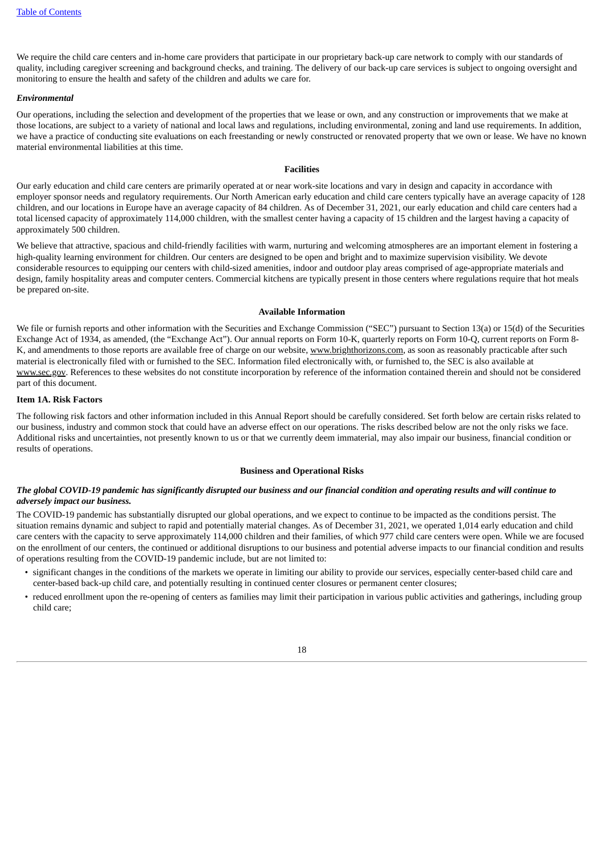We require the child care centers and in-home care providers that participate in our proprietary back-up care network to comply with our standards of quality, including caregiver screening and background checks, and training. The delivery of our back-up care services is subject to ongoing oversight and monitoring to ensure the health and safety of the children and adults we care for.

#### *Environmental*

Our operations, including the selection and development of the properties that we lease or own, and any construction or improvements that we make at those locations, are subject to a variety of national and local laws and regulations, including environmental, zoning and land use requirements. In addition, we have a practice of conducting site evaluations on each freestanding or newly constructed or renovated property that we own or lease. We have no known material environmental liabilities at this time.

# **Facilities**

Our early education and child care centers are primarily operated at or near work-site locations and vary in design and capacity in accordance with employer sponsor needs and regulatory requirements. Our North American early education and child care centers typically have an average capacity of 128 children, and our locations in Europe have an average capacity of 84 children. As of December 31, 2021, our early education and child care centers had a total licensed capacity of approximately 114,000 children, with the smallest center having a capacity of 15 children and the largest having a capacity of approximately 500 children.

We believe that attractive, spacious and child-friendly facilities with warm, nurturing and welcoming atmospheres are an important element in fostering a high-quality learning environment for children. Our centers are designed to be open and bright and to maximize supervision visibility. We devote considerable resources to equipping our centers with child-sized amenities, indoor and outdoor play areas comprised of age-appropriate materials and design, family hospitality areas and computer centers. Commercial kitchens are typically present in those centers where regulations require that hot meals be prepared on-site.

## **Available Information**

We file or furnish reports and other information with the Securities and Exchange Commission ("SEC") pursuant to Section 13(a) or 15(d) of the Securities Exchange Act of 1934, as amended, (the "Exchange Act"). Our annual reports on Form 10-K, quarterly reports on Form 10-Q, current reports on Form 8- K, and amendments to those reports are available free of charge on our website, www.brighthorizons.com, as soon as reasonably practicable after such material is electronically filed with or furnished to the SEC. Information filed electronically with, or furnished to, the SEC is also available at www.sec.gov. References to these websites do not constitute incorporation by reference of the information contained therein and should not be considered part of this document.

# <span id="page-17-0"></span>**Item 1A. Risk Factors**

The following risk factors and other information included in this Annual Report should be carefully considered. Set forth below are certain risks related to our business, industry and common stock that could have an adverse effect on our operations. The risks described below are not the only risks we face. Additional risks and uncertainties, not presently known to us or that we currently deem immaterial, may also impair our business, financial condition or results of operations.

# **Business and Operational Risks**

# The global COVID-19 pandemic has significantly disrupted our business and our financial condition and operating results and will continue to *adversely impact our business.*

The COVID-19 pandemic has substantially disrupted our global operations, and we expect to continue to be impacted as the conditions persist. The situation remains dynamic and subject to rapid and potentially material changes. As of December 31, 2021, we operated 1,014 early education and child care centers with the capacity to serve approximately 114,000 children and their families, of which 977 child care centers were open. While we are focused on the enrollment of our centers, the continued or additional disruptions to our business and potential adverse impacts to our financial condition and results of operations resulting from the COVID-19 pandemic include, but are not limited to:

- significant changes in the conditions of the markets we operate in limiting our ability to provide our services, especially center-based child care and center-based back-up child care, and potentially resulting in continued center closures or permanent center closures;
- reduced enrollment upon the re-opening of centers as families may limit their participation in various public activities and gatherings, including group child care;

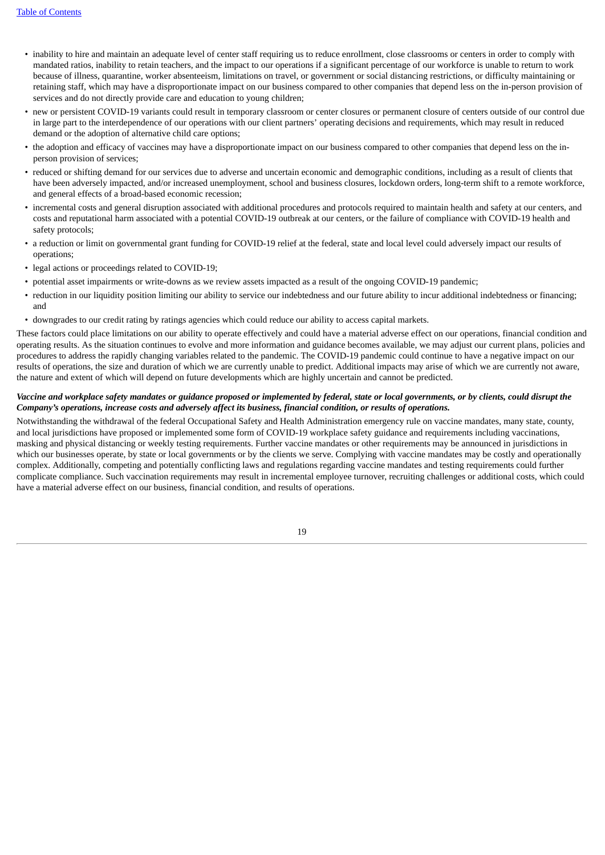- inability to hire and maintain an adequate level of center staff requiring us to reduce enrollment, close classrooms or centers in order to comply with mandated ratios, inability to retain teachers, and the impact to our operations if a significant percentage of our workforce is unable to return to work because of illness, quarantine, worker absenteeism, limitations on travel, or government or social distancing restrictions, or difficulty maintaining or retaining staff, which may have a disproportionate impact on our business compared to other companies that depend less on the in-person provision of services and do not directly provide care and education to young children;
- new or persistent COVID-19 variants could result in temporary classroom or center closures or permanent closure of centers outside of our control due in large part to the interdependence of our operations with our client partners' operating decisions and requirements, which may result in reduced demand or the adoption of alternative child care options;
- the adoption and efficacy of vaccines may have a disproportionate impact on our business compared to other companies that depend less on the inperson provision of services;
- reduced or shifting demand for our services due to adverse and uncertain economic and demographic conditions, including as a result of clients that have been adversely impacted, and/or increased unemployment, school and business closures, lockdown orders, long-term shift to a remote workforce, and general effects of a broad-based economic recession;
- incremental costs and general disruption associated with additional procedures and protocols required to maintain health and safety at our centers, and costs and reputational harm associated with a potential COVID-19 outbreak at our centers, or the failure of compliance with COVID-19 health and safety protocols;
- a reduction or limit on governmental grant funding for COVID-19 relief at the federal, state and local level could adversely impact our results of operations;
- legal actions or proceedings related to COVID-19;
- potential asset impairments or write-downs as we review assets impacted as a result of the ongoing COVID-19 pandemic;
- reduction in our liquidity position limiting our ability to service our indebtedness and our future ability to incur additional indebtedness or financing; and
- downgrades to our credit rating by ratings agencies which could reduce our ability to access capital markets.

These factors could place limitations on our ability to operate effectively and could have a material adverse effect on our operations, financial condition and operating results. As the situation continues to evolve and more information and guidance becomes available, we may adjust our current plans, policies and procedures to address the rapidly changing variables related to the pandemic. The COVID-19 pandemic could continue to have a negative impact on our results of operations, the size and duration of which we are currently unable to predict. Additional impacts may arise of which we are currently not aware, the nature and extent of which will depend on future developments which are highly uncertain and cannot be predicted.

# Vaccine and workplace safety mandates or quidance proposed or implemented by federal, state or local governments, or by clients, could disrupt the *Company's operations, increase costs and adversely affect its business, financial condition, or results of operations.*

Notwithstanding the withdrawal of the federal Occupational Safety and Health Administration emergency rule on vaccine mandates, many state, county, and local jurisdictions have proposed or implemented some form of COVID-19 workplace safety guidance and requirements including vaccinations, masking and physical distancing or weekly testing requirements. Further vaccine mandates or other requirements may be announced in jurisdictions in which our businesses operate, by state or local governments or by the clients we serve. Complying with vaccine mandates may be costly and operationally complex. Additionally, competing and potentially conflicting laws and regulations regarding vaccine mandates and testing requirements could further complicate compliance. Such vaccination requirements may result in incremental employee turnover, recruiting challenges or additional costs, which could have a material adverse effect on our business, financial condition, and results of operations.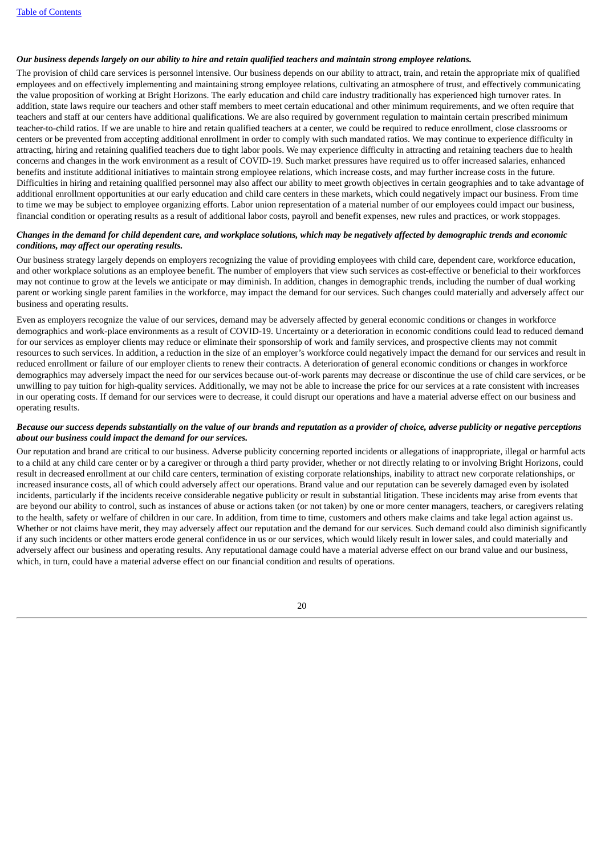# Our business depends largely on our ability to hire and retain qualified teachers and maintain strong employee relations.

The provision of child care services is personnel intensive. Our business depends on our ability to attract, train, and retain the appropriate mix of qualified employees and on effectively implementing and maintaining strong employee relations, cultivating an atmosphere of trust, and effectively communicating the value proposition of working at Bright Horizons. The early education and child care industry traditionally has experienced high turnover rates. In addition, state laws require our teachers and other staff members to meet certain educational and other minimum requirements, and we often require that teachers and staff at our centers have additional qualifications. We are also required by government regulation to maintain certain prescribed minimum teacher-to-child ratios. If we are unable to hire and retain qualified teachers at a center, we could be required to reduce enrollment, close classrooms or centers or be prevented from accepting additional enrollment in order to comply with such mandated ratios. We may continue to experience difficulty in attracting, hiring and retaining qualified teachers due to tight labor pools. We may experience difficulty in attracting and retaining teachers due to health concerns and changes in the work environment as a result of COVID-19. Such market pressures have required us to offer increased salaries, enhanced benefits and institute additional initiatives to maintain strong employee relations, which increase costs, and may further increase costs in the future. Difficulties in hiring and retaining qualified personnel may also affect our ability to meet growth objectives in certain geographies and to take advantage of additional enrollment opportunities at our early education and child care centers in these markets, which could negatively impact our business. From time to time we may be subject to employee organizing efforts. Labor union representation of a material number of our employees could impact our business, financial condition or operating results as a result of additional labor costs, payroll and benefit expenses, new rules and practices, or work stoppages.

# Changes in the demand for child dependent care, and workplace solutions, which may be negatively affected by demographic trends and economic *conditions, may affect our operating results.*

Our business strategy largely depends on employers recognizing the value of providing employees with child care, dependent care, workforce education, and other workplace solutions as an employee benefit. The number of employers that view such services as cost-effective or beneficial to their workforces may not continue to grow at the levels we anticipate or may diminish. In addition, changes in demographic trends, including the number of dual working parent or working single parent families in the workforce, may impact the demand for our services. Such changes could materially and adversely affect our business and operating results.

Even as employers recognize the value of our services, demand may be adversely affected by general economic conditions or changes in workforce demographics and work-place environments as a result of COVID-19. Uncertainty or a deterioration in economic conditions could lead to reduced demand for our services as employer clients may reduce or eliminate their sponsorship of work and family services, and prospective clients may not commit resources to such services. In addition, a reduction in the size of an employer's workforce could negatively impact the demand for our services and result in reduced enrollment or failure of our employer clients to renew their contracts. A deterioration of general economic conditions or changes in workforce demographics may adversely impact the need for our services because out-of-work parents may decrease or discontinue the use of child care services, or be unwilling to pay tuition for high-quality services. Additionally, we may not be able to increase the price for our services at a rate consistent with increases in our operating costs. If demand for our services were to decrease, it could disrupt our operations and have a material adverse effect on our business and operating results.

# Because our success depends substantially on the value of our brands and reputation as a provider of choice, adverse publicity or negative perceptions *about our business could impact the demand for our services.*

Our reputation and brand are critical to our business. Adverse publicity concerning reported incidents or allegations of inappropriate, illegal or harmful acts to a child at any child care center or by a caregiver or through a third party provider, whether or not directly relating to or involving Bright Horizons, could result in decreased enrollment at our child care centers, termination of existing corporate relationships, inability to attract new corporate relationships, or increased insurance costs, all of which could adversely affect our operations. Brand value and our reputation can be severely damaged even by isolated incidents, particularly if the incidents receive considerable negative publicity or result in substantial litigation. These incidents may arise from events that are beyond our ability to control, such as instances of abuse or actions taken (or not taken) by one or more center managers, teachers, or caregivers relating to the health, safety or welfare of children in our care. In addition, from time to time, customers and others make claims and take legal action against us. Whether or not claims have merit, they may adversely affect our reputation and the demand for our services. Such demand could also diminish significantly if any such incidents or other matters erode general confidence in us or our services, which would likely result in lower sales, and could materially and adversely affect our business and operating results. Any reputational damage could have a material adverse effect on our brand value and our business, which, in turn, could have a material adverse effect on our financial condition and results of operations.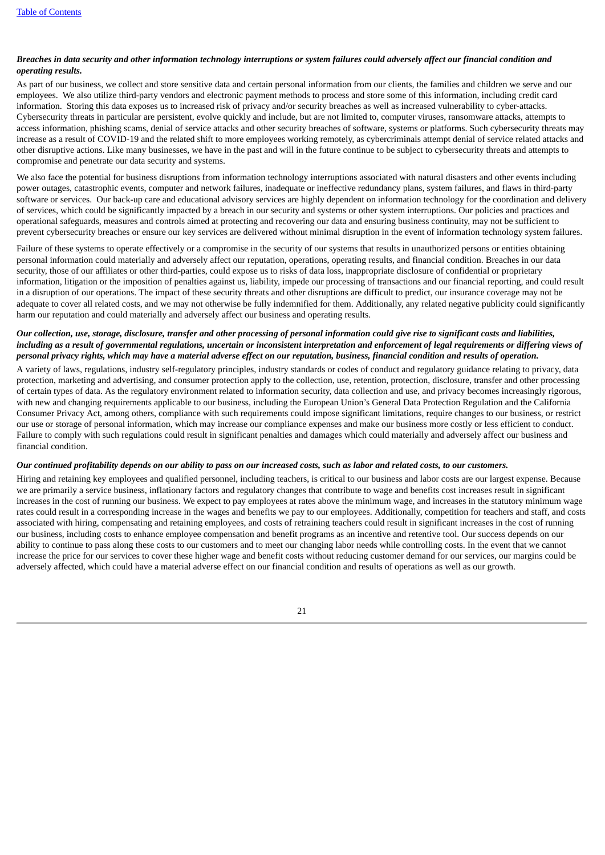# Breaches in data security and other information technology interruptions or system failures could adversely affect our financial condition and *operating results.*

As part of our business, we collect and store sensitive data and certain personal information from our clients, the families and children we serve and our employees. We also utilize third-party vendors and electronic payment methods to process and store some of this information, including credit card information. Storing this data exposes us to increased risk of privacy and/or security breaches as well as increased vulnerability to cyber-attacks. Cybersecurity threats in particular are persistent, evolve quickly and include, but are not limited to, computer viruses, ransomware attacks, attempts to access information, phishing scams, denial of service attacks and other security breaches of software, systems or platforms. Such cybersecurity threats may increase as a result of COVID-19 and the related shift to more employees working remotely, as cybercriminals attempt denial of service related attacks and other disruptive actions. Like many businesses, we have in the past and will in the future continue to be subject to cybersecurity threats and attempts to compromise and penetrate our data security and systems.

We also face the potential for business disruptions from information technology interruptions associated with natural disasters and other events including power outages, catastrophic events, computer and network failures, inadequate or ineffective redundancy plans, system failures, and flaws in third-party software or services. Our back-up care and educational advisory services are highly dependent on information technology for the coordination and delivery of services, which could be significantly impacted by a breach in our security and systems or other system interruptions. Our policies and practices and operational safeguards, measures and controls aimed at protecting and recovering our data and ensuring business continuity, may not be sufficient to prevent cybersecurity breaches or ensure our key services are delivered without minimal disruption in the event of information technology system failures.

Failure of these systems to operate effectively or a compromise in the security of our systems that results in unauthorized persons or entities obtaining personal information could materially and adversely affect our reputation, operations, operating results, and financial condition. Breaches in our data security, those of our affiliates or other third-parties, could expose us to risks of data loss, inappropriate disclosure of confidential or proprietary information, litigation or the imposition of penalties against us, liability, impede our processing of transactions and our financial reporting, and could result in a disruption of our operations. The impact of these security threats and other disruptions are difficult to predict, our insurance coverage may not be adequate to cover all related costs, and we may not otherwise be fully indemnified for them. Additionally, any related negative publicity could significantly harm our reputation and could materially and adversely affect our business and operating results.

# Our collection, use, storage, disclosure, transfer and other processing of personal information could give rise to significant costs and ligbilities. including as a result of governmental regulations, uncertain or inconsistent interpretation and enforcement of legal requirements or differing views of personal privacy rights, which may have a material adverse effect on our reputation, business, financial condition and results of operation.

A variety of laws, regulations, industry self-regulatory principles, industry standards or codes of conduct and regulatory guidance relating to privacy, data protection, marketing and advertising, and consumer protection apply to the collection, use, retention, protection, disclosure, transfer and other processing of certain types of data. As the regulatory environment related to information security, data collection and use, and privacy becomes increasingly rigorous, with new and changing requirements applicable to our business, including the European Union's General Data Protection Regulation and the California Consumer Privacy Act, among others, compliance with such requirements could impose significant limitations, require changes to our business, or restrict our use or storage of personal information, which may increase our compliance expenses and make our business more costly or less efficient to conduct. Failure to comply with such regulations could result in significant penalties and damages which could materially and adversely affect our business and financial condition.

# Our continued profitability depends on our ability to pass on our increased costs, such as labor and related costs, to our customers,

Hiring and retaining key employees and qualified personnel, including teachers, is critical to our business and labor costs are our largest expense. Because we are primarily a service business, inflationary factors and regulatory changes that contribute to wage and benefits cost increases result in significant increases in the cost of running our business. We expect to pay employees at rates above the minimum wage, and increases in the statutory minimum wage rates could result in a corresponding increase in the wages and benefits we pay to our employees. Additionally, competition for teachers and staff, and costs associated with hiring, compensating and retaining employees, and costs of retraining teachers could result in significant increases in the cost of running our business, including costs to enhance employee compensation and benefit programs as an incentive and retentive tool. Our success depends on our ability to continue to pass along these costs to our customers and to meet our changing labor needs while controlling costs. In the event that we cannot increase the price for our services to cover these higher wage and benefit costs without reducing customer demand for our services, our margins could be adversely affected, which could have a material adverse effect on our financial condition and results of operations as well as our growth.

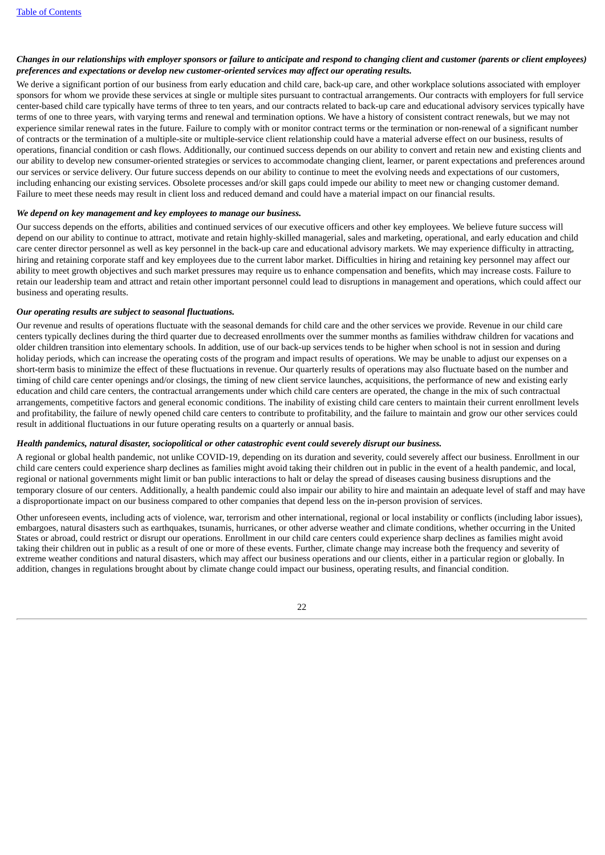# Changes in our relationships with employer sponsors or failure to anticipate and respond to changing client and customer (parents or client employees) *preferences and expectations or develop new customer-oriented services may affect our operating results.*

We derive a significant portion of our business from early education and child care, back-up care, and other workplace solutions associated with employer sponsors for whom we provide these services at single or multiple sites pursuant to contractual arrangements. Our contracts with employers for full service center-based child care typically have terms of three to ten years, and our contracts related to back-up care and educational advisory services typically have terms of one to three years, with varying terms and renewal and termination options. We have a history of consistent contract renewals, but we may not experience similar renewal rates in the future. Failure to comply with or monitor contract terms or the termination or non-renewal of a significant number of contracts or the termination of a multiple-site or multiple-service client relationship could have a material adverse effect on our business, results of operations, financial condition or cash flows. Additionally, our continued success depends on our ability to convert and retain new and existing clients and our ability to develop new consumer-oriented strategies or services to accommodate changing client, learner, or parent expectations and preferences around our services or service delivery. Our future success depends on our ability to continue to meet the evolving needs and expectations of our customers, including enhancing our existing services. Obsolete processes and/or skill gaps could impede our ability to meet new or changing customer demand. Failure to meet these needs may result in client loss and reduced demand and could have a material impact on our financial results.

# *We depend on key management and key employees to manage our business.*

Our success depends on the efforts, abilities and continued services of our executive officers and other key employees. We believe future success will depend on our ability to continue to attract, motivate and retain highly-skilled managerial, sales and marketing, operational, and early education and child care center director personnel as well as key personnel in the back-up care and educational advisory markets. We may experience difficulty in attracting, hiring and retaining corporate staff and key employees due to the current labor market. Difficulties in hiring and retaining key personnel may affect our ability to meet growth objectives and such market pressures may require us to enhance compensation and benefits, which may increase costs. Failure to retain our leadership team and attract and retain other important personnel could lead to disruptions in management and operations, which could affect our business and operating results.

## *Our operating results are subject to seasonal fluctuations.*

Our revenue and results of operations fluctuate with the seasonal demands for child care and the other services we provide. Revenue in our child care centers typically declines during the third quarter due to decreased enrollments over the summer months as families withdraw children for vacations and older children transition into elementary schools. In addition, use of our back-up services tends to be higher when school is not in session and during holiday periods, which can increase the operating costs of the program and impact results of operations. We may be unable to adjust our expenses on a short-term basis to minimize the effect of these fluctuations in revenue. Our quarterly results of operations may also fluctuate based on the number and timing of child care center openings and/or closings, the timing of new client service launches, acquisitions, the performance of new and existing early education and child care centers, the contractual arrangements under which child care centers are operated, the change in the mix of such contractual arrangements, competitive factors and general economic conditions. The inability of existing child care centers to maintain their current enrollment levels and profitability, the failure of newly opened child care centers to contribute to profitability, and the failure to maintain and grow our other services could result in additional fluctuations in our future operating results on a quarterly or annual basis.

# *Health pandemics, natural disaster, sociopolitical or other catastrophic event could severely disrupt our business.*

A regional or global health pandemic, not unlike COVID-19, depending on its duration and severity, could severely affect our business. Enrollment in our child care centers could experience sharp declines as families might avoid taking their children out in public in the event of a health pandemic, and local, regional or national governments might limit or ban public interactions to halt or delay the spread of diseases causing business disruptions and the temporary closure of our centers. Additionally, a health pandemic could also impair our ability to hire and maintain an adequate level of staff and may have a disproportionate impact on our business compared to other companies that depend less on the in-person provision of services.

Other unforeseen events, including acts of violence, war, terrorism and other international, regional or local instability or conflicts (including labor issues), embargoes, natural disasters such as earthquakes, tsunamis, hurricanes, or other adverse weather and climate conditions, whether occurring in the United States or abroad, could restrict or disrupt our operations. Enrollment in our child care centers could experience sharp declines as families might avoid taking their children out in public as a result of one or more of these events. Further, climate change may increase both the frequency and severity of extreme weather conditions and natural disasters, which may affect our business operations and our clients, either in a particular region or globally. In addition, changes in regulations brought about by climate change could impact our business, operating results, and financial condition.

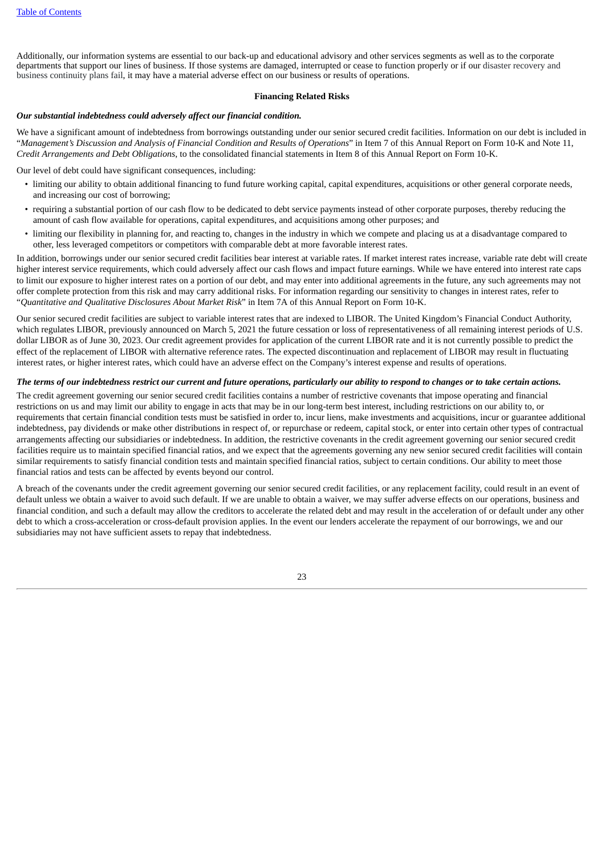Additionally, our information systems are essential to our back-up and educational advisory and other services segments as well as to the corporate departments that support our lines of business. If those systems are damaged, interrupted or cease to function properly or if our disaster recovery and business continuity plans fail, it may have a material adverse effect on our business or results of operations.

## **Financing Related Risks**

## *Our substantial indebtedness could adversely affect our financial condition.*

We have a significant amount of indebtedness from borrowings outstanding under our senior secured credit facilities. Information on our debt is included in "*Management's Discussion and Analysis of Financial Condition and Results of Operations*" in Item 7 of this Annual Report on Form 10-K and Note 11, *Credit Arrangements and Debt Obligations*, to the consolidated financial statements in Item 8 of this Annual Report on Form 10-K.

Our level of debt could have significant consequences, including:

- limiting our ability to obtain additional financing to fund future working capital, capital expenditures, acquisitions or other general corporate needs, and increasing our cost of borrowing;
- requiring a substantial portion of our cash flow to be dedicated to debt service payments instead of other corporate purposes, thereby reducing the amount of cash flow available for operations, capital expenditures, and acquisitions among other purposes; and
- limiting our flexibility in planning for, and reacting to, changes in the industry in which we compete and placing us at a disadvantage compared to other, less leveraged competitors or competitors with comparable debt at more favorable interest rates.

In addition, borrowings under our senior secured credit facilities bear interest at variable rates. If market interest rates increase, variable rate debt will create higher interest service requirements, which could adversely affect our cash flows and impact future earnings. While we have entered into interest rate caps to limit our exposure to higher interest rates on a portion of our debt, and may enter into additional agreements in the future, any such agreements may not offer complete protection from this risk and may carry additional risks. For information regarding our sensitivity to changes in interest rates, refer to "*Quantitative and Qualitative Disclosures About Market Risk*" in Item 7A of this Annual Report on Form 10-K.

Our senior secured credit facilities are subject to variable interest rates that are indexed to LIBOR. The United Kingdom's Financial Conduct Authority, which regulates LIBOR, previously announced on March 5, 2021 the future cessation or loss of representativeness of all remaining interest periods of U.S. dollar LIBOR as of June 30, 2023. Our credit agreement provides for application of the current LIBOR rate and it is not currently possible to predict the effect of the replacement of LIBOR with alternative reference rates. The expected discontinuation and replacement of LIBOR may result in fluctuating interest rates, or higher interest rates, which could have an adverse effect on the Company's interest expense and results of operations.

# The terms of our indebtedness restrict our current and future operations, particularly our ability to respond to changes or to take certain actions.

The credit agreement governing our senior secured credit facilities contains a number of restrictive covenants that impose operating and financial restrictions on us and may limit our ability to engage in acts that may be in our long-term best interest, including restrictions on our ability to, or requirements that certain financial condition tests must be satisfied in order to, incur liens, make investments and acquisitions, incur or guarantee additional indebtedness, pay dividends or make other distributions in respect of, or repurchase or redeem, capital stock, or enter into certain other types of contractual arrangements affecting our subsidiaries or indebtedness. In addition, the restrictive covenants in the credit agreement governing our senior secured credit facilities require us to maintain specified financial ratios, and we expect that the agreements governing any new senior secured credit facilities will contain similar requirements to satisfy financial condition tests and maintain specified financial ratios, subject to certain conditions. Our ability to meet those financial ratios and tests can be affected by events beyond our control.

A breach of the covenants under the credit agreement governing our senior secured credit facilities, or any replacement facility, could result in an event of default unless we obtain a waiver to avoid such default. If we are unable to obtain a waiver, we may suffer adverse effects on our operations, business and financial condition, and such a default may allow the creditors to accelerate the related debt and may result in the acceleration of or default under any other debt to which a cross-acceleration or cross-default provision applies. In the event our lenders accelerate the repayment of our borrowings, we and our subsidiaries may not have sufficient assets to repay that indebtedness.

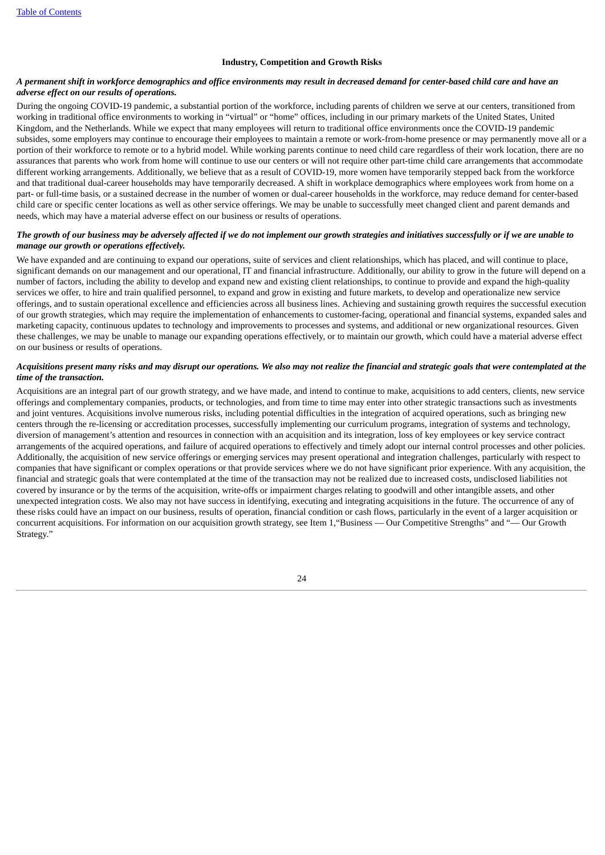# **Industry, Competition and Growth Risks**

# A permanent shift in workforce demographics and office environments may result in decreased demand for center-based child care and have an *adverse effect on our results of operations.*

During the ongoing COVID-19 pandemic, a substantial portion of the workforce, including parents of children we serve at our centers, transitioned from working in traditional office environments to working in "virtual" or "home" offices, including in our primary markets of the United States, United Kingdom, and the Netherlands. While we expect that many employees will return to traditional office environments once the COVID-19 pandemic subsides, some employers may continue to encourage their employees to maintain a remote or work-from-home presence or may permanently move all or a portion of their workforce to remote or to a hybrid model. While working parents continue to need child care regardless of their work location, there are no assurances that parents who work from home will continue to use our centers or will not require other part-time child care arrangements that accommodate different working arrangements. Additionally, we believe that as a result of COVID-19, more women have temporarily stepped back from the workforce and that traditional dual-career households may have temporarily decreased. A shift in workplace demographics where employees work from home on a part- or full-time basis, or a sustained decrease in the number of women or dual-career households in the workforce, may reduce demand for center-based child care or specific center locations as well as other service offerings. We may be unable to successfully meet changed client and parent demands and needs, which may have a material adverse effect on our business or results of operations.

# The growth of our business may be adversely affected if we do not implement our growth strategies and initiatives successfully or if we are unable to *manage our growth or operations effectively.*

We have expanded and are continuing to expand our operations, suite of services and client relationships, which has placed, and will continue to place, significant demands on our management and our operational, IT and financial infrastructure. Additionally, our ability to grow in the future will depend on a number of factors, including the ability to develop and expand new and existing client relationships, to continue to provide and expand the high-quality services we offer, to hire and train qualified personnel, to expand and grow in existing and future markets, to develop and operationalize new service offerings, and to sustain operational excellence and efficiencies across all business lines. Achieving and sustaining growth requires the successful execution of our growth strategies, which may require the implementation of enhancements to customer-facing, operational and financial systems, expanded sales and marketing capacity, continuous updates to technology and improvements to processes and systems, and additional or new organizational resources. Given these challenges, we may be unable to manage our expanding operations effectively, or to maintain our growth, which could have a material adverse effect on our business or results of operations.

#### Acquisitions present many risks and may disrupt our operations. We also may not realize the financial and strategic goals that were contemplated at the *time of the transaction.*

Acquisitions are an integral part of our growth strategy, and we have made, and intend to continue to make, acquisitions to add centers, clients, new service offerings and complementary companies, products, or technologies, and from time to time may enter into other strategic transactions such as investments and joint ventures. Acquisitions involve numerous risks, including potential difficulties in the integration of acquired operations, such as bringing new centers through the re-licensing or accreditation processes, successfully implementing our curriculum programs, integration of systems and technology, diversion of management's attention and resources in connection with an acquisition and its integration, loss of key employees or key service contract arrangements of the acquired operations, and failure of acquired operations to effectively and timely adopt our internal control processes and other policies. Additionally, the acquisition of new service offerings or emerging services may present operational and integration challenges, particularly with respect to companies that have significant or complex operations or that provide services where we do not have significant prior experience. With any acquisition, the financial and strategic goals that were contemplated at the time of the transaction may not be realized due to increased costs, undisclosed liabilities not covered by insurance or by the terms of the acquisition, write-offs or impairment charges relating to goodwill and other intangible assets, and other unexpected integration costs. We also may not have success in identifying, executing and integrating acquisitions in the future. The occurrence of any of these risks could have an impact on our business, results of operation, financial condition or cash flows, particularly in the event of a larger acquisition or concurrent acquisitions. For information on our acquisition growth strategy, see Item 1,"Business — Our Competitive Strengths" and "— Our Growth Strategy."

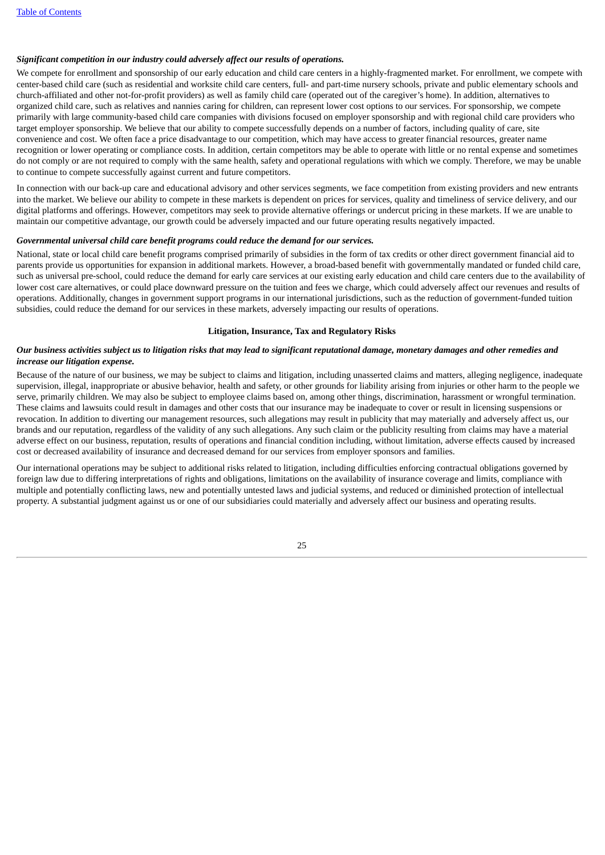# *Significant competition in our industry could adversely affect our results of operations.*

We compete for enrollment and sponsorship of our early education and child care centers in a highly-fragmented market. For enrollment, we compete with center-based child care (such as residential and worksite child care centers, full- and part-time nursery schools, private and public elementary schools and church-affiliated and other not-for-profit providers) as well as family child care (operated out of the caregiver's home). In addition, alternatives to organized child care, such as relatives and nannies caring for children, can represent lower cost options to our services. For sponsorship, we compete primarily with large community-based child care companies with divisions focused on employer sponsorship and with regional child care providers who target employer sponsorship. We believe that our ability to compete successfully depends on a number of factors, including quality of care, site convenience and cost. We often face a price disadvantage to our competition, which may have access to greater financial resources, greater name recognition or lower operating or compliance costs. In addition, certain competitors may be able to operate with little or no rental expense and sometimes do not comply or are not required to comply with the same health, safety and operational regulations with which we comply. Therefore, we may be unable to continue to compete successfully against current and future competitors.

In connection with our back-up care and educational advisory and other services segments, we face competition from existing providers and new entrants into the market. We believe our ability to compete in these markets is dependent on prices for services, quality and timeliness of service delivery, and our digital platforms and offerings. However, competitors may seek to provide alternative offerings or undercut pricing in these markets. If we are unable to maintain our competitive advantage, our growth could be adversely impacted and our future operating results negatively impacted.

# *Governmental universal child care benefit programs could reduce the demand for our services.*

National, state or local child care benefit programs comprised primarily of subsidies in the form of tax credits or other direct government financial aid to parents provide us opportunities for expansion in additional markets. However, a broad-based benefit with governmentally mandated or funded child care, such as universal pre-school, could reduce the demand for early care services at our existing early education and child care centers due to the availability of lower cost care alternatives, or could place downward pressure on the tuition and fees we charge, which could adversely affect our revenues and results of operations. Additionally, changes in government support programs in our international jurisdictions, such as the reduction of government-funded tuition subsidies, could reduce the demand for our services in these markets, adversely impacting our results of operations.

#### **Litigation, Insurance, Tax and Regulatory Risks**

# Our business activities subject us to litigation risks that may lead to significant reputational damage, monetary damages and other remedies and *increase our litigation expense.*

Because of the nature of our business, we may be subject to claims and litigation, including unasserted claims and matters, alleging negligence, inadequate supervision, illegal, inappropriate or abusive behavior, health and safety, or other grounds for liability arising from injuries or other harm to the people we serve, primarily children. We may also be subject to employee claims based on, among other things, discrimination, harassment or wrongful termination. These claims and lawsuits could result in damages and other costs that our insurance may be inadequate to cover or result in licensing suspensions or revocation. In addition to diverting our management resources, such allegations may result in publicity that may materially and adversely affect us, our brands and our reputation, regardless of the validity of any such allegations. Any such claim or the publicity resulting from claims may have a material adverse effect on our business, reputation, results of operations and financial condition including, without limitation, adverse effects caused by increased cost or decreased availability of insurance and decreased demand for our services from employer sponsors and families.

Our international operations may be subject to additional risks related to litigation, including difficulties enforcing contractual obligations governed by foreign law due to differing interpretations of rights and obligations, limitations on the availability of insurance coverage and limits, compliance with multiple and potentially conflicting laws, new and potentially untested laws and judicial systems, and reduced or diminished protection of intellectual property. A substantial judgment against us or one of our subsidiaries could materially and adversely affect our business and operating results.

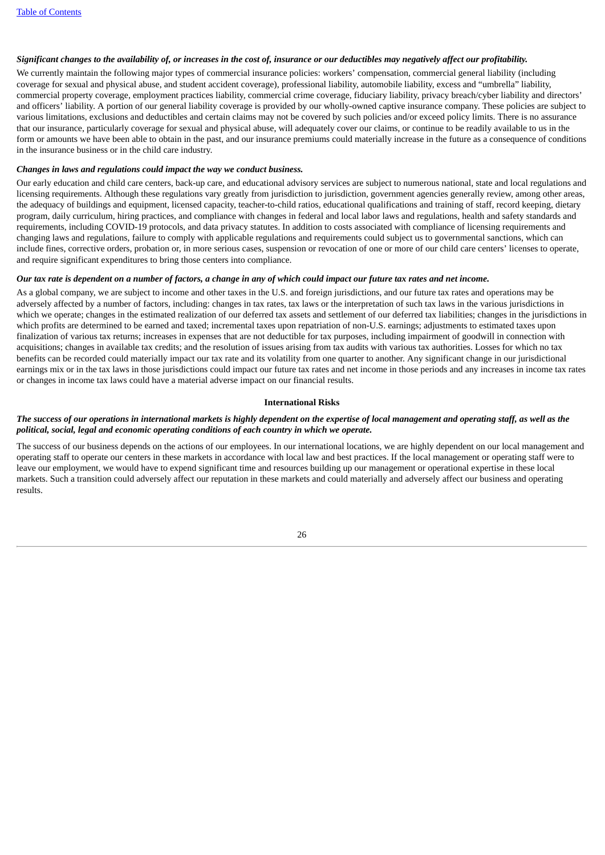# Significant changes to the availability of, or increases in the cost of, insurance or our deductibles may negatively affect our profitability.

We currently maintain the following major types of commercial insurance policies: workers' compensation, commercial general liability (including coverage for sexual and physical abuse, and student accident coverage), professional liability, automobile liability, excess and "umbrella" liability, commercial property coverage, employment practices liability, commercial crime coverage, fiduciary liability, privacy breach/cyber liability and directors' and officers' liability. A portion of our general liability coverage is provided by our wholly-owned captive insurance company. These policies are subject to various limitations, exclusions and deductibles and certain claims may not be covered by such policies and/or exceed policy limits. There is no assurance that our insurance, particularly coverage for sexual and physical abuse, will adequately cover our claims, or continue to be readily available to us in the form or amounts we have been able to obtain in the past, and our insurance premiums could materially increase in the future as a consequence of conditions in the insurance business or in the child care industry.

# *Changes in laws and regulations could impact the way we conduct business.*

Our early education and child care centers, back-up care, and educational advisory services are subject to numerous national, state and local regulations and licensing requirements. Although these regulations vary greatly from jurisdiction to jurisdiction, government agencies generally review, among other areas, the adequacy of buildings and equipment, licensed capacity, teacher-to-child ratios, educational qualifications and training of staff, record keeping, dietary program, daily curriculum, hiring practices, and compliance with changes in federal and local labor laws and regulations, health and safety standards and requirements, including COVID-19 protocols, and data privacy statutes. In addition to costs associated with compliance of licensing requirements and changing laws and regulations, failure to comply with applicable regulations and requirements could subject us to governmental sanctions, which can include fines, corrective orders, probation or, in more serious cases, suspension or revocation of one or more of our child care centers' licenses to operate, and require significant expenditures to bring those centers into compliance.

#### Our tax rate is dependent on a number of factors, a change in any of which could impact our future tax rates and net income.

As a global company, we are subject to income and other taxes in the U.S. and foreign jurisdictions, and our future tax rates and operations may be adversely affected by a number of factors, including: changes in tax rates, tax laws or the interpretation of such tax laws in the various jurisdictions in which we operate; changes in the estimated realization of our deferred tax assets and settlement of our deferred tax liabilities; changes in the jurisdictions in which profits are determined to be earned and taxed; incremental taxes upon repatriation of non-U.S. earnings; adjustments to estimated taxes upon finalization of various tax returns; increases in expenses that are not deductible for tax purposes, including impairment of goodwill in connection with acquisitions; changes in available tax credits; and the resolution of issues arising from tax audits with various tax authorities. Losses for which no tax benefits can be recorded could materially impact our tax rate and its volatility from one quarter to another. Any significant change in our jurisdictional earnings mix or in the tax laws in those jurisdictions could impact our future tax rates and net income in those periods and any increases in income tax rates or changes in income tax laws could have a material adverse impact on our financial results.

## **International Risks**

# The success of our operations in international markets is highly dependent on the expertise of local management and operating staff, as well as the *political, social, legal and economic operating conditions of each country in which we operate.*

The success of our business depends on the actions of our employees. In our international locations, we are highly dependent on our local management and operating staff to operate our centers in these markets in accordance with local law and best practices. If the local management or operating staff were to leave our employment, we would have to expend significant time and resources building up our management or operational expertise in these local markets. Such a transition could adversely affect our reputation in these markets and could materially and adversely affect our business and operating results.

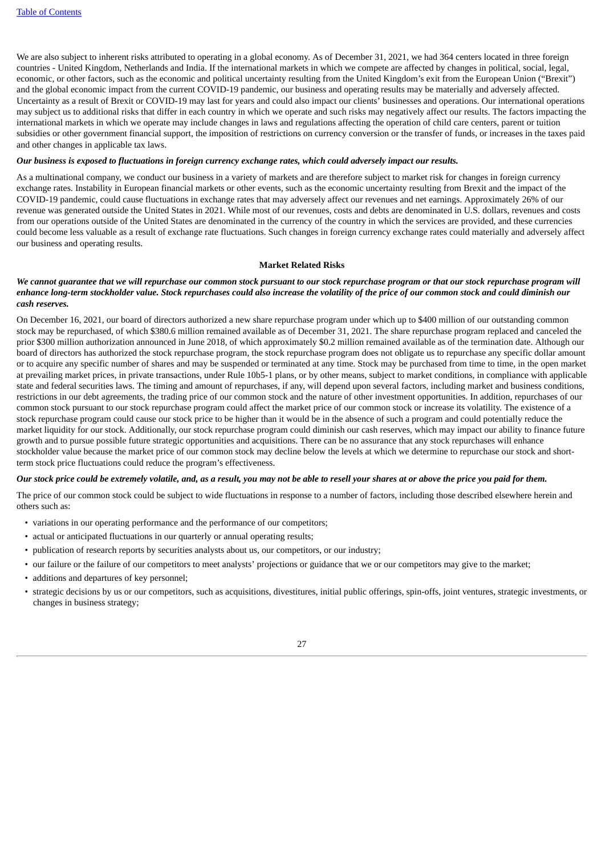We are also subject to inherent risks attributed to operating in a global economy. As of December 31, 2021, we had 364 centers located in three foreign countries - United Kingdom, Netherlands and India. If the international markets in which we compete are affected by changes in political, social, legal, economic, or other factors, such as the economic and political uncertainty resulting from the United Kingdom's exit from the European Union ("Brexit") and the global economic impact from the current COVID-19 pandemic, our business and operating results may be materially and adversely affected. Uncertainty as a result of Brexit or COVID-19 may last for years and could also impact our clients' businesses and operations. Our international operations may subject us to additional risks that differ in each country in which we operate and such risks may negatively affect our results. The factors impacting the international markets in which we operate may include changes in laws and regulations affecting the operation of child care centers, parent or tuition subsidies or other government financial support, the imposition of restrictions on currency conversion or the transfer of funds, or increases in the taxes paid and other changes in applicable tax laws.

#### Our business is exposed to fluctuations in foreign currency exchange rates, which could adversely impact our results.

As a multinational company, we conduct our business in a variety of markets and are therefore subject to market risk for changes in foreign currency exchange rates. Instability in European financial markets or other events, such as the economic uncertainty resulting from Brexit and the impact of the COVID-19 pandemic, could cause fluctuations in exchange rates that may adversely affect our revenues and net earnings. Approximately 26% of our revenue was generated outside the United States in 2021. While most of our revenues, costs and debts are denominated in U.S. dollars, revenues and costs from our operations outside of the United States are denominated in the currency of the country in which the services are provided, and these currencies could become less valuable as a result of exchange rate fluctuations. Such changes in foreign currency exchange rates could materially and adversely affect our business and operating results.

#### **Market Related Risks**

# We cannot guarantee that we will repurchase our common stock pursuant to our stock repurchase program or that our stock repurchase program will enhance long-term stockholder value. Stock repurchases could also increase the volatility of the price of our common stock and could diminish our *cash reserves.*

On December 16, 2021, our board of directors authorized a new share repurchase program under which up to \$400 million of our outstanding common stock may be repurchased, of which \$380.6 million remained available as of December 31, 2021. The share repurchase program replaced and canceled the prior \$300 million authorization announced in June 2018, of which approximately \$0.2 million remained available as of the termination date. Although our board of directors has authorized the stock repurchase program, the stock repurchase program does not obligate us to repurchase any specific dollar amount or to acquire any specific number of shares and may be suspended or terminated at any time. Stock may be purchased from time to time, in the open market at prevailing market prices, in private transactions, under Rule 10b5-1 plans, or by other means, subject to market conditions, in compliance with applicable state and federal securities laws. The timing and amount of repurchases, if any, will depend upon several factors, including market and business conditions, restrictions in our debt agreements, the trading price of our common stock and the nature of other investment opportunities. In addition, repurchases of our common stock pursuant to our stock repurchase program could affect the market price of our common stock or increase its volatility. The existence of a stock repurchase program could cause our stock price to be higher than it would be in the absence of such a program and could potentially reduce the market liquidity for our stock. Additionally, our stock repurchase program could diminish our cash reserves, which may impact our ability to finance future growth and to pursue possible future strategic opportunities and acquisitions. There can be no assurance that any stock repurchases will enhance stockholder value because the market price of our common stock may decline below the levels at which we determine to repurchase our stock and shortterm stock price fluctuations could reduce the program's effectiveness.

# Our stock price could be extremely volatile, and, as a result, you may not be able to resell your shares at or above the price you paid for them.

The price of our common stock could be subject to wide fluctuations in response to a number of factors, including those described elsewhere herein and others such as:

- variations in our operating performance and the performance of our competitors;
- actual or anticipated fluctuations in our quarterly or annual operating results;
- publication of research reports by securities analysts about us, our competitors, or our industry;
- our failure or the failure of our competitors to meet analysts' projections or guidance that we or our competitors may give to the market;
- additions and departures of key personnel;
- strategic decisions by us or our competitors, such as acquisitions, divestitures, initial public offerings, spin-offs, joint ventures, strategic investments, or changes in business strategy;

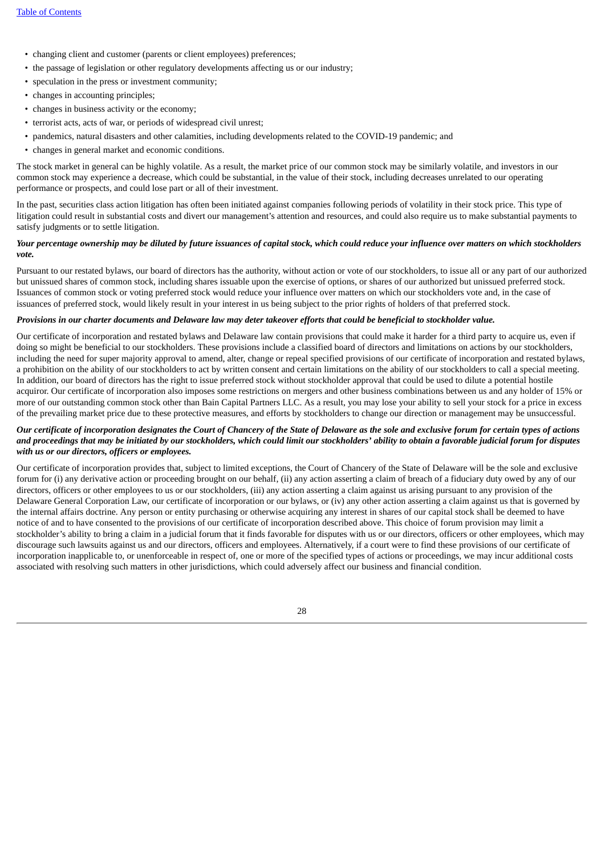- changing client and customer (parents or client employees) preferences;
- the passage of legislation or other regulatory developments affecting us or our industry;
- speculation in the press or investment community;
- changes in accounting principles;
- changes in business activity or the economy;
- terrorist acts, acts of war, or periods of widespread civil unrest;
- pandemics, natural disasters and other calamities, including developments related to the COVID-19 pandemic; and
- changes in general market and economic conditions.

The stock market in general can be highly volatile. As a result, the market price of our common stock may be similarly volatile, and investors in our common stock may experience a decrease, which could be substantial, in the value of their stock, including decreases unrelated to our operating performance or prospects, and could lose part or all of their investment.

In the past, securities class action litigation has often been initiated against companies following periods of volatility in their stock price. This type of litigation could result in substantial costs and divert our management's attention and resources, and could also require us to make substantial payments to satisfy judgments or to settle litigation.

# Your percentage ownership may be diluted by future issuances of capital stock, which could reduce your influence over matters on which stockholders *vote.*

Pursuant to our restated bylaws, our board of directors has the authority, without action or vote of our stockholders, to issue all or any part of our authorized but unissued shares of common stock, including shares issuable upon the exercise of options, or shares of our authorized but unissued preferred stock. Issuances of common stock or voting preferred stock would reduce your influence over matters on which our stockholders vote and, in the case of issuances of preferred stock, would likely result in your interest in us being subject to the prior rights of holders of that preferred stock.

# Provisions in our charter documents and Delaware law may deter takeover efforts that could be beneficial to stockholder value.

Our certificate of incorporation and restated bylaws and Delaware law contain provisions that could make it harder for a third party to acquire us, even if doing so might be beneficial to our stockholders. These provisions include a classified board of directors and limitations on actions by our stockholders, including the need for super majority approval to amend, alter, change or repeal specified provisions of our certificate of incorporation and restated bylaws, a prohibition on the ability of our stockholders to act by written consent and certain limitations on the ability of our stockholders to call a special meeting. In addition, our board of directors has the right to issue preferred stock without stockholder approval that could be used to dilute a potential hostile acquiror. Our certificate of incorporation also imposes some restrictions on mergers and other business combinations between us and any holder of 15% or more of our outstanding common stock other than Bain Capital Partners LLC. As a result, you may lose your ability to sell your stock for a price in excess of the prevailing market price due to these protective measures, and efforts by stockholders to change our direction or management may be unsuccessful.

# Our certificate of incorporation designates the Court of Chancery of the State of Delaware as the sole and exclusive forum for certain types of actions and proceedings that may be initiated by our stockholders, which could limit our stockholders' ability to obtain a favorable judicial forum for disputes *with us or our directors, officers or employees.*

Our certificate of incorporation provides that, subject to limited exceptions, the Court of Chancery of the State of Delaware will be the sole and exclusive forum for (i) any derivative action or proceeding brought on our behalf, (ii) any action asserting a claim of breach of a fiduciary duty owed by any of our directors, officers or other employees to us or our stockholders, (iii) any action asserting a claim against us arising pursuant to any provision of the Delaware General Corporation Law, our certificate of incorporation or our bylaws, or (iv) any other action asserting a claim against us that is governed by the internal affairs doctrine. Any person or entity purchasing or otherwise acquiring any interest in shares of our capital stock shall be deemed to have notice of and to have consented to the provisions of our certificate of incorporation described above. This choice of forum provision may limit a stockholder's ability to bring a claim in a judicial forum that it finds favorable for disputes with us or our directors, officers or other employees, which may discourage such lawsuits against us and our directors, officers and employees. Alternatively, if a court were to find these provisions of our certificate of incorporation inapplicable to, or unenforceable in respect of, one or more of the specified types of actions or proceedings, we may incur additional costs associated with resolving such matters in other jurisdictions, which could adversely affect our business and financial condition.

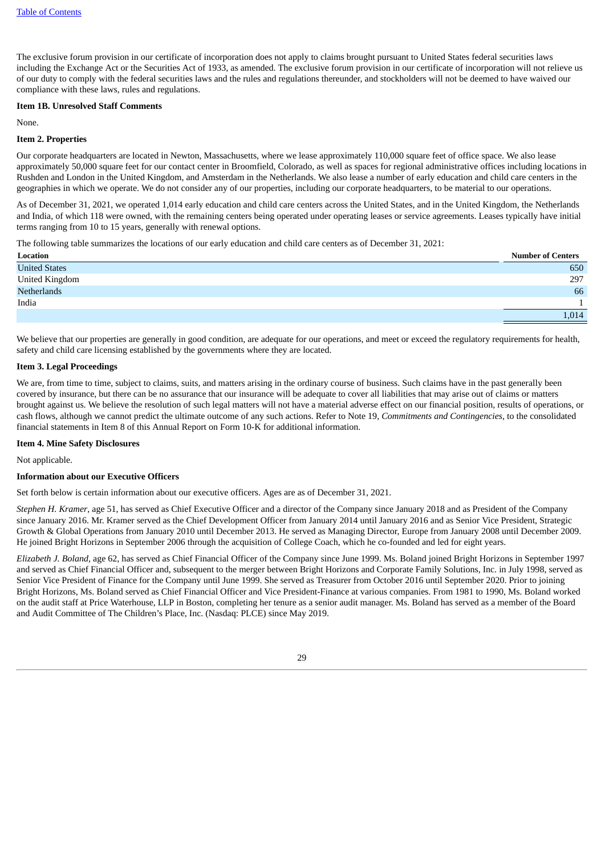The exclusive forum provision in our certificate of incorporation does not apply to claims brought pursuant to United States federal securities laws including the Exchange Act or the Securities Act of 1933, as amended. The exclusive forum provision in our certificate of incorporation will not relieve us of our duty to comply with the federal securities laws and the rules and regulations thereunder, and stockholders will not be deemed to have waived our compliance with these laws, rules and regulations.

# <span id="page-28-0"></span>**Item 1B. Unresolved Staff Comments**

None.

# <span id="page-28-1"></span>**Item 2. Properties**

Our corporate headquarters are located in Newton, Massachusetts, where we lease approximately 110,000 square feet of office space. We also lease approximately 50,000 square feet for our contact center in Broomfield, Colorado, as well as spaces for regional administrative offices including locations in Rushden and London in the United Kingdom, and Amsterdam in the Netherlands. We also lease a number of early education and child care centers in the geographies in which we operate. We do not consider any of our properties, including our corporate headquarters, to be material to our operations.

As of December 31, 2021, we operated 1,014 early education and child care centers across the United States, and in the United Kingdom, the Netherlands and India, of which 118 were owned, with the remaining centers being operated under operating leases or service agreements. Leases typically have initial terms ranging from 10 to 15 years, generally with renewal options.

The following table summarizes the locations of our early education and child care centers as of December 31, 2021:

| Location              | <b>Number of Centers</b> |
|-----------------------|--------------------------|
| <b>United States</b>  | 650                      |
| <b>United Kingdom</b> | 297                      |
| <b>Netherlands</b>    | 66                       |
| India                 |                          |
|                       | 1,014                    |

We believe that our properties are generally in good condition, are adequate for our operations, and meet or exceed the regulatory requirements for health, safety and child care licensing established by the governments where they are located.

# <span id="page-28-2"></span>**Item 3. Legal Proceedings**

We are, from time to time, subject to claims, suits, and matters arising in the ordinary course of business. Such claims have in the past generally been covered by insurance, but there can be no assurance that our insurance will be adequate to cover all liabilities that may arise out of claims or matters brought against us. We believe the resolution of such legal matters will not have a material adverse effect on our financial position, results of operations, or cash flows, although we cannot predict the ultimate outcome of any such actions. Refer to Note 19, *Commitments and Contingencies,* to the consolidated financial statements in Item 8 of this Annual Report on Form 10-K for additional information.

#### <span id="page-28-3"></span>**Item 4. Mine Safety Disclosures**

Not applicable.

# <span id="page-28-4"></span>**Information about our Executive Officers**

Set forth below is certain information about our executive officers. Ages are as of December 31, 2021.

*Stephen H. Kramer*, age 51, has served as Chief Executive Officer and a director of the Company since January 2018 and as President of the Company since January 2016. Mr. Kramer served as the Chief Development Officer from January 2014 until January 2016 and as Senior Vice President, Strategic Growth & Global Operations from January 2010 until December 2013. He served as Managing Director, Europe from January 2008 until December 2009. He joined Bright Horizons in September 2006 through the acquisition of College Coach, which he co-founded and led for eight years.

*Elizabeth J. Boland,* age 62, has served as Chief Financial Officer of the Company since June 1999. Ms. Boland joined Bright Horizons in September 1997 and served as Chief Financial Officer and, subsequent to the merger between Bright Horizons and Corporate Family Solutions, Inc. in July 1998, served as Senior Vice President of Finance for the Company until June 1999. She served as Treasurer from October 2016 until September 2020. Prior to joining Bright Horizons, Ms. Boland served as Chief Financial Officer and Vice President-Finance at various companies. From 1981 to 1990, Ms. Boland worked on the audit staff at Price Waterhouse, LLP in Boston, completing her tenure as a senior audit manager. Ms. Boland has served as a member of the Board and Audit Committee of The Children's Place, Inc. (Nasdaq: PLCE) since May 2019.

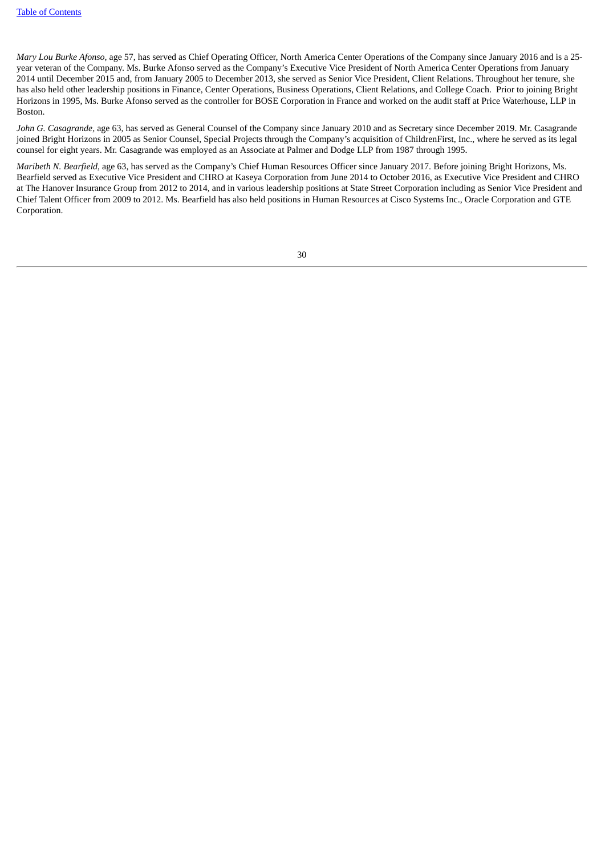*Mary Lou Burke Afonso,* age 57, has served as Chief Operating Officer, North America Center Operations of the Company since January 2016 and is a 25 year veteran of the Company. Ms. Burke Afonso served as the Company's Executive Vice President of North America Center Operations from January 2014 until December 2015 and, from January 2005 to December 2013, she served as Senior Vice President, Client Relations. Throughout her tenure, she has also held other leadership positions in Finance, Center Operations, Business Operations, Client Relations, and College Coach. Prior to joining Bright Horizons in 1995, Ms. Burke Afonso served as the controller for BOSE Corporation in France and worked on the audit staff at Price Waterhouse, LLP in Boston.

*John G. Casagrande,* age 63, has served as General Counsel of the Company since January 2010 and as Secretary since December 2019. Mr. Casagrande joined Bright Horizons in 2005 as Senior Counsel, Special Projects through the Company's acquisition of ChildrenFirst, Inc., where he served as its legal counsel for eight years. Mr. Casagrande was employed as an Associate at Palmer and Dodge LLP from 1987 through 1995.

*Maribeth N. Bearfield*, age 63, has served as the Company's Chief Human Resources Officer since January 2017. Before joining Bright Horizons, Ms. Bearfield served as Executive Vice President and CHRO at Kaseya Corporation from June 2014 to October 2016, as Executive Vice President and CHRO at The Hanover Insurance Group from 2012 to 2014, and in various leadership positions at State Street Corporation including as Senior Vice President and Chief Talent Officer from 2009 to 2012. Ms. Bearfield has also held positions in Human Resources at Cisco Systems Inc., Oracle Corporation and GTE Corporation.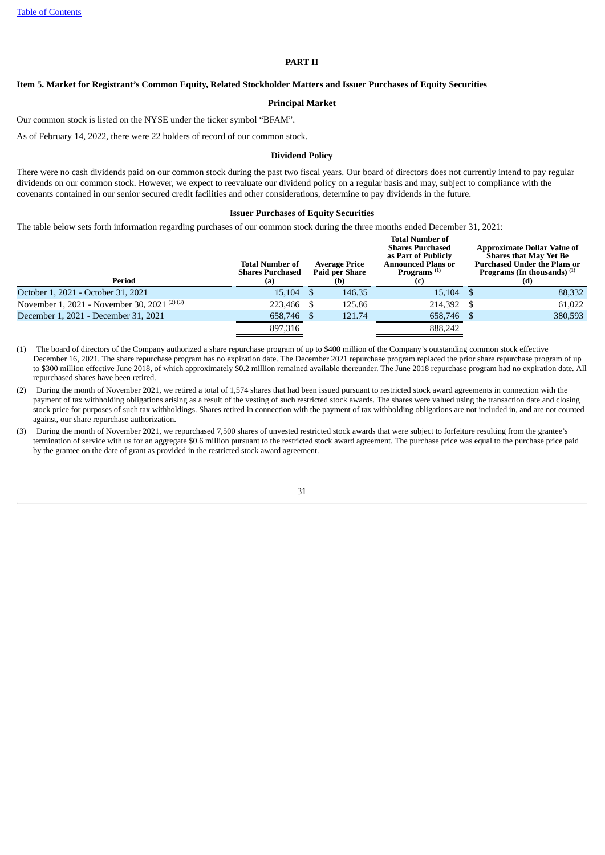# **PART II**

#### <span id="page-30-0"></span>Item 5. Market for Registrant's Common Equity, Related Stockholder Matters and Issuer Purchases of Equity Securities

#### **Principal Market**

Our common stock is listed on the NYSE under the ticker symbol "BFAM".

As of February 14, 2022, there were 22 holders of record of our common stock.

#### **Dividend Policy**

There were no cash dividends paid on our common stock during the past two fiscal years. Our board of directors does not currently intend to pay regular dividends on our common stock. However, we expect to reevaluate our dividend policy on a regular basis and may, subject to compliance with the covenants contained in our senior secured credit facilities and other considerations, determine to pay dividends in the future.

#### **Issuer Purchases of Equity Securities**

The table below sets forth information regarding purchases of our common stock during the three months ended December 31, 2021:

| Period                                       | <b>Total Number of</b><br><b>Shares Purchased</b><br>(a) |  | <b>Average Price</b><br>Paid per Share<br>(D) | <b>Total Number of</b><br><b>Shares Purchased</b><br>as Part of Publicly<br><b>Announced Plans or</b><br>Programs $(1)$ | <b>Approximate Dollar Value of</b><br><b>Shares that May Yet Be</b><br><b>Purchased Under the Plans or</b><br>Programs (In thousands) $(1)$<br>(d) |         |  |
|----------------------------------------------|----------------------------------------------------------|--|-----------------------------------------------|-------------------------------------------------------------------------------------------------------------------------|----------------------------------------------------------------------------------------------------------------------------------------------------|---------|--|
| October 1, 2021 - October 31, 2021           | $15,104$ \$                                              |  | 146.35                                        | 15,104 \$                                                                                                               |                                                                                                                                                    | 88,332  |  |
| November 1, 2021 - November 30, 2021 (2) (3) | 223,466 \$                                               |  | 125.86                                        | 214,392 \$                                                                                                              |                                                                                                                                                    | 61,022  |  |
| December 1, 2021 - December 31, 2021         | 658,746 \$                                               |  | 121.74                                        | 658,746 \$                                                                                                              |                                                                                                                                                    | 380,593 |  |
|                                              | 897,316                                                  |  |                                               | 888,242                                                                                                                 |                                                                                                                                                    |         |  |

(1) The board of directors of the Company authorized a share repurchase program of up to \$400 million of the Company's outstanding common stock effective December 16, 2021. The share repurchase program has no expiration date. The December 2021 repurchase program replaced the prior share repurchase program of up to \$300 million effective June 2018, of which approximately \$0.2 million remained available thereunder. The June 2018 repurchase program had no expiration date. All repurchased shares have been retired.

(2) During the month of November 2021, we retired a total of 1,574 shares that had been issued pursuant to restricted stock award agreements in connection with the payment of tax withholding obligations arising as a result of the vesting of such restricted stock awards. The shares were valued using the transaction date and closing stock price for purposes of such tax withholdings. Shares retired in connection with the payment of tax withholding obligations are not included in, and are not counted against, our share repurchase authorization.

(3) During the month of November 2021, we repurchased 7,500 shares of unvested restricted stock awards that were subject to forfeiture resulting from the grantee's termination of service with us for an aggregate \$0.6 million pursuant to the restricted stock award agreement. The purchase price was equal to the purchase price paid by the grantee on the date of grant as provided in the restricted stock award agreement.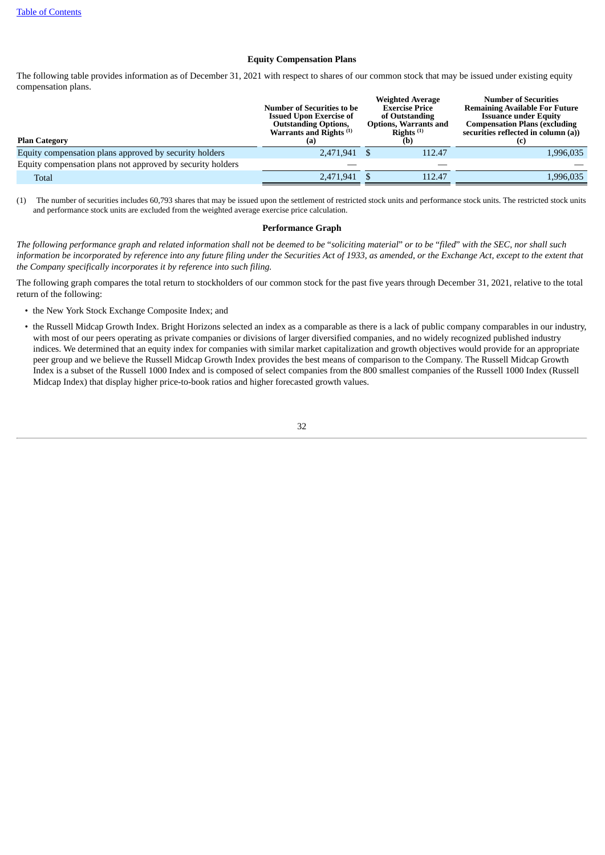# **Equity Compensation Plans**

The following table provides information as of December 31, 2021 with respect to shares of our common stock that may be issued under existing equity compensation plans.

| <b>Plan Category</b>                                       | <b>Number of Securities to be</b><br><b>Issued Upon Exercise of</b><br><b>Outstanding Options,</b><br>Warrants and Rights <sup>(1)</sup><br>(a) | <b>Weighted Average</b><br><b>Exercise Price</b><br>of Outstanding<br><b>Options, Warrants and</b><br>Rights $(1)$ | <b>Number of Securities</b><br><b>Remaining Available For Future</b><br><b>Issuance under Equity</b><br><b>Compensation Plans (excluding</b><br>securities reflected in column (a)) |  |  |
|------------------------------------------------------------|-------------------------------------------------------------------------------------------------------------------------------------------------|--------------------------------------------------------------------------------------------------------------------|-------------------------------------------------------------------------------------------------------------------------------------------------------------------------------------|--|--|
| Equity compensation plans approved by security holders     | 2,471,941                                                                                                                                       | 112.47                                                                                                             | 1,996,035                                                                                                                                                                           |  |  |
| Equity compensation plans not approved by security holders |                                                                                                                                                 |                                                                                                                    |                                                                                                                                                                                     |  |  |
| Total                                                      | 2,471,941                                                                                                                                       | 112.47                                                                                                             | 1,996,035                                                                                                                                                                           |  |  |

(1) The number of securities includes 60,793 shares that may be issued upon the settlement of restricted stock units and performance stock units. The restricted stock units and performance stock units are excluded from the weighted average exercise price calculation.

# **Performance Graph**

The following performance graph and related information shall not be deemed to be "soliciting material" or to be "filed" with the SEC, nor shall such information be incorporated by reference into any future filing under the Securities Act of 1933, as amended, or the Exchange Act, except to the extent that *the Company specifically incorporates it by reference into such filing.*

The following graph compares the total return to stockholders of our common stock for the past five years through December 31, 2021, relative to the total return of the following:

- the New York Stock Exchange Composite Index; and
- the Russell Midcap Growth Index. Bright Horizons selected an index as a comparable as there is a lack of public company comparables in our industry, with most of our peers operating as private companies or divisions of larger diversified companies, and no widely recognized published industry indices. We determined that an equity index for companies with similar market capitalization and growth objectives would provide for an appropriate peer group and we believe the Russell Midcap Growth Index provides the best means of comparison to the Company. The Russell Midcap Growth Index is a subset of the Russell 1000 Index and is composed of select companies from the 800 smallest companies of the Russell 1000 Index (Russell Midcap Index) that display higher price-to-book ratios and higher forecasted growth values.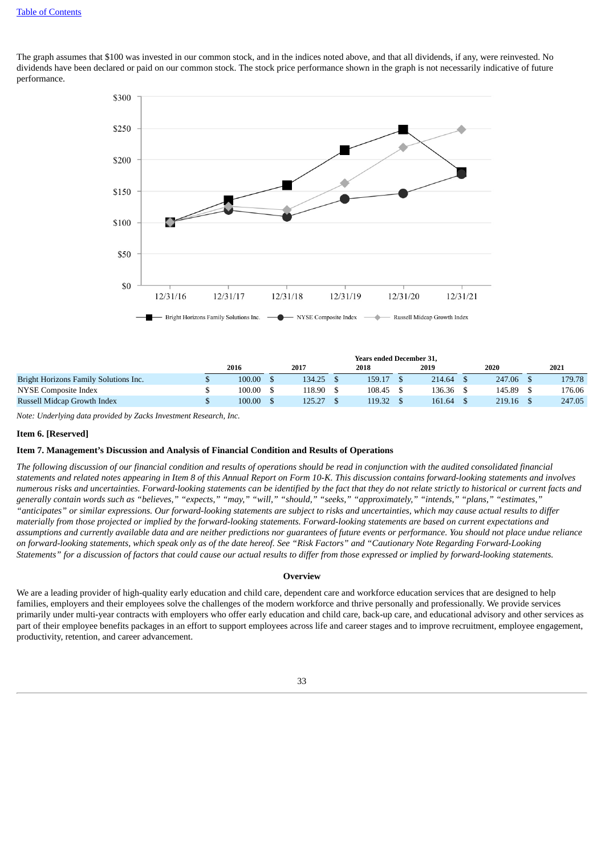The graph assumes that \$100 was invested in our common stock, and in the indices noted above, and that all dividends, if any, were reinvested. No dividends have been declared or paid on our common stock. The stock price performance shown in the graph is not necessarily indicative of future performance.



|                                       | <b>Years ended December 31.</b> |  |         |  |        |  |        |  |        |  |        |
|---------------------------------------|---------------------------------|--|---------|--|--------|--|--------|--|--------|--|--------|
|                                       | 2016                            |  | 2017    |  | 2018   |  | 2019   |  | 2020   |  | 2021   |
| Bright Horizons Family Solutions Inc. | 100.00                          |  | 1,34.25 |  | 159.17 |  | 214.64 |  | 247.06 |  | 179.78 |
| NYSE Composite Index                  | 100.00                          |  | 118.90  |  | 108.45 |  | 136.36 |  | 145.89 |  | 176.06 |
| Russell Midcap Growth Index           | 100.00                          |  | 125.27  |  | 119.32 |  | 161.64 |  | 219.16 |  | 247.05 |

*Note: Underlying data provided by Zacks Investment Research, Inc.*

# <span id="page-32-0"></span>**Item 6. [Reserved]**

#### <span id="page-32-1"></span>**Item 7. Management's Discussion and Analysis of Financial Condition and Results of Operations**

The following discussion of our financial condition and results of operations should be read in conjunction with the audited consolidated financial statements and related notes appearing in Item 8 of this Annual Report on Form 10-K. This discussion contains forward-looking statements and involves numerous risks and uncertainties. Forward-looking statements can be identified by the fact that they do not relate strictly to historical or current facts and generally contain words such as "believes," "expects," "may," "will," "should," "seeks," "approximately," "intends," "plans," "estimates," "anticipates" or similar expressions. Our forward-looking statements are subject to risks and uncertainties, which may cause actual results to differ materially from those projected or implied by the forward-looking statements. Forward-looking statements are based on current expectations and assumptions and currently available data and are neither predictions nor guarantees of future events or performance. You should not place undue reliance on forward-looking statements, which speak only as of the date hereof. See "Risk Factors" and "Cautionary Note Regarding Forward-Looking Statements" for a discussion of factors that could cause our actual results to differ from those expressed or implied by forward-looking statements.

#### **Overview**

We are a leading provider of high-quality early education and child care, dependent care and workforce education services that are designed to help families, employers and their employees solve the challenges of the modern workforce and thrive personally and professionally. We provide services primarily under multi-year contracts with employers who offer early education and child care, back-up care, and educational advisory and other services as part of their employee benefits packages in an effort to support employees across life and career stages and to improve recruitment, employee engagement, productivity, retention, and career advancement.

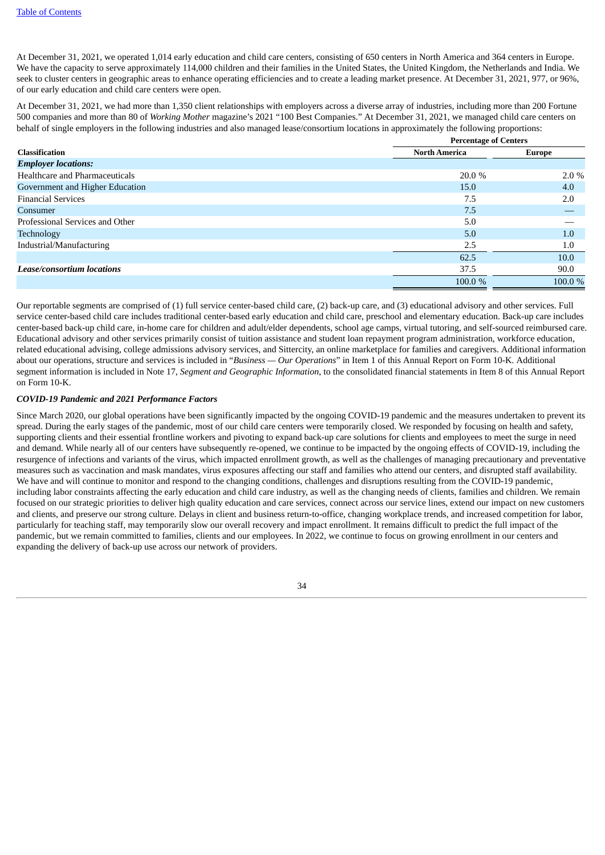At December 31, 2021, we operated 1,014 early education and child care centers, consisting of 650 centers in North America and 364 centers in Europe. We have the capacity to serve approximately 114,000 children and their families in the United States, the United Kingdom, the Netherlands and India. We seek to cluster centers in geographic areas to enhance operating efficiencies and to create a leading market presence. At December 31, 2021, 977, or 96%, of our early education and child care centers were open.

At December 31, 2021, we had more than 1,350 client relationships with employers across a diverse array of industries, including more than 200 Fortune 500 companies and more than 80 of *Working Mother* magazine's 2021 "100 Best Companies." At December 31, 2021, we managed child care centers on behalf of single employers in the following industries and also managed lease/consortium locations in approximately the following proportions:

|                                 |                      | <b>Percentage of Centers</b> |  |  |  |  |  |
|---------------------------------|----------------------|------------------------------|--|--|--|--|--|
| <b>Classification</b>           | <b>North America</b> | Europe                       |  |  |  |  |  |
| <b>Employer locations:</b>      |                      |                              |  |  |  |  |  |
| Healthcare and Pharmaceuticals  | 20.0 %               | $2.0\%$                      |  |  |  |  |  |
| Government and Higher Education | 15.0                 | 4.0                          |  |  |  |  |  |
| <b>Financial Services</b>       | 7.5                  | 2.0                          |  |  |  |  |  |
| Consumer                        | 7.5                  |                              |  |  |  |  |  |
| Professional Services and Other | 5.0                  |                              |  |  |  |  |  |
| Technology                      | 5.0                  | 1.0                          |  |  |  |  |  |
| Industrial/Manufacturing        | 2.5                  | 1.0                          |  |  |  |  |  |
|                                 | 62.5                 | 10.0                         |  |  |  |  |  |
| Lease/consortium locations      | 37.5                 | 90.0                         |  |  |  |  |  |
|                                 | 100.0 %              | 100.0%                       |  |  |  |  |  |

Our reportable segments are comprised of (1) full service center-based child care, (2) back-up care, and (3) educational advisory and other services. Full service center-based child care includes traditional center-based early education and child care, preschool and elementary education. Back-up care includes center-based back-up child care, in-home care for children and adult/elder dependents, school age camps, virtual tutoring, and self-sourced reimbursed care. Educational advisory and other services primarily consist of tuition assistance and student loan repayment program administration, workforce education, related educational advising, college admissions advisory services, and Sittercity, an online marketplace for families and caregivers. Additional information about our operations, structure and services is included in "*Business — Our Operations*" in Item 1 of this Annual Report on Form 10-K. Additional segment information is included in Note 17, *Segment and Geographic Information*, to the consolidated financial statements in Item 8 of this Annual Report on Form 10-K.

## *COVID-19 Pandemic and 2021 Performance Factors*

Since March 2020, our global operations have been significantly impacted by the ongoing COVID-19 pandemic and the measures undertaken to prevent its spread. During the early stages of the pandemic, most of our child care centers were temporarily closed. We responded by focusing on health and safety, supporting clients and their essential frontline workers and pivoting to expand back-up care solutions for clients and employees to meet the surge in need and demand. While nearly all of our centers have subsequently re-opened, we continue to be impacted by the ongoing effects of COVID-19, including the resurgence of infections and variants of the virus, which impacted enrollment growth, as well as the challenges of managing precautionary and preventative measures such as vaccination and mask mandates, virus exposures affecting our staff and families who attend our centers, and disrupted staff availability. We have and will continue to monitor and respond to the changing conditions, challenges and disruptions resulting from the COVID-19 pandemic, including labor constraints affecting the early education and child care industry, as well as the changing needs of clients, families and children. We remain focused on our strategic priorities to deliver high quality education and care services, connect across our service lines, extend our impact on new customers and clients, and preserve our strong culture. Delays in client and business return-to-office, changing workplace trends, and increased competition for labor, particularly for teaching staff, may temporarily slow our overall recovery and impact enrollment. It remains difficult to predict the full impact of the pandemic, but we remain committed to families, clients and our employees. In 2022, we continue to focus on growing enrollment in our centers and expanding the delivery of back-up use across our network of providers.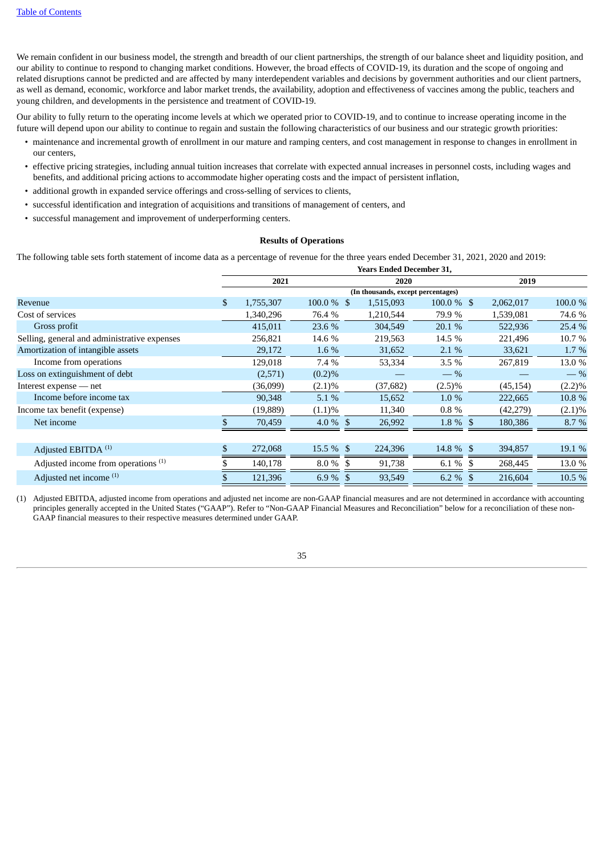We remain confident in our business model, the strength and breadth of our client partnerships, the strength of our balance sheet and liquidity position, and our ability to continue to respond to changing market conditions. However, the broad effects of COVID-19, its duration and the scope of ongoing and related disruptions cannot be predicted and are affected by many interdependent variables and decisions by government authorities and our client partners, as well as demand, economic, workforce and labor market trends, the availability, adoption and effectiveness of vaccines among the public, teachers and young children, and developments in the persistence and treatment of COVID-19.

Our ability to fully return to the operating income levels at which we operated prior to COVID-19, and to continue to increase operating income in the future will depend upon our ability to continue to regain and sustain the following characteristics of our business and our strategic growth priorities:

- maintenance and incremental growth of enrollment in our mature and ramping centers, and cost management in response to changes in enrollment in our centers,
- effective pricing strategies, including annual tuition increases that correlate with expected annual increases in personnel costs, including wages and benefits, and additional pricing actions to accommodate higher operating costs and the impact of persistent inflation,
- additional growth in expanded service offerings and cross-selling of services to clients,
- successful identification and integration of acquisitions and transitions of management of centers, and
- successful management and improvement of underperforming centers.

## **Results of Operations**

The following table sets forth statement of income data as a percentage of revenue for the three years ended December 31, 2021, 2020 and 2019:

|                                                | <b>Years Ended December 31,</b>    |           |               |               |           |               |  |           |           |  |
|------------------------------------------------|------------------------------------|-----------|---------------|---------------|-----------|---------------|--|-----------|-----------|--|
|                                                |                                    | 2021      |               |               | 2020      |               |  | 2019      |           |  |
|                                                | (In thousands, except percentages) |           |               |               |           |               |  |           |           |  |
| Revenue                                        | \$.                                | 1,755,307 | $100.0 \%$ \$ |               | 1,515,093 | $100.0 \%$ \$ |  | 2,062,017 | 100.0 %   |  |
| Cost of services                               |                                    | 1,340,296 | 76.4 %        |               | 1,210,544 | 79.9 %        |  | 1,539,081 | 74.6 %    |  |
| Gross profit                                   |                                    | 415,011   | 23.6 %        |               | 304,549   | 20.1 %        |  | 522,936   | 25.4 %    |  |
| Selling, general and administrative expenses   |                                    | 256,821   | 14.6 %        |               | 219,563   | 14.5 %        |  | 221,496   | 10.7%     |  |
| Amortization of intangible assets              |                                    | 29,172    | 1.6 %         |               | 31,652    | $2.1\%$       |  | 33,621    | $1.7\%$   |  |
| Income from operations                         |                                    | 129,018   | 7.4 %         |               | 53,334    | 3.5%          |  | 267,819   | 13.0 %    |  |
| Loss on extinguishment of debt                 |                                    | (2,571)   | (0.2)%        |               |           | $-$ %         |  |           | $-$ %     |  |
| Interest expense $-$ net                       |                                    | (36,099)  | $(2.1)\%$     |               | (37, 682) | $(2.5)\%$     |  | (45, 154) | $(2.2)\%$ |  |
| Income before income tax                       |                                    | 90,348    | 5.1%          |               | 15,652    | 1.0 %         |  | 222,665   | 10.8 %    |  |
| Income tax benefit (expense)                   |                                    | (19, 889) | $(1.1)\%$     |               | 11,340    | $0.8 \%$      |  | (42, 279) | $(2.1)\%$ |  |
| Net income                                     |                                    | 70,459    | 4.0 $%$ \$    |               | 26,992    | $1.8 \%$ \$   |  | 180,386   | 8.7%      |  |
|                                                |                                    |           |               |               |           |               |  |           |           |  |
| Adjusted EBITDA <sup>(1)</sup>                 |                                    | 272,068   | 15.5 % \$     |               | 224,396   | 14.8 % \$     |  | 394,857   | 19.1 %    |  |
| Adjusted income from operations <sup>(1)</sup> |                                    | 140,178   | $8.0\%$       | -\$           | 91,738    | 6.1 $%$ \$    |  | 268,445   | 13.0 %    |  |
| Adjusted net income (1)                        |                                    | 121,396   | 6.9%          | <sup>\$</sup> | 93,549    | 6.2 $%$ \$    |  | 216,604   | 10.5 %    |  |

(1) Adjusted EBITDA, adjusted income from operations and adjusted net income are non-GAAP financial measures and are not determined in accordance with accounting principles generally accepted in the United States ("GAAP"). Refer to "Non-GAAP Financial Measures and Reconciliation" below for a reconciliation of these non-GAAP financial measures to their respective measures determined under GAAP.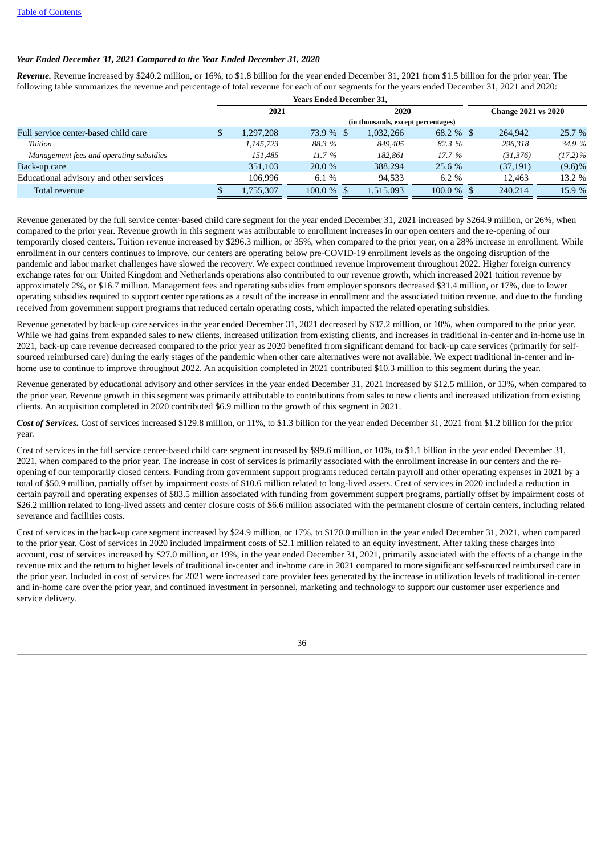# *Year Ended December 31, 2021 Compared to the Year Ended December 31, 2020*

*Revenue.* Revenue increased by \$240.2 million, or 16%, to \$1.8 billion for the year ended December 31, 2021 from \$1.5 billion for the prior year. The following table summarizes the revenue and percentage of total revenue for each of our segments for the years ended December 31, 2021 and 2020:

|                                         | <b>Years Ended December 31,</b>    |           |              |           |               |                            |            |
|-----------------------------------------|------------------------------------|-----------|--------------|-----------|---------------|----------------------------|------------|
|                                         | 2021                               |           |              | 2020      |               | <b>Change 2021 vs 2020</b> |            |
|                                         | (in thousands, except percentages) |           |              |           |               |                            |            |
| Full service center-based child care    | \$                                 | 1.297.208 | 73.9 % \$    | 1,032,266 | 68.2 % \$     | 264.942                    | 25.7 %     |
| Tuition                                 |                                    | 1,145,723 | 88.3 %       | 849,405   | 82.3 %        | 296,318                    | 34.9 %     |
| Management fees and operating subsidies |                                    | 151.485   | 11.7 %       | 182.861   | 17.7 %        | (31,376)                   | $(17.2)\%$ |
| Back-up care                            |                                    | 351,103   | 20.0 %       | 388,294   | 25.6 %        | (37, 191)                  | $(9.6)\%$  |
| Educational advisory and other services |                                    | 106.996   | 6.1%         | 94,533    | 6.2 $%$       | 12.463                     | 13.2 %     |
| Total revenue                           |                                    | 1,755,307 | $100.0\%$ \$ | 1,515,093 | $100.0 \%$ \$ | 240.214                    | 15.9 %     |

Revenue generated by the full service center-based child care segment for the year ended December 31, 2021 increased by \$264.9 million, or 26%, when compared to the prior year. Revenue growth in this segment was attributable to enrollment increases in our open centers and the re-opening of our temporarily closed centers. Tuition revenue increased by \$296.3 million, or 35%, when compared to the prior year, on a 28% increase in enrollment. While enrollment in our centers continues to improve, our centers are operating below pre-COVID-19 enrollment levels as the ongoing disruption of the pandemic and labor market challenges have slowed the recovery. We expect continued revenue improvement throughout 2022. Higher foreign currency exchange rates for our United Kingdom and Netherlands operations also contributed to our revenue growth, which increased 2021 tuition revenue by approximately 2%, or \$16.7 million. Management fees and operating subsidies from employer sponsors decreased \$31.4 million, or 17%, due to lower operating subsidies required to support center operations as a result of the increase in enrollment and the associated tuition revenue, and due to the funding received from government support programs that reduced certain operating costs, which impacted the related operating subsidies.

Revenue generated by back-up care services in the year ended December 31, 2021 decreased by \$37.2 million, or 10%, when compared to the prior year. While we had gains from expanded sales to new clients, increased utilization from existing clients, and increases in traditional in-center and in-home use in 2021, back-up care revenue decreased compared to the prior year as 2020 benefited from significant demand for back-up care services (primarily for selfsourced reimbursed care) during the early stages of the pandemic when other care alternatives were not available. We expect traditional in-center and inhome use to continue to improve throughout 2022. An acquisition completed in 2021 contributed \$10.3 million to this segment during the year.

Revenue generated by educational advisory and other services in the year ended December 31, 2021 increased by \$12.5 million, or 13%, when compared to the prior year. Revenue growth in this segment was primarily attributable to contributions from sales to new clients and increased utilization from existing clients. An acquisition completed in 2020 contributed \$6.9 million to the growth of this segment in 2021.

*Cost of Services.* Cost of services increased \$129.8 million, or 11%, to \$1.3 billion for the year ended December 31, 2021 from \$1.2 billion for the prior year.

Cost of services in the full service center-based child care segment increased by \$99.6 million, or 10%, to \$1.1 billion in the year ended December 31, 2021, when compared to the prior year. The increase in cost of services is primarily associated with the enrollment increase in our centers and the reopening of our temporarily closed centers. Funding from government support programs reduced certain payroll and other operating expenses in 2021 by a total of \$50.9 million, partially offset by impairment costs of \$10.6 million related to long-lived assets. Cost of services in 2020 included a reduction in certain payroll and operating expenses of \$83.5 million associated with funding from government support programs, partially offset by impairment costs of \$26.2 million related to long-lived assets and center closure costs of \$6.6 million associated with the permanent closure of certain centers, including related severance and facilities costs.

Cost of services in the back-up care segment increased by \$24.9 million, or 17%, to \$170.0 million in the year ended December 31, 2021, when compared to the prior year. Cost of services in 2020 included impairment costs of \$2.1 million related to an equity investment. After taking these charges into account, cost of services increased by \$27.0 million, or 19%, in the year ended December 31, 2021, primarily associated with the effects of a change in the revenue mix and the return to higher levels of traditional in-center and in-home care in 2021 compared to more significant self-sourced reimbursed care in the prior year. Included in cost of services for 2021 were increased care provider fees generated by the increase in utilization levels of traditional in-center and in-home care over the prior year, and continued investment in personnel, marketing and technology to support our customer user experience and service delivery.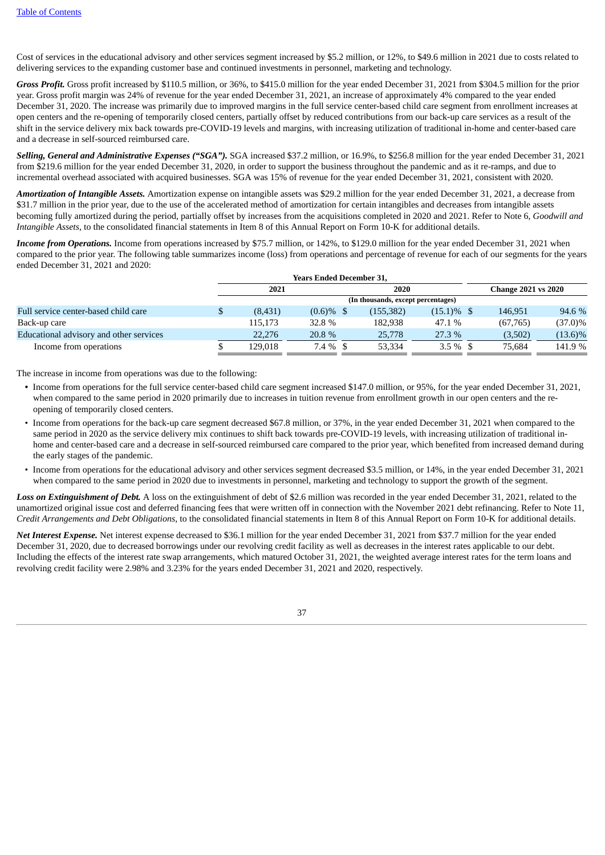Cost of services in the educational advisory and other services segment increased by \$5.2 million, or 12%, to \$49.6 million in 2021 due to costs related to delivering services to the expanding customer base and continued investments in personnel, marketing and technology.

*Gross Profit.* Gross profit increased by \$110.5 million, or 36%, to \$415.0 million for the year ended December 31, 2021 from \$304.5 million for the prior year. Gross profit margin was 24% of revenue for the year ended December 31, 2021, an increase of approximately 4% compared to the year ended December 31, 2020. The increase was primarily due to improved margins in the full service center-based child care segment from enrollment increases at open centers and the re-opening of temporarily closed centers, partially offset by reduced contributions from our back-up care services as a result of the shift in the service delivery mix back towards pre-COVID-19 levels and margins, with increasing utilization of traditional in-home and center-based care and a decrease in self-sourced reimbursed care.

*Selling, General and Administrative Expenses ("SGA").* SGA increased \$37.2 million, or 16.9%, to \$256.8 million for the year ended December 31, 2021 from \$219.6 million for the year ended December 31, 2020, in order to support the business throughout the pandemic and as it re-ramps, and due to incremental overhead associated with acquired businesses. SGA was 15% of revenue for the year ended December 31, 2021, consistent with 2020.

*Amortization of Intangible Assets.* Amortization expense on intangible assets was \$29.2 million for the year ended December 31, 2021, a decrease from \$31.7 million in the prior year, due to the use of the accelerated method of amortization for certain intangibles and decreases from intangible assets becoming fully amortized during the period, partially offset by increases from the acquisitions completed in 2020 and 2021. Refer to Note 6, *Goodwill and Intangible Assets*, to the consolidated financial statements in Item 8 of this Annual Report on Form 10-K for additional details.

*Income from Operations.* Income from operations increased by \$75.7 million, or 142%, to \$129.0 million for the year ended December 31, 2021 when compared to the prior year. The following table summarizes income (loss) from operations and percentage of revenue for each of our segments for the years ended December 31, 2021 and 2020:

|                                         | <b>Years Ended December 31,</b> |              |  |                                    |               |                            |          |            |
|-----------------------------------------|---------------------------------|--------------|--|------------------------------------|---------------|----------------------------|----------|------------|
|                                         | 2021<br>2020                    |              |  |                                    |               | <b>Change 2021 vs 2020</b> |          |            |
|                                         |                                 |              |  | (In thousands, except percentages) |               |                            |          |            |
| Full service center-based child care    | (8,431)                         | $(0.6)\%$ \$ |  | (155, 382)                         | $(15.1)\%$ \$ |                            | 146,951  | 94.6 %     |
| Back-up care                            | 115,173                         | 32.8 %       |  | 182.938                            | 47.1 %        |                            | (67,765) | $(37.0)\%$ |
| Educational advisory and other services | 22,276                          | 20.8 %       |  | 25,778                             | 27.3 %        |                            | (3,502)  | $(13.6)\%$ |
| Income from operations                  | 129.018                         | $7.4\%$ \$   |  | 53.334                             | $3.5\%$ \$    |                            | 75,684   | 141.9 %    |

The increase in income from operations was due to the following:

- *•* Income from operations for the full service center-based child care segment increased \$147.0 million, or 95%, for the year ended December 31, 2021, when compared to the same period in 2020 primarily due to increases in tuition revenue from enrollment growth in our open centers and the reopening of temporarily closed centers.
- Income from operations for the back-up care segment decreased \$67.8 million, or 37%, in the year ended December 31, 2021 when compared to the same period in 2020 as the service delivery mix continues to shift back towards pre-COVID-19 levels, with increasing utilization of traditional inhome and center-based care and a decrease in self-sourced reimbursed care compared to the prior year, which benefited from increased demand during the early stages of the pandemic.
- Income from operations for the educational advisory and other services segment decreased \$3.5 million, or 14%, in the year ended December 31, 2021 when compared to the same period in 2020 due to investments in personnel, marketing and technology to support the growth of the segment.

*Loss on Extinguishment of Debt.* A loss on the extinguishment of debt of \$2.6 million was recorded in the year ended December 31, 2021, related to the unamortized original issue cost and deferred financing fees that were written off in connection with the November 2021 debt refinancing. Refer to Note 11, *Credit Arrangements and Debt Obligations*, to the consolidated financial statements in Item 8 of this Annual Report on Form 10-K for additional details.

*Net Interest Expense.* Net interest expense decreased to \$36.1 million for the year ended December 31, 2021 from \$37.7 million for the year ended December 31, 2020, due to decreased borrowings under our revolving credit facility as well as decreases in the interest rates applicable to our debt. Including the effects of the interest rate swap arrangements, which matured October 31, 2021, the weighted average interest rates for the term loans and revolving credit facility were 2.98% and 3.23% for the years ended December 31, 2021 and 2020, respectively.

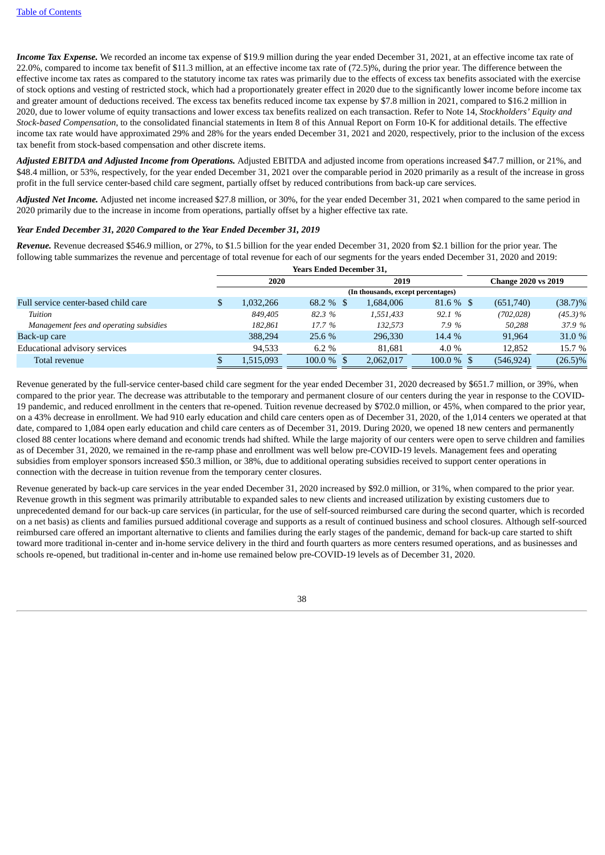*Income Tax Expense.* We recorded an income tax expense of \$19.9 million during the year ended December 31, 2021, at an effective income tax rate of 22.0%, compared to income tax benefit of \$11.3 million, at an effective income tax rate of (72.5)%, during the prior year. The difference between the effective income tax rates as compared to the statutory income tax rates was primarily due to the effects of excess tax benefits associated with the exercise of stock options and vesting of restricted stock, which had a proportionately greater effect in 2020 due to the significantly lower income before income tax and greater amount of deductions received. The excess tax benefits reduced income tax expense by \$7.8 million in 2021, compared to \$16.2 million in 2020, due to lower volume of equity transactions and lower excess tax benefits realized on each transaction. Refer to Note 14, *Stockholders' Equity and Stock-based Compensation*, to the consolidated financial statements in Item 8 of this Annual Report on Form 10-K for additional details. The effective income tax rate would have approximated 29% and 28% for the years ended December 31, 2021 and 2020, respectively, prior to the inclusion of the excess tax benefit from stock-based compensation and other discrete items.

*Adjusted EBITDA and Adjusted Income from Operations.* Adjusted EBITDA and adjusted income from operations increased \$47.7 million, or 21%, and \$48.4 million, or 53%, respectively, for the year ended December 31, 2021 over the comparable period in 2020 primarily as a result of the increase in gross profit in the full service center-based child care segment, partially offset by reduced contributions from back-up care services.

*Adjusted Net Income.* Adjusted net income increased \$27.8 million, or 30%, for the year ended December 31, 2021 when compared to the same period in 2020 primarily due to the increase in income from operations, partially offset by a higher effective tax rate.

#### *Year Ended December 31, 2020 Compared to the Year Ended December 31, 2019*

*Revenue.* Revenue decreased \$546.9 million, or 27%, to \$1.5 billion for the year ended December 31, 2020 from \$2.1 billion for the prior year. The following table summarizes the revenue and percentage of total revenue for each of our segments for the years ended December 31, 2020 and 2019:

|                                         |                                    |           | <b>Years Ended December 31.</b> |           |               |                            |            |  |  |  |  |  |
|-----------------------------------------|------------------------------------|-----------|---------------------------------|-----------|---------------|----------------------------|------------|--|--|--|--|--|
|                                         | 2020                               |           |                                 | 2019      |               | <b>Change 2020 vs 2019</b> |            |  |  |  |  |  |
|                                         | (In thousands, except percentages) |           |                                 |           |               |                            |            |  |  |  |  |  |
| Full service center-based child care    | S                                  | 1.032.266 | 68.2 % \$                       | 1,684,006 | $81.6\%$ \$   | (651,740)                  | $(38.7)\%$ |  |  |  |  |  |
| Tuition                                 |                                    | 849,405   | 82.3 %                          | 1,551,433 | 92.1%         | (702, 028)                 | $(45.3)\%$ |  |  |  |  |  |
| Management fees and operating subsidies |                                    | 182,861   | 17.7 %                          | 132,573   | 7.9 %         | 50,288                     | 37.9 %     |  |  |  |  |  |
| Back-up care                            |                                    | 388,294   | 25.6 %                          | 296,330   | 14.4 %        | 91.964                     | 31.0 %     |  |  |  |  |  |
| Educational advisory services           |                                    | 94.533    | 6.2 $%$                         | 81.681    | 4.0 %         | 12.852                     | 15.7 %     |  |  |  |  |  |
| Total revenue                           |                                    | 1,515,093 | $100.0 \%$ \$                   | 2,062,017 | $100.0 \%$ \$ | (546, 924)                 | $(26.5)\%$ |  |  |  |  |  |

Revenue generated by the full-service center-based child care segment for the year ended December 31, 2020 decreased by \$651.7 million, or 39%, when compared to the prior year. The decrease was attributable to the temporary and permanent closure of our centers during the year in response to the COVID-19 pandemic, and reduced enrollment in the centers that re-opened. Tuition revenue decreased by \$702.0 million, or 45%, when compared to the prior year, on a 43% decrease in enrollment. We had 910 early education and child care centers open as of December 31, 2020, of the 1,014 centers we operated at that date, compared to 1,084 open early education and child care centers as of December 31, 2019. During 2020, we opened 18 new centers and permanently closed 88 center locations where demand and economic trends had shifted. While the large majority of our centers were open to serve children and families as of December 31, 2020, we remained in the re-ramp phase and enrollment was well below pre-COVID-19 levels. Management fees and operating subsidies from employer sponsors increased \$50.3 million, or 38%, due to additional operating subsidies received to support center operations in connection with the decrease in tuition revenue from the temporary center closures.

Revenue generated by back-up care services in the year ended December 31, 2020 increased by \$92.0 million, or 31%, when compared to the prior year. Revenue growth in this segment was primarily attributable to expanded sales to new clients and increased utilization by existing customers due to unprecedented demand for our back-up care services (in particular, for the use of self-sourced reimbursed care during the second quarter, which is recorded on a net basis) as clients and families pursued additional coverage and supports as a result of continued business and school closures. Although self-sourced reimbursed care offered an important alternative to clients and families during the early stages of the pandemic, demand for back-up care started to shift toward more traditional in-center and in-home service delivery in the third and fourth quarters as more centers resumed operations, and as businesses and schools re-opened, but traditional in-center and in-home use remained below pre-COVID-19 levels as of December 31, 2020.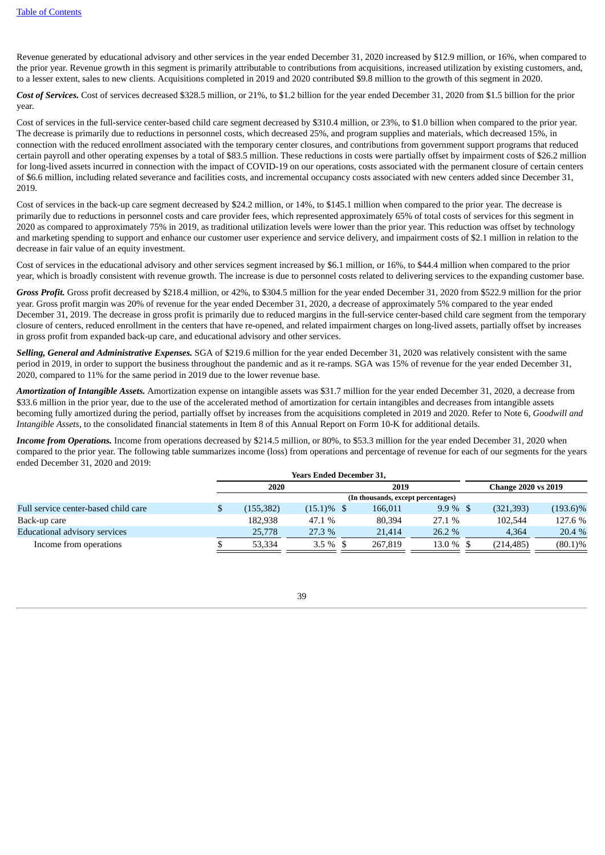Revenue generated by educational advisory and other services in the year ended December 31, 2020 increased by \$12.9 million, or 16%, when compared to the prior year. Revenue growth in this segment is primarily attributable to contributions from acquisitions, increased utilization by existing customers, and, to a lesser extent, sales to new clients. Acquisitions completed in 2019 and 2020 contributed \$9.8 million to the growth of this segment in 2020.

*Cost of Services.* Cost of services decreased \$328.5 million, or 21%, to \$1.2 billion for the year ended December 31, 2020 from \$1.5 billion for the prior year.

Cost of services in the full-service center-based child care segment decreased by \$310.4 million, or 23%, to \$1.0 billion when compared to the prior year. The decrease is primarily due to reductions in personnel costs, which decreased 25%, and program supplies and materials, which decreased 15%, in connection with the reduced enrollment associated with the temporary center closures, and contributions from government support programs that reduced certain payroll and other operating expenses by a total of \$83.5 million. These reductions in costs were partially offset by impairment costs of \$26.2 million for long-lived assets incurred in connection with the impact of COVID-19 on our operations, costs associated with the permanent closure of certain centers of \$6.6 million, including related severance and facilities costs, and incremental occupancy costs associated with new centers added since December 31, 2019.

Cost of services in the back-up care segment decreased by \$24.2 million, or 14%, to \$145.1 million when compared to the prior year. The decrease is primarily due to reductions in personnel costs and care provider fees, which represented approximately 65% of total costs of services for this segment in 2020 as compared to approximately 75% in 2019, as traditional utilization levels were lower than the prior year. This reduction was offset by technology and marketing spending to support and enhance our customer user experience and service delivery, and impairment costs of \$2.1 million in relation to the decrease in fair value of an equity investment.

Cost of services in the educational advisory and other services segment increased by \$6.1 million, or 16%, to \$44.4 million when compared to the prior year, which is broadly consistent with revenue growth. The increase is due to personnel costs related to delivering services to the expanding customer base.

*Gross Profit.* Gross profit decreased by \$218.4 million, or 42%, to \$304.5 million for the year ended December 31, 2020 from \$522.9 million for the prior year. Gross profit margin was 20% of revenue for the year ended December 31, 2020, a decrease of approximately 5% compared to the year ended December 31, 2019. The decrease in gross profit is primarily due to reduced margins in the full-service center-based child care segment from the temporary closure of centers, reduced enrollment in the centers that have re-opened, and related impairment charges on long-lived assets, partially offset by increases in gross profit from expanded back-up care, and educational advisory and other services.

*Selling, General and Administrative Expenses.* SGA of \$219.6 million for the year ended December 31, 2020 was relatively consistent with the same period in 2019, in order to support the business throughout the pandemic and as it re-ramps. SGA was 15% of revenue for the year ended December 31, 2020, compared to 11% for the same period in 2019 due to the lower revenue base.

*Amortization of Intangible Assets.* Amortization expense on intangible assets was \$31.7 million for the year ended December 31, 2020, a decrease from \$33.6 million in the prior year, due to the use of the accelerated method of amortization for certain intangibles and decreases from intangible assets becoming fully amortized during the period, partially offset by increases from the acquisitions completed in 2019 and 2020. Refer to Note 6, *Goodwill and Intangible Assets*, to the consolidated financial statements in Item 8 of this Annual Report on Form 10-K for additional details.

*Income from Operations.* Income from operations decreased by \$214.5 million, or 80%, to \$53.3 million for the year ended December 31, 2020 when compared to the prior year. The following table summarizes income (loss) from operations and percentage of revenue for each of our segments for the years ended December 31, 2020 and 2019:

|                                      |   |                                    | <b>Years Ended December 31,</b> |  |         |             |  |                            |             |  |  |  |
|--------------------------------------|---|------------------------------------|---------------------------------|--|---------|-------------|--|----------------------------|-------------|--|--|--|
|                                      |   | 2020<br>2019                       |                                 |  |         |             |  | <b>Change 2020 vs 2019</b> |             |  |  |  |
|                                      |   | (In thousands, except percentages) |                                 |  |         |             |  |                            |             |  |  |  |
| Full service center-based child care | Φ | (155, 382)                         | $(15.1)\%$ \$                   |  | 166,011 | $9.9\%$ \$  |  | (321, 393)                 | $(193.6)\%$ |  |  |  |
| Back-up care                         |   | 182.938                            | 47.1 %                          |  | 80.394  | 27.1 %      |  | 102.544                    | 127.6 %     |  |  |  |
| <b>Educational advisory services</b> |   | 25,778                             | 27.3 %                          |  | 21,414  | 26.2 %      |  | 4.364                      | 20.4 %      |  |  |  |
| Income from operations               |   | 53.334                             | $3.5\%$ \$                      |  | 267,819 | $13.0\%$ \$ |  | (214, 485)                 | $(80.1)\%$  |  |  |  |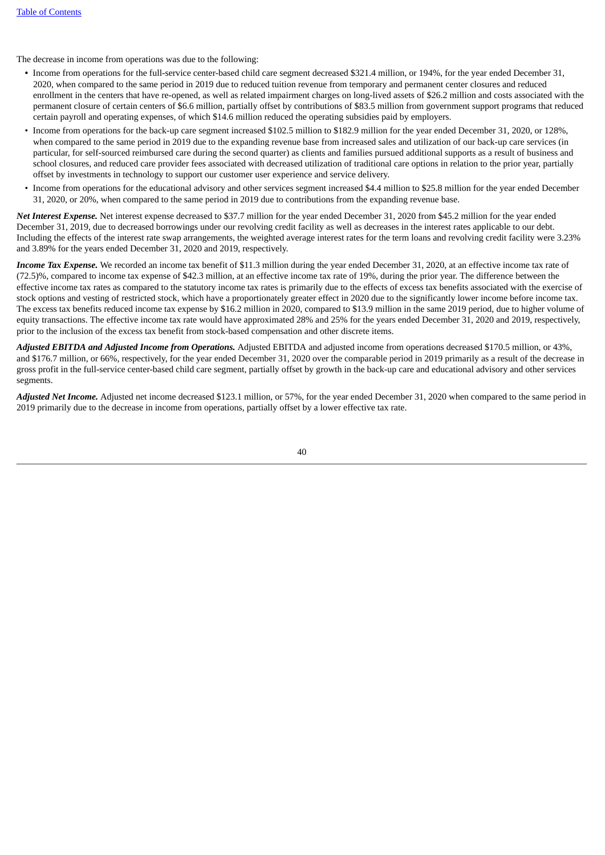The decrease in income from operations was due to the following:

- *•* Income from operations for the full-service center-based child care segment decreased \$321.4 million, or 194%, for the year ended December 31, 2020, when compared to the same period in 2019 due to reduced tuition revenue from temporary and permanent center closures and reduced enrollment in the centers that have re-opened, as well as related impairment charges on long-lived assets of \$26.2 million and costs associated with the permanent closure of certain centers of \$6.6 million, partially offset by contributions of \$83.5 million from government support programs that reduced certain payroll and operating expenses, of which \$14.6 million reduced the operating subsidies paid by employers.
- Income from operations for the back-up care segment increased \$102.5 million to \$182.9 million for the year ended December 31, 2020, or 128%, when compared to the same period in 2019 due to the expanding revenue base from increased sales and utilization of our back-up care services (in particular, for self-sourced reimbursed care during the second quarter) as clients and families pursued additional supports as a result of business and school closures, and reduced care provider fees associated with decreased utilization of traditional care options in relation to the prior year, partially offset by investments in technology to support our customer user experience and service delivery.
- Income from operations for the educational advisory and other services segment increased \$4.4 million to \$25.8 million for the year ended December 31, 2020, or 20%, when compared to the same period in 2019 due to contributions from the expanding revenue base.

*Net Interest Expense.* Net interest expense decreased to \$37.7 million for the year ended December 31, 2020 from \$45.2 million for the year ended December 31, 2019, due to decreased borrowings under our revolving credit facility as well as decreases in the interest rates applicable to our debt. Including the effects of the interest rate swap arrangements, the weighted average interest rates for the term loans and revolving credit facility were 3.23% and 3.89% for the years ended December 31, 2020 and 2019, respectively.

*Income Tax Expense.* We recorded an income tax benefit of \$11.3 million during the year ended December 31, 2020, at an effective income tax rate of (72.5)%, compared to income tax expense of \$42.3 million, at an effective income tax rate of 19%, during the prior year. The difference between the effective income tax rates as compared to the statutory income tax rates is primarily due to the effects of excess tax benefits associated with the exercise of stock options and vesting of restricted stock, which have a proportionately greater effect in 2020 due to the significantly lower income before income tax. The excess tax benefits reduced income tax expense by \$16.2 million in 2020, compared to \$13.9 million in the same 2019 period, due to higher volume of equity transactions. The effective income tax rate would have approximated 28% and 25% for the years ended December 31, 2020 and 2019, respectively, prior to the inclusion of the excess tax benefit from stock-based compensation and other discrete items.

*Adjusted EBITDA and Adjusted Income from Operations.* Adjusted EBITDA and adjusted income from operations decreased \$170.5 million, or 43%, and \$176.7 million, or 66%, respectively, for the year ended December 31, 2020 over the comparable period in 2019 primarily as a result of the decrease in gross profit in the full-service center-based child care segment, partially offset by growth in the back-up care and educational advisory and other services segments.

*Adjusted Net Income.* Adjusted net income decreased \$123.1 million, or 57%, for the year ended December 31, 2020 when compared to the same period in 2019 primarily due to the decrease in income from operations, partially offset by a lower effective tax rate.

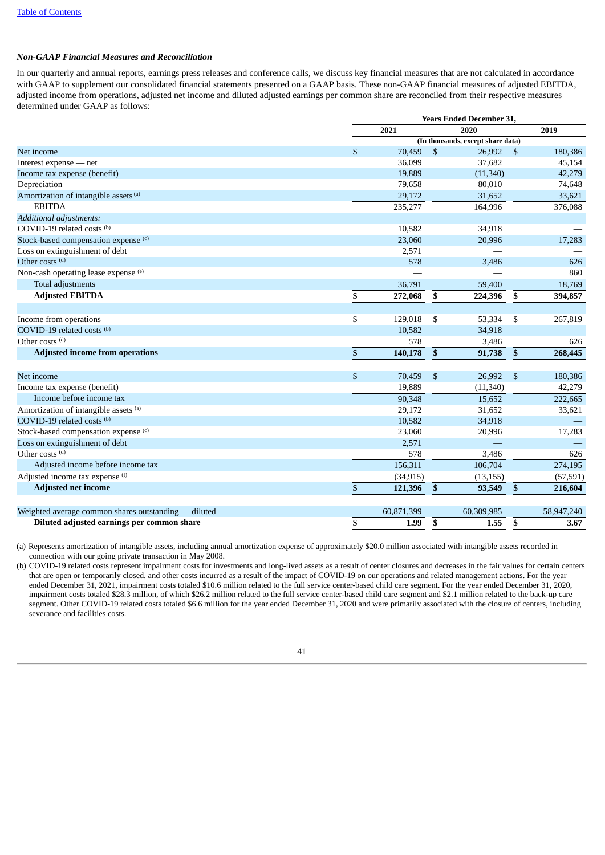# *Non-GAAP Financial Measures and Reconciliation*

In our quarterly and annual reports, earnings press releases and conference calls, we discuss key financial measures that are not calculated in accordance with GAAP to supplement our consolidated financial statements presented on a GAAP basis. These non-GAAP financial measures of adjusted EBITDA, adjusted income from operations, adjusted net income and diluted adjusted earnings per common share are reconciled from their respective measures determined under GAAP as follows:

| 2020<br>2021<br>(In thousands, except share data)<br>\$<br>\$<br>$\mathfrak{S}$<br>Net income<br>70,459<br>26,992<br>36,099<br>37,682<br>Interest expense - net<br>Income tax expense (benefit)<br>19,889<br>(11, 340)<br>Depreciation<br>79,658<br>80,010 | 2019<br>180,386<br>45,154<br>42,279<br>74,648<br>33,621<br>376,088 |
|------------------------------------------------------------------------------------------------------------------------------------------------------------------------------------------------------------------------------------------------------------|--------------------------------------------------------------------|
|                                                                                                                                                                                                                                                            |                                                                    |
|                                                                                                                                                                                                                                                            |                                                                    |
|                                                                                                                                                                                                                                                            |                                                                    |
|                                                                                                                                                                                                                                                            |                                                                    |
|                                                                                                                                                                                                                                                            |                                                                    |
|                                                                                                                                                                                                                                                            |                                                                    |
| Amortization of intangible assets (a)<br>29,172<br>31,652                                                                                                                                                                                                  |                                                                    |
| <b>EBITDA</b><br>235,277<br>164,996                                                                                                                                                                                                                        |                                                                    |
| <b>Additional adjustments:</b>                                                                                                                                                                                                                             |                                                                    |
| COVID-19 related costs (b)<br>10,582<br>34,918                                                                                                                                                                                                             |                                                                    |
| Stock-based compensation expense (c)<br>23,060<br>20,996                                                                                                                                                                                                   | 17,283                                                             |
| Loss on extinguishment of debt<br>2,571                                                                                                                                                                                                                    |                                                                    |
| Other costs <sup>(d)</sup><br>578<br>3,486                                                                                                                                                                                                                 | 626                                                                |
| Non-cash operating lease expense (e)                                                                                                                                                                                                                       | 860                                                                |
| Total adjustments<br>36,791<br>59,400                                                                                                                                                                                                                      | 18,769                                                             |
| <b>Adjusted EBITDA</b><br>\$<br>\$<br>224,396<br>\$<br>272,068                                                                                                                                                                                             | 394,857                                                            |
|                                                                                                                                                                                                                                                            |                                                                    |
| \$<br>Income from operations<br>129,018<br>\$<br>53,334<br>\$                                                                                                                                                                                              | 267,819                                                            |
| COVID-19 related costs (b)<br>10,582<br>34,918                                                                                                                                                                                                             |                                                                    |
| Other costs <sup>(d)</sup><br>578<br>3,486                                                                                                                                                                                                                 | 626                                                                |
| <b>Adjusted income from operations</b><br>\$<br>\$<br>140,178<br>\$<br>91,738                                                                                                                                                                              | 268,445                                                            |
| \$<br>70,459<br>\$<br>26,992<br>\$<br>Net income                                                                                                                                                                                                           | 180,386                                                            |
| Income tax expense (benefit)<br>19,889<br>(11, 340)                                                                                                                                                                                                        | 42,279                                                             |
| Income before income tax<br>90,348<br>15,652                                                                                                                                                                                                               | 222,665                                                            |
| Amortization of intangible assets (a)<br>29,172<br>31,652                                                                                                                                                                                                  | 33,621                                                             |
| COVID-19 related costs (b)<br>10,582<br>34,918                                                                                                                                                                                                             |                                                                    |
| Stock-based compensation expense (c)<br>23,060<br>20,996                                                                                                                                                                                                   | 17,283                                                             |
| Loss on extinguishment of debt<br>2,571                                                                                                                                                                                                                    |                                                                    |
| Other costs <sup>(d)</sup><br>578<br>3,486                                                                                                                                                                                                                 | 626                                                                |
| Adjusted income before income tax<br>156,311<br>106,704                                                                                                                                                                                                    | 274,195                                                            |
| Adjusted income tax expense (f)<br>(34, 915)<br>(13, 155)                                                                                                                                                                                                  | (57, 591)                                                          |
| <b>Adjusted net income</b><br>\$<br>\$<br>121,396<br>\$<br>93,549                                                                                                                                                                                          | 216,604                                                            |
| 60,309,985<br>Weighted average common shares outstanding - diluted<br>60,871,399                                                                                                                                                                           | 58,947,240                                                         |
| \$<br>Diluted adjusted earnings per common share<br>\$<br>\$<br>1.99<br>1.55                                                                                                                                                                               | 3.67                                                               |

(a) Represents amortization of intangible assets, including annual amortization expense of approximately \$20.0 million associated with intangible assets recorded in connection with our going private transaction in May 2008.

(b) COVID-19 related costs represent impairment costs for investments and long-lived assets as a result of center closures and decreases in the fair values for certain centers that are open or temporarily closed, and other costs incurred as a result of the impact of COVID-19 on our operations and related management actions. For the year ended December 31, 2021, impairment costs totaled \$10.6 million related to the full service center-based child care segment. For the year ended December 31, 2020, impairment costs totaled \$28.3 million, of which \$26.2 million related to the full service center-based child care segment and \$2.1 million related to the back-up care segment. Other COVID-19 related costs totaled \$6.6 million for the year ended December 31, 2020 and were primarily associated with the closure of centers, including severance and facilities costs.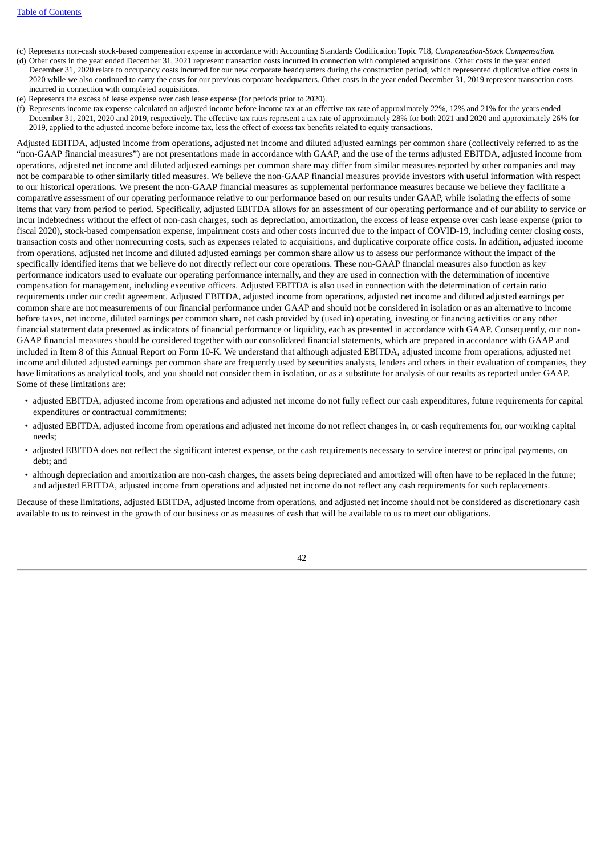- (c) Represents non-cash stock-based compensation expense in accordance with Accounting Standards Codification Topic 718, *Compensation-Stock Compensation.*
- (d) Other costs in the year ended December 31, 2021 represent transaction costs incurred in connection with completed acquisitions. Other costs in the year ended December 31, 2020 relate to occupancy costs incurred for our new corporate headquarters during the construction period, which represented duplicative office costs in 2020 while we also continued to carry the costs for our previous corporate headquarters. Other costs in the year ended December 31, 2019 represent transaction costs incurred in connection with completed acquisitions.
- (e) Represents the excess of lease expense over cash lease expense (for periods prior to 2020).
- $(f)$  Represents income tax expense calculated on adjusted income before income tax at an effective tax rate of approximately 22%, 12% and 21% for the years ended December 31, 2021, 2020 and 2019, respectively. The effective tax rates represent a tax rate of approximately 28% for both 2021 and 2020 and approximately 26% for 2019, applied to the adjusted income before income tax, less the effect of excess tax benefits related to equity transactions.

Adjusted EBITDA, adjusted income from operations, adjusted net income and diluted adjusted earnings per common share (collectively referred to as the "non-GAAP financial measures") are not presentations made in accordance with GAAP, and the use of the terms adjusted EBITDA, adjusted income from operations, adjusted net income and diluted adjusted earnings per common share may differ from similar measures reported by other companies and may not be comparable to other similarly titled measures. We believe the non-GAAP financial measures provide investors with useful information with respect to our historical operations. We present the non-GAAP financial measures as supplemental performance measures because we believe they facilitate a comparative assessment of our operating performance relative to our performance based on our results under GAAP, while isolating the effects of some items that vary from period to period. Specifically, adjusted EBITDA allows for an assessment of our operating performance and of our ability to service or incur indebtedness without the effect of non-cash charges, such as depreciation, amortization, the excess of lease expense over cash lease expense (prior to fiscal 2020), stock-based compensation expense, impairment costs and other costs incurred due to the impact of COVID-19, including center closing costs, transaction costs and other nonrecurring costs, such as expenses related to acquisitions, and duplicative corporate office costs. In addition, adjusted income from operations, adjusted net income and diluted adjusted earnings per common share allow us to assess our performance without the impact of the specifically identified items that we believe do not directly reflect our core operations. These non-GAAP financial measures also function as key performance indicators used to evaluate our operating performance internally, and they are used in connection with the determination of incentive compensation for management, including executive officers. Adjusted EBITDA is also used in connection with the determination of certain ratio requirements under our credit agreement. Adjusted EBITDA, adjusted income from operations, adjusted net income and diluted adjusted earnings per common share are not measurements of our financial performance under GAAP and should not be considered in isolation or as an alternative to income before taxes, net income, diluted earnings per common share, net cash provided by (used in) operating, investing or financing activities or any other financial statement data presented as indicators of financial performance or liquidity, each as presented in accordance with GAAP. Consequently, our non-GAAP financial measures should be considered together with our consolidated financial statements, which are prepared in accordance with GAAP and included in Item 8 of this Annual Report on Form 10-K. We understand that although adjusted EBITDA, adjusted income from operations, adjusted net income and diluted adjusted earnings per common share are frequently used by securities analysts, lenders and others in their evaluation of companies, they have limitations as analytical tools, and you should not consider them in isolation, or as a substitute for analysis of our results as reported under GAAP. Some of these limitations are:

- adjusted EBITDA, adjusted income from operations and adjusted net income do not fully reflect our cash expenditures, future requirements for capital expenditures or contractual commitments;
- adjusted EBITDA, adjusted income from operations and adjusted net income do not reflect changes in, or cash requirements for, our working capital needs;
- adjusted EBITDA does not reflect the significant interest expense, or the cash requirements necessary to service interest or principal payments, on debt; and
- although depreciation and amortization are non-cash charges, the assets being depreciated and amortized will often have to be replaced in the future; and adjusted EBITDA, adjusted income from operations and adjusted net income do not reflect any cash requirements for such replacements.

Because of these limitations, adjusted EBITDA, adjusted income from operations, and adjusted net income should not be considered as discretionary cash available to us to reinvest in the growth of our business or as measures of cash that will be available to us to meet our obligations.

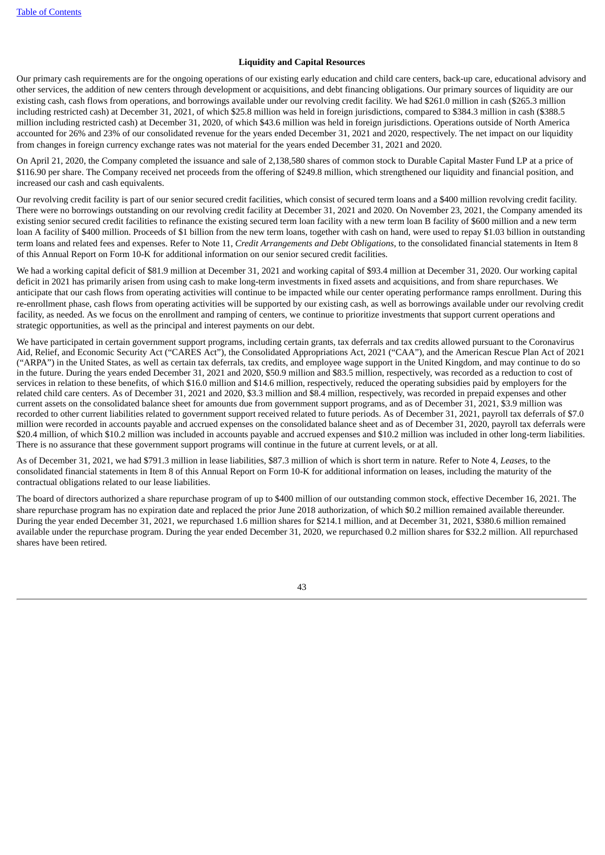# **Liquidity and Capital Resources**

Our primary cash requirements are for the ongoing operations of our existing early education and child care centers, back-up care, educational advisory and other services, the addition of new centers through development or acquisitions, and debt financing obligations. Our primary sources of liquidity are our existing cash, cash flows from operations, and borrowings available under our revolving credit facility. We had \$261.0 million in cash (\$265.3 million including restricted cash) at December 31, 2021, of which \$25.8 million was held in foreign jurisdictions, compared to \$384.3 million in cash (\$388.5 million including restricted cash) at December 31, 2020, of which \$43.6 million was held in foreign jurisdictions. Operations outside of North America accounted for 26% and 23% of our consolidated revenue for the years ended December 31, 2021 and 2020, respectively. The net impact on our liquidity from changes in foreign currency exchange rates was not material for the years ended December 31, 2021 and 2020.

On April 21, 2020, the Company completed the issuance and sale of 2,138,580 shares of common stock to Durable Capital Master Fund LP at a price of \$116.90 per share. The Company received net proceeds from the offering of \$249.8 million, which strengthened our liquidity and financial position, and increased our cash and cash equivalents.

Our revolving credit facility is part of our senior secured credit facilities, which consist of secured term loans and a \$400 million revolving credit facility. There were no borrowings outstanding on our revolving credit facility at December 31, 2021 and 2020. On November 23, 2021, the Company amended its existing senior secured credit facilities to refinance the existing secured term loan facility with a new term loan B facility of \$600 million and a new term loan A facility of \$400 million. Proceeds of \$1 billion from the new term loans, together with cash on hand, were used to repay \$1.03 billion in outstanding term loans and related fees and expenses. Refer to Note 11, *Credit Arrangements and Debt Obligations*, to the consolidated financial statements in Item 8 of this Annual Report on Form 10-K for additional information on our senior secured credit facilities.

We had a working capital deficit of \$81.9 million at December 31, 2021 and working capital of \$93.4 million at December 31, 2020. Our working capital deficit in 2021 has primarily arisen from using cash to make long-term investments in fixed assets and acquisitions, and from share repurchases. We anticipate that our cash flows from operating activities will continue to be impacted while our center operating performance ramps enrollment. During this re-enrollment phase, cash flows from operating activities will be supported by our existing cash, as well as borrowings available under our revolving credit facility, as needed. As we focus on the enrollment and ramping of centers, we continue to prioritize investments that support current operations and strategic opportunities, as well as the principal and interest payments on our debt.

We have participated in certain government support programs, including certain grants, tax deferrals and tax credits allowed pursuant to the Coronavirus Aid, Relief, and Economic Security Act ("CARES Act"), the Consolidated Appropriations Act, 2021 ("CAA"), and the American Rescue Plan Act of 2021 ("ARPA") in the United States, as well as certain tax deferrals, tax credits, and employee wage support in the United Kingdom, and may continue to do so in the future. During the years ended December 31, 2021 and 2020, \$50.9 million and \$83.5 million, respectively, was recorded as a reduction to cost of services in relation to these benefits, of which \$16.0 million and \$14.6 million, respectively, reduced the operating subsidies paid by employers for the related child care centers. As of December 31, 2021 and 2020, \$3.3 million and \$8.4 million, respectively, was recorded in prepaid expenses and other current assets on the consolidated balance sheet for amounts due from government support programs, and as of December 31, 2021, \$3.9 million was recorded to other current liabilities related to government support received related to future periods. As of December 31, 2021, payroll tax deferrals of \$7.0 million were recorded in accounts payable and accrued expenses on the consolidated balance sheet and as of December 31, 2020, payroll tax deferrals were \$20.4 million, of which \$10.2 million was included in accounts payable and accrued expenses and \$10.2 million was included in other long-term liabilities. There is no assurance that these government support programs will continue in the future at current levels, or at all.

As of December 31, 2021, we had \$791.3 million in lease liabilities, \$87.3 million of which is short term in nature. Refer to Note 4, *Leases*, to the consolidated financial statements in Item 8 of this Annual Report on Form 10-K for additional information on leases, including the maturity of the contractual obligations related to our lease liabilities.

The board of directors authorized a share repurchase program of up to \$400 million of our outstanding common stock, effective December 16, 2021. The share repurchase program has no expiration date and replaced the prior June 2018 authorization, of which \$0.2 million remained available thereunder. During the year ended December 31, 2021, we repurchased 1.6 million shares for \$214.1 million, and at December 31, 2021, \$380.6 million remained available under the repurchase program. During the year ended December 31, 2020, we repurchased 0.2 million shares for \$32.2 million. All repurchased shares have been retired.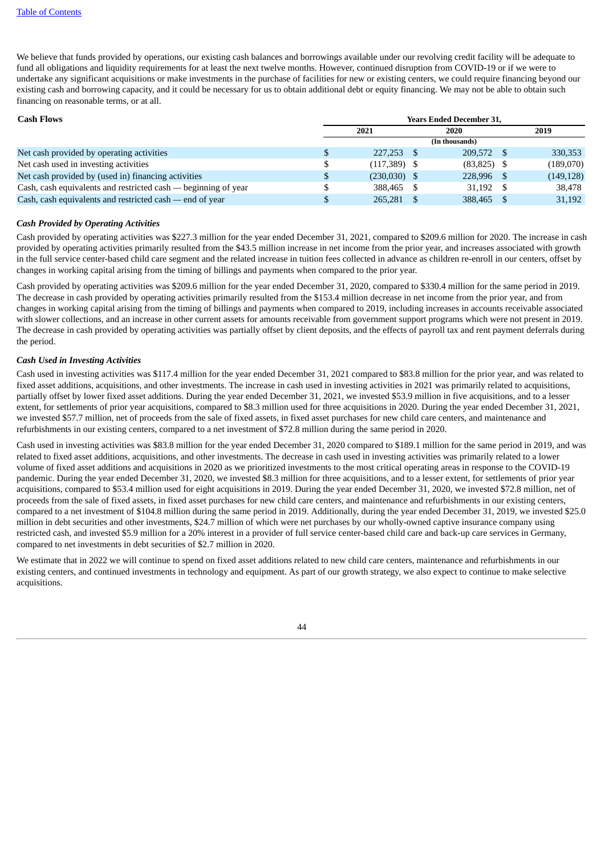We believe that funds provided by operations, our existing cash balances and borrowings available under our revolving credit facility will be adequate to fund all obligations and liquidity requirements for at least the next twelve months. However, continued disruption from COVID-19 or if we were to undertake any significant acquisitions or make investments in the purchase of facilities for new or existing centers, we could require financing beyond our existing cash and borrowing capacity, and it could be necessary for us to obtain additional debt or equity financing. We may not be able to obtain such financing on reasonable terms, or at all.

| <b>Cash Flows</b>                                              | <b>Years Ended December 31.</b> |                |      |                |  |            |  |  |  |  |  |
|----------------------------------------------------------------|---------------------------------|----------------|------|----------------|--|------------|--|--|--|--|--|
|                                                                |                                 | 2021           | 2020 |                |  | 2019       |  |  |  |  |  |
|                                                                |                                 |                |      | (In thousands) |  |            |  |  |  |  |  |
| Net cash provided by operating activities                      |                                 | 227.253        |      | 209.572 \$     |  | 330,353    |  |  |  |  |  |
| Net cash used in investing activities                          |                                 | $(117,389)$ \$ |      | $(83,825)$ \$  |  | (189,070)  |  |  |  |  |  |
| Net cash provided by (used in) financing activities            |                                 | $(230,030)$ \$ |      | 228,996        |  | (149, 128) |  |  |  |  |  |
| Cash, cash equivalents and restricted cash — beginning of year |                                 | 388,465 \$     |      | 31.192         |  | 38,478     |  |  |  |  |  |
| Cash, cash equivalents and restricted cash — end of year       |                                 | 265,281        |      | 388,465        |  | 31.192     |  |  |  |  |  |

#### *Cash Provided by Operating Activities*

Cash provided by operating activities was \$227.3 million for the year ended December 31, 2021, compared to \$209.6 million for 2020. The increase in cash provided by operating activities primarily resulted from the \$43.5 million increase in net income from the prior year, and increases associated with growth in the full service center-based child care segment and the related increase in tuition fees collected in advance as children re-enroll in our centers, offset by changes in working capital arising from the timing of billings and payments when compared to the prior year.

Cash provided by operating activities was \$209.6 million for the year ended December 31, 2020, compared to \$330.4 million for the same period in 2019. The decrease in cash provided by operating activities primarily resulted from the \$153.4 million decrease in net income from the prior year, and from changes in working capital arising from the timing of billings and payments when compared to 2019, including increases in accounts receivable associated with slower collections, and an increase in other current assets for amounts receivable from government support programs which were not present in 2019. The decrease in cash provided by operating activities was partially offset by client deposits, and the effects of payroll tax and rent payment deferrals during the period.

### *Cash Used in Investing Activities*

Cash used in investing activities was \$117.4 million for the year ended December 31, 2021 compared to \$83.8 million for the prior year, and was related to fixed asset additions, acquisitions, and other investments. The increase in cash used in investing activities in 2021 was primarily related to acquisitions, partially offset by lower fixed asset additions. During the year ended December 31, 2021, we invested \$53.9 million in five acquisitions, and to a lesser extent, for settlements of prior year acquisitions, compared to \$8.3 million used for three acquisitions in 2020. During the year ended December 31, 2021, we invested \$57.7 million, net of proceeds from the sale of fixed assets, in fixed asset purchases for new child care centers, and maintenance and refurbishments in our existing centers, compared to a net investment of \$72.8 million during the same period in 2020.

Cash used in investing activities was \$83.8 million for the year ended December 31, 2020 compared to \$189.1 million for the same period in 2019, and was related to fixed asset additions, acquisitions, and other investments. The decrease in cash used in investing activities was primarily related to a lower volume of fixed asset additions and acquisitions in 2020 as we prioritized investments to the most critical operating areas in response to the COVID-19 pandemic. During the year ended December 31, 2020, we invested \$8.3 million for three acquisitions, and to a lesser extent, for settlements of prior year acquisitions, compared to \$53.4 million used for eight acquisitions in 2019. During the year ended December 31, 2020, we invested \$72.8 million, net of proceeds from the sale of fixed assets, in fixed asset purchases for new child care centers, and maintenance and refurbishments in our existing centers, compared to a net investment of \$104.8 million during the same period in 2019. Additionally, during the year ended December 31, 2019, we invested \$25.0 million in debt securities and other investments, \$24.7 million of which were net purchases by our wholly-owned captive insurance company using restricted cash, and invested \$5.9 million for a 20% interest in a provider of full service center-based child care and back-up care services in Germany, compared to net investments in debt securities of \$2.7 million in 2020.

We estimate that in 2022 we will continue to spend on fixed asset additions related to new child care centers, maintenance and refurbishments in our existing centers, and continued investments in technology and equipment. As part of our growth strategy, we also expect to continue to make selective acquisitions.

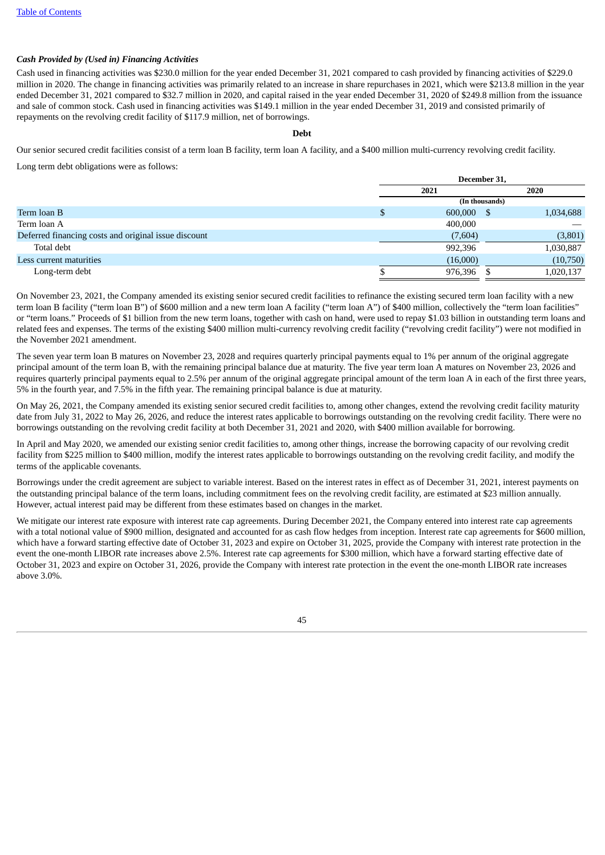# *Cash Provided by (Used in) Financing Activities*

Cash used in financing activities was \$230.0 million for the year ended December 31, 2021 compared to cash provided by financing activities of \$229.0 million in 2020. The change in financing activities was primarily related to an increase in share repurchases in 2021, which were \$213.8 million in the year ended December 31, 2021 compared to \$32.7 million in 2020, and capital raised in the year ended December 31, 2020 of \$249.8 million from the issuance and sale of common stock. Cash used in financing activities was \$149.1 million in the year ended December 31, 2019 and consisted primarily of repayments on the revolving credit facility of \$117.9 million, net of borrowings.

#### **Debt**

Our senior secured credit facilities consist of a term loan B facility, term loan A facility, and a \$400 million multi-currency revolving credit facility.

Long term debt obligations were as follows:

|                                                      | December 31, |            |                |           |  |  |
|------------------------------------------------------|--------------|------------|----------------|-----------|--|--|
|                                                      |              | 2021       |                | 2020      |  |  |
|                                                      |              |            | (In thousands) |           |  |  |
| Term loan B                                          | S            | 600,000 \$ |                | 1,034,688 |  |  |
| Term loan A                                          |              | 400,000    |                |           |  |  |
| Deferred financing costs and original issue discount |              | (7,604)    |                | (3,801)   |  |  |
| Total debt                                           |              | 992,396    |                | 1,030,887 |  |  |
| Less current maturities                              |              | (16,000)   |                | (10,750)  |  |  |
| Long-term debt                                       |              | 976,396    |                | 1,020,137 |  |  |

On November 23, 2021, the Company amended its existing senior secured credit facilities to refinance the existing secured term loan facility with a new term loan B facility ("term loan B") of \$600 million and a new term loan A facility ("term loan A") of \$400 million, collectively the "term loan facilities" or "term loans." Proceeds of \$1 billion from the new term loans, together with cash on hand, were used to repay \$1.03 billion in outstanding term loans and related fees and expenses. The terms of the existing \$400 million multi-currency revolving credit facility ("revolving credit facility") were not modified in the November 2021 amendment.

The seven year term loan B matures on November 23, 2028 and requires quarterly principal payments equal to 1% per annum of the original aggregate principal amount of the term loan B, with the remaining principal balance due at maturity. The five year term loan A matures on November 23, 2026 and requires quarterly principal payments equal to 2.5% per annum of the original aggregate principal amount of the term loan A in each of the first three years, 5% in the fourth year, and 7.5% in the fifth year. The remaining principal balance is due at maturity.

On May 26, 2021, the Company amended its existing senior secured credit facilities to, among other changes, extend the revolving credit facility maturity date from July 31, 2022 to May 26, 2026, and reduce the interest rates applicable to borrowings outstanding on the revolving credit facility. There were no borrowings outstanding on the revolving credit facility at both December 31, 2021 and 2020, with \$400 million available for borrowing.

In April and May 2020, we amended our existing senior credit facilities to, among other things, increase the borrowing capacity of our revolving credit facility from \$225 million to \$400 million, modify the interest rates applicable to borrowings outstanding on the revolving credit facility, and modify the terms of the applicable covenants.

Borrowings under the credit agreement are subject to variable interest. Based on the interest rates in effect as of December 31, 2021, interest payments on the outstanding principal balance of the term loans, including commitment fees on the revolving credit facility, are estimated at \$23 million annually. However, actual interest paid may be different from these estimates based on changes in the market.

We mitigate our interest rate exposure with interest rate cap agreements. During December 2021, the Company entered into interest rate cap agreements with a total notional value of \$900 million, designated and accounted for as cash flow hedges from inception. Interest rate cap agreements for \$600 million, which have a forward starting effective date of October 31, 2023 and expire on October 31, 2025, provide the Company with interest rate protection in the event the one-month LIBOR rate increases above 2.5%. Interest rate cap agreements for \$300 million, which have a forward starting effective date of October 31, 2023 and expire on October 31, 2026, provide the Company with interest rate protection in the event the one-month LIBOR rate increases above 3.0%.

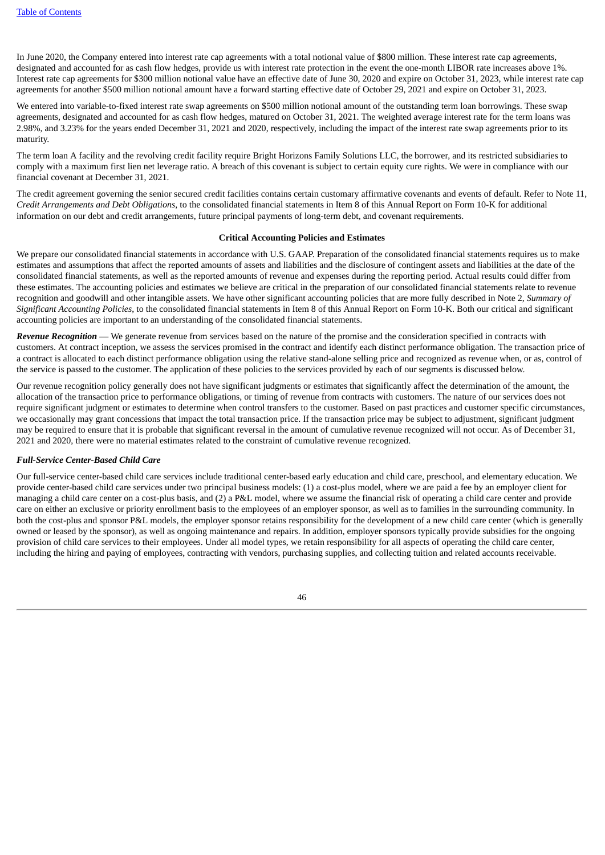In June 2020, the Company entered into interest rate cap agreements with a total notional value of \$800 million. These interest rate cap agreements, designated and accounted for as cash flow hedges, provide us with interest rate protection in the event the one-month LIBOR rate increases above 1%. Interest rate cap agreements for \$300 million notional value have an effective date of June 30, 2020 and expire on October 31, 2023, while interest rate cap agreements for another \$500 million notional amount have a forward starting effective date of October 29, 2021 and expire on October 31, 2023.

We entered into variable-to-fixed interest rate swap agreements on \$500 million notional amount of the outstanding term loan borrowings. These swap agreements, designated and accounted for as cash flow hedges, matured on October 31, 2021. The weighted average interest rate for the term loans was 2.98%, and 3.23% for the years ended December 31, 2021 and 2020, respectively, including the impact of the interest rate swap agreements prior to its maturity.

The term loan A facility and the revolving credit facility require Bright Horizons Family Solutions LLC, the borrower, and its restricted subsidiaries to comply with a maximum first lien net leverage ratio. A breach of this covenant is subject to certain equity cure rights. We were in compliance with our financial covenant at December 31, 2021.

The credit agreement governing the senior secured credit facilities contains certain customary affirmative covenants and events of default. Refer to Note 11, *Credit Arrangements and Debt Obligations*, to the consolidated financial statements in Item 8 of this Annual Report on Form 10-K for additional information on our debt and credit arrangements, future principal payments of long-term debt, and covenant requirements.

#### **Critical Accounting Policies and Estimates**

We prepare our consolidated financial statements in accordance with U.S. GAAP. Preparation of the consolidated financial statements requires us to make estimates and assumptions that affect the reported amounts of assets and liabilities and the disclosure of contingent assets and liabilities at the date of the consolidated financial statements, as well as the reported amounts of revenue and expenses during the reporting period. Actual results could differ from these estimates. The accounting policies and estimates we believe are critical in the preparation of our consolidated financial statements relate to revenue recognition and goodwill and other intangible assets. We have other significant accounting policies that are more fully described in Note 2, *Summary of Significant Accounting Policies*, to the consolidated financial statements in Item 8 of this Annual Report on Form 10-K. Both our critical and significant accounting policies are important to an understanding of the consolidated financial statements.

*Revenue Recognition* — We generate revenue from services based on the nature of the promise and the consideration specified in contracts with customers. At contract inception, we assess the services promised in the contract and identify each distinct performance obligation. The transaction price of a contract is allocated to each distinct performance obligation using the relative stand-alone selling price and recognized as revenue when, or as, control of the service is passed to the customer. The application of these policies to the services provided by each of our segments is discussed below.

Our revenue recognition policy generally does not have significant judgments or estimates that significantly affect the determination of the amount, the allocation of the transaction price to performance obligations, or timing of revenue from contracts with customers. The nature of our services does not require significant judgment or estimates to determine when control transfers to the customer. Based on past practices and customer specific circumstances, we occasionally may grant concessions that impact the total transaction price. If the transaction price may be subject to adjustment, significant judgment may be required to ensure that it is probable that significant reversal in the amount of cumulative revenue recognized will not occur. As of December 31, 2021 and 2020, there were no material estimates related to the constraint of cumulative revenue recognized.

# *Full-Service Center-Based Child Care*

Our full-service center-based child care services include traditional center-based early education and child care, preschool, and elementary education. We provide center-based child care services under two principal business models: (1) a cost-plus model, where we are paid a fee by an employer client for managing a child care center on a cost-plus basis, and (2) a P&L model, where we assume the financial risk of operating a child care center and provide care on either an exclusive or priority enrollment basis to the employees of an employer sponsor, as well as to families in the surrounding community. In both the cost-plus and sponsor P&L models, the employer sponsor retains responsibility for the development of a new child care center (which is generally owned or leased by the sponsor), as well as ongoing maintenance and repairs. In addition, employer sponsors typically provide subsidies for the ongoing provision of child care services to their employees. Under all model types, we retain responsibility for all aspects of operating the child care center, including the hiring and paying of employees, contracting with vendors, purchasing supplies, and collecting tuition and related accounts receivable.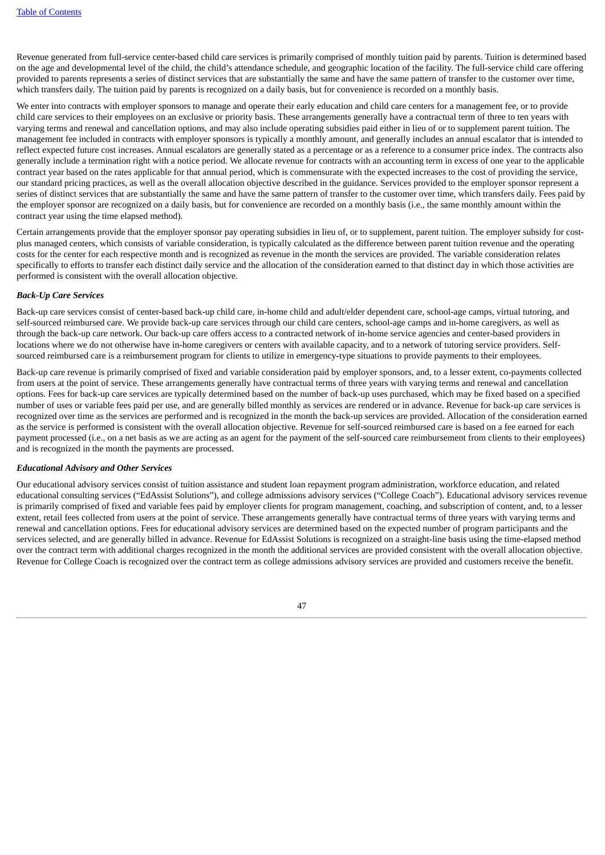Revenue generated from full-service center-based child care services is primarily comprised of monthly tuition paid by parents. Tuition is determined based on the age and developmental level of the child, the child's attendance schedule, and geographic location of the facility. The full-service child care offering provided to parents represents a series of distinct services that are substantially the same and have the same pattern of transfer to the customer over time, which transfers daily. The tuition paid by parents is recognized on a daily basis, but for convenience is recorded on a monthly basis.

We enter into contracts with employer sponsors to manage and operate their early education and child care centers for a management fee, or to provide child care services to their employees on an exclusive or priority basis. These arrangements generally have a contractual term of three to ten years with varying terms and renewal and cancellation options, and may also include operating subsidies paid either in lieu of or to supplement parent tuition. The management fee included in contracts with employer sponsors is typically a monthly amount, and generally includes an annual escalator that is intended to reflect expected future cost increases. Annual escalators are generally stated as a percentage or as a reference to a consumer price index. The contracts also generally include a termination right with a notice period. We allocate revenue for contracts with an accounting term in excess of one year to the applicable contract year based on the rates applicable for that annual period, which is commensurate with the expected increases to the cost of providing the service, our standard pricing practices, as well as the overall allocation objective described in the guidance. Services provided to the employer sponsor represent a series of distinct services that are substantially the same and have the same pattern of transfer to the customer over time, which transfers daily. Fees paid by the employer sponsor are recognized on a daily basis, but for convenience are recorded on a monthly basis (i.e., the same monthly amount within the contract year using the time elapsed method).

Certain arrangements provide that the employer sponsor pay operating subsidies in lieu of, or to supplement, parent tuition. The employer subsidy for costplus managed centers, which consists of variable consideration, is typically calculated as the difference between parent tuition revenue and the operating costs for the center for each respective month and is recognized as revenue in the month the services are provided. The variable consideration relates specifically to efforts to transfer each distinct daily service and the allocation of the consideration earned to that distinct day in which those activities are performed is consistent with the overall allocation objective.

#### *Back-Up Care Services*

Back-up care services consist of center-based back-up child care, in-home child and adult/elder dependent care, school-age camps, virtual tutoring, and self-sourced reimbursed care. We provide back-up care services through our child care centers, school-age camps and in-home caregivers, as well as through the back-up care network. Our back-up care offers access to a contracted network of in-home service agencies and center-based providers in locations where we do not otherwise have in-home caregivers or centers with available capacity, and to a network of tutoring service providers. Selfsourced reimbursed care is a reimbursement program for clients to utilize in emergency-type situations to provide payments to their employees.

Back-up care revenue is primarily comprised of fixed and variable consideration paid by employer sponsors, and, to a lesser extent, co-payments collected from users at the point of service. These arrangements generally have contractual terms of three years with varying terms and renewal and cancellation options. Fees for back-up care services are typically determined based on the number of back-up uses purchased, which may be fixed based on a specified number of uses or variable fees paid per use, and are generally billed monthly as services are rendered or in advance. Revenue for back-up care services is recognized over time as the services are performed and is recognized in the month the back-up services are provided. Allocation of the consideration earned as the service is performed is consistent with the overall allocation objective. Revenue for self-sourced reimbursed care is based on a fee earned for each payment processed (i.e., on a net basis as we are acting as an agent for the payment of the self-sourced care reimbursement from clients to their employees) and is recognized in the month the payments are processed.

#### *Educational Advisory and Other Services*

Our educational advisory services consist of tuition assistance and student loan repayment program administration, workforce education, and related educational consulting services ("EdAssist Solutions"), and college admissions advisory services ("College Coach"). Educational advisory services revenue is primarily comprised of fixed and variable fees paid by employer clients for program management, coaching, and subscription of content, and, to a lesser extent, retail fees collected from users at the point of service. These arrangements generally have contractual terms of three years with varying terms and renewal and cancellation options. Fees for educational advisory services are determined based on the expected number of program participants and the services selected, and are generally billed in advance. Revenue for EdAssist Solutions is recognized on a straight-line basis using the time-elapsed method over the contract term with additional charges recognized in the month the additional services are provided consistent with the overall allocation objective. Revenue for College Coach is recognized over the contract term as college admissions advisory services are provided and customers receive the benefit.

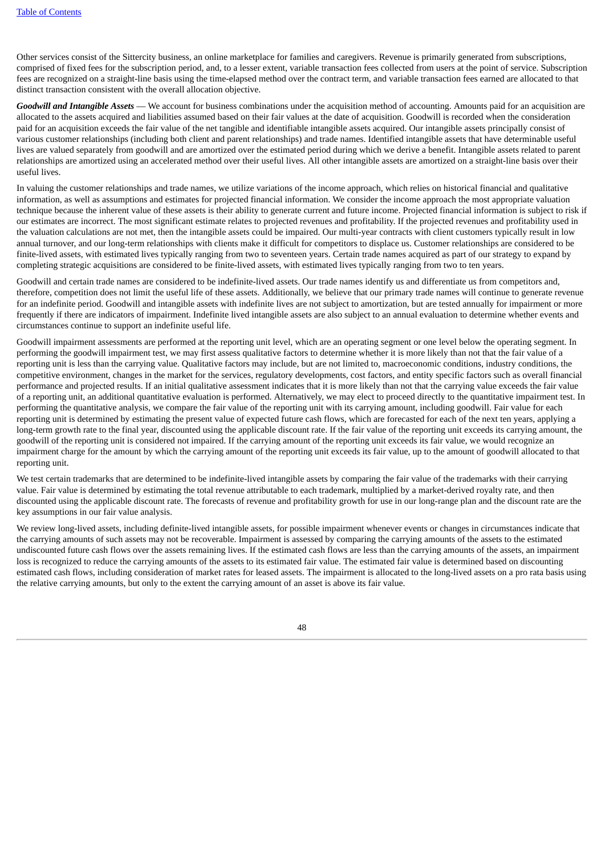Other services consist of the Sittercity business, an online marketplace for families and caregivers. Revenue is primarily generated from subscriptions, comprised of fixed fees for the subscription period, and, to a lesser extent, variable transaction fees collected from users at the point of service. Subscription fees are recognized on a straight-line basis using the time-elapsed method over the contract term, and variable transaction fees earned are allocated to that distinct transaction consistent with the overall allocation objective.

*Goodwill and Intangible Assets* — We account for business combinations under the acquisition method of accounting. Amounts paid for an acquisition are allocated to the assets acquired and liabilities assumed based on their fair values at the date of acquisition. Goodwill is recorded when the consideration paid for an acquisition exceeds the fair value of the net tangible and identifiable intangible assets acquired. Our intangible assets principally consist of various customer relationships (including both client and parent relationships) and trade names. Identified intangible assets that have determinable useful lives are valued separately from goodwill and are amortized over the estimated period during which we derive a benefit. Intangible assets related to parent relationships are amortized using an accelerated method over their useful lives. All other intangible assets are amortized on a straight-line basis over their useful lives.

In valuing the customer relationships and trade names, we utilize variations of the income approach, which relies on historical financial and qualitative information, as well as assumptions and estimates for projected financial information. We consider the income approach the most appropriate valuation technique because the inherent value of these assets is their ability to generate current and future income. Projected financial information is subject to risk if our estimates are incorrect. The most significant estimate relates to projected revenues and profitability. If the projected revenues and profitability used in the valuation calculations are not met, then the intangible assets could be impaired. Our multi-year contracts with client customers typically result in low annual turnover, and our long-term relationships with clients make it difficult for competitors to displace us. Customer relationships are considered to be finite-lived assets, with estimated lives typically ranging from two to seventeen years. Certain trade names acquired as part of our strategy to expand by completing strategic acquisitions are considered to be finite-lived assets, with estimated lives typically ranging from two to ten years.

Goodwill and certain trade names are considered to be indefinite-lived assets. Our trade names identify us and differentiate us from competitors and, therefore, competition does not limit the useful life of these assets. Additionally, we believe that our primary trade names will continue to generate revenue for an indefinite period. Goodwill and intangible assets with indefinite lives are not subject to amortization, but are tested annually for impairment or more frequently if there are indicators of impairment. Indefinite lived intangible assets are also subject to an annual evaluation to determine whether events and circumstances continue to support an indefinite useful life.

Goodwill impairment assessments are performed at the reporting unit level, which are an operating segment or one level below the operating segment. In performing the goodwill impairment test, we may first assess qualitative factors to determine whether it is more likely than not that the fair value of a reporting unit is less than the carrying value. Qualitative factors may include, but are not limited to, macroeconomic conditions, industry conditions, the competitive environment, changes in the market for the services, regulatory developments, cost factors, and entity specific factors such as overall financial performance and projected results. If an initial qualitative assessment indicates that it is more likely than not that the carrying value exceeds the fair value of a reporting unit, an additional quantitative evaluation is performed. Alternatively, we may elect to proceed directly to the quantitative impairment test. In performing the quantitative analysis, we compare the fair value of the reporting unit with its carrying amount, including goodwill. Fair value for each reporting unit is determined by estimating the present value of expected future cash flows, which are forecasted for each of the next ten years, applying a long-term growth rate to the final year, discounted using the applicable discount rate. If the fair value of the reporting unit exceeds its carrying amount, the goodwill of the reporting unit is considered not impaired. If the carrying amount of the reporting unit exceeds its fair value, we would recognize an impairment charge for the amount by which the carrying amount of the reporting unit exceeds its fair value, up to the amount of goodwill allocated to that reporting unit.

We test certain trademarks that are determined to be indefinite-lived intangible assets by comparing the fair value of the trademarks with their carrying value. Fair value is determined by estimating the total revenue attributable to each trademark, multiplied by a market-derived royalty rate, and then discounted using the applicable discount rate. The forecasts of revenue and profitability growth for use in our long-range plan and the discount rate are the key assumptions in our fair value analysis.

We review long-lived assets, including definite-lived intangible assets, for possible impairment whenever events or changes in circumstances indicate that the carrying amounts of such assets may not be recoverable. Impairment is assessed by comparing the carrying amounts of the assets to the estimated undiscounted future cash flows over the assets remaining lives. If the estimated cash flows are less than the carrying amounts of the assets, an impairment loss is recognized to reduce the carrying amounts of the assets to its estimated fair value. The estimated fair value is determined based on discounting estimated cash flows, including consideration of market rates for leased assets. The impairment is allocated to the long-lived assets on a pro rata basis using the relative carrying amounts, but only to the extent the carrying amount of an asset is above its fair value.

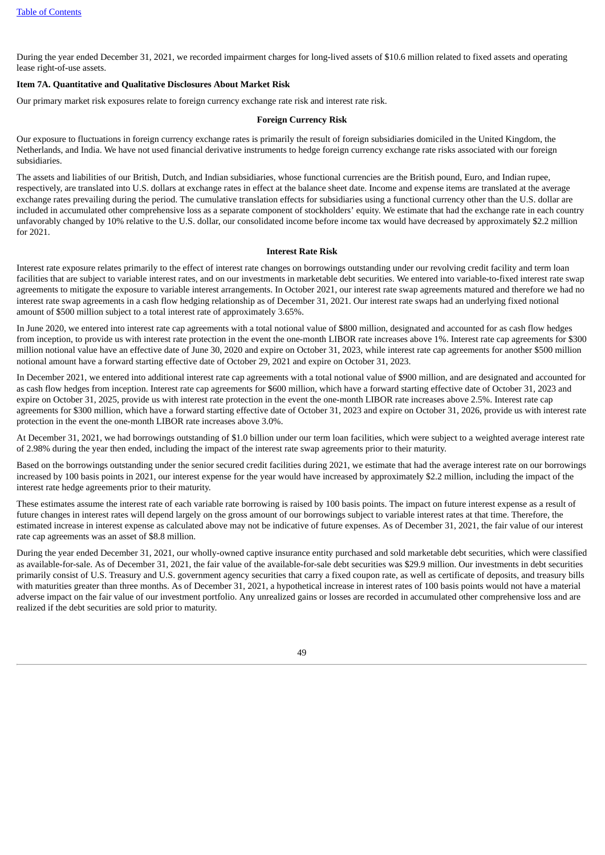During the year ended December 31, 2021, we recorded impairment charges for long-lived assets of \$10.6 million related to fixed assets and operating lease right-of-use assets.

# **Item 7A. Quantitative and Qualitative Disclosures About Market Risk**

Our primary market risk exposures relate to foreign currency exchange rate risk and interest rate risk.

#### **Foreign Currency Risk**

Our exposure to fluctuations in foreign currency exchange rates is primarily the result of foreign subsidiaries domiciled in the United Kingdom, the Netherlands, and India. We have not used financial derivative instruments to hedge foreign currency exchange rate risks associated with our foreign subsidiaries.

The assets and liabilities of our British, Dutch, and Indian subsidiaries, whose functional currencies are the British pound, Euro, and Indian rupee, respectively, are translated into U.S. dollars at exchange rates in effect at the balance sheet date. Income and expense items are translated at the average exchange rates prevailing during the period. The cumulative translation effects for subsidiaries using a functional currency other than the U.S. dollar are included in accumulated other comprehensive loss as a separate component of stockholders' equity. We estimate that had the exchange rate in each country unfavorably changed by 10% relative to the U.S. dollar, our consolidated income before income tax would have decreased by approximately \$2.2 million for 2021.

#### **Interest Rate Risk**

Interest rate exposure relates primarily to the effect of interest rate changes on borrowings outstanding under our revolving credit facility and term loan facilities that are subject to variable interest rates, and on our investments in marketable debt securities. We entered into variable-to-fixed interest rate swap agreements to mitigate the exposure to variable interest arrangements. In October 2021, our interest rate swap agreements matured and therefore we had no interest rate swap agreements in a cash flow hedging relationship as of December 31, 2021. Our interest rate swaps had an underlying fixed notional amount of \$500 million subject to a total interest rate of approximately 3.65%.

In June 2020, we entered into interest rate cap agreements with a total notional value of \$800 million, designated and accounted for as cash flow hedges from inception, to provide us with interest rate protection in the event the one-month LIBOR rate increases above 1%. Interest rate cap agreements for \$300 million notional value have an effective date of June 30, 2020 and expire on October 31, 2023, while interest rate cap agreements for another \$500 million notional amount have a forward starting effective date of October 29, 2021 and expire on October 31, 2023.

In December 2021, we entered into additional interest rate cap agreements with a total notional value of \$900 million, and are designated and accounted for as cash flow hedges from inception. Interest rate cap agreements for \$600 million, which have a forward starting effective date of October 31, 2023 and expire on October 31, 2025, provide us with interest rate protection in the event the one-month LIBOR rate increases above 2.5%. Interest rate cap agreements for \$300 million, which have a forward starting effective date of October 31, 2023 and expire on October 31, 2026, provide us with interest rate protection in the event the one-month LIBOR rate increases above 3.0%.

At December 31, 2021, we had borrowings outstanding of \$1.0 billion under our term loan facilities, which were subject to a weighted average interest rate of 2.98% during the year then ended, including the impact of the interest rate swap agreements prior to their maturity.

Based on the borrowings outstanding under the senior secured credit facilities during 2021, we estimate that had the average interest rate on our borrowings increased by 100 basis points in 2021, our interest expense for the year would have increased by approximately \$2.2 million, including the impact of the interest rate hedge agreements prior to their maturity.

These estimates assume the interest rate of each variable rate borrowing is raised by 100 basis points. The impact on future interest expense as a result of future changes in interest rates will depend largely on the gross amount of our borrowings subject to variable interest rates at that time. Therefore, the estimated increase in interest expense as calculated above may not be indicative of future expenses. As of December 31, 2021, the fair value of our interest rate cap agreements was an asset of \$8.8 million.

During the year ended December 31, 2021, our wholly-owned captive insurance entity purchased and sold marketable debt securities, which were classified as available-for-sale. As of December 31, 2021, the fair value of the available-for-sale debt securities was \$29.9 million. Our investments in debt securities primarily consist of U.S. Treasury and U.S. government agency securities that carry a fixed coupon rate, as well as certificate of deposits, and treasury bills with maturities greater than three months. As of December 31, 2021, a hypothetical increase in interest rates of 100 basis points would not have a material adverse impact on the fair value of our investment portfolio. Any unrealized gains or losses are recorded in accumulated other comprehensive loss and are realized if the debt securities are sold prior to maturity.

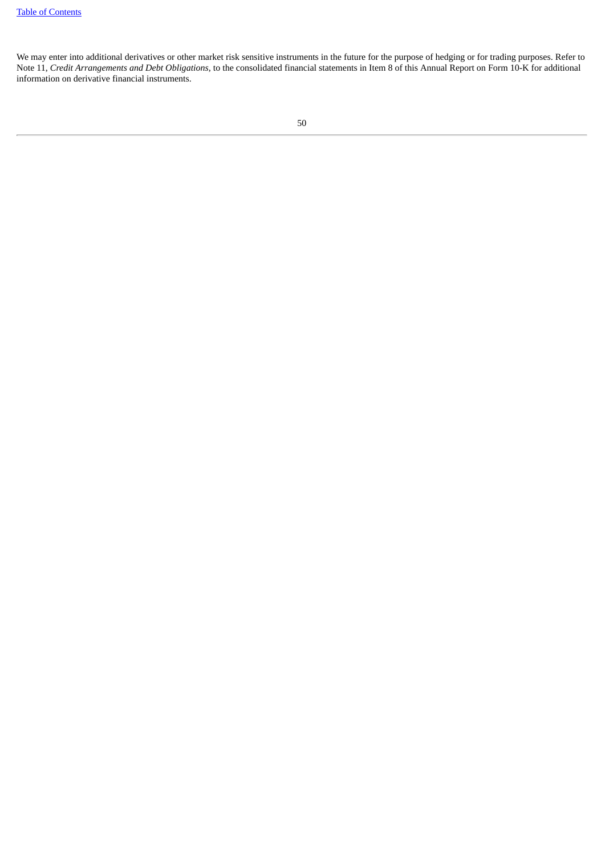We may enter into additional derivatives or other market risk sensitive instruments in the future for the purpose of hedging or for trading purposes. Refer to Note 11, *Credit Arrangements and Debt Obligations,* to the consolidated financial statements in Item 8 of this Annual Report on Form 10-K for additional information on derivative financial instruments.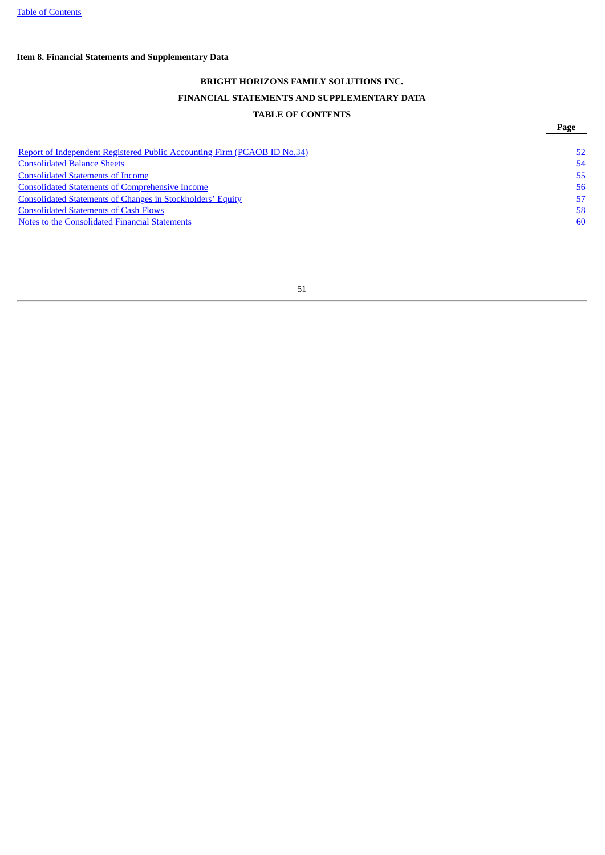# **Item 8. Financial Statements and Supplementary Data**

# **BRIGHT HORIZONS FAMILY SOLUTIONS INC. FINANCIAL STATEMENTS AND SUPPLEMENTARY DATA TABLE OF CONTENTS**

<span id="page-50-0"></span>

| Report of Independent Registered Public Accounting Firm (PCAOB ID No.34) | 52 |
|--------------------------------------------------------------------------|----|
| <b>Consolidated Balance Sheets</b>                                       | 54 |
| <b>Consolidated Statements of Income</b>                                 | 55 |
| <b>Consolidated Statements of Comprehensive Income</b>                   | 56 |
| <b>Consolidated Statements of Changes in Stockholders' Equity</b>        | 57 |
| <b>Consolidated Statements of Cash Flows</b>                             | 58 |
| Notes to the Consolidated Financial Statements                           | 60 |
|                                                                          |    |

# 51

**Page**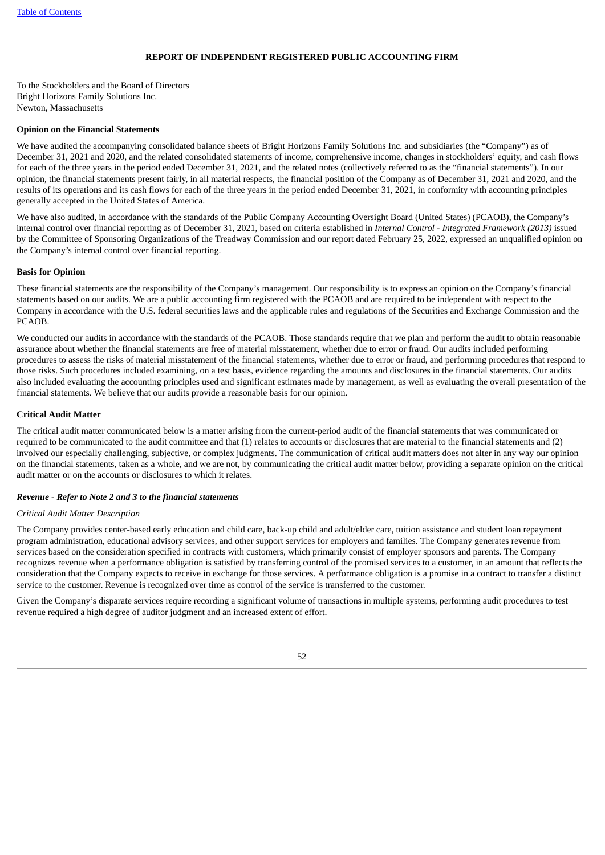# **REPORT OF INDEPENDENT REGISTERED PUBLIC ACCOUNTING FIRM**

To the Stockholders and the Board of Directors Bright Horizons Family Solutions Inc. Newton, Massachusetts

#### **Opinion on the Financial Statements**

We have audited the accompanying consolidated balance sheets of Bright Horizons Family Solutions Inc. and subsidiaries (the "Company") as of December 31, 2021 and 2020, and the related consolidated statements of income, comprehensive income, changes in stockholders' equity, and cash flows for each of the three years in the period ended December 31, 2021, and the related notes (collectively referred to as the "financial statements"). In our opinion, the financial statements present fairly, in all material respects, the financial position of the Company as of December 31, 2021 and 2020, and the results of its operations and its cash flows for each of the three years in the period ended December 31, 2021, in conformity with accounting principles generally accepted in the United States of America.

We have also audited, in accordance with the standards of the Public Company Accounting Oversight Board (United States) (PCAOB), the Company's internal control over financial reporting as of December 31, 2021, based on criteria established in *Internal Control - Integrated Framework (2013)* issued by the Committee of Sponsoring Organizations of the Treadway Commission and our report dated February 25, 2022, expressed an unqualified opinion on the Company's internal control over financial reporting.

#### **Basis for Opinion**

These financial statements are the responsibility of the Company's management. Our responsibility is to express an opinion on the Company's financial statements based on our audits. We are a public accounting firm registered with the PCAOB and are required to be independent with respect to the Company in accordance with the U.S. federal securities laws and the applicable rules and regulations of the Securities and Exchange Commission and the PCAOB.

We conducted our audits in accordance with the standards of the PCAOB. Those standards require that we plan and perform the audit to obtain reasonable assurance about whether the financial statements are free of material misstatement, whether due to error or fraud. Our audits included performing procedures to assess the risks of material misstatement of the financial statements, whether due to error or fraud, and performing procedures that respond to those risks. Such procedures included examining, on a test basis, evidence regarding the amounts and disclosures in the financial statements. Our audits also included evaluating the accounting principles used and significant estimates made by management, as well as evaluating the overall presentation of the financial statements. We believe that our audits provide a reasonable basis for our opinion.

#### **Critical Audit Matter**

The critical audit matter communicated below is a matter arising from the current-period audit of the financial statements that was communicated or required to be communicated to the audit committee and that (1) relates to accounts or disclosures that are material to the financial statements and (2) involved our especially challenging, subjective, or complex judgments. The communication of critical audit matters does not alter in any way our opinion on the financial statements, taken as a whole, and we are not, by communicating the critical audit matter below, providing a separate opinion on the critical audit matter or on the accounts or disclosures to which it relates.

#### *Revenue - Refer to Note 2 and 3 to the financial statements*

#### *Critical Audit Matter Description*

The Company provides center-based early education and child care, back-up child and adult/elder care, tuition assistance and student loan repayment program administration, educational advisory services, and other support services for employers and families. The Company generates revenue from services based on the consideration specified in contracts with customers, which primarily consist of employer sponsors and parents. The Company recognizes revenue when a performance obligation is satisfied by transferring control of the promised services to a customer, in an amount that reflects the consideration that the Company expects to receive in exchange for those services. A performance obligation is a promise in a contract to transfer a distinct service to the customer. Revenue is recognized over time as control of the service is transferred to the customer.

Given the Company's disparate services require recording a significant volume of transactions in multiple systems, performing audit procedures to test revenue required a high degree of auditor judgment and an increased extent of effort.

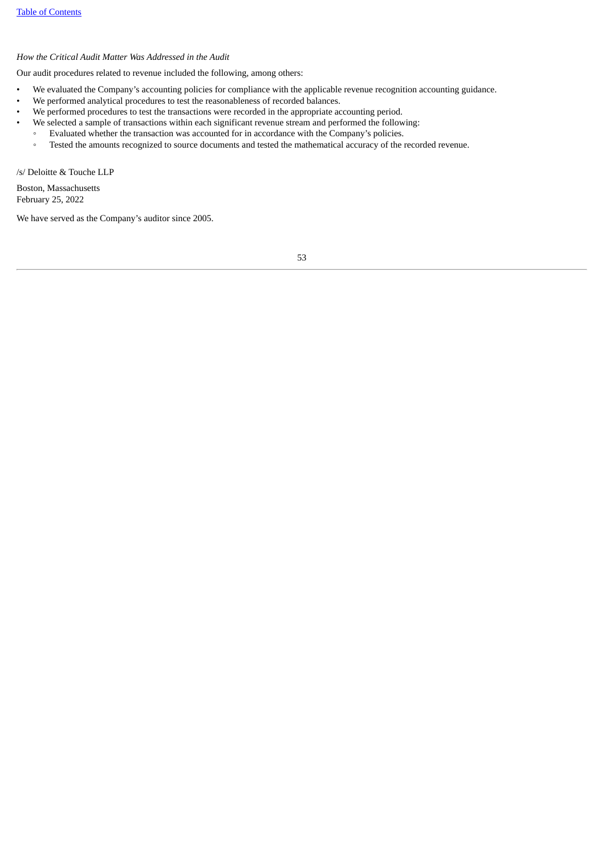# *How the Critical Audit Matter Was Addressed in the Audit*

Our audit procedures related to revenue included the following, among others:

- We evaluated the Company's accounting policies for compliance with the applicable revenue recognition accounting guidance.
- We performed analytical procedures to test the reasonableness of recorded balances.
- We performed procedures to test the transactions were recorded in the appropriate accounting period.
- We selected a sample of transactions within each significant revenue stream and performed the following:
	- Evaluated whether the transaction was accounted for in accordance with the Company's policies.
		- Tested the amounts recognized to source documents and tested the mathematical accuracy of the recorded revenue.

/s/ Deloitte & Touche LLP

Boston, Massachusetts February 25, 2022

<span id="page-52-0"></span>We have served as the Company's auditor since 2005.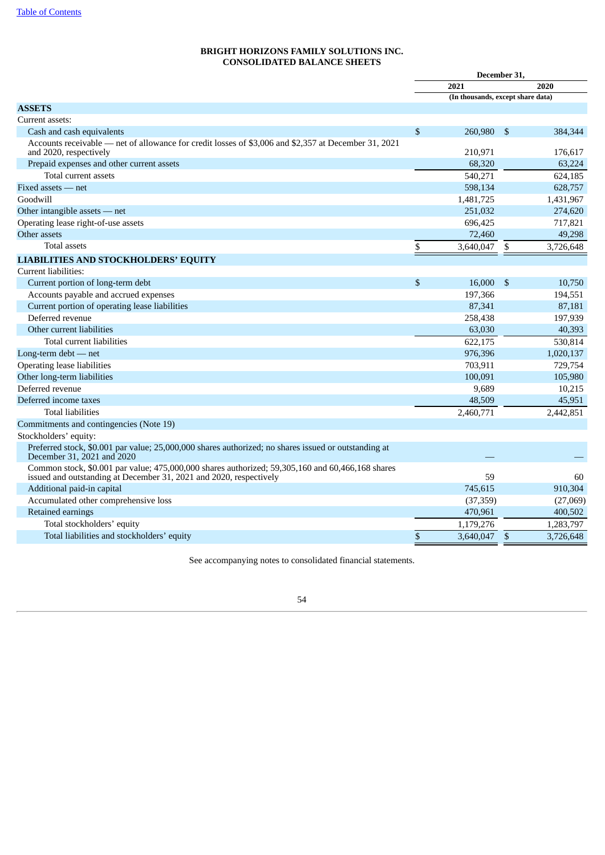# **BRIGHT HORIZONS FAMILY SOLUTIONS INC. CONSOLIDATED BALANCE SHEETS**

|                                                                                                                                                                        | December 31, |                                   |                |           |  |  |
|------------------------------------------------------------------------------------------------------------------------------------------------------------------------|--------------|-----------------------------------|----------------|-----------|--|--|
|                                                                                                                                                                        | 2021<br>2020 |                                   |                |           |  |  |
|                                                                                                                                                                        |              | (In thousands, except share data) |                |           |  |  |
| <b>ASSETS</b>                                                                                                                                                          |              |                                   |                |           |  |  |
| Current assets:                                                                                                                                                        |              |                                   |                |           |  |  |
| Cash and cash equivalents                                                                                                                                              | \$           | 260,980                           | -\$            | 384,344   |  |  |
| Accounts receivable - net of allowance for credit losses of \$3,006 and \$2,357 at December 31, 2021<br>and 2020, respectively                                         |              | 210,971                           |                | 176,617   |  |  |
| Prepaid expenses and other current assets                                                                                                                              |              | 68,320                            |                | 63,224    |  |  |
| Total current assets                                                                                                                                                   |              | 540,271                           |                | 624,185   |  |  |
| Fixed assets — net                                                                                                                                                     |              | 598,134                           |                | 628,757   |  |  |
| Goodwill                                                                                                                                                               |              | 1,481,725                         |                | 1,431,967 |  |  |
| Other intangible assets - net                                                                                                                                          |              | 251,032                           |                | 274,620   |  |  |
| Operating lease right-of-use assets                                                                                                                                    |              | 696,425                           |                | 717,821   |  |  |
| Other assets                                                                                                                                                           |              | 72,460                            |                | 49,298    |  |  |
| <b>Total assets</b>                                                                                                                                                    | \$           | 3,640,047                         | \$             | 3,726,648 |  |  |
| <b>LIABILITIES AND STOCKHOLDERS' EQUITY</b>                                                                                                                            |              |                                   |                |           |  |  |
| Current liabilities:                                                                                                                                                   |              |                                   |                |           |  |  |
| Current portion of long-term debt                                                                                                                                      | \$           | 16,000                            | \$             | 10,750    |  |  |
| Accounts payable and accrued expenses                                                                                                                                  |              | 197,366                           |                | 194,551   |  |  |
| Current portion of operating lease liabilities                                                                                                                         |              | 87,341                            |                | 87,181    |  |  |
| Deferred revenue                                                                                                                                                       |              | 258,438                           |                | 197,939   |  |  |
| Other current liabilities                                                                                                                                              |              | 63,030                            |                | 40,393    |  |  |
| Total current liabilities                                                                                                                                              |              | 622,175                           |                | 530,814   |  |  |
| Long-term $debt$ - net                                                                                                                                                 |              | 976,396                           |                | 1,020,137 |  |  |
| <b>Operating lease liabilities</b>                                                                                                                                     |              | 703,911                           |                | 729,754   |  |  |
| Other long-term liabilities                                                                                                                                            |              | 100,091                           |                | 105,980   |  |  |
| Deferred revenue                                                                                                                                                       |              | 9,689                             |                | 10,215    |  |  |
| Deferred income taxes                                                                                                                                                  |              | 48,509                            |                | 45,951    |  |  |
| <b>Total liabilities</b>                                                                                                                                               |              | 2,460,771                         |                | 2,442,851 |  |  |
| Commitments and contingencies (Note 19)                                                                                                                                |              |                                   |                |           |  |  |
| Stockholders' equity:                                                                                                                                                  |              |                                   |                |           |  |  |
| Preferred stock, \$0.001 par value; 25,000,000 shares authorized; no shares issued or outstanding at<br>December 31, 2021 and 2020                                     |              |                                   |                |           |  |  |
| Common stock, \$0.001 par value; 475,000,000 shares authorized; 59,305,160 and 60,466,168 shares<br>issued and outstanding at December 31, 2021 and 2020, respectively |              | 59                                |                | 60        |  |  |
| Additional paid-in capital                                                                                                                                             |              | 745,615                           |                | 910,304   |  |  |
| Accumulated other comprehensive loss                                                                                                                                   |              | (37, 359)                         |                | (27,069)  |  |  |
| Retained earnings                                                                                                                                                      |              | 470,961                           |                | 400,502   |  |  |
| Total stockholders' equity                                                                                                                                             |              | 1,179,276                         |                | 1,283,797 |  |  |
| Total liabilities and stockholders' equity                                                                                                                             | $\mathbb{S}$ | 3,640,047                         | $\mathfrak{S}$ | 3,726,648 |  |  |

<span id="page-53-0"></span>See accompanying notes to consolidated financial statements.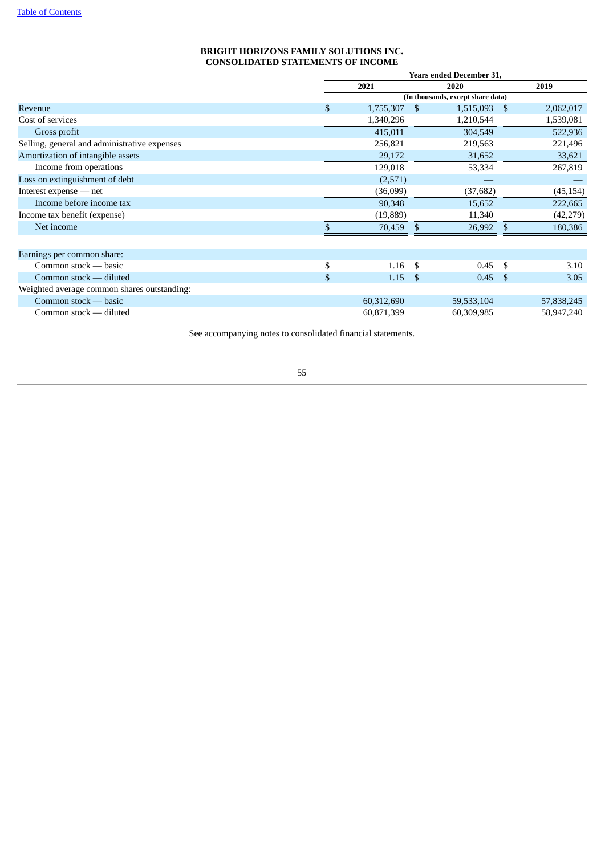# **BRIGHT HORIZONS FAMILY SOLUTIONS INC. CONSOLIDATED STATEMENTS OF INCOME**

|                                              |                | <b>Years ended December 31,</b> |               |                                   |      |            |  |  |  |
|----------------------------------------------|----------------|---------------------------------|---------------|-----------------------------------|------|------------|--|--|--|
|                                              |                | 2021                            |               | 2020                              |      | 2019       |  |  |  |
|                                              |                |                                 |               | (In thousands, except share data) |      |            |  |  |  |
| Revenue                                      | <sup>\$</sup>  | 1,755,307                       | <sup>\$</sup> | 1,515,093 \$                      |      | 2,062,017  |  |  |  |
| Cost of services                             |                | 1,340,296                       |               | 1,210,544                         |      | 1,539,081  |  |  |  |
| Gross profit                                 |                | 415,011                         |               | 304,549                           |      | 522,936    |  |  |  |
| Selling, general and administrative expenses |                | 256,821                         |               | 219,563                           |      | 221,496    |  |  |  |
| Amortization of intangible assets            |                | 29,172                          |               | 31,652                            |      | 33,621     |  |  |  |
| Income from operations                       |                | 129,018                         |               | 53,334                            |      | 267,819    |  |  |  |
| Loss on extinguishment of debt               |                | (2,571)                         |               |                                   |      |            |  |  |  |
| Interest expense $-$ net                     |                | (36,099)                        |               | (37,682)                          |      | (45, 154)  |  |  |  |
| Income before income tax                     |                | 90,348                          |               | 15,652                            |      | 222,665    |  |  |  |
| Income tax benefit (expense)                 |                | (19, 889)                       |               | 11,340                            |      | (42, 279)  |  |  |  |
| Net income                                   |                | 70,459                          | \$.           | 26,992                            | \$   | 180,386    |  |  |  |
| Earnings per common share:                   |                |                                 |               |                                   |      |            |  |  |  |
| Common stock — basic                         | \$             | 1.16                            | \$            | 0.45                              | - \$ | 3.10       |  |  |  |
| Common stock — diluted                       | $\mathfrak{L}$ | 1.15                            | <sup>\$</sup> | $0.45 \quad$ \$                   |      | 3.05       |  |  |  |
| Weighted average common shares outstanding:  |                |                                 |               |                                   |      |            |  |  |  |
| Common stock — basic                         |                | 60,312,690                      |               | 59,533,104                        |      | 57,838,245 |  |  |  |
| Common stock — diluted                       |                | 60,871,399                      |               | 60,309,985                        |      | 58,947,240 |  |  |  |

<span id="page-54-0"></span>See accompanying notes to consolidated financial statements.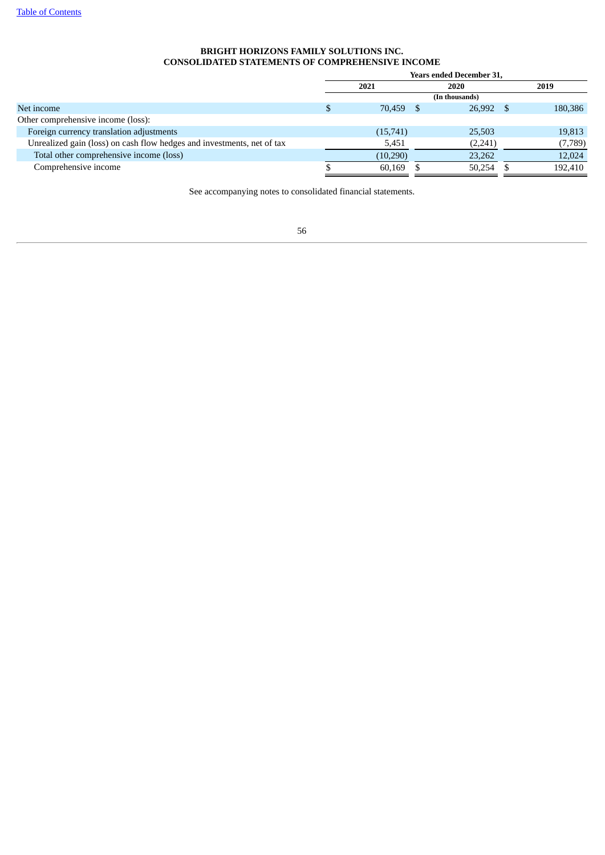# **BRIGHT HORIZONS FAMILY SOLUTIONS INC. CONSOLIDATED STATEMENTS OF COMPREHENSIVE INCOME**

<span id="page-55-0"></span>

|                                                                        | <b>Years ended December 31,</b> |           |  |                |  |         |  |  |  |
|------------------------------------------------------------------------|---------------------------------|-----------|--|----------------|--|---------|--|--|--|
|                                                                        | 2021                            |           |  | 2020           |  | 2019    |  |  |  |
|                                                                        |                                 |           |  | (In thousands) |  |         |  |  |  |
| Net income                                                             |                                 | 70,459 \$ |  | 26,992         |  | 180,386 |  |  |  |
| Other comprehensive income (loss):                                     |                                 |           |  |                |  |         |  |  |  |
| Foreign currency translation adjustments                               |                                 | (15,741)  |  | 25,503         |  | 19,813  |  |  |  |
| Unrealized gain (loss) on cash flow hedges and investments, net of tax |                                 | 5,451     |  | (2,241)        |  | (7,789) |  |  |  |
| Total other comprehensive income (loss)                                |                                 | (10,290)  |  | 23,262         |  | 12,024  |  |  |  |
| Comprehensive income                                                   |                                 | 60,169    |  | 50,254         |  | 192.410 |  |  |  |

See accompanying notes to consolidated financial statements.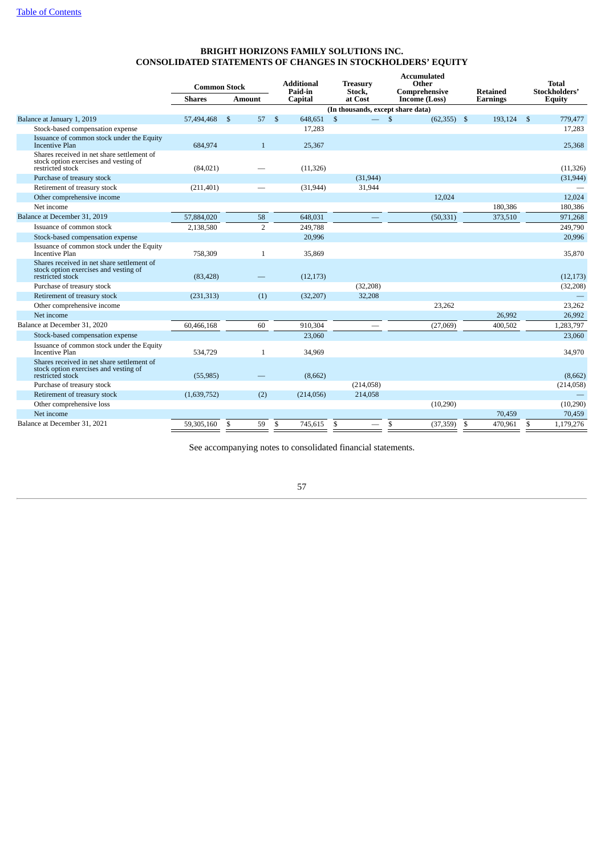# **BRIGHT HORIZONS FAMILY SOLUTIONS INC. CONSOLIDATED STATEMENTS OF CHANGES IN STOCKHOLDERS' EQUITY**

|                                                                                                         | <b>Common Stock</b> |               |                     | <b>Additional</b>  | <b>Treasury</b>                   | <b>Accumulated</b><br>Other           |    |                                    | <b>Total</b>                   |
|---------------------------------------------------------------------------------------------------------|---------------------|---------------|---------------------|--------------------|-----------------------------------|---------------------------------------|----|------------------------------------|--------------------------------|
|                                                                                                         | <b>Shares</b>       | <b>Amount</b> |                     | Paid-in<br>Capital | Stock,<br>at Cost                 | Comprehensive<br><b>Income (Loss)</b> |    | <b>Retained</b><br><b>Earnings</b> | Stockholders'<br><b>Equity</b> |
|                                                                                                         |                     |               |                     |                    | (In thousands, except share data) |                                       |    |                                    |                                |
| Balance at January 1, 2019                                                                              | 57,494,468          | - \$          | 57<br>- \$          | 648,651 \$         |                                   | $(62,355)$ \$<br>$-$ \$               |    | 193,124                            | 779,477<br>- \$                |
| Stock-based compensation expense                                                                        |                     |               |                     | 17,283             |                                   |                                       |    |                                    | 17,283                         |
| Issuance of common stock under the Equity<br><b>Incentive Plan</b>                                      | 684,974             |               | $\mathbf{1}$        | 25,367             |                                   |                                       |    |                                    | 25,368                         |
| Shares received in net share settlement of<br>stock option exercises and vesting of<br>restricted stock | (84, 021)           |               |                     | (11, 326)          |                                   |                                       |    |                                    | (11, 326)                      |
| Purchase of treasury stock                                                                              |                     |               |                     |                    | (31, 944)                         |                                       |    |                                    | (31, 944)                      |
| Retirement of treasury stock                                                                            | (211, 401)          |               |                     | (31, 944)          | 31,944                            |                                       |    |                                    |                                |
| Other comprehensive income                                                                              |                     |               |                     |                    |                                   | 12,024                                |    |                                    | 12,024                         |
| Net income                                                                                              |                     |               |                     |                    |                                   |                                       |    | 180,386                            | 180,386                        |
| Balance at December 31, 2019                                                                            | 57,884,020          |               | 58                  | 648,031            |                                   | (50, 331)                             |    | 373,510                            | 971,268                        |
| Issuance of common stock                                                                                | 2,138,580           |               | $\overline{2}$      | 249,788            |                                   |                                       |    |                                    | 249,790                        |
| Stock-based compensation expense                                                                        |                     |               |                     | 20,996             |                                   |                                       |    |                                    | 20,996                         |
| Issuance of common stock under the Equity<br><b>Incentive Plan</b>                                      | 758,309             |               | 1                   | 35,869             |                                   |                                       |    |                                    | 35,870                         |
| Shares received in net share settlement of<br>stock option exercises and vesting of<br>restricted stock | (83, 428)           |               |                     | (12, 173)          |                                   |                                       |    |                                    | (12, 173)                      |
| Purchase of treasury stock                                                                              |                     |               |                     |                    | (32, 208)                         |                                       |    |                                    | (32, 208)                      |
| Retirement of treasury stock                                                                            | (231, 313)          |               | (1)                 | (32, 207)          | 32,208                            |                                       |    |                                    |                                |
| Other comprehensive income                                                                              |                     |               |                     |                    |                                   | 23,262                                |    |                                    | 23,262                         |
| Net income                                                                                              |                     |               |                     |                    |                                   |                                       |    | 26,992                             | 26,992                         |
| Balance at December 31, 2020                                                                            | 60.466.168          |               | 60                  | 910,304            |                                   | (27,069)                              |    | 400,502                            | 1,283,797                      |
| Stock-based compensation expense                                                                        |                     |               |                     | 23,060             |                                   |                                       |    |                                    | 23.060                         |
| Issuance of common stock under the Equity<br><b>Incentive Plan</b>                                      | 534,729             |               | 1                   | 34,969             |                                   |                                       |    |                                    | 34,970                         |
| Shares received in net share settlement of<br>stock option exercises and vesting of<br>restricted stock | (55, 985)           |               |                     | (8,662)            |                                   |                                       |    |                                    | (8,662)                        |
| Purchase of treasury stock                                                                              |                     |               |                     |                    | (214,058)                         |                                       |    |                                    | (214, 058)                     |
| Retirement of treasury stock                                                                            | (1,639,752)         |               | (2)                 | (214,056)          | 214,058                           |                                       |    |                                    |                                |
| Other comprehensive loss                                                                                |                     |               |                     |                    |                                   | (10, 290)                             |    |                                    | (10, 290)                      |
| Net income                                                                                              |                     |               |                     |                    |                                   |                                       |    | 70,459                             | 70,459                         |
| Balance at December 31, 2021                                                                            | 59,305,160          | \$            | 59<br><sup>\$</sup> | 745,615            | \$<br>$\overline{\phantom{m}}$    | \$<br>(37, 359)                       | -S | 470,961                            | 1,179,276<br>\$                |

<span id="page-56-0"></span>See accompanying notes to consolidated financial statements.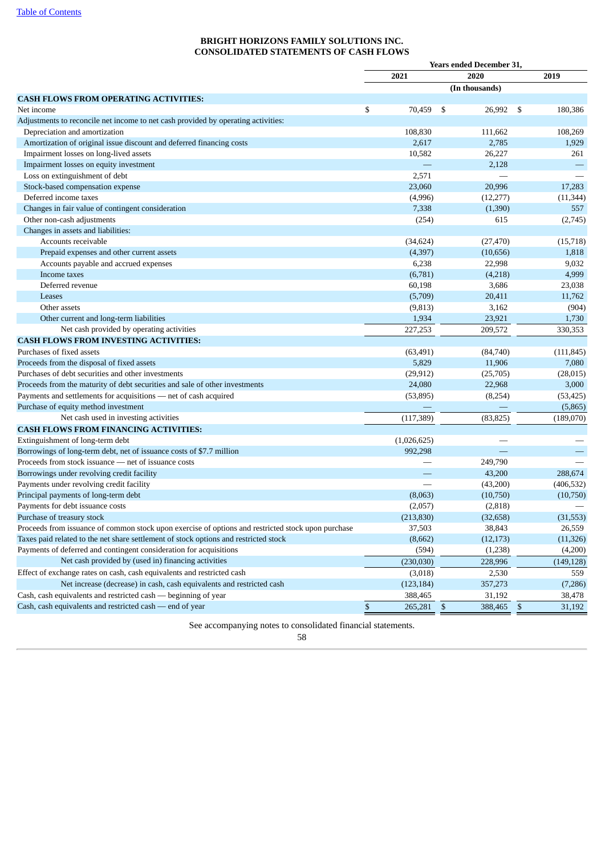# **BRIGHT HORIZONS FAMILY SOLUTIONS INC. CONSOLIDATED STATEMENTS OF CASH FLOWS**

|                                                                                                    | <b>Years ended December 31,</b> |             |     |                |                |            |  |  |
|----------------------------------------------------------------------------------------------------|---------------------------------|-------------|-----|----------------|----------------|------------|--|--|
|                                                                                                    |                                 | 2021        |     | 2020           |                | 2019       |  |  |
|                                                                                                    |                                 |             |     | (In thousands) |                |            |  |  |
| <b>CASH FLOWS FROM OPERATING ACTIVITIES:</b>                                                       |                                 |             |     |                |                |            |  |  |
| Net income                                                                                         | \$                              | 70,459      | -\$ | 26,992         | - \$           | 180,386    |  |  |
| Adjustments to reconcile net income to net cash provided by operating activities:                  |                                 |             |     |                |                |            |  |  |
| Depreciation and amortization                                                                      |                                 | 108,830     |     | 111,662        |                | 108,269    |  |  |
| Amortization of original issue discount and deferred financing costs                               |                                 | 2,617       |     | 2,785          |                | 1,929      |  |  |
| Impairment losses on long-lived assets                                                             |                                 | 10,582      |     | 26,227         |                | 261        |  |  |
| Impairment losses on equity investment                                                             |                                 |             |     | 2,128          |                |            |  |  |
| Loss on extinguishment of debt                                                                     |                                 | 2,571       |     |                |                |            |  |  |
| Stock-based compensation expense                                                                   |                                 | 23,060      |     | 20,996         |                | 17,283     |  |  |
| Deferred income taxes                                                                              |                                 | (4,996)     |     | (12, 277)      |                | (11, 344)  |  |  |
| Changes in fair value of contingent consideration                                                  |                                 | 7,338       |     | (1,390)        |                | 557        |  |  |
| Other non-cash adjustments                                                                         |                                 | (254)       |     | 615            |                | (2,745)    |  |  |
| Changes in assets and liabilities:                                                                 |                                 |             |     |                |                |            |  |  |
| Accounts receivable                                                                                |                                 | (34, 624)   |     | (27, 470)      |                | (15,718)   |  |  |
| Prepaid expenses and other current assets                                                          |                                 | (4, 397)    |     | (10, 656)      |                | 1,818      |  |  |
| Accounts payable and accrued expenses                                                              |                                 | 6,238       |     | 22,998         |                | 9,032      |  |  |
| Income taxes                                                                                       |                                 | (6,781)     |     | (4,218)        |                | 4,999      |  |  |
| Deferred revenue                                                                                   |                                 | 60,198      |     | 3,686          |                | 23,038     |  |  |
| Leases                                                                                             |                                 | (5,709)     |     | 20,411         |                | 11,762     |  |  |
| Other assets                                                                                       |                                 | (9, 813)    |     | 3,162          |                | (904)      |  |  |
| Other current and long-term liabilities                                                            |                                 | 1,934       |     | 23,921         |                | 1,730      |  |  |
| Net cash provided by operating activities                                                          |                                 | 227,253     |     | 209,572        |                | 330,353    |  |  |
| <b>CASH FLOWS FROM INVESTING ACTIVITIES:</b>                                                       |                                 |             |     |                |                |            |  |  |
| Purchases of fixed assets                                                                          |                                 | (63, 491)   |     | (84,740)       |                | (111, 845) |  |  |
| Proceeds from the disposal of fixed assets                                                         |                                 | 5,829       |     | 11,906         |                | 7,080      |  |  |
| Purchases of debt securities and other investments                                                 |                                 | (29, 912)   |     | (25,705)       |                | (28, 015)  |  |  |
| Proceeds from the maturity of debt securities and sale of other investments                        |                                 | 24,080      |     | 22,968         |                | 3,000      |  |  |
| Payments and settlements for acquisitions - net of cash acquired                                   |                                 | (53,895)    |     | (8,254)        |                | (53, 425)  |  |  |
| Purchase of equity method investment                                                               |                                 |             |     |                |                | (5,865)    |  |  |
| Net cash used in investing activities                                                              |                                 | (117, 389)  |     | (83, 825)      |                | (189,070)  |  |  |
| <b>CASH FLOWS FROM FINANCING ACTIVITIES:</b>                                                       |                                 |             |     |                |                |            |  |  |
|                                                                                                    |                                 |             |     |                |                |            |  |  |
| Extinguishment of long-term debt                                                                   |                                 | (1,026,625) |     |                |                |            |  |  |
| Borrowings of long-term debt, net of issuance costs of \$7.7 million                               |                                 | 992,298     |     |                |                |            |  |  |
| Proceeds from stock issuance - net of issuance costs                                               |                                 |             |     | 249,790        |                |            |  |  |
| Borrowings under revolving credit facility                                                         |                                 |             |     | 43,200         |                | 288,674    |  |  |
| Payments under revolving credit facility                                                           |                                 |             |     | (43,200)       |                | (406, 532) |  |  |
| Principal payments of long-term debt                                                               |                                 | (8,063)     |     | (10,750)       |                | (10,750)   |  |  |
| Payments for debt issuance costs                                                                   |                                 | (2,057)     |     | (2,818)        |                |            |  |  |
| Purchase of treasury stock                                                                         |                                 | (213, 830)  |     | (32, 658)      |                | (31, 553)  |  |  |
| Proceeds from issuance of common stock upon exercise of options and restricted stock upon purchase |                                 | 37,503      |     | 38,843         |                | 26,559     |  |  |
| Taxes paid related to the net share settlement of stock options and restricted stock               |                                 | (8,662)     |     | (12, 173)      |                | (11, 326)  |  |  |
| Payments of deferred and contingent consideration for acquisitions                                 |                                 | (594)       |     | (1,238)        |                | (4,200)    |  |  |
| Net cash provided by (used in) financing activities                                                |                                 | (230,030)   |     | 228,996        |                | (149, 128) |  |  |
| Effect of exchange rates on cash, cash equivalents and restricted cash                             |                                 | (3,018)     |     | 2,530          |                | 559        |  |  |
| Net increase (decrease) in cash, cash equivalents and restricted cash                              |                                 | (123, 184)  |     | 357,273        |                | (7,286)    |  |  |
| Cash, cash equivalents and restricted cash - beginning of year                                     |                                 | 388,465     |     | 31,192         |                | 38,478     |  |  |
| Cash, cash equivalents and restricted cash — end of year                                           | \$                              | 265,281 \$  |     | 388,465        | $\mathfrak{S}$ | 31,192     |  |  |

See accompanying notes to consolidated financial statements.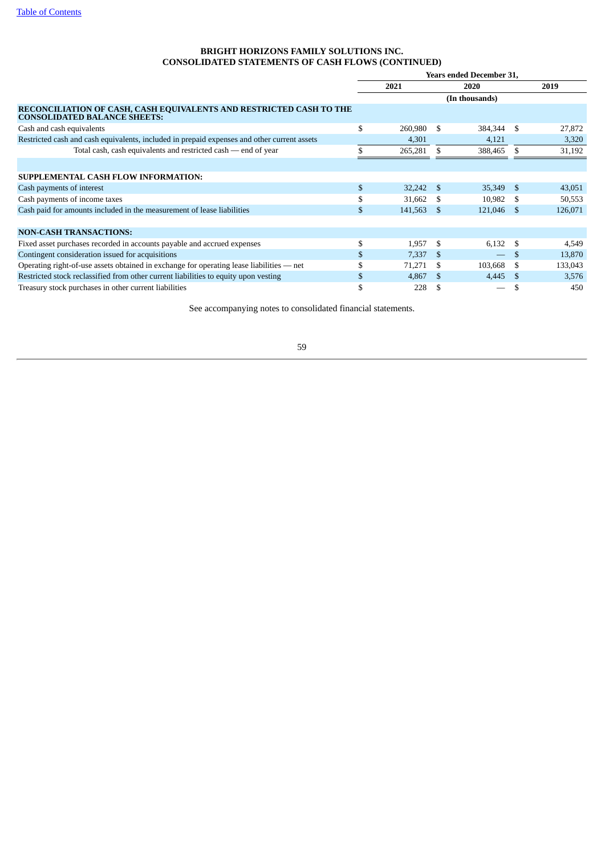# **BRIGHT HORIZONS FAMILY SOLUTIONS INC. CONSOLIDATED STATEMENTS OF CASH FLOWS (CONTINUED)**

|                                                                                                            | <b>Years ended December 31,</b> |         |      |                   |      |         |
|------------------------------------------------------------------------------------------------------------|---------------------------------|---------|------|-------------------|------|---------|
|                                                                                                            |                                 | 2021    |      | 2020              |      | 2019    |
|                                                                                                            |                                 |         |      | (In thousands)    |      |         |
| RECONCILIATION OF CASH, CASH EQUIVALENTS AND RESTRICTED CASH TO THE<br><b>CONSOLIDATED BALANCE SHEETS:</b> |                                 |         |      |                   |      |         |
| Cash and cash equivalents                                                                                  | \$                              | 260,980 | \$   | 384,344 \$        |      | 27,872  |
| Restricted cash and cash equivalents, included in prepaid expenses and other current assets                |                                 | 4,301   |      | 4,121             |      | 3,320   |
| Total cash, cash equivalents and restricted cash — end of year                                             |                                 | 265,281 | \$.  | 388,465           | £.   | 31,192  |
|                                                                                                            |                                 |         |      |                   |      |         |
| SUPPLEMENTAL CASH FLOW INFORMATION:                                                                        |                                 |         |      |                   |      |         |
| Cash payments of interest                                                                                  | \$                              | 32,242  | - \$ | 35,349            | - \$ | 43,051  |
| Cash payments of income taxes                                                                              |                                 | 31,662  | -S   | 10,982            | - S  | 50,553  |
| Cash paid for amounts included in the measurement of lease liabilities                                     | \$                              | 141,563 | -S   | 121,046           | - \$ | 126,071 |
|                                                                                                            |                                 |         |      |                   |      |         |
| <b>NON-CASH TRANSACTIONS:</b>                                                                              |                                 |         |      |                   |      |         |
| Fixed asset purchases recorded in accounts payable and accrued expenses                                    | \$                              | 1,957   | \$   | 6,132             | - \$ | 4,549   |
| Contingent consideration issued for acquisitions                                                           | \$                              | 7,337   | - \$ | $\qquad \qquad -$ | - \$ | 13,870  |
| Operating right-of-use assets obtained in exchange for operating lease liabilities — net                   |                                 | 71,271  | \$   | 103,668           | - \$ | 133,043 |
| Restricted stock reclassified from other current liabilities to equity upon vesting                        |                                 | 4,867   | \$   | $4,445$ \$        |      | 3,576   |
| Treasury stock purchases in other current liabilities                                                      |                                 | 228     | £.   |                   |      | 450     |

<span id="page-58-0"></span>See accompanying notes to consolidated financial statements.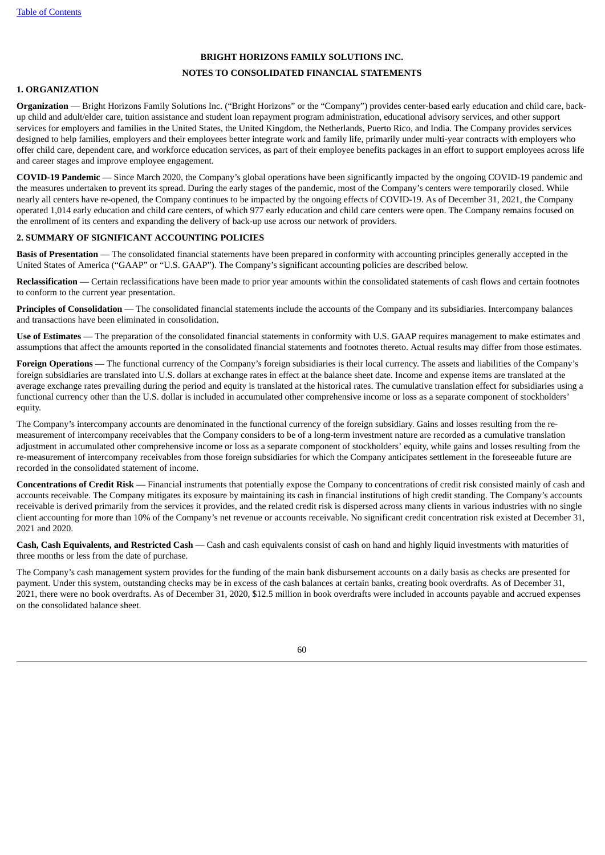### **BRIGHT HORIZONS FAMILY SOLUTIONS INC.**

# **NOTES TO CONSOLIDATED FINANCIAL STATEMENTS**

### **1. ORGANIZATION**

**Organization** — Bright Horizons Family Solutions Inc. ("Bright Horizons" or the "Company") provides center-based early education and child care, backup child and adult/elder care, tuition assistance and student loan repayment program administration, educational advisory services, and other support services for employers and families in the United States, the United Kingdom, the Netherlands, Puerto Rico, and India. The Company provides services designed to help families, employers and their employees better integrate work and family life, primarily under multi-year contracts with employers who offer child care, dependent care, and workforce education services, as part of their employee benefits packages in an effort to support employees across life and career stages and improve employee engagement.

**COVID-19 Pandemic** — Since March 2020, the Company's global operations have been significantly impacted by the ongoing COVID-19 pandemic and the measures undertaken to prevent its spread. During the early stages of the pandemic, most of the Company's centers were temporarily closed. While nearly all centers have re-opened, the Company continues to be impacted by the ongoing effects of COVID-19. As of December 31, 2021, the Company operated 1,014 early education and child care centers, of which 977 early education and child care centers were open. The Company remains focused on the enrollment of its centers and expanding the delivery of back-up use across our network of providers.

#### **2. SUMMARY OF SIGNIFICANT ACCOUNTING POLICIES**

**Basis of Presentation** — The consolidated financial statements have been prepared in conformity with accounting principles generally accepted in the United States of America ("GAAP" or "U.S. GAAP"). The Company's significant accounting policies are described below.

**Reclassification** — Certain reclassifications have been made to prior year amounts within the consolidated statements of cash flows and certain footnotes to conform to the current year presentation.

**Principles of Consolidation** — The consolidated financial statements include the accounts of the Company and its subsidiaries. Intercompany balances and transactions have been eliminated in consolidation.

**Use of Estimates** — The preparation of the consolidated financial statements in conformity with U.S. GAAP requires management to make estimates and assumptions that affect the amounts reported in the consolidated financial statements and footnotes thereto. Actual results may differ from those estimates.

**Foreign Operations** — The functional currency of the Company's foreign subsidiaries is their local currency. The assets and liabilities of the Company's foreign subsidiaries are translated into U.S. dollars at exchange rates in effect at the balance sheet date. Income and expense items are translated at the average exchange rates prevailing during the period and equity is translated at the historical rates. The cumulative translation effect for subsidiaries using a functional currency other than the U.S. dollar is included in accumulated other comprehensive income or loss as a separate component of stockholders' equity.

The Company's intercompany accounts are denominated in the functional currency of the foreign subsidiary. Gains and losses resulting from the remeasurement of intercompany receivables that the Company considers to be of a long-term investment nature are recorded as a cumulative translation adjustment in accumulated other comprehensive income or loss as a separate component of stockholders' equity, while gains and losses resulting from the re-measurement of intercompany receivables from those foreign subsidiaries for which the Company anticipates settlement in the foreseeable future are recorded in the consolidated statement of income.

**Concentrations of Credit Risk** — Financial instruments that potentially expose the Company to concentrations of credit risk consisted mainly of cash and accounts receivable. The Company mitigates its exposure by maintaining its cash in financial institutions of high credit standing. The Company's accounts receivable is derived primarily from the services it provides, and the related credit risk is dispersed across many clients in various industries with no single client accounting for more than 10% of the Company's net revenue or accounts receivable. No significant credit concentration risk existed at December 31, 2021 and 2020.

**Cash, Cash Equivalents, and Restricted Cash** — Cash and cash equivalents consist of cash on hand and highly liquid investments with maturities of three months or less from the date of purchase.

The Company's cash management system provides for the funding of the main bank disbursement accounts on a daily basis as checks are presented for payment. Under this system, outstanding checks may be in excess of the cash balances at certain banks, creating book overdrafts. As of December 31, 2021, there were no book overdrafts. As of December 31, 2020, \$12.5 million in book overdrafts were included in accounts payable and accrued expenses on the consolidated balance sheet.

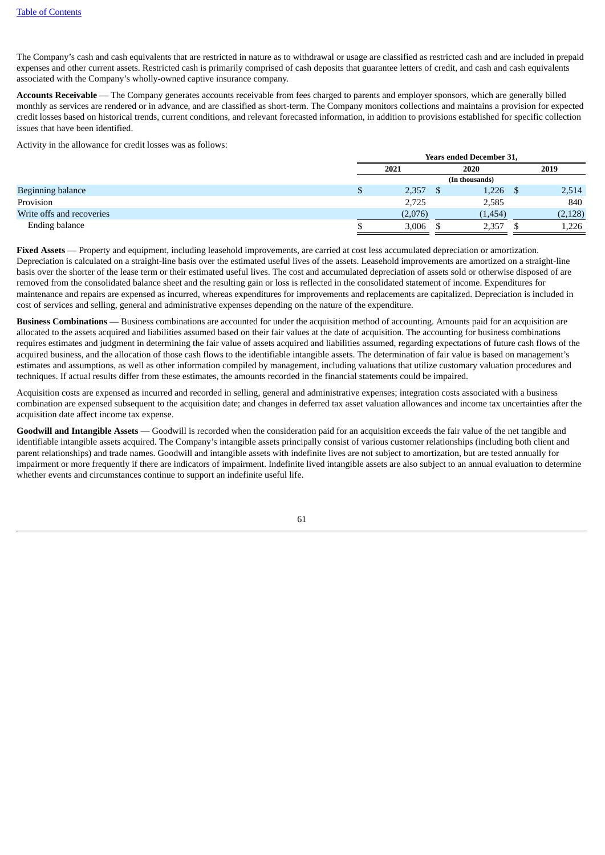The Company's cash and cash equivalents that are restricted in nature as to withdrawal or usage are classified as restricted cash and are included in prepaid expenses and other current assets. Restricted cash is primarily comprised of cash deposits that guarantee letters of credit, and cash and cash equivalents associated with the Company's wholly-owned captive insurance company.

**Accounts Receivable** — The Company generates accounts receivable from fees charged to parents and employer sponsors, which are generally billed monthly as services are rendered or in advance, and are classified as short-term. The Company monitors collections and maintains a provision for expected credit losses based on historical trends, current conditions, and relevant forecasted information, in addition to provisions established for specific collection issues that have been identified.

Activity in the allowance for credit losses was as follows:

|                           | <b>Years ended December 31,</b> |  |         |  |          |  |  |  |
|---------------------------|---------------------------------|--|---------|--|----------|--|--|--|
|                           | 2021                            |  | 2020    |  | 2019     |  |  |  |
|                           |                                 |  |         |  |          |  |  |  |
| Beginning balance         | 2,357                           |  | 1,226   |  | 2,514    |  |  |  |
| Provision                 | 2,725                           |  | 2,585   |  | 840      |  |  |  |
| Write offs and recoveries | (2,076)                         |  | (1,454) |  | (2, 128) |  |  |  |
| Ending balance            | 3,006                           |  | 2,357   |  | 1,226    |  |  |  |

**Fixed Assets** — Property and equipment, including leasehold improvements, are carried at cost less accumulated depreciation or amortization. Depreciation is calculated on a straight-line basis over the estimated useful lives of the assets. Leasehold improvements are amortized on a straight-line basis over the shorter of the lease term or their estimated useful lives. The cost and accumulated depreciation of assets sold or otherwise disposed of are removed from the consolidated balance sheet and the resulting gain or loss is reflected in the consolidated statement of income. Expenditures for maintenance and repairs are expensed as incurred, whereas expenditures for improvements and replacements are capitalized. Depreciation is included in cost of services and selling, general and administrative expenses depending on the nature of the expenditure.

**Business Combinations** — Business combinations are accounted for under the acquisition method of accounting. Amounts paid for an acquisition are allocated to the assets acquired and liabilities assumed based on their fair values at the date of acquisition. The accounting for business combinations requires estimates and judgment in determining the fair value of assets acquired and liabilities assumed, regarding expectations of future cash flows of the acquired business, and the allocation of those cash flows to the identifiable intangible assets. The determination of fair value is based on management's estimates and assumptions, as well as other information compiled by management, including valuations that utilize customary valuation procedures and techniques. If actual results differ from these estimates, the amounts recorded in the financial statements could be impaired.

Acquisition costs are expensed as incurred and recorded in selling, general and administrative expenses; integration costs associated with a business combination are expensed subsequent to the acquisition date; and changes in deferred tax asset valuation allowances and income tax uncertainties after the acquisition date affect income tax expense.

**Goodwill and Intangible Assets** — Goodwill is recorded when the consideration paid for an acquisition exceeds the fair value of the net tangible and identifiable intangible assets acquired. The Company's intangible assets principally consist of various customer relationships (including both client and parent relationships) and trade names. Goodwill and intangible assets with indefinite lives are not subject to amortization, but are tested annually for impairment or more frequently if there are indicators of impairment. Indefinite lived intangible assets are also subject to an annual evaluation to determine whether events and circumstances continue to support an indefinite useful life.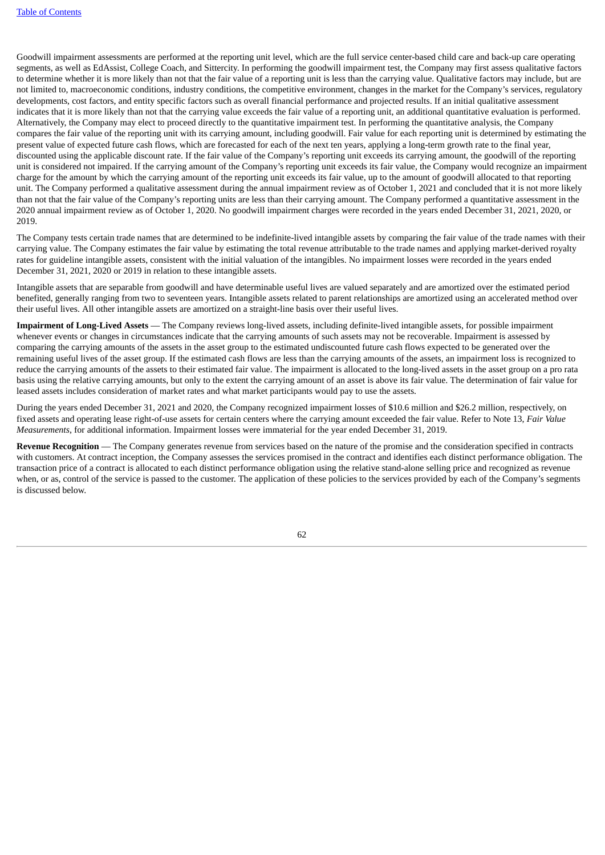Goodwill impairment assessments are performed at the reporting unit level, which are the full service center-based child care and back-up care operating segments, as well as EdAssist, College Coach, and Sittercity. In performing the goodwill impairment test, the Company may first assess qualitative factors to determine whether it is more likely than not that the fair value of a reporting unit is less than the carrying value. Qualitative factors may include, but are not limited to, macroeconomic conditions, industry conditions, the competitive environment, changes in the market for the Company's services, regulatory developments, cost factors, and entity specific factors such as overall financial performance and projected results. If an initial qualitative assessment indicates that it is more likely than not that the carrying value exceeds the fair value of a reporting unit, an additional quantitative evaluation is performed. Alternatively, the Company may elect to proceed directly to the quantitative impairment test. In performing the quantitative analysis, the Company compares the fair value of the reporting unit with its carrying amount, including goodwill. Fair value for each reporting unit is determined by estimating the present value of expected future cash flows, which are forecasted for each of the next ten years, applying a long-term growth rate to the final year, discounted using the applicable discount rate. If the fair value of the Company's reporting unit exceeds its carrying amount, the goodwill of the reporting unit is considered not impaired. If the carrying amount of the Company's reporting unit exceeds its fair value, the Company would recognize an impairment charge for the amount by which the carrying amount of the reporting unit exceeds its fair value, up to the amount of goodwill allocated to that reporting unit. The Company performed a qualitative assessment during the annual impairment review as of October 1, 2021 and concluded that it is not more likely than not that the fair value of the Company's reporting units are less than their carrying amount. The Company performed a quantitative assessment in the 2020 annual impairment review as of October 1, 2020. No goodwill impairment charges were recorded in the years ended December 31, 2021, 2020, or 2019.

The Company tests certain trade names that are determined to be indefinite-lived intangible assets by comparing the fair value of the trade names with their carrying value. The Company estimates the fair value by estimating the total revenue attributable to the trade names and applying market-derived royalty rates for guideline intangible assets, consistent with the initial valuation of the intangibles. No impairment losses were recorded in the years ended December 31, 2021, 2020 or 2019 in relation to these intangible assets.

Intangible assets that are separable from goodwill and have determinable useful lives are valued separately and are amortized over the estimated period benefited, generally ranging from two to seventeen years. Intangible assets related to parent relationships are amortized using an accelerated method over their useful lives. All other intangible assets are amortized on a straight-line basis over their useful lives.

**Impairment of Long-Lived Assets** — The Company reviews long-lived assets, including definite-lived intangible assets, for possible impairment whenever events or changes in circumstances indicate that the carrying amounts of such assets may not be recoverable. Impairment is assessed by comparing the carrying amounts of the assets in the asset group to the estimated undiscounted future cash flows expected to be generated over the remaining useful lives of the asset group. If the estimated cash flows are less than the carrying amounts of the assets, an impairment loss is recognized to reduce the carrying amounts of the assets to their estimated fair value. The impairment is allocated to the long-lived assets in the asset group on a pro rata basis using the relative carrying amounts, but only to the extent the carrying amount of an asset is above its fair value. The determination of fair value for leased assets includes consideration of market rates and what market participants would pay to use the assets.

During the years ended December 31, 2021 and 2020, the Company recognized impairment losses of \$10.6 million and \$26.2 million, respectively, on fixed assets and operating lease right-of-use assets for certain centers where the carrying amount exceeded the fair value. Refer to Note 13, *Fair Value Measurements*, for additional information. Impairment losses were immaterial for the year ended December 31, 2019.

**Revenue Recognition** — The Company generates revenue from services based on the nature of the promise and the consideration specified in contracts with customers. At contract inception, the Company assesses the services promised in the contract and identifies each distinct performance obligation. The transaction price of a contract is allocated to each distinct performance obligation using the relative stand-alone selling price and recognized as revenue when, or as, control of the service is passed to the customer. The application of these policies to the services provided by each of the Company's segments is discussed below.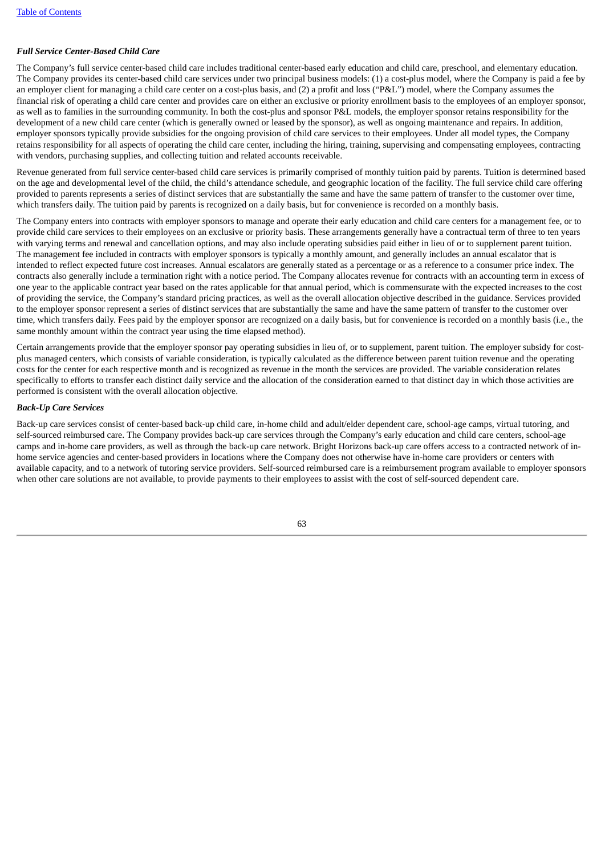# *Full Service Center-Based Child Care*

The Company's full service center-based child care includes traditional center-based early education and child care, preschool, and elementary education. The Company provides its center-based child care services under two principal business models: (1) a cost-plus model, where the Company is paid a fee by an employer client for managing a child care center on a cost-plus basis, and (2) a profit and loss ("P&L") model, where the Company assumes the financial risk of operating a child care center and provides care on either an exclusive or priority enrollment basis to the employees of an employer sponsor, as well as to families in the surrounding community. In both the cost-plus and sponsor P&L models, the employer sponsor retains responsibility for the development of a new child care center (which is generally owned or leased by the sponsor), as well as ongoing maintenance and repairs. In addition, employer sponsors typically provide subsidies for the ongoing provision of child care services to their employees. Under all model types, the Company retains responsibility for all aspects of operating the child care center, including the hiring, training, supervising and compensating employees, contracting with vendors, purchasing supplies, and collecting tuition and related accounts receivable.

Revenue generated from full service center-based child care services is primarily comprised of monthly tuition paid by parents. Tuition is determined based on the age and developmental level of the child, the child's attendance schedule, and geographic location of the facility. The full service child care offering provided to parents represents a series of distinct services that are substantially the same and have the same pattern of transfer to the customer over time, which transfers daily. The tuition paid by parents is recognized on a daily basis, but for convenience is recorded on a monthly basis.

The Company enters into contracts with employer sponsors to manage and operate their early education and child care centers for a management fee, or to provide child care services to their employees on an exclusive or priority basis. These arrangements generally have a contractual term of three to ten years with varying terms and renewal and cancellation options, and may also include operating subsidies paid either in lieu of or to supplement parent tuition. The management fee included in contracts with employer sponsors is typically a monthly amount, and generally includes an annual escalator that is intended to reflect expected future cost increases. Annual escalators are generally stated as a percentage or as a reference to a consumer price index. The contracts also generally include a termination right with a notice period. The Company allocates revenue for contracts with an accounting term in excess of one year to the applicable contract year based on the rates applicable for that annual period, which is commensurate with the expected increases to the cost of providing the service, the Company's standard pricing practices, as well as the overall allocation objective described in the guidance. Services provided to the employer sponsor represent a series of distinct services that are substantially the same and have the same pattern of transfer to the customer over time, which transfers daily. Fees paid by the employer sponsor are recognized on a daily basis, but for convenience is recorded on a monthly basis (i.e., the same monthly amount within the contract year using the time elapsed method).

Certain arrangements provide that the employer sponsor pay operating subsidies in lieu of, or to supplement, parent tuition. The employer subsidy for costplus managed centers, which consists of variable consideration, is typically calculated as the difference between parent tuition revenue and the operating costs for the center for each respective month and is recognized as revenue in the month the services are provided. The variable consideration relates specifically to efforts to transfer each distinct daily service and the allocation of the consideration earned to that distinct day in which those activities are performed is consistent with the overall allocation objective.

## *Back-Up Care Services*

Back-up care services consist of center-based back-up child care, in-home child and adult/elder dependent care, school-age camps, virtual tutoring, and self-sourced reimbursed care. The Company provides back-up care services through the Company's early education and child care centers, school-age camps and in-home care providers, as well as through the back-up care network. Bright Horizons back-up care offers access to a contracted network of inhome service agencies and center-based providers in locations where the Company does not otherwise have in-home care providers or centers with available capacity, and to a network of tutoring service providers. Self-sourced reimbursed care is a reimbursement program available to employer sponsors when other care solutions are not available, to provide payments to their employees to assist with the cost of self-sourced dependent care.

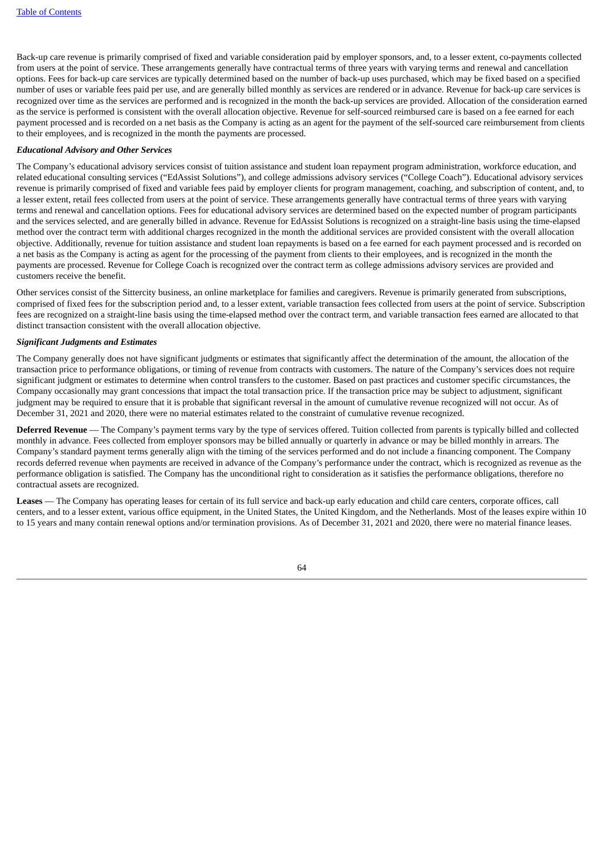Back-up care revenue is primarily comprised of fixed and variable consideration paid by employer sponsors, and, to a lesser extent, co-payments collected from users at the point of service. These arrangements generally have contractual terms of three years with varying terms and renewal and cancellation options. Fees for back-up care services are typically determined based on the number of back-up uses purchased, which may be fixed based on a specified number of uses or variable fees paid per use, and are generally billed monthly as services are rendered or in advance. Revenue for back-up care services is recognized over time as the services are performed and is recognized in the month the back-up services are provided. Allocation of the consideration earned as the service is performed is consistent with the overall allocation objective. Revenue for self-sourced reimbursed care is based on a fee earned for each payment processed and is recorded on a net basis as the Company is acting as an agent for the payment of the self-sourced care reimbursement from clients to their employees, and is recognized in the month the payments are processed.

#### *Educational Advisory and Other Services*

The Company's educational advisory services consist of tuition assistance and student loan repayment program administration, workforce education, and related educational consulting services ("EdAssist Solutions"), and college admissions advisory services ("College Coach"). Educational advisory services revenue is primarily comprised of fixed and variable fees paid by employer clients for program management, coaching, and subscription of content, and, to a lesser extent, retail fees collected from users at the point of service. These arrangements generally have contractual terms of three years with varying terms and renewal and cancellation options. Fees for educational advisory services are determined based on the expected number of program participants and the services selected, and are generally billed in advance. Revenue for EdAssist Solutions is recognized on a straight-line basis using the time-elapsed method over the contract term with additional charges recognized in the month the additional services are provided consistent with the overall allocation objective. Additionally, revenue for tuition assistance and student loan repayments is based on a fee earned for each payment processed and is recorded on a net basis as the Company is acting as agent for the processing of the payment from clients to their employees, and is recognized in the month the payments are processed. Revenue for College Coach is recognized over the contract term as college admissions advisory services are provided and customers receive the benefit.

Other services consist of the Sittercity business, an online marketplace for families and caregivers. Revenue is primarily generated from subscriptions, comprised of fixed fees for the subscription period and, to a lesser extent, variable transaction fees collected from users at the point of service. Subscription fees are recognized on a straight-line basis using the time-elapsed method over the contract term, and variable transaction fees earned are allocated to that distinct transaction consistent with the overall allocation objective.

### *Significant Judgments and Estimates*

The Company generally does not have significant judgments or estimates that significantly affect the determination of the amount, the allocation of the transaction price to performance obligations, or timing of revenue from contracts with customers. The nature of the Company's services does not require significant judgment or estimates to determine when control transfers to the customer. Based on past practices and customer specific circumstances, the Company occasionally may grant concessions that impact the total transaction price. If the transaction price may be subject to adjustment, significant judgment may be required to ensure that it is probable that significant reversal in the amount of cumulative revenue recognized will not occur. As of December 31, 2021 and 2020, there were no material estimates related to the constraint of cumulative revenue recognized.

**Deferred Revenue** — The Company's payment terms vary by the type of services offered. Tuition collected from parents is typically billed and collected monthly in advance. Fees collected from employer sponsors may be billed annually or quarterly in advance or may be billed monthly in arrears. The Company's standard payment terms generally align with the timing of the services performed and do not include a financing component. The Company records deferred revenue when payments are received in advance of the Company's performance under the contract, which is recognized as revenue as the performance obligation is satisfied. The Company has the unconditional right to consideration as it satisfies the performance obligations, therefore no contractual assets are recognized.

**Leases** — The Company has operating leases for certain of its full service and back-up early education and child care centers, corporate offices, call centers, and to a lesser extent, various office equipment, in the United States, the United Kingdom, and the Netherlands. Most of the leases expire within 10 to 15 years and many contain renewal options and/or termination provisions. As of December 31, 2021 and 2020, there were no material finance leases.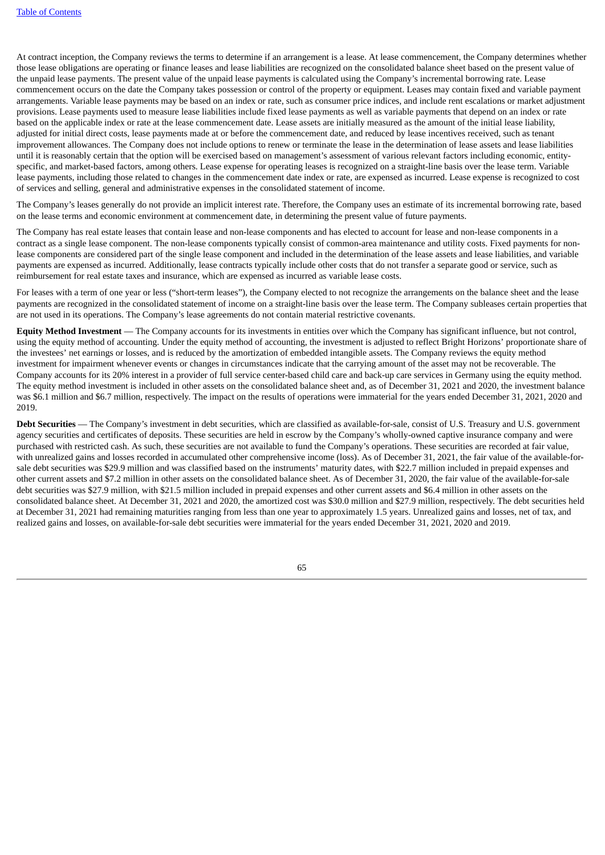At contract inception, the Company reviews the terms to determine if an arrangement is a lease. At lease commencement, the Company determines whether those lease obligations are operating or finance leases and lease liabilities are recognized on the consolidated balance sheet based on the present value of the unpaid lease payments. The present value of the unpaid lease payments is calculated using the Company's incremental borrowing rate. Lease commencement occurs on the date the Company takes possession or control of the property or equipment. Leases may contain fixed and variable payment arrangements. Variable lease payments may be based on an index or rate, such as consumer price indices, and include rent escalations or market adjustment provisions. Lease payments used to measure lease liabilities include fixed lease payments as well as variable payments that depend on an index or rate based on the applicable index or rate at the lease commencement date. Lease assets are initially measured as the amount of the initial lease liability, adjusted for initial direct costs, lease payments made at or before the commencement date, and reduced by lease incentives received, such as tenant improvement allowances. The Company does not include options to renew or terminate the lease in the determination of lease assets and lease liabilities until it is reasonably certain that the option will be exercised based on management's assessment of various relevant factors including economic, entityspecific, and market-based factors, among others. Lease expense for operating leases is recognized on a straight-line basis over the lease term. Variable lease payments, including those related to changes in the commencement date index or rate, are expensed as incurred. Lease expense is recognized to cost of services and selling, general and administrative expenses in the consolidated statement of income.

The Company's leases generally do not provide an implicit interest rate. Therefore, the Company uses an estimate of its incremental borrowing rate, based on the lease terms and economic environment at commencement date, in determining the present value of future payments.

The Company has real estate leases that contain lease and non-lease components and has elected to account for lease and non-lease components in a contract as a single lease component. The non-lease components typically consist of common-area maintenance and utility costs. Fixed payments for nonlease components are considered part of the single lease component and included in the determination of the lease assets and lease liabilities, and variable payments are expensed as incurred. Additionally, lease contracts typically include other costs that do not transfer a separate good or service, such as reimbursement for real estate taxes and insurance, which are expensed as incurred as variable lease costs.

For leases with a term of one year or less ("short-term leases"), the Company elected to not recognize the arrangements on the balance sheet and the lease payments are recognized in the consolidated statement of income on a straight-line basis over the lease term. The Company subleases certain properties that are not used in its operations. The Company's lease agreements do not contain material restrictive covenants.

**Equity Method Investment** — The Company accounts for its investments in entities over which the Company has significant influence, but not control, using the equity method of accounting. Under the equity method of accounting, the investment is adjusted to reflect Bright Horizons' proportionate share of the investees' net earnings or losses, and is reduced by the amortization of embedded intangible assets. The Company reviews the equity method investment for impairment whenever events or changes in circumstances indicate that the carrying amount of the asset may not be recoverable. The Company accounts for its 20% interest in a provider of full service center-based child care and back-up care services in Germany using the equity method. The equity method investment is included in other assets on the consolidated balance sheet and, as of December 31, 2021 and 2020, the investment balance was \$6.1 million and \$6.7 million, respectively. The impact on the results of operations were immaterial for the years ended December 31, 2021, 2020 and 2019.

**Debt Securities** — The Company's investment in debt securities, which are classified as available-for-sale, consist of U.S. Treasury and U.S. government agency securities and certificates of deposits. These securities are held in escrow by the Company's wholly-owned captive insurance company and were purchased with restricted cash. As such, these securities are not available to fund the Company's operations. These securities are recorded at fair value, with unrealized gains and losses recorded in accumulated other comprehensive income (loss). As of December 31, 2021, the fair value of the available-forsale debt securities was \$29.9 million and was classified based on the instruments' maturity dates, with \$22.7 million included in prepaid expenses and other current assets and \$7.2 million in other assets on the consolidated balance sheet. As of December 31, 2020, the fair value of the available-for-sale debt securities was \$27.9 million, with \$21.5 million included in prepaid expenses and other current assets and \$6.4 million in other assets on the consolidated balance sheet. At December 31, 2021 and 2020, the amortized cost was \$30.0 million and \$27.9 million, respectively. The debt securities held at December 31, 2021 had remaining maturities ranging from less than one year to approximately 1.5 years. Unrealized gains and losses, net of tax, and realized gains and losses, on available-for-sale debt securities were immaterial for the years ended December 31, 2021, 2020 and 2019.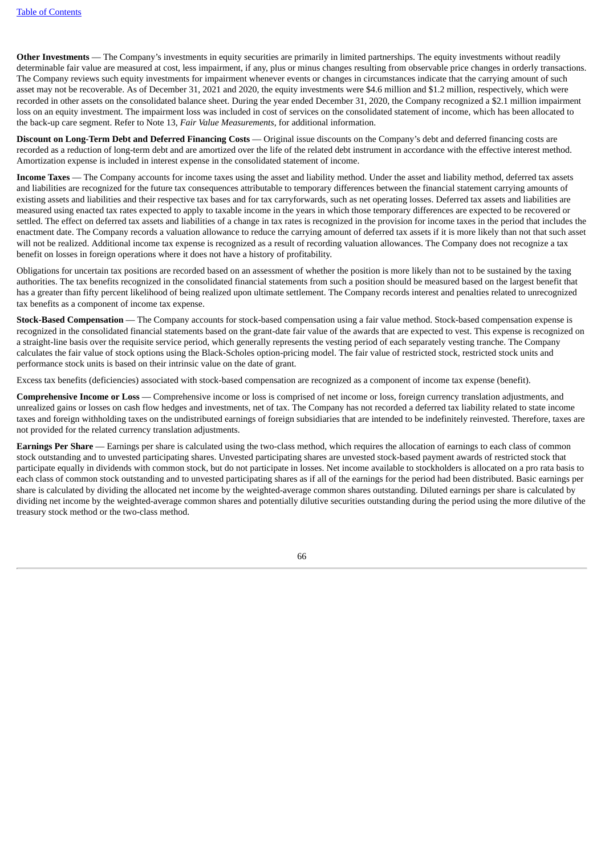**Other Investments** — The Company's investments in equity securities are primarily in limited partnerships. The equity investments without readily determinable fair value are measured at cost, less impairment, if any, plus or minus changes resulting from observable price changes in orderly transactions. The Company reviews such equity investments for impairment whenever events or changes in circumstances indicate that the carrying amount of such asset may not be recoverable. As of December 31, 2021 and 2020, the equity investments were \$4.6 million and \$1.2 million, respectively, which were recorded in other assets on the consolidated balance sheet. During the year ended December 31, 2020, the Company recognized a \$2.1 million impairment loss on an equity investment. The impairment loss was included in cost of services on the consolidated statement of income, which has been allocated to the back-up care segment. Refer to Note 13, *Fair Value Measurements*, for additional information.

**Discount on Long-Term Debt and Deferred Financing Costs** — Original issue discounts on the Company's debt and deferred financing costs are recorded as a reduction of long-term debt and are amortized over the life of the related debt instrument in accordance with the effective interest method. Amortization expense is included in interest expense in the consolidated statement of income.

**Income Taxes** — The Company accounts for income taxes using the asset and liability method. Under the asset and liability method, deferred tax assets and liabilities are recognized for the future tax consequences attributable to temporary differences between the financial statement carrying amounts of existing assets and liabilities and their respective tax bases and for tax carryforwards, such as net operating losses. Deferred tax assets and liabilities are measured using enacted tax rates expected to apply to taxable income in the years in which those temporary differences are expected to be recovered or settled. The effect on deferred tax assets and liabilities of a change in tax rates is recognized in the provision for income taxes in the period that includes the enactment date. The Company records a valuation allowance to reduce the carrying amount of deferred tax assets if it is more likely than not that such asset will not be realized. Additional income tax expense is recognized as a result of recording valuation allowances. The Company does not recognize a tax benefit on losses in foreign operations where it does not have a history of profitability.

Obligations for uncertain tax positions are recorded based on an assessment of whether the position is more likely than not to be sustained by the taxing authorities. The tax benefits recognized in the consolidated financial statements from such a position should be measured based on the largest benefit that has a greater than fifty percent likelihood of being realized upon ultimate settlement. The Company records interest and penalties related to unrecognized tax benefits as a component of income tax expense.

**Stock-Based Compensation** — The Company accounts for stock-based compensation using a fair value method. Stock-based compensation expense is recognized in the consolidated financial statements based on the grant-date fair value of the awards that are expected to vest. This expense is recognized on a straight-line basis over the requisite service period, which generally represents the vesting period of each separately vesting tranche. The Company calculates the fair value of stock options using the Black-Scholes option-pricing model. The fair value of restricted stock, restricted stock units and performance stock units is based on their intrinsic value on the date of grant.

Excess tax benefits (deficiencies) associated with stock-based compensation are recognized as a component of income tax expense (benefit).

**Comprehensive Income or Loss** — Comprehensive income or loss is comprised of net income or loss, foreign currency translation adjustments, and unrealized gains or losses on cash flow hedges and investments, net of tax. The Company has not recorded a deferred tax liability related to state income taxes and foreign withholding taxes on the undistributed earnings of foreign subsidiaries that are intended to be indefinitely reinvested. Therefore, taxes are not provided for the related currency translation adjustments.

**Earnings Per Share** — Earnings per share is calculated using the two-class method, which requires the allocation of earnings to each class of common stock outstanding and to unvested participating shares. Unvested participating shares are unvested stock-based payment awards of restricted stock that participate equally in dividends with common stock, but do not participate in losses. Net income available to stockholders is allocated on a pro rata basis to each class of common stock outstanding and to unvested participating shares as if all of the earnings for the period had been distributed. Basic earnings per share is calculated by dividing the allocated net income by the weighted-average common shares outstanding. Diluted earnings per share is calculated by dividing net income by the weighted-average common shares and potentially dilutive securities outstanding during the period using the more dilutive of the treasury stock method or the two-class method.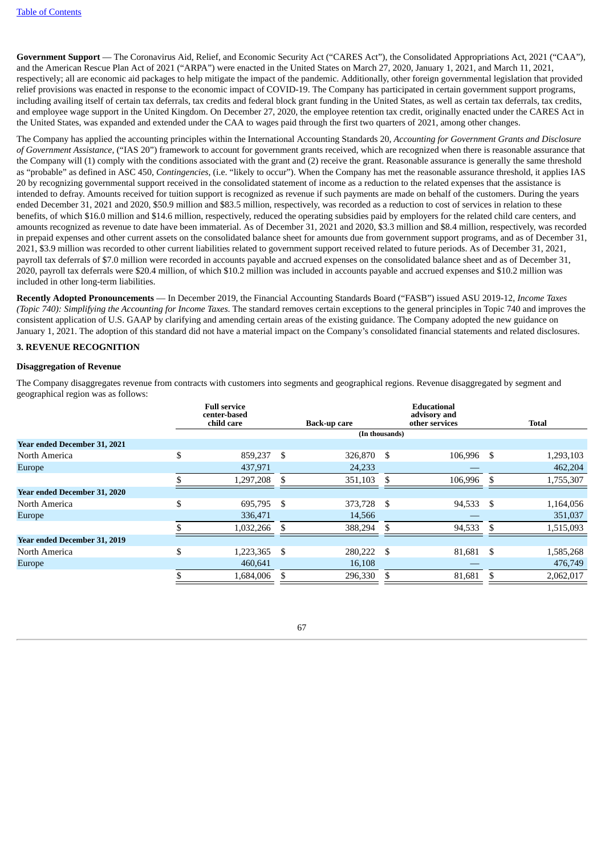**Government Support** — The Coronavirus Aid, Relief, and Economic Security Act ("CARES Act"), the Consolidated Appropriations Act, 2021 ("CAA"), and the American Rescue Plan Act of 2021 ("ARPA") were enacted in the United States on March 27, 2020, January 1, 2021, and March 11, 2021, respectively; all are economic aid packages to help mitigate the impact of the pandemic. Additionally, other foreign governmental legislation that provided relief provisions was enacted in response to the economic impact of COVID-19. The Company has participated in certain government support programs, including availing itself of certain tax deferrals, tax credits and federal block grant funding in the United States, as well as certain tax deferrals, tax credits, and employee wage support in the United Kingdom. On December 27, 2020, the employee retention tax credit, originally enacted under the CARES Act in the United States, was expanded and extended under the CAA to wages paid through the first two quarters of 2021, among other changes.

The Company has applied the accounting principles within the International Accounting Standards 20, *Accounting for Government Grants and Disclosure of Government Assistance*, ("IAS 20") framework to account for government grants received, which are recognized when there is reasonable assurance that the Company will (1) comply with the conditions associated with the grant and (2) receive the grant. Reasonable assurance is generally the same threshold as "probable" as defined in ASC 450, *Contingencies*, (i.e. "likely to occur"). When the Company has met the reasonable assurance threshold, it applies IAS 20 by recognizing governmental support received in the consolidated statement of income as a reduction to the related expenses that the assistance is intended to defray. Amounts received for tuition support is recognized as revenue if such payments are made on behalf of the customers. During the years ended December 31, 2021 and 2020, \$50.9 million and \$83.5 million, respectively, was recorded as a reduction to cost of services in relation to these benefits, of which \$16.0 million and \$14.6 million, respectively, reduced the operating subsidies paid by employers for the related child care centers, and amounts recognized as revenue to date have been immaterial. As of December 31, 2021 and 2020, \$3.3 million and \$8.4 million, respectively, was recorded in prepaid expenses and other current assets on the consolidated balance sheet for amounts due from government support programs, and as of December 31, 2021, \$3.9 million was recorded to other current liabilities related to government support received related to future periods. As of December 31, 2021, payroll tax deferrals of \$7.0 million were recorded in accounts payable and accrued expenses on the consolidated balance sheet and as of December 31, 2020, payroll tax deferrals were \$20.4 million, of which \$10.2 million was included in accounts payable and accrued expenses and \$10.2 million was included in other long-term liabilities.

**Recently Adopted Pronouncements** — In December 2019, the Financial Accounting Standards Board ("FASB") issued ASU 2019-12, *Income Taxes (Topic 740): Simplifying the Accounting for Income Taxes*. The standard removes certain exceptions to the general principles in Topic 740 and improves the consistent application of U.S. GAAP by clarifying and amending certain areas of the existing guidance. The Company adopted the new guidance on January 1, 2021. The adoption of this standard did not have a material impact on the Company's consolidated financial statements and related disclosures.

### **3. REVENUE RECOGNITION**

#### **Disaggregation of Revenue**

The Company disaggregates revenue from contracts with customers into segments and geographical regions. Revenue disaggregated by segment and geographical region was as follows:

|                              | <b>Full service</b><br>center-based<br>child care |    | Back-up care   | Total         |         |     |           |
|------------------------------|---------------------------------------------------|----|----------------|---------------|---------|-----|-----------|
|                              |                                                   |    | (In thousands) |               |         |     |           |
| Year ended December 31, 2021 |                                                   |    |                |               |         |     |           |
| North America                | \$<br>859,237                                     | \$ | 326,870 \$     |               | 106,996 | -\$ | 1,293,103 |
| Europe                       | 437.971                                           |    | 24,233         |               |         |     | 462,204   |
|                              | 1,297,208                                         |    | 351,103        | $\mathcal{S}$ | 106,996 | £.  | 1,755,307 |
| Year ended December 31, 2020 |                                                   |    |                |               |         |     |           |
| North America                | \$<br>695,795                                     | -S | 373,728 \$     |               | 94,533  | \$  | 1,164,056 |
| Europe                       | 336,471                                           |    | 14,566         |               |         |     | 351,037   |
|                              | 1,032,266                                         |    | 388,294        |               | 94,533  | -S  | 1,515,093 |
| Year ended December 31, 2019 |                                                   |    |                |               |         |     |           |
| North America                | \$<br>1,223,365                                   | \$ | 280,222 \$     |               | 81,681  | \$  | 1,585,268 |
| Europe                       | 460,641                                           |    | 16,108         |               |         |     | 476,749   |
|                              | 1,684,006                                         |    | 296,330        | - \$          | 81,681  | .S  | 2,062,017 |
|                              |                                                   |    |                |               |         |     |           |

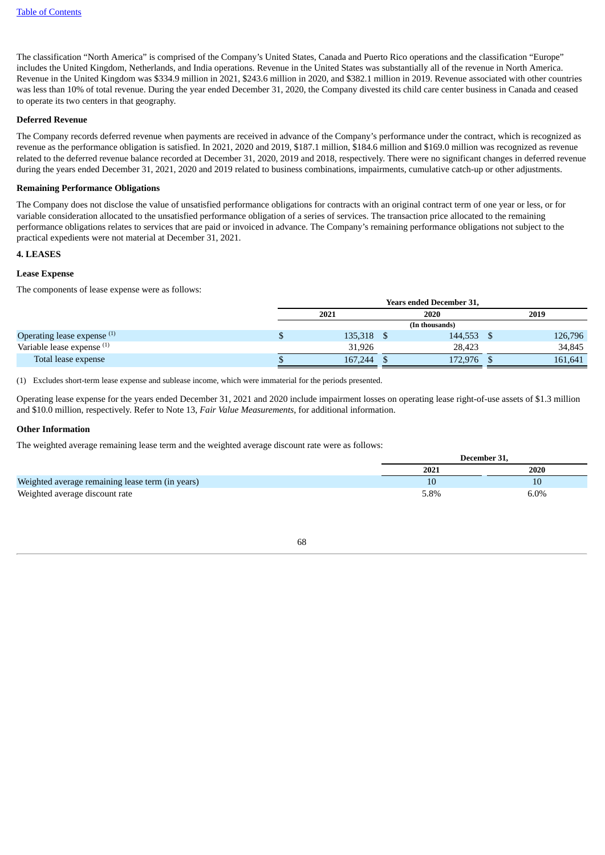The classification "North America" is comprised of the Company's United States, Canada and Puerto Rico operations and the classification "Europe" includes the United Kingdom, Netherlands, and India operations. Revenue in the United States was substantially all of the revenue in North America. Revenue in the United Kingdom was \$334.9 million in 2021, \$243.6 million in 2020, and \$382.1 million in 2019. Revenue associated with other countries was less than 10% of total revenue. During the year ended December 31, 2020, the Company divested its child care center business in Canada and ceased to operate its two centers in that geography.

#### **Deferred Revenue**

The Company records deferred revenue when payments are received in advance of the Company's performance under the contract, which is recognized as revenue as the performance obligation is satisfied. In 2021, 2020 and 2019, \$187.1 million, \$184.6 million and \$169.0 million was recognized as revenue related to the deferred revenue balance recorded at December 31, 2020, 2019 and 2018, respectively. There were no significant changes in deferred revenue during the years ended December 31, 2021, 2020 and 2019 related to business combinations, impairments, cumulative catch-up or other adjustments.

#### **Remaining Performance Obligations**

The Company does not disclose the value of unsatisfied performance obligations for contracts with an original contract term of one year or less, or for variable consideration allocated to the unsatisfied performance obligation of a series of services. The transaction price allocated to the remaining performance obligations relates to services that are paid or invoiced in advance. The Company's remaining performance obligations not subject to the practical expedients were not material at December 31, 2021.

#### **4. LEASES**

# **Lease Expense**

The components of lease expense were as follows:

|                                       | <b>Years ended December 31,</b> |         |  |                |  |         |  |  |
|---------------------------------------|---------------------------------|---------|--|----------------|--|---------|--|--|
|                                       | 2021                            |         |  | 2020           |  | 2019    |  |  |
|                                       |                                 |         |  | (In thousands) |  |         |  |  |
| Operating lease expense (1)           | Ψ                               | 135,318 |  | 144,553        |  | 126,796 |  |  |
| Variable lease expense <sup>(1)</sup> |                                 | 31,926  |  | 28,423         |  | 34,845  |  |  |
| Total lease expense                   |                                 | 167,244 |  | 172,976        |  | 161,641 |  |  |

(1) Excludes short-term lease expense and sublease income, which were immaterial for the periods presented.

Operating lease expense for the years ended December 31, 2021 and 2020 include impairment losses on operating lease right-of-use assets of \$1.3 million and \$10.0 million, respectively. Refer to Note 13, *Fair Value Measurements*, for additional information.

#### **Other Information**

The weighted average remaining lease term and the weighted average discount rate were as follows:

|                                                  | December 31. |         |  |  |
|--------------------------------------------------|--------------|---------|--|--|
|                                                  | 2021         | 2020    |  |  |
| Weighted average remaining lease term (in years) |              |         |  |  |
| Weighted average discount rate                   | 5.8%         | $6.0\%$ |  |  |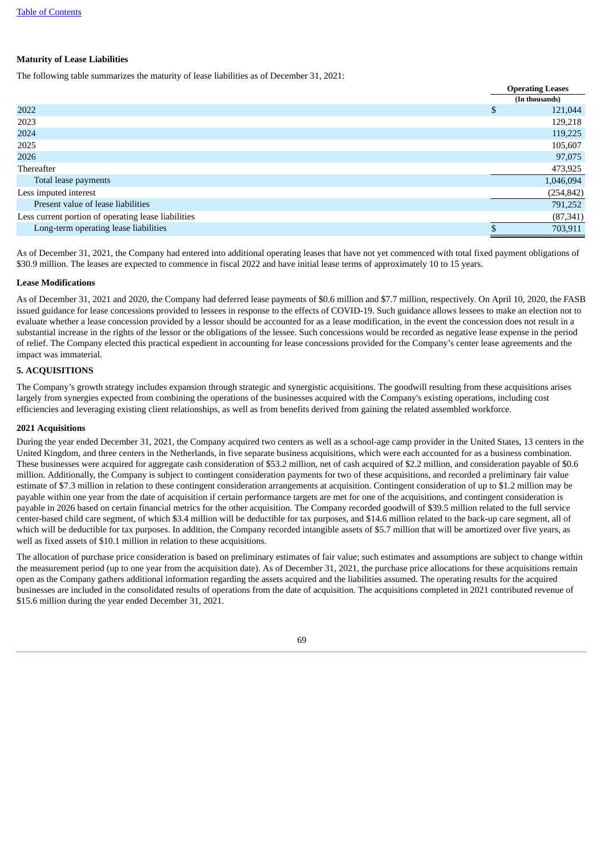# **Maturity of Lease Liabilities**

The following table summarizes the maturity of lease liabilities as of December 31, 2021:

|                                                     | <b>Operating Leases</b> |
|-----------------------------------------------------|-------------------------|
|                                                     | (In thousands)          |
| 2022                                                | \$<br>121,044           |
| 2023                                                | 129,218                 |
| 2024                                                | 119,225                 |
| 2025                                                | 105,607                 |
| 2026                                                | 97,075                  |
| Thereafter                                          | 473,925                 |
| Total lease payments                                | 1,046,094               |
| Less imputed interest                               | (254, 842)              |
| Present value of lease liabilities                  | 791,252                 |
| Less current portion of operating lease liabilities | (87, 341)               |
| Long-term operating lease liabilities               | 703,911                 |
|                                                     |                         |

As of December 31, 2021, the Company had entered into additional operating leases that have not yet commenced with total fixed payment obligations of \$30.9 million. The leases are expected to commence in fiscal 2022 and have initial lease terms of approximately 10 to 15 years.

# **Lease Modifications**

As of December 31, 2021 and 2020, the Company had deferred lease payments of \$0.6 million and \$7.7 million, respectively. On April 10, 2020, the FASB issued guidance for lease concessions provided to lessees in response to the effects of COVID-19. Such guidance allows lessees to make an election not to evaluate whether a lease concession provided by a lessor should be accounted for as a lease modification, in the event the concession does not result in a substantial increase in the rights of the lessor or the obligations of the lessee. Such concessions would be recorded as negative lease expense in the period of relief. The Company elected this practical expedient in accounting for lease concessions provided for the Company's center lease agreements and the impact was immaterial.

## **5. ACQUISITIONS**

The Company's growth strategy includes expansion through strategic and synergistic acquisitions. The goodwill resulting from these acquisitions arises largely from synergies expected from combining the operations of the businesses acquired with the Company's existing operations, including cost efficiencies and leveraging existing client relationships, as well as from benefits derived from gaining the related assembled workforce.

## **2021 Acquisitions**

During the year ended December 31, 2021, the Company acquired two centers as well as a school-age camp provider in the United States, 13 centers in the United Kingdom, and three centers in the Netherlands, in five separate business acquisitions, which were each accounted for as a business combination. These businesses were acquired for aggregate cash consideration of \$53.2 million, net of cash acquired of \$2.2 million, and consideration payable of \$0.6 million. Additionally, the Company is subject to contingent consideration payments for two of these acquisitions, and recorded a preliminary fair value estimate of \$7.3 million in relation to these contingent consideration arrangements at acquisition. Contingent consideration of up to \$1.2 million may be payable within one year from the date of acquisition if certain performance targets are met for one of the acquisitions, and contingent consideration is payable in 2026 based on certain financial metrics for the other acquisition. The Company recorded goodwill of \$39.5 million related to the full service center-based child care segment, of which \$3.4 million will be deductible for tax purposes, and \$14.6 million related to the back-up care segment, all of which will be deductible for tax purposes. In addition, the Company recorded intangible assets of \$5.7 million that will be amortized over five years, as well as fixed assets of \$10.1 million in relation to these acquisitions.

The allocation of purchase price consideration is based on preliminary estimates of fair value; such estimates and assumptions are subject to change within the measurement period (up to one year from the acquisition date). As of December 31, 2021, the purchase price allocations for these acquisitions remain open as the Company gathers additional information regarding the assets acquired and the liabilities assumed. The operating results for the acquired businesses are included in the consolidated results of operations from the date of acquisition. The acquisitions completed in 2021 contributed revenue of \$15.6 million during the year ended December 31, 2021.

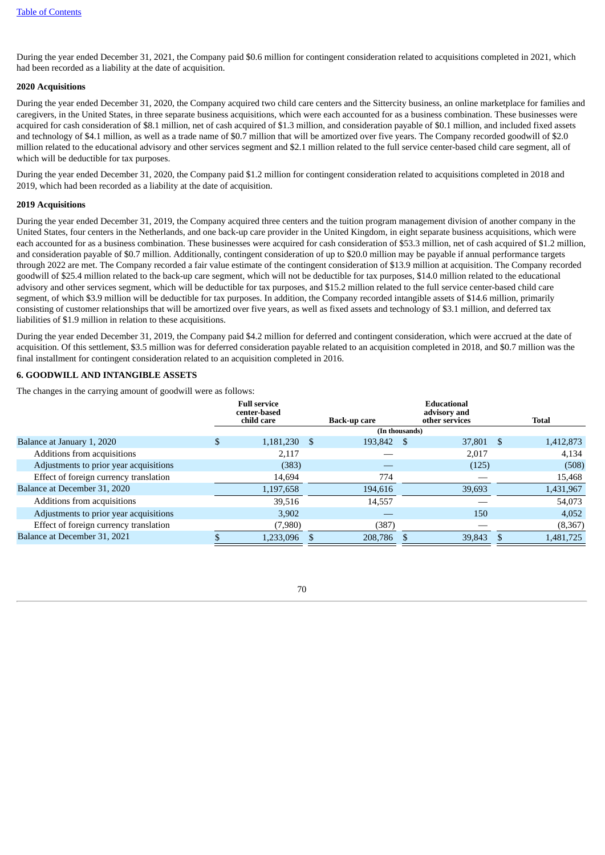During the year ended December 31, 2021, the Company paid \$0.6 million for contingent consideration related to acquisitions completed in 2021, which had been recorded as a liability at the date of acquisition.

# **2020 Acquisitions**

During the year ended December 31, 2020, the Company acquired two child care centers and the Sittercity business, an online marketplace for families and caregivers, in the United States, in three separate business acquisitions, which were each accounted for as a business combination. These businesses were acquired for cash consideration of \$8.1 million, net of cash acquired of \$1.3 million, and consideration payable of \$0.1 million, and included fixed assets and technology of \$4.1 million, as well as a trade name of \$0.7 million that will be amortized over five years. The Company recorded goodwill of \$2.0 million related to the educational advisory and other services segment and \$2.1 million related to the full service center-based child care segment, all of which will be deductible for tax purposes.

During the year ended December 31, 2020, the Company paid \$1.2 million for contingent consideration related to acquisitions completed in 2018 and 2019, which had been recorded as a liability at the date of acquisition.

### **2019 Acquisitions**

During the year ended December 31, 2019, the Company acquired three centers and the tuition program management division of another company in the United States, four centers in the Netherlands, and one back-up care provider in the United Kingdom, in eight separate business acquisitions, which were each accounted for as a business combination. These businesses were acquired for cash consideration of \$53.3 million, net of cash acquired of \$1.2 million, and consideration payable of \$0.7 million. Additionally, contingent consideration of up to \$20.0 million may be payable if annual performance targets through 2022 are met. The Company recorded a fair value estimate of the contingent consideration of \$13.9 million at acquisition. The Company recorded goodwill of \$25.4 million related to the back-up care segment, which will not be deductible for tax purposes, \$14.0 million related to the educational advisory and other services segment, which will be deductible for tax purposes, and \$15.2 million related to the full service center-based child care segment, of which \$3.9 million will be deductible for tax purposes. In addition, the Company recorded intangible assets of \$14.6 million, primarily consisting of customer relationships that will be amortized over five years, as well as fixed assets and technology of \$3.1 million, and deferred tax liabilities of \$1.9 million in relation to these acquisitions.

During the year ended December 31, 2019, the Company paid \$4.2 million for deferred and contingent consideration, which were accrued at the date of acquisition. Of this settlement, \$3.5 million was for deferred consideration payable related to an acquisition completed in 2018, and \$0.7 million was the final installment for contingent consideration related to an acquisition completed in 2016.

# **6. GOODWILL AND INTANGIBLE ASSETS**

The changes in the carrying amount of goodwill were as follows:

|                                        | <b>Full service</b><br>center-based<br>child care | Back-up care |                | <b>Educational</b><br>advisory and<br>other services |      | <b>Total</b> |
|----------------------------------------|---------------------------------------------------|--------------|----------------|------------------------------------------------------|------|--------------|
|                                        |                                                   |              | (In thousands) |                                                      |      |              |
| Balance at January 1, 2020             | \$<br>$1,181,230$ \$                              | 193,842 \$   |                | 37,801                                               | - \$ | 1,412,873    |
| Additions from acquisitions            | 2,117                                             |              |                | 2,017                                                |      | 4,134        |
| Adjustments to prior year acquisitions | (383)                                             |              |                | (125)                                                |      | (508)        |
| Effect of foreign currency translation | 14,694                                            | 774          |                |                                                      |      | 15,468       |
| Balance at December 31, 2020           | 1,197,658                                         | 194,616      |                | 39,693                                               |      | 1,431,967    |
| Additions from acquisitions            | 39,516                                            | 14,557       |                |                                                      |      | 54,073       |
| Adjustments to prior year acquisitions | 3.902                                             |              |                | 150                                                  |      | 4,052        |
| Effect of foreign currency translation | (7,980)                                           | (387)        |                |                                                      |      | (8,367)      |
| Balance at December 31, 2021           | 1,233,096                                         | 208,786      |                | 39,843                                               |      | 1,481,725    |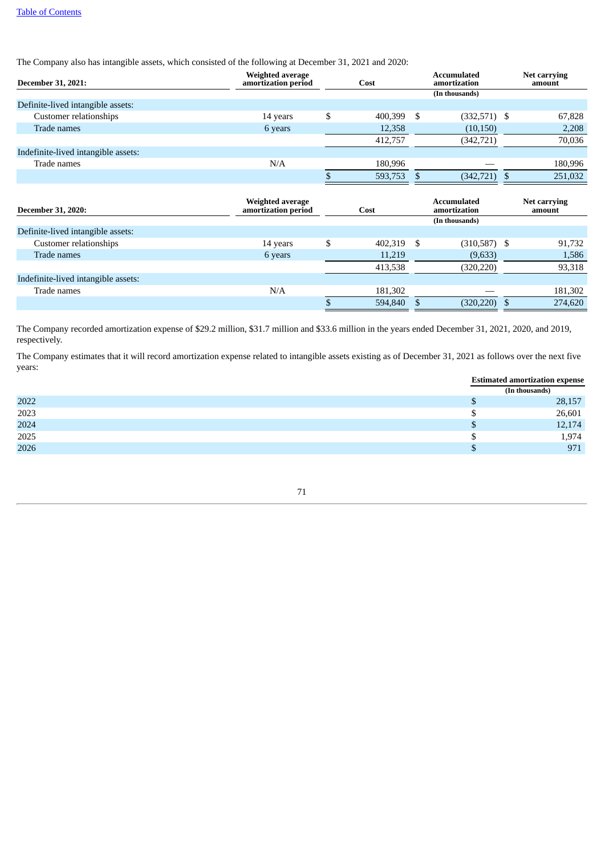The Company also has intangible assets, which consisted of the following at December 31, 2021 and 2020:

| <b>December 31, 2021:</b>           | Weighted average<br>amortization period | Cost    |     | Accumulated<br>amortization | Net carrying<br>amount |
|-------------------------------------|-----------------------------------------|---------|-----|-----------------------------|------------------------|
|                                     |                                         |         |     | (In thousands)              |                        |
| Definite-lived intangible assets:   |                                         |         |     |                             |                        |
| Customer relationships              | 14 years                                | 400.399 | - S | $(332,571)$ \$              | 67,828                 |
| Trade names                         | 6 years                                 | 12,358  |     | (10, 150)                   | 2,208                  |
|                                     |                                         | 412.757 |     | (342, 721)                  | 70,036                 |
| Indefinite-lived intangible assets: |                                         |         |     |                             |                        |
| Trade names                         | N/A                                     | 180,996 |     |                             | 180,996                |
|                                     |                                         | 593,753 |     | (342, 721)                  | 251,032                |

| <b>December 31, 2020:</b>           | Weighted average<br>amortization period | Cost             | Accumulated<br>amortization |    | Net carrying<br>amount |
|-------------------------------------|-----------------------------------------|------------------|-----------------------------|----|------------------------|
|                                     |                                         |                  | (In thousands)              |    |                        |
| Definite-lived intangible assets:   |                                         |                  |                             |    |                        |
| Customer relationships              | 14 years                                | \$<br>402,319 \$ | $(310,587)$ \$              |    | 91,732                 |
| Trade names                         | 6 years                                 | 11,219           | (9,633)                     |    | 1,586                  |
|                                     |                                         | 413,538          | (320, 220)                  |    | 93,318                 |
| Indefinite-lived intangible assets: |                                         |                  |                             |    |                        |
| Trade names                         | N/A                                     | 181,302          |                             |    | 181,302                |
|                                     |                                         | 594,840          | (320, 220)                  | -S | 274,620                |
|                                     |                                         |                  |                             |    |                        |

The Company recorded amortization expense of \$29.2 million, \$31.7 million and \$33.6 million in the years ended December 31, 2021, 2020, and 2019, respectively.

The Company estimates that it will record amortization expense related to intangible assets existing as of December 31, 2021 as follows over the next five years:

|      | <b>Estimated amortization expense</b> |
|------|---------------------------------------|
|      | (In thousands)                        |
| 2022 | 28,157                                |
| 2023 | 26,601                                |
| 2024 | 12,174                                |
| 2025 | 1,974                                 |
| 2026 | 971                                   |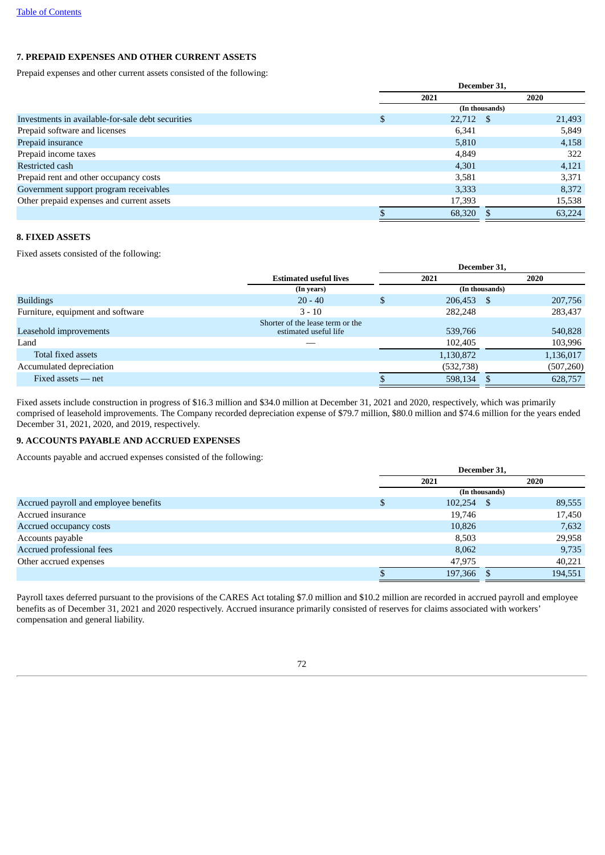# **7. PREPAID EXPENSES AND OTHER CURRENT ASSETS**

Prepaid expenses and other current assets consisted of the following:

|                                                   | December 31,      |                |        |  |  |
|---------------------------------------------------|-------------------|----------------|--------|--|--|
|                                                   | 2021              |                | 2020   |  |  |
|                                                   |                   | (In thousands) |        |  |  |
| Investments in available-for-sale debt securities | \$<br>$22,712$ \$ |                | 21,493 |  |  |
| Prepaid software and licenses                     | 6,341             |                | 5,849  |  |  |
| Prepaid insurance                                 | 5,810             |                | 4,158  |  |  |
| Prepaid income taxes                              | 4,849             |                | 322    |  |  |
| Restricted cash                                   | 4,301             |                | 4,121  |  |  |
| Prepaid rent and other occupancy costs            | 3,581             |                | 3,371  |  |  |
| Government support program receivables            | 3,333             |                | 8,372  |  |  |
| Other prepaid expenses and current assets         | 17,393            |                | 15,538 |  |  |
|                                                   | 68,320            |                | 63.224 |  |  |

# **8. FIXED ASSETS**

Fixed assets consisted of the following:

| <b>Estimated useful lives</b>                             |  | 2021       |  | 2020                                         |  |
|-----------------------------------------------------------|--|------------|--|----------------------------------------------|--|
| (In years)                                                |  |            |  |                                              |  |
| $20 - 40$                                                 |  |            |  | 207,756                                      |  |
| $3 - 10$                                                  |  | 282,248    |  | 283,437                                      |  |
| Shorter of the lease term or the<br>estimated useful life |  | 539,766    |  | 540,828                                      |  |
|                                                           |  | 102,405    |  | 103,996                                      |  |
|                                                           |  | 1,130,872  |  | 1,136,017                                    |  |
|                                                           |  | (532, 738) |  | (507, 260)                                   |  |
|                                                           |  | 598,134    |  | 628,757                                      |  |
|                                                           |  |            |  | December 31,<br>(In thousands)<br>206,453 \$ |  |

Fixed assets include construction in progress of \$16.3 million and \$34.0 million at December 31, 2021 and 2020, respectively, which was primarily comprised of leasehold improvements. The Company recorded depreciation expense of \$79.7 million, \$80.0 million and \$74.6 million for the years ended December 31, 2021, 2020, and 2019, respectively.

# **9. ACCOUNTS PAYABLE AND ACCRUED EXPENSES**

Accounts payable and accrued expenses consisted of the following:

|                                       | December 31,   |              |  |         |  |
|---------------------------------------|----------------|--------------|--|---------|--|
|                                       | 2021           |              |  | 2020    |  |
|                                       | (In thousands) |              |  |         |  |
| Accrued payroll and employee benefits | \$             | $102,254$ \$ |  | 89,555  |  |
| Accrued insurance                     |                | 19,746       |  | 17,450  |  |
| Accrued occupancy costs               |                | 10,826       |  | 7,632   |  |
| Accounts payable                      |                | 8,503        |  | 29,958  |  |
| Accrued professional fees             |                | 8,062        |  | 9,735   |  |
| Other accrued expenses                |                | 47,975       |  | 40,221  |  |
|                                       |                | 197,366      |  | 194,551 |  |

Payroll taxes deferred pursuant to the provisions of the CARES Act totaling \$7.0 million and \$10.2 million are recorded in accrued payroll and employee benefits as of December 31, 2021 and 2020 respectively. Accrued insurance primarily consisted of reserves for claims associated with workers' compensation and general liability.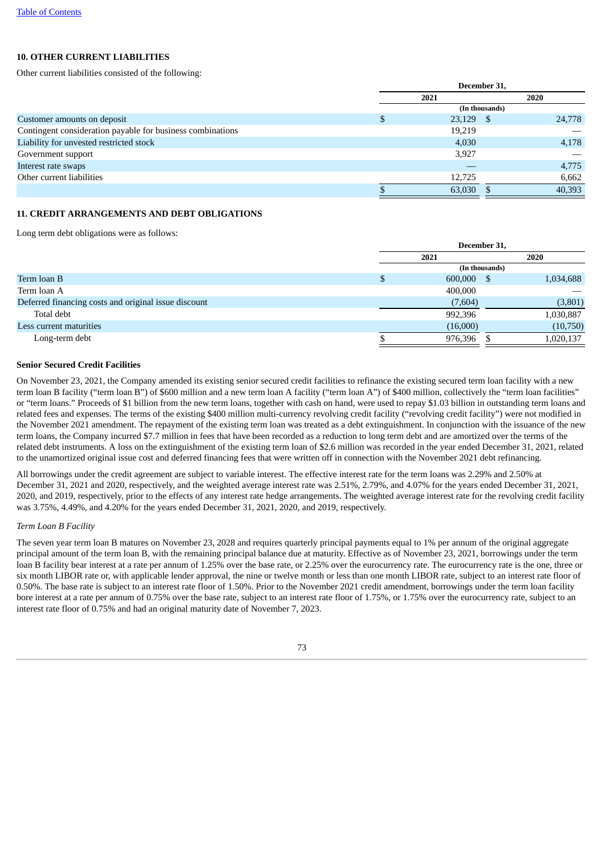## **10. OTHER CURRENT LIABILITIES**

Other current liabilities consisted of the following:

|                                                            | December 31, |                |        |  |
|------------------------------------------------------------|--------------|----------------|--------|--|
|                                                            | 2021         |                |        |  |
|                                                            |              | (In thousands) |        |  |
| Customer amounts on deposit                                | $23,129$ \$  |                | 24,778 |  |
| Contingent consideration payable for business combinations | 19,219       |                |        |  |
| Liability for unvested restricted stock                    | 4,030        |                | 4,178  |  |
| Government support                                         | 3,927        |                |        |  |
| Interest rate swaps                                        |              |                | 4,775  |  |
| Other current liabilities                                  | 12,725       |                | 6,662  |  |
|                                                            | 63,030       |                | 40,393 |  |

## **11. CREDIT ARRANGEMENTS AND DEBT OBLIGATIONS**

Long term debt obligations were as follows:

|                                                      |   | December 31, |                |           |  |
|------------------------------------------------------|---|--------------|----------------|-----------|--|
|                                                      |   | 2021         | 2020           |           |  |
|                                                      |   |              | (In thousands) |           |  |
| Term loan B                                          | S | 600,000 \$   |                | 1,034,688 |  |
| Term loan A                                          |   | 400,000      |                |           |  |
| Deferred financing costs and original issue discount |   | (7,604)      |                | (3,801)   |  |
| Total debt                                           |   | 992,396      |                | 1,030,887 |  |
| Less current maturities                              |   | (16,000)     |                | (10,750)  |  |
| Long-term debt                                       |   | 976,396      |                | 1,020,137 |  |

### **Senior Secured Credit Facilities**

On November 23, 2021, the Company amended its existing senior secured credit facilities to refinance the existing secured term loan facility with a new term loan B facility ("term loan B") of \$600 million and a new term loan A facility ("term loan A") of \$400 million, collectively the "term loan facilities" or "term loans." Proceeds of \$1 billion from the new term loans, together with cash on hand, were used to repay \$1.03 billion in outstanding term loans and related fees and expenses. The terms of the existing \$400 million multi-currency revolving credit facility ("revolving credit facility") were not modified in the November 2021 amendment. The repayment of the existing term loan was treated as a debt extinguishment. In conjunction with the issuance of the new term loans, the Company incurred \$7.7 million in fees that have been recorded as a reduction to long term debt and are amortized over the terms of the related debt instruments. A loss on the extinguishment of the existing term loan of \$2.6 million was recorded in the year ended December 31, 2021, related to the unamortized original issue cost and deferred financing fees that were written off in connection with the November 2021 debt refinancing.

All borrowings under the credit agreement are subject to variable interest. The effective interest rate for the term loans was 2.29% and 2.50% at December 31, 2021 and 2020, respectively, and the weighted average interest rate was 2.51%, 2.79%, and 4.07% for the years ended December 31, 2021, 2020, and 2019, respectively, prior to the effects of any interest rate hedge arrangements. The weighted average interest rate for the revolving credit facility was 3.75%, 4.49%, and 4.20% for the years ended December 31, 2021, 2020, and 2019, respectively.

### *Term Loan B Facility*

The seven year term loan B matures on November 23, 2028 and requires quarterly principal payments equal to 1% per annum of the original aggregate principal amount of the term loan B, with the remaining principal balance due at maturity. Effective as of November 23, 2021, borrowings under the term loan B facility bear interest at a rate per annum of 1.25% over the base rate, or 2.25% over the eurocurrency rate. The eurocurrency rate is the one, three or six month LIBOR rate or, with applicable lender approval, the nine or twelve month or less than one month LIBOR rate, subject to an interest rate floor of 0.50%. The base rate is subject to an interest rate floor of 1.50%. Prior to the November 2021 credit amendment, borrowings under the term loan facility bore interest at a rate per annum of 0.75% over the base rate, subject to an interest rate floor of 1.75%, or 1.75% over the eurocurrency rate, subject to an interest rate floor of 0.75% and had an original maturity date of November 7, 2023.

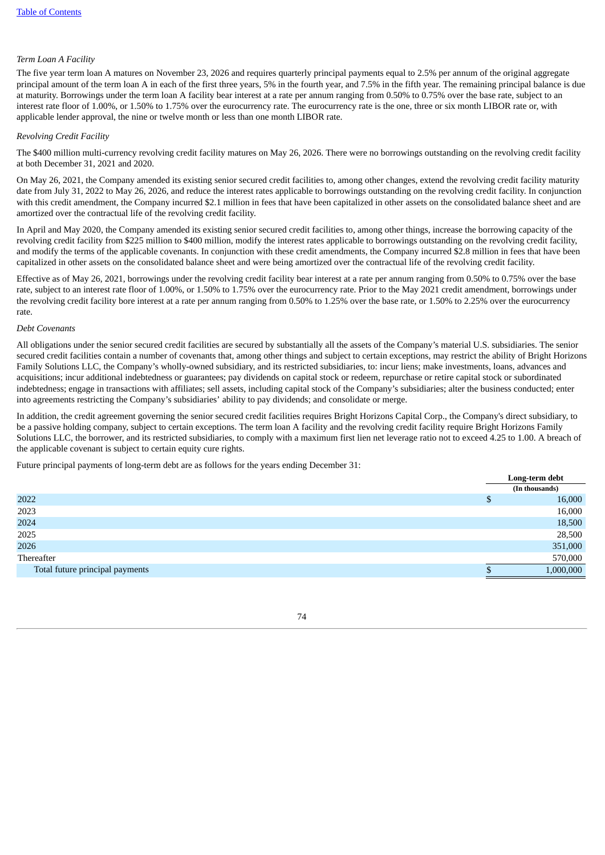### *Term Loan A Facility*

The five year term loan A matures on November 23, 2026 and requires quarterly principal payments equal to 2.5% per annum of the original aggregate principal amount of the term loan A in each of the first three years, 5% in the fourth year, and 7.5% in the fifth year. The remaining principal balance is due at maturity. Borrowings under the term loan A facility bear interest at a rate per annum ranging from 0.50% to 0.75% over the base rate, subject to an interest rate floor of 1.00%, or 1.50% to 1.75% over the eurocurrency rate. The eurocurrency rate is the one, three or six month LIBOR rate or, with applicable lender approval, the nine or twelve month or less than one month LIBOR rate.

### *Revolving Credit Facility*

The \$400 million multi-currency revolving credit facility matures on May 26, 2026. There were no borrowings outstanding on the revolving credit facility at both December 31, 2021 and 2020.

On May 26, 2021, the Company amended its existing senior secured credit facilities to, among other changes, extend the revolving credit facility maturity date from July 31, 2022 to May 26, 2026, and reduce the interest rates applicable to borrowings outstanding on the revolving credit facility. In conjunction with this credit amendment, the Company incurred \$2.1 million in fees that have been capitalized in other assets on the consolidated balance sheet and are amortized over the contractual life of the revolving credit facility.

In April and May 2020, the Company amended its existing senior secured credit facilities to, among other things, increase the borrowing capacity of the revolving credit facility from \$225 million to \$400 million, modify the interest rates applicable to borrowings outstanding on the revolving credit facility, and modify the terms of the applicable covenants. In conjunction with these credit amendments, the Company incurred \$2.8 million in fees that have been capitalized in other assets on the consolidated balance sheet and were being amortized over the contractual life of the revolving credit facility.

Effective as of May 26, 2021, borrowings under the revolving credit facility bear interest at a rate per annum ranging from 0.50% to 0.75% over the base rate, subject to an interest rate floor of 1.00%, or 1.50% to 1.75% over the eurocurrency rate. Prior to the May 2021 credit amendment, borrowings under the revolving credit facility bore interest at a rate per annum ranging from 0.50% to 1.25% over the base rate, or 1.50% to 2.25% over the eurocurrency rate.

### *Debt Covenants*

All obligations under the senior secured credit facilities are secured by substantially all the assets of the Company's material U.S. subsidiaries. The senior secured credit facilities contain a number of covenants that, among other things and subject to certain exceptions, may restrict the ability of Bright Horizons Family Solutions LLC, the Company's wholly-owned subsidiary, and its restricted subsidiaries, to: incur liens; make investments, loans, advances and acquisitions; incur additional indebtedness or guarantees; pay dividends on capital stock or redeem, repurchase or retire capital stock or subordinated indebtedness; engage in transactions with affiliates; sell assets, including capital stock of the Company's subsidiaries; alter the business conducted; enter into agreements restricting the Company's subsidiaries' ability to pay dividends; and consolidate or merge.

In addition, the credit agreement governing the senior secured credit facilities requires Bright Horizons Capital Corp., the Company's direct subsidiary, to be a passive holding company, subject to certain exceptions. The term loan A facility and the revolving credit facility require Bright Horizons Family Solutions LLC, the borrower, and its restricted subsidiaries, to comply with a maximum first lien net leverage ratio not to exceed 4.25 to 1.00. A breach of the applicable covenant is subject to certain equity cure rights.

Future principal payments of long-term debt are as follows for the years ending December 31:

|                                 |   | Long-term debt |
|---------------------------------|---|----------------|
|                                 |   | (In thousands) |
| 2022                            | D | 16,000         |
| 2023                            |   | 16,000         |
| 2024                            |   | 18,500         |
| 2025                            |   | 28,500         |
| 2026                            |   | 351,000        |
| Thereafter                      |   | 570,000        |
| Total future principal payments |   | 1,000,000      |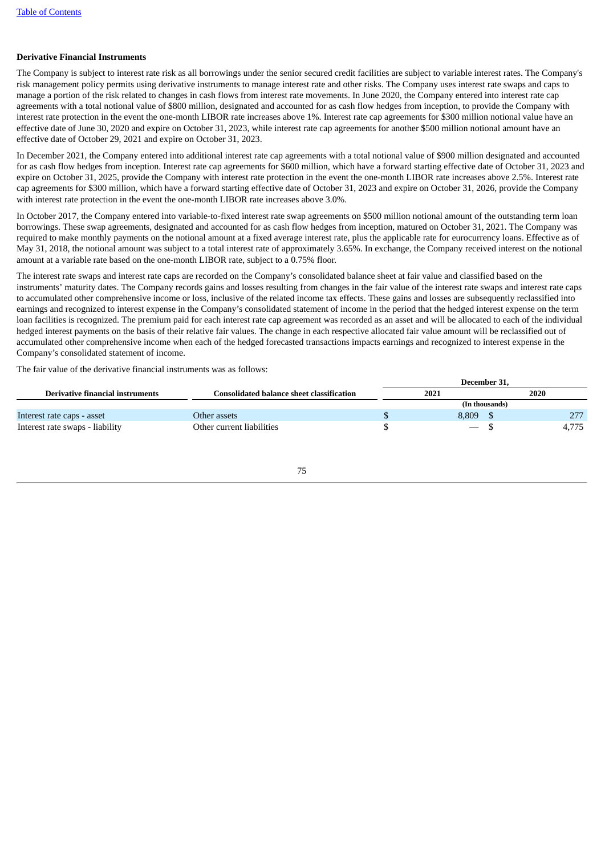# **Derivative Financial Instruments**

The Company is subject to interest rate risk as all borrowings under the senior secured credit facilities are subject to variable interest rates. The Company's risk management policy permits using derivative instruments to manage interest rate and other risks. The Company uses interest rate swaps and caps to manage a portion of the risk related to changes in cash flows from interest rate movements. In June 2020, the Company entered into interest rate cap agreements with a total notional value of \$800 million, designated and accounted for as cash flow hedges from inception, to provide the Company with interest rate protection in the event the one-month LIBOR rate increases above 1%. Interest rate cap agreements for \$300 million notional value have an effective date of June 30, 2020 and expire on October 31, 2023, while interest rate cap agreements for another \$500 million notional amount have an effective date of October 29, 2021 and expire on October 31, 2023.

In December 2021, the Company entered into additional interest rate cap agreements with a total notional value of \$900 million designated and accounted for as cash flow hedges from inception. Interest rate cap agreements for \$600 million, which have a forward starting effective date of October 31, 2023 and expire on October 31, 2025, provide the Company with interest rate protection in the event the one-month LIBOR rate increases above 2.5%. Interest rate cap agreements for \$300 million, which have a forward starting effective date of October 31, 2023 and expire on October 31, 2026, provide the Company with interest rate protection in the event the one-month LIBOR rate increases above 3.0%.

In October 2017, the Company entered into variable-to-fixed interest rate swap agreements on \$500 million notional amount of the outstanding term loan borrowings. These swap agreements, designated and accounted for as cash flow hedges from inception, matured on October 31, 2021. The Company was required to make monthly payments on the notional amount at a fixed average interest rate, plus the applicable rate for eurocurrency loans. Effective as of May 31, 2018, the notional amount was subject to a total interest rate of approximately 3.65%. In exchange, the Company received interest on the notional amount at a variable rate based on the one-month LIBOR rate, subject to a 0.75% floor.

The interest rate swaps and interest rate caps are recorded on the Company's consolidated balance sheet at fair value and classified based on the instruments' maturity dates. The Company records gains and losses resulting from changes in the fair value of the interest rate swaps and interest rate caps to accumulated other comprehensive income or loss, inclusive of the related income tax effects. These gains and losses are subsequently reclassified into earnings and recognized to interest expense in the Company's consolidated statement of income in the period that the hedged interest expense on the term loan facilities is recognized. The premium paid for each interest rate cap agreement was recorded as an asset and will be allocated to each of the individual hedged interest payments on the basis of their relative fair values. The change in each respective allocated fair value amount will be reclassified out of accumulated other comprehensive income when each of the hedged forecasted transactions impacts earnings and recognized to interest expense in the Company's consolidated statement of income.

The fair value of the derivative financial instruments was as follows:

|                                  |                                                  | December 31.             |       |
|----------------------------------|--------------------------------------------------|--------------------------|-------|
| Derivative financial instruments | <b>Consolidated balance sheet classification</b> | 2021                     | 2020  |
|                                  |                                                  | (In thousands)           |       |
| Interest rate caps - asset       | Other assets                                     | 8,809                    | 777   |
| Interest rate swaps - liability  | Other current liabilities                        | $\overline{\phantom{a}}$ | 4,775 |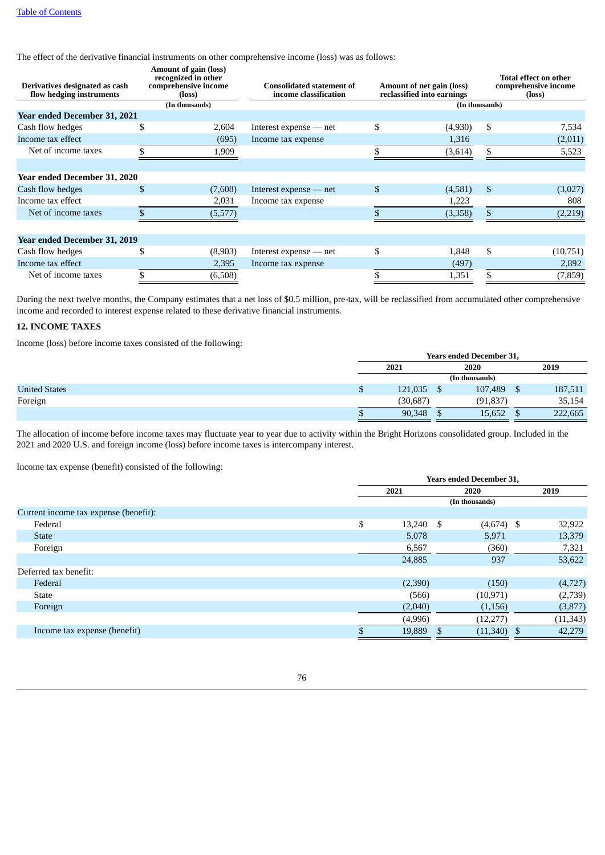The effect of the derivative financial instruments on other comprehensive income (loss) was as follows:

| Derivatives designated as cash<br>flow hedging instruments | <b>Amount of gain (loss)</b><br>recognized in other<br>comprehensive income<br>(loss) | <b>Consolidated statement of</b><br>income classification | Amount of net gain (loss)<br>reclassified into earnings | Total effect on other<br>comprehensive income<br>(loss) |
|------------------------------------------------------------|---------------------------------------------------------------------------------------|-----------------------------------------------------------|---------------------------------------------------------|---------------------------------------------------------|
|                                                            | (In thousands)                                                                        |                                                           |                                                         | (In thousands)                                          |
| <b>Year ended December 31, 2021</b>                        |                                                                                       |                                                           |                                                         |                                                         |
| Cash flow hedges                                           | \$<br>2,604                                                                           | Interest expense $-$ net                                  | \$<br>(4,930)                                           | \$<br>7,534                                             |
| Income tax effect                                          | (695)                                                                                 | Income tax expense                                        | 1,316                                                   | (2,011)                                                 |
| Net of income taxes                                        | 1,909                                                                                 |                                                           | (3,614)                                                 | \$<br>5,523                                             |
| Year ended December 31, 2020                               |                                                                                       |                                                           |                                                         |                                                         |
| Cash flow hedges                                           | \$<br>(7,608)                                                                         | Interest expense $-$ net                                  | \$<br>(4,581)                                           | \$<br>(3,027)                                           |
| Income tax effect                                          | 2,031                                                                                 | Income tax expense                                        | 1,223                                                   | 808                                                     |
| Net of income taxes                                        | (5,577)                                                                               |                                                           | (3,358)                                                 | \$.<br>(2,219)                                          |
| Year ended December 31, 2019                               |                                                                                       |                                                           |                                                         |                                                         |
| Cash flow hedges                                           | \$<br>(8,903)                                                                         | Interest expense — net                                    | \$<br>1,848                                             | \$<br>(10,751)                                          |
| Income tax effect                                          | 2,395                                                                                 | Income tax expense                                        | (497)                                                   | 2,892                                                   |
| Net of income taxes                                        | (6,508)                                                                               |                                                           | 1,351                                                   | (7, 859)                                                |

During the next twelve months, the Company estimates that a net loss of \$0.5 million, pre-tax, will be reclassified from accumulated other comprehensive income and recorded to interest expense related to these derivative financial instruments.

## **12. INCOME TAXES**

Income (loss) before income taxes consisted of the following:

|                      | <b>Years ended December 31,</b> |  |           |          |         |
|----------------------|---------------------------------|--|-----------|----------|---------|
|                      | 2021                            |  | 2020      |          | 2019    |
|                      | (In thousands)                  |  |           |          |         |
| <b>United States</b> | 121,035                         |  | 107,489   | <b>S</b> | 187,511 |
| Foreign              | (30,687)                        |  | (91, 837) |          | 35,154  |
|                      | 90,348                          |  | 15,652    |          | 222,665 |

The allocation of income before income taxes may fluctuate year to year due to activity within the Bright Horizons consolidated group. Included in the 2021 and 2020 U.S. and foreign income (loss) before income taxes is intercompany interest.

Income tax expense (benefit) consisted of the following:

|                                       | <b>Years ended December 31,</b> |              |      |                |      |           |
|---------------------------------------|---------------------------------|--------------|------|----------------|------|-----------|
|                                       |                                 | 2021<br>2020 |      |                | 2019 |           |
|                                       |                                 |              |      | (In thousands) |      |           |
| Current income tax expense (benefit): |                                 |              |      |                |      |           |
| Federal                               | \$                              | 13,240       | - \$ | $(4,674)$ \$   |      | 32,922    |
| <b>State</b>                          |                                 | 5,078        |      | 5,971          |      | 13,379    |
| Foreign                               |                                 | 6,567        |      | (360)          |      | 7,321     |
|                                       |                                 | 24,885       |      | 937            |      | 53,622    |
| Deferred tax benefit:                 |                                 |              |      |                |      |           |
| Federal                               |                                 | (2,390)      |      | (150)          |      | (4, 727)  |
| <b>State</b>                          |                                 | (566)        |      | (10, 971)      |      | (2,739)   |
| Foreign                               |                                 | (2,040)      |      | (1,156)        |      | (3,877)   |
|                                       |                                 | (4,996)      |      | (12, 277)      |      | (11, 343) |
| Income tax expense (benefit)          |                                 | 19,889       | \$   | $(11,340)$ \$  |      | 42,279    |
|                                       |                                 |              |      |                |      |           |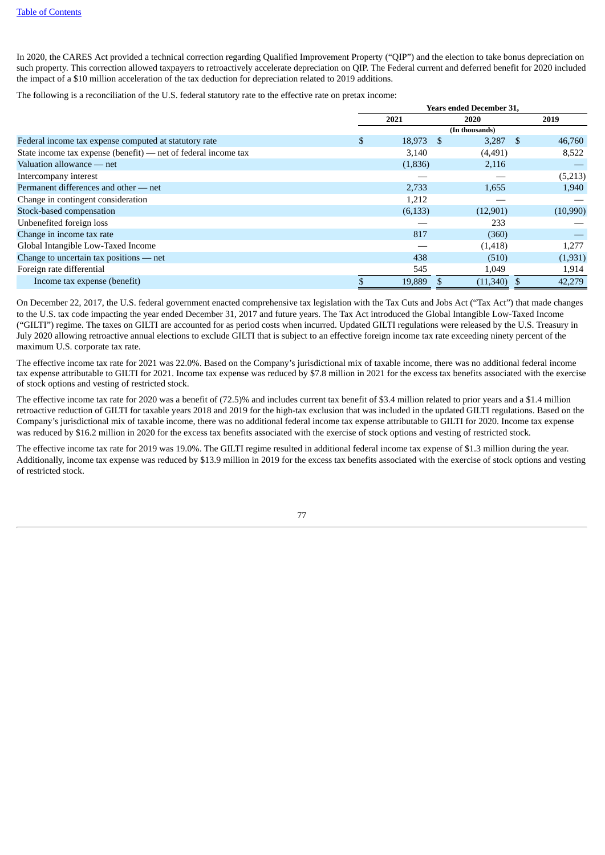In 2020, the CARES Act provided a technical correction regarding Qualified Improvement Property ("QIP") and the election to take bonus depreciation on such property. This correction allowed taxpayers to retroactively accelerate depreciation on QIP. The Federal current and deferred benefit for 2020 included the impact of a \$10 million acceleration of the tax deduction for depreciation related to 2019 additions.

The following is a reconciliation of the U.S. federal statutory rate to the effective rate on pretax income:

|                                                                | <b>Years ended December 31.</b> |          |    |                |      |          |
|----------------------------------------------------------------|---------------------------------|----------|----|----------------|------|----------|
|                                                                |                                 | 2021     |    | 2020           |      | 2019     |
|                                                                |                                 |          |    | (In thousands) |      |          |
| Federal income tax expense computed at statutory rate          | \$                              | 18,973   | -S | 3,287          | - \$ | 46,760   |
| State income tax expense (benefit) — net of federal income tax |                                 | 3,140    |    | (4,491)        |      | 8,522    |
| Valuation allowance — net                                      |                                 | (1,836)  |    | 2,116          |      |          |
| Intercompany interest                                          |                                 |          |    |                |      | (5,213)  |
| Permanent differences and other — net                          |                                 | 2,733    |    | 1,655          |      | 1,940    |
| Change in contingent consideration                             |                                 | 1,212    |    |                |      |          |
| Stock-based compensation                                       |                                 | (6, 133) |    | (12,901)       |      | (10,990) |
| Unbenefited foreign loss                                       |                                 |          |    | 233            |      |          |
| Change in income tax rate                                      |                                 | 817      |    | (360)          |      |          |
| Global Intangible Low-Taxed Income                             |                                 |          |    | (1,418)        |      | 1,277    |
| Change to uncertain tax positions - net                        |                                 | 438      |    | (510)          |      | (1,931)  |
| Foreign rate differential                                      |                                 | 545      |    | 1,049          |      | 1,914    |
| Income tax expense (benefit)                                   |                                 | 19,889   |    | (11,340)       |      | 42,279   |

On December 22, 2017, the U.S. federal government enacted comprehensive tax legislation with the Tax Cuts and Jobs Act ("Tax Act") that made changes to the U.S. tax code impacting the year ended December 31, 2017 and future years. The Tax Act introduced the Global Intangible Low-Taxed Income ("GILTI") regime. The taxes on GILTI are accounted for as period costs when incurred. Updated GILTI regulations were released by the U.S. Treasury in July 2020 allowing retroactive annual elections to exclude GILTI that is subject to an effective foreign income tax rate exceeding ninety percent of the maximum U.S. corporate tax rate.

The effective income tax rate for 2021 was 22.0%. Based on the Company's jurisdictional mix of taxable income, there was no additional federal income tax expense attributable to GILTI for 2021. Income tax expense was reduced by \$7.8 million in 2021 for the excess tax benefits associated with the exercise of stock options and vesting of restricted stock.

The effective income tax rate for 2020 was a benefit of (72.5)% and includes current tax benefit of \$3.4 million related to prior years and a \$1.4 million retroactive reduction of GILTI for taxable years 2018 and 2019 for the high-tax exclusion that was included in the updated GILTI regulations. Based on the Company's jurisdictional mix of taxable income, there was no additional federal income tax expense attributable to GILTI for 2020. Income tax expense was reduced by \$16.2 million in 2020 for the excess tax benefits associated with the exercise of stock options and vesting of restricted stock*.*

The effective income tax rate for 2019 was 19.0%. The GILTI regime resulted in additional federal income tax expense of \$1.3 million during the year. Additionally, income tax expense was reduced by \$13.9 million in 2019 for the excess tax benefits associated with the exercise of stock options and vesting of restricted stock.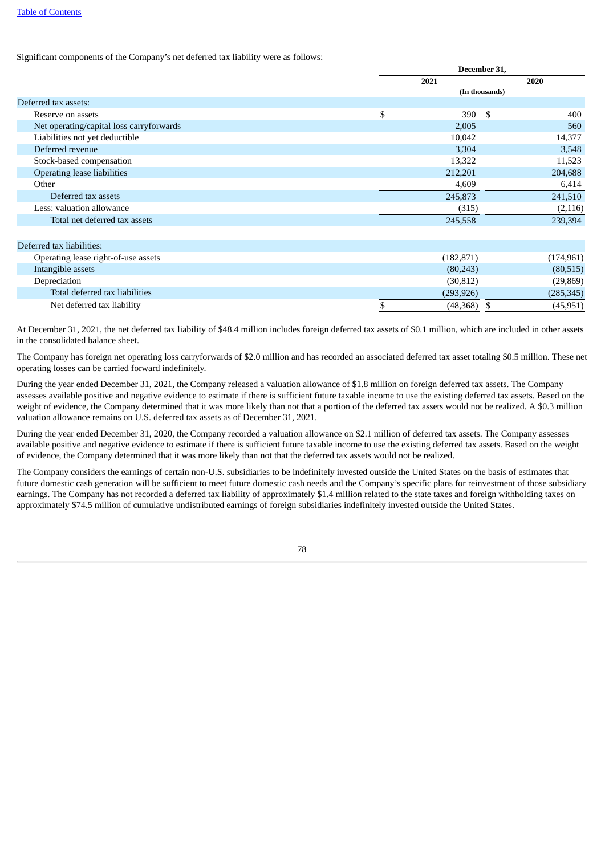Significant components of the Company's net deferred tax liability were as follows:

|                                          | December 31,      |                |  |  |
|------------------------------------------|-------------------|----------------|--|--|
|                                          | 2021              | 2020           |  |  |
|                                          |                   | (In thousands) |  |  |
| Deferred tax assets:                     |                   |                |  |  |
| \$<br>Reserve on assets                  | 390 $\frac{1}{2}$ | 400            |  |  |
| Net operating/capital loss carryforwards | 2,005             | 560            |  |  |
| Liabilities not yet deductible           | 10,042            | 14,377         |  |  |
| Deferred revenue                         | 3,304             | 3,548          |  |  |
| Stock-based compensation                 | 13,322            | 11,523         |  |  |
| <b>Operating lease liabilities</b>       | 212,201           | 204,688        |  |  |
| Other                                    | 4,609             | 6,414          |  |  |
| Deferred tax assets                      | 245,873           | 241,510        |  |  |
| Less: valuation allowance                | (315)             | (2, 116)       |  |  |
| Total net deferred tax assets            | 245,558           | 239,394        |  |  |
|                                          |                   |                |  |  |

| Deferred tax liabilities:           |            |            |
|-------------------------------------|------------|------------|
| Operating lease right-of-use assets | (182, 871) | (174, 961) |
| Intangible assets                   | (80, 243)  | (80, 515)  |
| Depreciation                        | (30, 812)  | (29, 869)  |
| Total deferred tax liabilities      | (293, 926) | (285, 345) |
| Net deferred tax liability          | (48, 368)  | (45, 951)  |

At December 31, 2021, the net deferred tax liability of \$48.4 million includes foreign deferred tax assets of \$0.1 million, which are included in other assets in the consolidated balance sheet.

The Company has foreign net operating loss carryforwards of \$2.0 million and has recorded an associated deferred tax asset totaling \$0.5 million. These net operating losses can be carried forward indefinitely.

During the year ended December 31, 2021, the Company released a valuation allowance of \$1.8 million on foreign deferred tax assets. The Company assesses available positive and negative evidence to estimate if there is sufficient future taxable income to use the existing deferred tax assets. Based on the weight of evidence, the Company determined that it was more likely than not that a portion of the deferred tax assets would not be realized. A \$0.3 million valuation allowance remains on U.S. deferred tax assets as of December 31, 2021.

During the year ended December 31, 2020, the Company recorded a valuation allowance on \$2.1 million of deferred tax assets. The Company assesses available positive and negative evidence to estimate if there is sufficient future taxable income to use the existing deferred tax assets. Based on the weight of evidence, the Company determined that it was more likely than not that the deferred tax assets would not be realized.

The Company considers the earnings of certain non-U.S. subsidiaries to be indefinitely invested outside the United States on the basis of estimates that future domestic cash generation will be sufficient to meet future domestic cash needs and the Company's specific plans for reinvestment of those subsidiary earnings. The Company has not recorded a deferred tax liability of approximately \$1.4 million related to the state taxes and foreign withholding taxes on approximately \$74.5 million of cumulative undistributed earnings of foreign subsidiaries indefinitely invested outside the United States.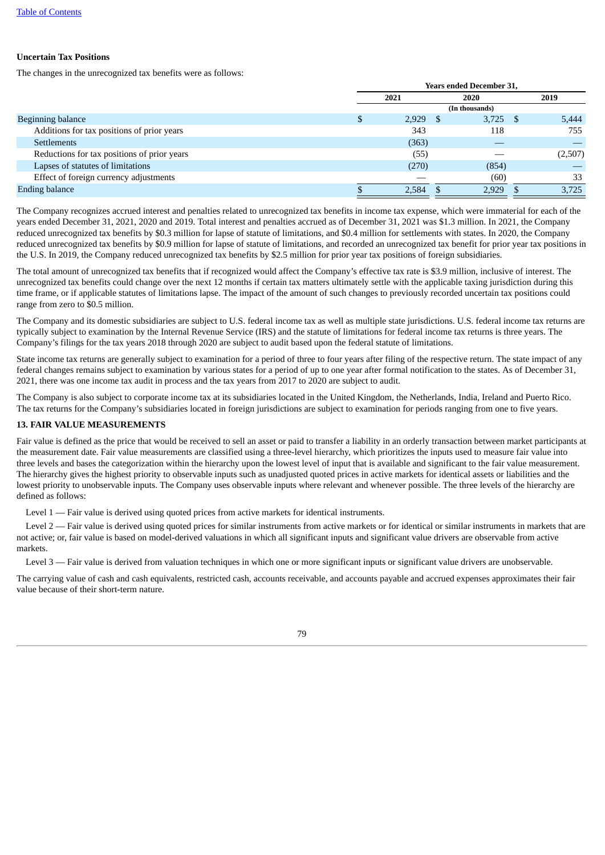## **Uncertain Tax Positions**

The changes in the unrecognized tax benefits were as follows:

|                                             | <b>Years ended December 31,</b> |                |               |  |
|---------------------------------------------|---------------------------------|----------------|---------------|--|
|                                             | 2021                            | 2019           |               |  |
|                                             |                                 | (In thousands) |               |  |
| Beginning balance                           | 2,929                           | 3,725<br>-S    | 5,444<br>- \$ |  |
| Additions for tax positions of prior years  | 343                             | 118            | 755           |  |
| <b>Settlements</b>                          | (363)                           |                |               |  |
| Reductions for tax positions of prior years | (55)                            |                | (2,507)       |  |
| Lapses of statutes of limitations           | (270)                           | (854)          |               |  |
| Effect of foreign currency adjustments      |                                 | (60)           | 33            |  |
| <b>Ending balance</b>                       | 2,584                           | 2,929          | 3,725         |  |

The Company recognizes accrued interest and penalties related to unrecognized tax benefits in income tax expense, which were immaterial for each of the years ended December 31, 2021, 2020 and 2019. Total interest and penalties accrued as of December 31, 2021 was \$1.3 million. In 2021, the Company reduced unrecognized tax benefits by \$0.3 million for lapse of statute of limitations, and \$0.4 million for settlements with states. In 2020, the Company reduced unrecognized tax benefits by \$0.9 million for lapse of statute of limitations, and recorded an unrecognized tax benefit for prior year tax positions in the U.S. In 2019, the Company reduced unrecognized tax benefits by \$2.5 million for prior year tax positions of foreign subsidiaries.

The total amount of unrecognized tax benefits that if recognized would affect the Company's effective tax rate is \$3.9 million, inclusive of interest. The unrecognized tax benefits could change over the next 12 months if certain tax matters ultimately settle with the applicable taxing jurisdiction during this time frame, or if applicable statutes of limitations lapse. The impact of the amount of such changes to previously recorded uncertain tax positions could range from zero to \$0.5 million.

The Company and its domestic subsidiaries are subject to U.S. federal income tax as well as multiple state jurisdictions. U.S. federal income tax returns are typically subject to examination by the Internal Revenue Service (IRS) and the statute of limitations for federal income tax returns is three years. The Company's filings for the tax years 2018 through 2020 are subject to audit based upon the federal statute of limitations.

State income tax returns are generally subject to examination for a period of three to four years after filing of the respective return. The state impact of any federal changes remains subject to examination by various states for a period of up to one year after formal notification to the states. As of December 31, 2021, there was one income tax audit in process and the tax years from 2017 to 2020 are subject to audit.

The Company is also subject to corporate income tax at its subsidiaries located in the United Kingdom, the Netherlands, India, Ireland and Puerto Rico. The tax returns for the Company's subsidiaries located in foreign jurisdictions are subject to examination for periods ranging from one to five years.

## **13. FAIR VALUE MEASUREMENTS**

Fair value is defined as the price that would be received to sell an asset or paid to transfer a liability in an orderly transaction between market participants at the measurement date. Fair value measurements are classified using a three-level hierarchy, which prioritizes the inputs used to measure fair value into three levels and bases the categorization within the hierarchy upon the lowest level of input that is available and significant to the fair value measurement. The hierarchy gives the highest priority to observable inputs such as unadjusted quoted prices in active markets for identical assets or liabilities and the lowest priority to unobservable inputs. The Company uses observable inputs where relevant and whenever possible. The three levels of the hierarchy are defined as follows:

Level 1 — Fair value is derived using quoted prices from active markets for identical instruments.

Level 2 — Fair value is derived using quoted prices for similar instruments from active markets or for identical or similar instruments in markets that are not active; or, fair value is based on model-derived valuations in which all significant inputs and significant value drivers are observable from active markets.

Level 3 — Fair value is derived from valuation techniques in which one or more significant inputs or significant value drivers are unobservable.

The carrying value of cash and cash equivalents, restricted cash, accounts receivable, and accounts payable and accrued expenses approximates their fair value because of their short-term nature.

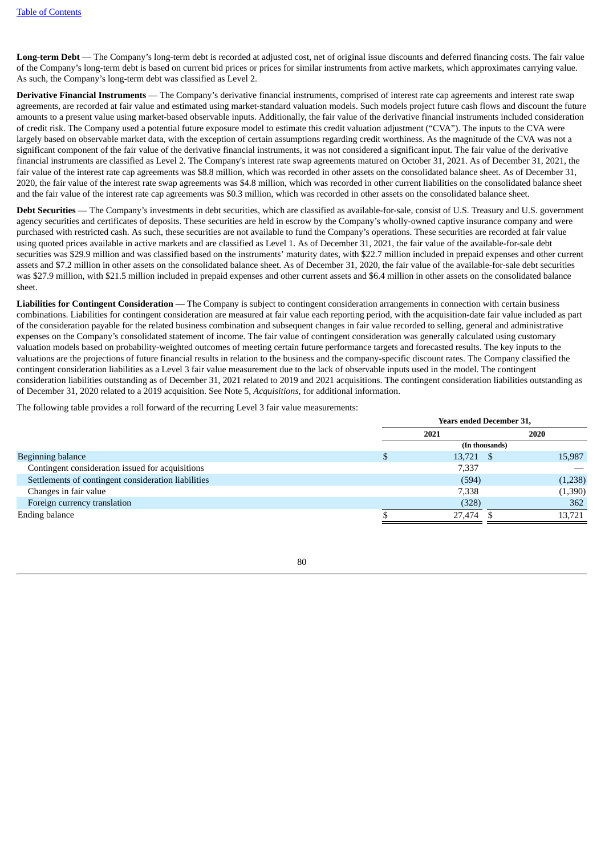**Long-term Debt** — The Company's long-term debt is recorded at adjusted cost, net of original issue discounts and deferred financing costs. The fair value of the Company's long-term debt is based on current bid prices or prices for similar instruments from active markets, which approximates carrying value. As such, the Company's long-term debt was classified as Level 2.

**Derivative Financial Instruments** — The Company's derivative financial instruments, comprised of interest rate cap agreements and interest rate swap agreements, are recorded at fair value and estimated using market-standard valuation models. Such models project future cash flows and discount the future amounts to a present value using market-based observable inputs. Additionally, the fair value of the derivative financial instruments included consideration of credit risk. The Company used a potential future exposure model to estimate this credit valuation adjustment ("CVA"). The inputs to the CVA were largely based on observable market data, with the exception of certain assumptions regarding credit worthiness. As the magnitude of the CVA was not a significant component of the fair value of the derivative financial instruments, it was not considered a significant input. The fair value of the derivative financial instruments are classified as Level 2. The Company's interest rate swap agreements matured on October 31, 2021. As of December 31, 2021, the fair value of the interest rate cap agreements was \$8.8 million, which was recorded in other assets on the consolidated balance sheet. As of December 31, 2020, the fair value of the interest rate swap agreements was \$4.8 million, which was recorded in other current liabilities on the consolidated balance sheet and the fair value of the interest rate cap agreements was \$0.3 million, which was recorded in other assets on the consolidated balance sheet.

**Debt Securities** — The Company's investments in debt securities, which are classified as available-for-sale, consist of U.S. Treasury and U.S. government agency securities and certificates of deposits. These securities are held in escrow by the Company's wholly-owned captive insurance company and were purchased with restricted cash. As such, these securities are not available to fund the Company's operations. These securities are recorded at fair value using quoted prices available in active markets and are classified as Level 1. As of December 31, 2021, the fair value of the available-for-sale debt securities was \$29.9 million and was classified based on the instruments' maturity dates, with \$22.7 million included in prepaid expenses and other current assets and \$7.2 million in other assets on the consolidated balance sheet. As of December 31, 2020, the fair value of the available-for-sale debt securities was \$27.9 million, with \$21.5 million included in prepaid expenses and other current assets and \$6.4 million in other assets on the consolidated balance sheet.

**Liabilities for Contingent Consideration** — The Company is subject to contingent consideration arrangements in connection with certain business combinations. Liabilities for contingent consideration are measured at fair value each reporting period, with the acquisition-date fair value included as part of the consideration payable for the related business combination and subsequent changes in fair value recorded to selling, general and administrative expenses on the Company's consolidated statement of income. The fair value of contingent consideration was generally calculated using customary valuation models based on probability-weighted outcomes of meeting certain future performance targets and forecasted results. The key inputs to the valuations are the projections of future financial results in relation to the business and the company-specific discount rates. The Company classified the contingent consideration liabilities as a Level 3 fair value measurement due to the lack of observable inputs used in the model. The contingent consideration liabilities outstanding as of December 31, 2021 related to 2019 and 2021 acquisitions. The contingent consideration liabilities outstanding as of December 31, 2020 related to a 2019 acquisition. See Note 5, *Acquisitions*, for additional information.

The following table provides a roll forward of the recurring Level 3 fair value measurements:

|                                                     |   | <b>Years ended December 31,</b> |         |  |  |
|-----------------------------------------------------|---|---------------------------------|---------|--|--|
|                                                     |   | 2021                            | 2020    |  |  |
|                                                     |   | (In thousands)                  |         |  |  |
| Beginning balance                                   | Ъ | 13,721 \$                       | 15,987  |  |  |
| Contingent consideration issued for acquisitions    |   | 7,337                           |         |  |  |
| Settlements of contingent consideration liabilities |   | (594)                           | (1,238) |  |  |
| Changes in fair value                               |   | 7,338                           | (1,390) |  |  |
| Foreign currency translation                        |   | (328)                           | 362     |  |  |
| Ending balance                                      |   | 27.474                          | 13.721  |  |  |
|                                                     |   |                                 |         |  |  |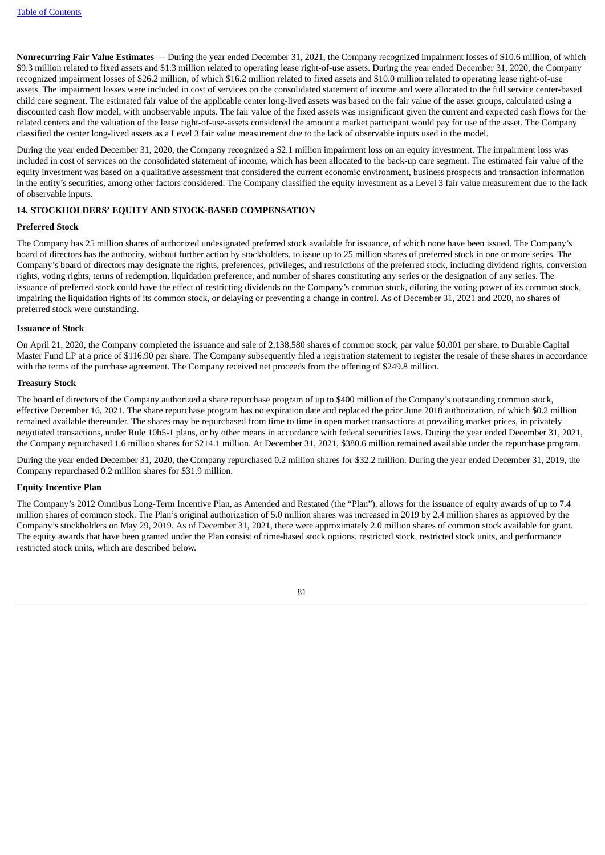**Nonrecurring Fair Value Estimates** — During the year ended December 31, 2021, the Company recognized impairment losses of \$10.6 million, of which \$9.3 million related to fixed assets and \$1.3 million related to operating lease right-of-use assets. During the year ended December 31, 2020, the Company recognized impairment losses of \$26.2 million, of which \$16.2 million related to fixed assets and \$10.0 million related to operating lease right-of-use assets. The impairment losses were included in cost of services on the consolidated statement of income and were allocated to the full service center-based child care segment. The estimated fair value of the applicable center long-lived assets was based on the fair value of the asset groups, calculated using a discounted cash flow model, with unobservable inputs. The fair value of the fixed assets was insignificant given the current and expected cash flows for the related centers and the valuation of the lease right-of-use-assets considered the amount a market participant would pay for use of the asset. The Company classified the center long-lived assets as a Level 3 fair value measurement due to the lack of observable inputs used in the model.

During the year ended December 31, 2020, the Company recognized a \$2.1 million impairment loss on an equity investment. The impairment loss was included in cost of services on the consolidated statement of income, which has been allocated to the back-up care segment. The estimated fair value of the equity investment was based on a qualitative assessment that considered the current economic environment, business prospects and transaction information in the entity's securities, among other factors considered. The Company classified the equity investment as a Level 3 fair value measurement due to the lack of observable inputs.

## **14. STOCKHOLDERS' EQUITY AND STOCK-BASED COMPENSATION**

### **Preferred Stock**

The Company has 25 million shares of authorized undesignated preferred stock available for issuance, of which none have been issued. The Company's board of directors has the authority, without further action by stockholders, to issue up to 25 million shares of preferred stock in one or more series. The Company's board of directors may designate the rights, preferences, privileges, and restrictions of the preferred stock, including dividend rights, conversion rights, voting rights, terms of redemption, liquidation preference, and number of shares constituting any series or the designation of any series. The issuance of preferred stock could have the effect of restricting dividends on the Company's common stock, diluting the voting power of its common stock, impairing the liquidation rights of its common stock, or delaying or preventing a change in control. As of December 31, 2021 and 2020, no shares of preferred stock were outstanding.

### **Issuance of Stock**

On April 21, 2020, the Company completed the issuance and sale of 2,138,580 shares of common stock, par value \$0.001 per share, to Durable Capital Master Fund LP at a price of \$116.90 per share. The Company subsequently filed a registration statement to register the resale of these shares in accordance with the terms of the purchase agreement. The Company received net proceeds from the offering of \$249.8 million.

### **Treasury Stock**

The board of directors of the Company authorized a share repurchase program of up to \$400 million of the Company's outstanding common stock, effective December 16, 2021. The share repurchase program has no expiration date and replaced the prior June 2018 authorization, of which \$0.2 million remained available thereunder. The shares may be repurchased from time to time in open market transactions at prevailing market prices, in privately negotiated transactions, under Rule 10b5-1 plans, or by other means in accordance with federal securities laws. During the year ended December 31, 2021, the Company repurchased 1.6 million shares for \$214.1 million. At December 31, 2021, \$380.6 million remained available under the repurchase program.

During the year ended December 31, 2020, the Company repurchased 0.2 million shares for \$32.2 million. During the year ended December 31, 2019, the Company repurchased 0.2 million shares for \$31.9 million.

### **Equity Incentive Plan**

The Company's 2012 Omnibus Long-Term Incentive Plan, as Amended and Restated (the "Plan"), allows for the issuance of equity awards of up to 7.4 million shares of common stock. The Plan's original authorization of 5.0 million shares was increased in 2019 by 2.4 million shares as approved by the Company's stockholders on May 29, 2019. As of December 31, 2021, there were approximately 2.0 million shares of common stock available for grant. The equity awards that have been granted under the Plan consist of time-based stock options, restricted stock, restricted stock units, and performance restricted stock units, which are described below.

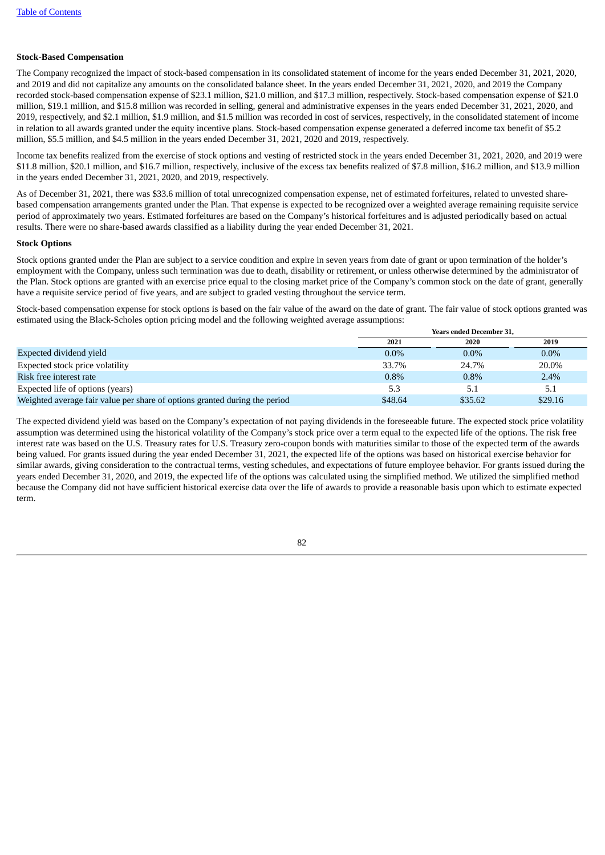# **Stock-Based Compensation**

The Company recognized the impact of stock-based compensation in its consolidated statement of income for the years ended December 31, 2021, 2020, and 2019 and did not capitalize any amounts on the consolidated balance sheet. In the years ended December 31, 2021, 2020, and 2019 the Company recorded stock-based compensation expense of \$23.1 million, \$21.0 million, and \$17.3 million, respectively. Stock-based compensation expense of \$21.0 million, \$19.1 million, and \$15.8 million was recorded in selling, general and administrative expenses in the years ended December 31, 2021, 2020, and 2019, respectively, and \$2.1 million, \$1.9 million, and \$1.5 million was recorded in cost of services, respectively, in the consolidated statement of income in relation to all awards granted under the equity incentive plans. Stock-based compensation expense generated a deferred income tax benefit of \$5.2 million, \$5.5 million, and \$4.5 million in the years ended December 31, 2021, 2020 and 2019, respectively.

Income tax benefits realized from the exercise of stock options and vesting of restricted stock in the years ended December 31, 2021, 2020, and 2019 were \$11.8 million, \$20.1 million, and \$16.7 million, respectively, inclusive of the excess tax benefits realized of \$7.8 million, \$16.2 million, and \$13.9 million in the years ended December 31, 2021, 2020, and 2019, respectively.

As of December 31, 2021, there was \$33.6 million of total unrecognized compensation expense, net of estimated forfeitures, related to unvested sharebased compensation arrangements granted under the Plan. That expense is expected to be recognized over a weighted average remaining requisite service period of approximately two years. Estimated forfeitures are based on the Company's historical forfeitures and is adjusted periodically based on actual results. There were no share-based awards classified as a liability during the year ended December 31, 2021.

### **Stock Options**

Stock options granted under the Plan are subject to a service condition and expire in seven years from date of grant or upon termination of the holder's employment with the Company, unless such termination was due to death, disability or retirement, or unless otherwise determined by the administrator of the Plan. Stock options are granted with an exercise price equal to the closing market price of the Company's common stock on the date of grant, generally have a requisite service period of five years, and are subject to graded vesting throughout the service term.

Stock-based compensation expense for stock options is based on the fair value of the award on the date of grant. The fair value of stock options granted was estimated using the Black-Scholes option pricing model and the following weighted average assumptions:

|                                                                            |         | <b>Years ended December 31.</b> |         |
|----------------------------------------------------------------------------|---------|---------------------------------|---------|
|                                                                            | 2021    | 2020                            | 2019    |
| Expected dividend yield                                                    | $0.0\%$ | $0.0\%$                         | $0.0\%$ |
| Expected stock price volatility                                            | 33.7%   | 24.7%                           | 20.0%   |
| Risk free interest rate                                                    | $0.8\%$ | 0.8%                            | 2.4%    |
| Expected life of options (years)                                           | 5.3     | 5.1                             | 5.1     |
| Weighted average fair value per share of options granted during the period | \$48.64 | \$35.62                         | \$29.16 |

The expected dividend yield was based on the Company's expectation of not paying dividends in the foreseeable future. The expected stock price volatility assumption was determined using the historical volatility of the Company's stock price over a term equal to the expected life of the options. The risk free interest rate was based on the U.S. Treasury rates for U.S. Treasury zero-coupon bonds with maturities similar to those of the expected term of the awards being valued. For grants issued during the year ended December 31, 2021, the expected life of the options was based on historical exercise behavior for similar awards, giving consideration to the contractual terms, vesting schedules, and expectations of future employee behavior. For grants issued during the years ended December 31, 2020, and 2019, the expected life of the options was calculated using the simplified method. We utilized the simplified method because the Company did not have sufficient historical exercise data over the life of awards to provide a reasonable basis upon which to estimate expected term.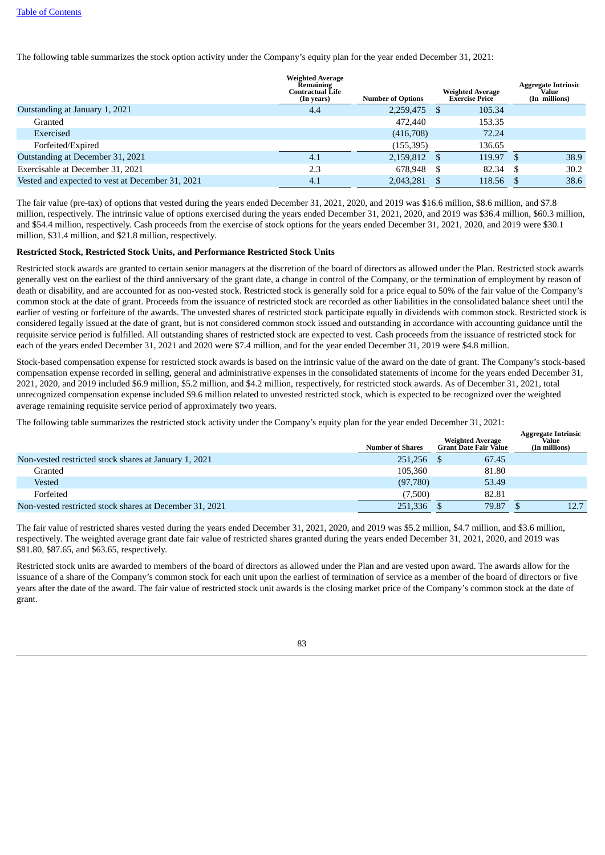The following table summarizes the stock option activity under the Company's equity plan for the year ended December 31, 2021:

|                                                  | <b>Weighted Average</b><br>Remaining<br><b>Contractual Life</b><br>(In years) | <b>Number of Options</b> |      | <b>Weighted Average</b><br><b>Exercise Price</b> |      | <b>Aggregate Intrinsic</b><br>Value<br>(In millions) |
|--------------------------------------------------|-------------------------------------------------------------------------------|--------------------------|------|--------------------------------------------------|------|------------------------------------------------------|
| Outstanding at January 1, 2021                   | 4.4                                                                           | 2,259,475                | - \$ | 105.34                                           |      |                                                      |
| Granted                                          |                                                                               | 472,440                  |      | 153.35                                           |      |                                                      |
| Exercised                                        |                                                                               | (416,708)                |      | 72.24                                            |      |                                                      |
| Forfeited/Expired                                |                                                                               | (155, 395)               |      | 136.65                                           |      |                                                      |
| Outstanding at December 31, 2021                 | 4.1                                                                           | 2,159,812                | -S   | 119.97                                           | - \$ | 38.9                                                 |
| Exercisable at December 31, 2021                 | 2.3                                                                           | 678.948                  |      | 82.34                                            | - \$ | 30.2                                                 |
| Vested and expected to vest at December 31, 2021 | 4.1                                                                           | 2,043,281                |      | 118.56                                           |      | 38.6                                                 |

The fair value (pre-tax) of options that vested during the years ended December 31, 2021, 2020, and 2019 was \$16.6 million, \$8.6 million, and \$7.8 million, respectively. The intrinsic value of options exercised during the years ended December 31, 2021, 2020, and 2019 was \$36.4 million, \$60.3 million, and \$54.4 million, respectively. Cash proceeds from the exercise of stock options for the years ended December 31, 2021, 2020, and 2019 were \$30.1 million, \$31.4 million, and \$21.8 million, respectively.

### **Restricted Stock, Restricted Stock Units, and Performance Restricted Stock Units**

Restricted stock awards are granted to certain senior managers at the discretion of the board of directors as allowed under the Plan. Restricted stock awards generally vest on the earliest of the third anniversary of the grant date, a change in control of the Company, or the termination of employment by reason of death or disability, and are accounted for as non-vested stock. Restricted stock is generally sold for a price equal to 50% of the fair value of the Company's common stock at the date of grant. Proceeds from the issuance of restricted stock are recorded as other liabilities in the consolidated balance sheet until the earlier of vesting or forfeiture of the awards. The unvested shares of restricted stock participate equally in dividends with common stock. Restricted stock is considered legally issued at the date of grant, but is not considered common stock issued and outstanding in accordance with accounting guidance until the requisite service period is fulfilled. All outstanding shares of restricted stock are expected to vest. Cash proceeds from the issuance of restricted stock for each of the years ended December 31, 2021 and 2020 were \$7.4 million, and for the year ended December 31, 2019 were \$4.8 million.

Stock-based compensation expense for restricted stock awards is based on the intrinsic value of the award on the date of grant. The Company's stock-based compensation expense recorded in selling, general and administrative expenses in the consolidated statements of income for the years ended December 31, 2021, 2020, and 2019 included \$6.9 million, \$5.2 million, and \$4.2 million, respectively, for restricted stock awards. As of December 31, 2021, total unrecognized compensation expense included \$9.6 million related to unvested restricted stock, which is expected to be recognized over the weighted average remaining requisite service period of approximately two years.

The following table summarizes the restricted stock activity under the Company's equity plan for the year ended December 31, 2021:

|                                                         | <b>Number of Shares</b> | <b>Weighted Average</b><br><b>Grant Date Fair Value</b> | <b>Aggregate Intrinsic</b><br>Value<br>(In millions) |
|---------------------------------------------------------|-------------------------|---------------------------------------------------------|------------------------------------------------------|
| Non-vested restricted stock shares at January 1, 2021   | 251,256                 | 67.45                                                   |                                                      |
| Granted                                                 | 105,360                 | 81.80                                                   |                                                      |
| Vested                                                  | (97,780)                | 53.49                                                   |                                                      |
| Forfeited                                               | (7,500)                 | 82.81                                                   |                                                      |
| Non-vested restricted stock shares at December 31, 2021 | 251,336                 | 79.87                                                   | 12.7                                                 |

The fair value of restricted shares vested during the years ended December 31, 2021, 2020, and 2019 was \$5.2 million, \$4.7 million, and \$3.6 million, respectively. The weighted average grant date fair value of restricted shares granted during the years ended December 31, 2021, 2020, and 2019 was \$81.80, \$87.65, and \$63.65, respectively.

Restricted stock units are awarded to members of the board of directors as allowed under the Plan and are vested upon award. The awards allow for the issuance of a share of the Company's common stock for each unit upon the earliest of termination of service as a member of the board of directors or five years after the date of the award. The fair value of restricted stock unit awards is the closing market price of the Company's common stock at the date of grant.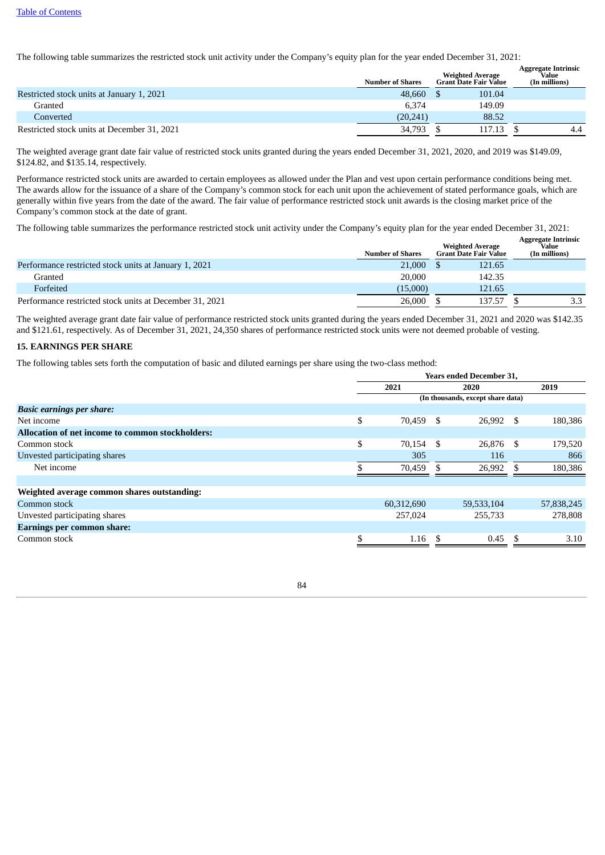The following table summarizes the restricted stock unit activity under the Company's equity plan for the year ended December 31, 2021:

|                                             | <b>Number of Shares</b> | <b>Weighted Average</b><br><b>Grant Date Fair Value</b> | <b>Aggregate Intrinsic</b><br>Value<br>(In millions) |
|---------------------------------------------|-------------------------|---------------------------------------------------------|------------------------------------------------------|
| Restricted stock units at January 1, 2021   | 48.660                  | 101.04                                                  |                                                      |
| Granted                                     | 6.374                   | 149.09                                                  |                                                      |
| Converted                                   | (20, 241)               | 88.52                                                   |                                                      |
| Restricted stock units at December 31, 2021 | 34,793                  | 117.13                                                  | 4.4                                                  |

The weighted average grant date fair value of restricted stock units granted during the years ended December 31, 2021, 2020, and 2019 was \$149.09, \$124.82, and \$135.14, respectively.

Performance restricted stock units are awarded to certain employees as allowed under the Plan and vest upon certain performance conditions being met. The awards allow for the issuance of a share of the Company's common stock for each unit upon the achievement of stated performance goals, which are generally within five years from the date of the award. The fair value of performance restricted stock unit awards is the closing market price of the Company's common stock at the date of grant.

The following table summarizes the performance restricted stock unit activity under the Company's equity plan for the year ended December 31, 2021:

|                                                         | <b>Number of Shares</b> | <b>Weighted Average</b><br><b>Grant Date Fair Value</b> | <b>Aggregate Intrinsic</b><br>Value<br>(In millions) |
|---------------------------------------------------------|-------------------------|---------------------------------------------------------|------------------------------------------------------|
| Performance restricted stock units at January 1, 2021   | 21,000                  | 121.65                                                  |                                                      |
| Granted                                                 | 20,000                  | 142.35                                                  |                                                      |
| Forfeited                                               | (15,000)                | 121.65                                                  |                                                      |
| Performance restricted stock units at December 31, 2021 | 26,000                  | 137.57                                                  | 3.3                                                  |

The weighted average grant date fair value of performance restricted stock units granted during the years ended December 31, 2021 and 2020 was \$142.35 and \$121.61, respectively. As of December 31, 2021, 24,350 shares of performance restricted stock units were not deemed probable of vesting.

## **15. EARNINGS PER SHARE**

The following tables sets forth the computation of basic and diluted earnings per share using the two-class method:

|                                                  | <b>Years ended December 31,</b> |            |      |                                   |      |            |
|--------------------------------------------------|---------------------------------|------------|------|-----------------------------------|------|------------|
|                                                  |                                 | 2021       | 2020 |                                   |      | 2019       |
|                                                  |                                 |            |      | (In thousands, except share data) |      |            |
| <b>Basic earnings per share:</b>                 |                                 |            |      |                                   |      |            |
| Net income                                       | \$                              | 70,459     | - \$ | 26,992                            | - \$ | 180,386    |
| Allocation of net income to common stockholders: |                                 |            |      |                                   |      |            |
| Common stock                                     | \$                              | 70,154     | -\$  | 26,876                            | - \$ | 179,520    |
| Unvested participating shares                    |                                 | 305        |      | 116                               |      | 866        |
| Net income                                       |                                 | 70,459     | .S   | 26,992                            | - \$ | 180,386    |
|                                                  |                                 |            |      |                                   |      |            |
| Weighted average common shares outstanding:      |                                 |            |      |                                   |      |            |
| Common stock                                     |                                 | 60,312,690 |      | 59,533,104                        |      | 57,838,245 |
| Unvested participating shares                    |                                 | 257,024    |      | 255,733                           |      | 278,808    |
| Earnings per common share:                       |                                 |            |      |                                   |      |            |
| Common stock                                     |                                 | 1.16       | -S   | 0.45                              |      | 3.10       |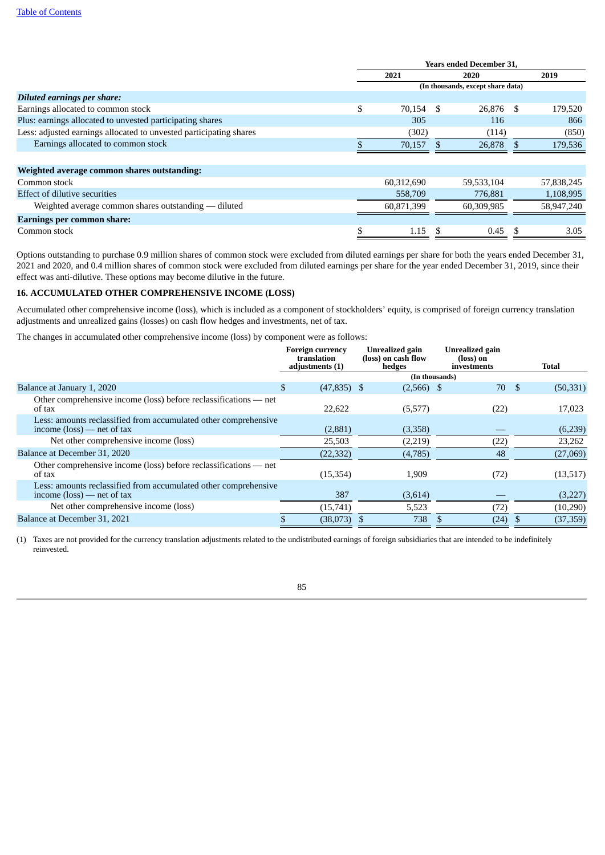|                                                                    | <b>Years ended December 31,</b> |            |     |                                   |      |            |
|--------------------------------------------------------------------|---------------------------------|------------|-----|-----------------------------------|------|------------|
|                                                                    |                                 | 2021       |     | 2020                              |      | 2019       |
|                                                                    |                                 |            |     | (In thousands, except share data) |      |            |
| Diluted earnings per share:                                        |                                 |            |     |                                   |      |            |
| Earnings allocated to common stock                                 | \$                              | 70,154 \$  |     | 26,876 \$                         |      | 179,520    |
| Plus: earnings allocated to unvested participating shares          |                                 | 305        |     | 116                               |      | 866        |
| Less: adjusted earnings allocated to unvested participating shares |                                 | (302)      |     | (114)                             |      | (850)      |
| Earnings allocated to common stock                                 |                                 | 70,157     | -86 | 26,878                            | - \$ | 179,536    |
|                                                                    |                                 |            |     |                                   |      |            |
| Weighted average common shares outstanding:                        |                                 |            |     |                                   |      |            |
| Common stock                                                       |                                 | 60,312,690 |     | 59,533,104                        |      | 57,838,245 |
| <b>Effect of dilutive securities</b>                               |                                 | 558,709    |     | 776,881                           |      | 1,108,995  |
| Weighted average common shares outstanding — diluted               |                                 | 60.871.399 |     | 60,309,985                        |      | 58,947,240 |
| Earnings per common share:                                         |                                 |            |     |                                   |      |            |
| Common stock                                                       |                                 | 1.15       | -S  | 0.45                              |      | 3.05       |

Options outstanding to purchase 0.9 million shares of common stock were excluded from diluted earnings per share for both the years ended December 31, 2021 and 2020, and 0.4 million shares of common stock were excluded from diluted earnings per share for the year ended December 31, 2019, since their effect was anti-dilutive. These options may become dilutive in the future.

## **16. ACCUMULATED OTHER COMPREHENSIVE INCOME (LOSS)**

Accumulated other comprehensive income (loss), which is included as a component of stockholders' equity, is comprised of foreign currency translation adjustments and unrealized gains (losses) on cash flow hedges and investments, net of tax.

The changes in accumulated other comprehensive income (loss) by component were as follows:

|                                                                                                        | Unrealized gain<br><b>Foreign currency</b><br>(loss) on cash flow<br>translation<br>adjustments (1) |               | hedges | <b>Unrealized gain</b><br>(loss) on<br>investments |  |      | Total |           |
|--------------------------------------------------------------------------------------------------------|-----------------------------------------------------------------------------------------------------|---------------|--------|----------------------------------------------------|--|------|-------|-----------|
|                                                                                                        |                                                                                                     |               |        | (In thousands)                                     |  |      |       |           |
| Balance at January 1, 2020                                                                             | S                                                                                                   | $(47,835)$ \$ |        | $(2,566)$ \$                                       |  | 70   | - \$  | (50, 331) |
| Other comprehensive income (loss) before reclassifications — net<br>of tax                             |                                                                                                     | 22,622        |        | (5,577)                                            |  | (22) |       | 17,023    |
| Less: amounts reclassified from accumulated other comprehensive<br>income $(\text{loss})$ — net of tax |                                                                                                     | (2,881)       |        | (3,358)                                            |  |      |       | (6,239)   |
| Net other comprehensive income (loss)                                                                  |                                                                                                     | 25,503        |        | (2,219)                                            |  | (22) |       | 23,262    |
| Balance at December 31, 2020                                                                           |                                                                                                     | (22, 332)     |        | (4,785)                                            |  | 48   |       | (27,069)  |
| Other comprehensive income (loss) before reclassifications $-$ net<br>of tax                           |                                                                                                     | (15, 354)     |        | 1,909                                              |  | (72) |       | (13,517)  |
| Less: amounts reclassified from accumulated other comprehensive<br>income (loss) — net of tax          |                                                                                                     | 387           |        | (3,614)                                            |  |      |       | (3,227)   |
| Net other comprehensive income (loss)                                                                  |                                                                                                     | (15,741)      |        | 5,523                                              |  | (72) |       | (10, 290) |
| Balance at December 31, 2021                                                                           |                                                                                                     | (38,073)      |        | 738                                                |  | (24) |       | (37, 359) |

(1) Taxes are not provided for the currency translation adjustments related to the undistributed earnings of foreign subsidiaries that are intended to be indefinitely reinvested.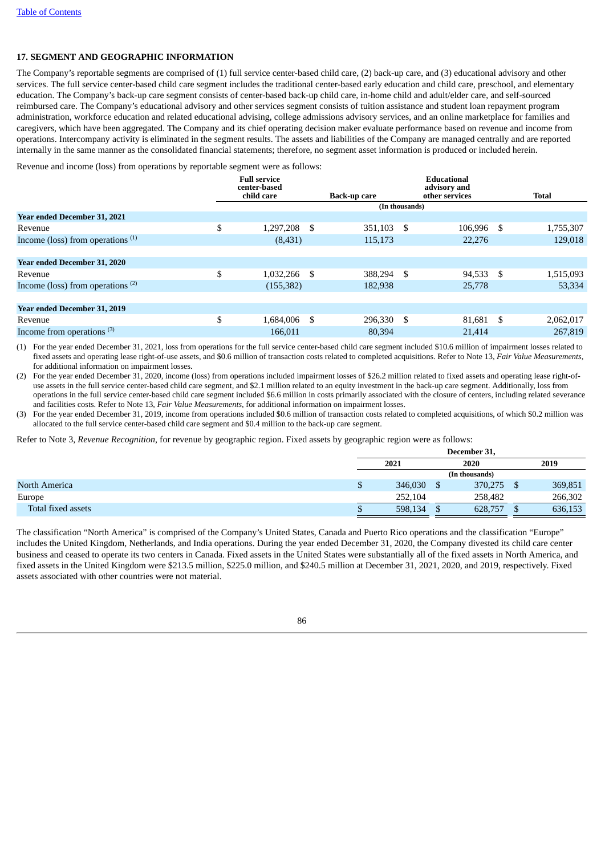# **17. SEGMENT AND GEOGRAPHIC INFORMATION**

The Company's reportable segments are comprised of (1) full service center-based child care, (2) back-up care, and (3) educational advisory and other services. The full service center-based child care segment includes the traditional center-based early education and child care, preschool, and elementary education. The Company's back-up care segment consists of center-based back-up child care, in-home child and adult/elder care, and self-sourced reimbursed care. The Company's educational advisory and other services segment consists of tuition assistance and student loan repayment program administration, workforce education and related educational advising, college admissions advisory services, and an online marketplace for families and caregivers, which have been aggregated. The Company and its chief operating decision maker evaluate performance based on revenue and income from operations. Intercompany activity is eliminated in the segment results. The assets and liabilities of the Company are managed centrally and are reported internally in the same manner as the consolidated financial statements; therefore, no segment asset information is produced or included herein.

Revenue and income (loss) from operations by reportable segment were as follows:

|                                     | <b>Full service</b><br><b>Educational</b><br>center-based<br>advisory and<br>child care<br>Back-up care<br>other services |  |                |      |         |      |           |  |
|-------------------------------------|---------------------------------------------------------------------------------------------------------------------------|--|----------------|------|---------|------|-----------|--|
|                                     |                                                                                                                           |  | (In thousands) |      |         |      |           |  |
| Year ended December 31, 2021        |                                                                                                                           |  |                |      |         |      |           |  |
| Revenue                             | \$<br>1,297,208 \$                                                                                                        |  | 351,103 \$     |      | 106.996 | - \$ | 1,755,307 |  |
| Income (loss) from operations $(1)$ | (8,431)                                                                                                                   |  | 115,173        |      | 22,276  |      | 129,018   |  |
|                                     |                                                                                                                           |  |                |      |         |      |           |  |
| Year ended December 31, 2020        |                                                                                                                           |  |                |      |         |      |           |  |
| Revenue                             | \$<br>1,032,266 \$                                                                                                        |  | 388,294        | - \$ | 94,533  | - \$ | 1,515,093 |  |
| Income (loss) from operations $(2)$ | (155, 382)                                                                                                                |  | 182,938        |      | 25,778  |      | 53,334    |  |
|                                     |                                                                                                                           |  |                |      |         |      |           |  |
| Year ended December 31, 2019        |                                                                                                                           |  |                |      |         |      |           |  |
| Revenue                             | \$<br>1.684.006 \$                                                                                                        |  | 296,330 \$     |      | 81,681  | - \$ | 2,062,017 |  |
| Income from operations $(3)$        | 166.011                                                                                                                   |  | 80,394         |      | 21,414  |      | 267,819   |  |

(1) For the year ended December 31, 2021, loss from operations for the full service center-based child care segment included \$10.6 million of impairment losses related to fixed assets and operating lease right-of-use assets, and \$0.6 million of transaction costs related to completed acquisitions. Refer to Note 13, *Fair Value Measurements*, for additional information on impairment losses.

(2) For the year ended December 31, 2020, income (loss) from operations included impairment losses of \$26.2 million related to fixed assets and operating lease right-ofuse assets in the full service center-based child care segment, and \$2.1 million related to an equity investment in the back-up care segment. Additionally, loss from operations in the full service center-based child care segment included \$6.6 million in costs primarily associated with the closure of centers, including related severance and facilities costs. Refer to Note 13, *Fair Value Measurements*, for additional information on impairment losses.

(3) For the year ended December 31, 2019, income from operations included \$0.6 million of transaction costs related to completed acquisitions, of which \$0.2 million was allocated to the full service center-based child care segment and \$0.4 million to the back-up care segment.

Refer to Note 3, *Revenue Recognition*, for revenue by geographic region. Fixed assets by geographic region were as follows:

|                    | December 31, |  |                |  |         |  |
|--------------------|--------------|--|----------------|--|---------|--|
|                    | 2020<br>2021 |  |                |  | 2019    |  |
|                    |              |  | (In thousands) |  |         |  |
| North America      | 346,030      |  | 370,275        |  | 369,851 |  |
| Europe             | 252,104      |  | 258,482        |  | 266,302 |  |
| Total fixed assets | 598,134      |  | 628,757        |  | 636,153 |  |

The classification "North America" is comprised of the Company's United States, Canada and Puerto Rico operations and the classification "Europe" includes the United Kingdom, Netherlands, and India operations. During the year ended December 31, 2020, the Company divested its child care center business and ceased to operate its two centers in Canada. Fixed assets in the United States were substantially all of the fixed assets in North America, and fixed assets in the United Kingdom were \$213.5 million, \$225.0 million, and \$240.5 million at December 31, 2021, 2020, and 2019, respectively. Fixed assets associated with other countries were not material.

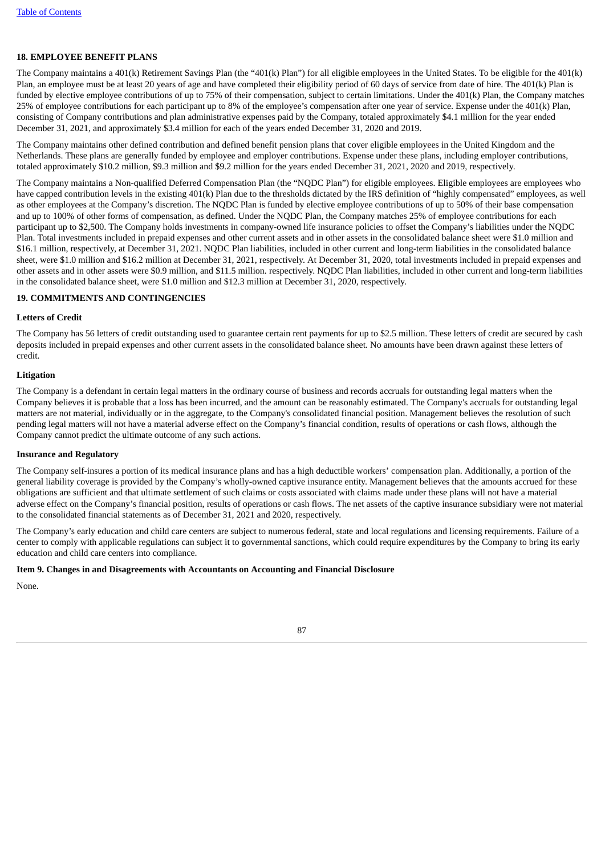# **18. EMPLOYEE BENEFIT PLANS**

The Company maintains a 401(k) Retirement Savings Plan (the "401(k) Plan") for all eligible employees in the United States. To be eligible for the 401(k) Plan, an employee must be at least 20 years of age and have completed their eligibility period of 60 days of service from date of hire. The 401(k) Plan is funded by elective employee contributions of up to 75% of their compensation, subject to certain limitations. Under the 401(k) Plan, the Company matches 25% of employee contributions for each participant up to 8% of the employee's compensation after one year of service. Expense under the 401(k) Plan, consisting of Company contributions and plan administrative expenses paid by the Company, totaled approximately \$4.1 million for the year ended December 31, 2021, and approximately \$3.4 million for each of the years ended December 31, 2020 and 2019.

The Company maintains other defined contribution and defined benefit pension plans that cover eligible employees in the United Kingdom and the Netherlands. These plans are generally funded by employee and employer contributions. Expense under these plans, including employer contributions, totaled approximately \$10.2 million, \$9.3 million and \$9.2 million for the years ended December 31, 2021, 2020 and 2019, respectively.

The Company maintains a Non-qualified Deferred Compensation Plan (the "NQDC Plan") for eligible employees. Eligible employees are employees who have capped contribution levels in the existing 401(k) Plan due to the thresholds dictated by the IRS definition of "highly compensated" employees, as well as other employees at the Company's discretion. The NQDC Plan is funded by elective employee contributions of up to 50% of their base compensation and up to 100% of other forms of compensation, as defined. Under the NQDC Plan, the Company matches 25% of employee contributions for each participant up to \$2,500. The Company holds investments in company-owned life insurance policies to offset the Company's liabilities under the NQDC Plan. Total investments included in prepaid expenses and other current assets and in other assets in the consolidated balance sheet were \$1.0 million and \$16.1 million, respectively, at December 31, 2021. NQDC Plan liabilities, included in other current and long-term liabilities in the consolidated balance sheet, were \$1.0 million and \$16.2 million at December 31, 2021, respectively. At December 31, 2020, total investments included in prepaid expenses and other assets and in other assets were \$0.9 million, and \$11.5 million. respectively. NQDC Plan liabilities, included in other current and long-term liabilities in the consolidated balance sheet, were \$1.0 million and \$12.3 million at December 31, 2020, respectively.

## **19. COMMITMENTS AND CONTINGENCIES**

### **Letters of Credit**

The Company has 56 letters of credit outstanding used to guarantee certain rent payments for up to \$2.5 million. These letters of credit are secured by cash deposits included in prepaid expenses and other current assets in the consolidated balance sheet. No amounts have been drawn against these letters of credit.

#### **Litigation**

The Company is a defendant in certain legal matters in the ordinary course of business and records accruals for outstanding legal matters when the Company believes it is probable that a loss has been incurred, and the amount can be reasonably estimated. The Company's accruals for outstanding legal matters are not material, individually or in the aggregate, to the Company's consolidated financial position. Management believes the resolution of such pending legal matters will not have a material adverse effect on the Company's financial condition, results of operations or cash flows, although the Company cannot predict the ultimate outcome of any such actions.

#### **Insurance and Regulatory**

The Company self-insures a portion of its medical insurance plans and has a high deductible workers' compensation plan. Additionally, a portion of the general liability coverage is provided by the Company's wholly-owned captive insurance entity. Management believes that the amounts accrued for these obligations are sufficient and that ultimate settlement of such claims or costs associated with claims made under these plans will not have a material adverse effect on the Company's financial position, results of operations or cash flows. The net assets of the captive insurance subsidiary were not material to the consolidated financial statements as of December 31, 2021 and 2020, respectively.

The Company's early education and child care centers are subject to numerous federal, state and local regulations and licensing requirements. Failure of a center to comply with applicable regulations can subject it to governmental sanctions, which could require expenditures by the Company to bring its early education and child care centers into compliance.

## **Item 9. Changes in and Disagreements with Accountants on Accounting and Financial Disclosure**

None.

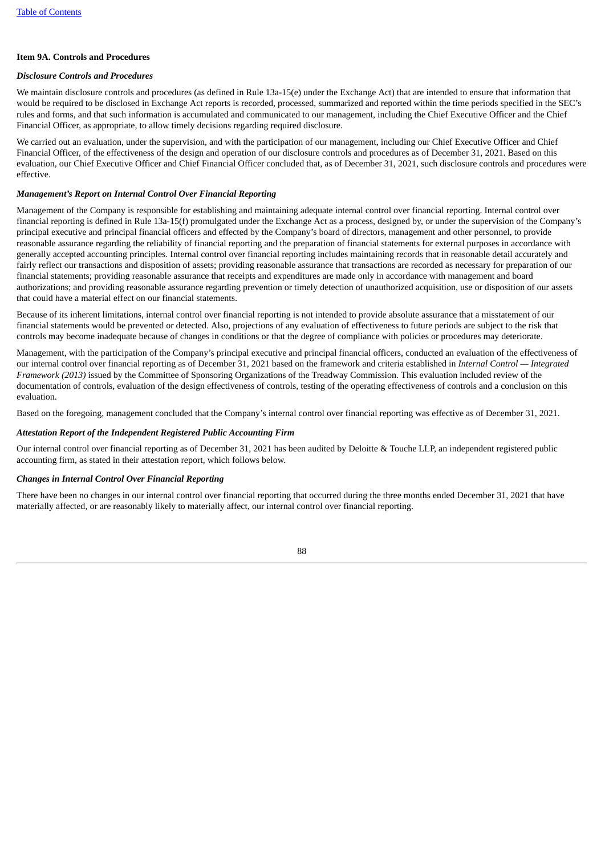# **Item 9A. Controls and Procedures**

# *Disclosure Controls and Procedures*

We maintain disclosure controls and procedures (as defined in Rule 13a-15(e) under the Exchange Act) that are intended to ensure that information that would be required to be disclosed in Exchange Act reports is recorded, processed, summarized and reported within the time periods specified in the SEC's rules and forms, and that such information is accumulated and communicated to our management, including the Chief Executive Officer and the Chief Financial Officer, as appropriate, to allow timely decisions regarding required disclosure.

We carried out an evaluation, under the supervision, and with the participation of our management, including our Chief Executive Officer and Chief Financial Officer, of the effectiveness of the design and operation of our disclosure controls and procedures as of December 31, 2021. Based on this evaluation, our Chief Executive Officer and Chief Financial Officer concluded that, as of December 31, 2021, such disclosure controls and procedures were effective.

# *Management's Report on Internal Control Over Financial Reporting*

Management of the Company is responsible for establishing and maintaining adequate internal control over financial reporting. Internal control over financial reporting is defined in Rule 13a-15(f) promulgated under the Exchange Act as a process, designed by, or under the supervision of the Company's principal executive and principal financial officers and effected by the Company's board of directors, management and other personnel, to provide reasonable assurance regarding the reliability of financial reporting and the preparation of financial statements for external purposes in accordance with generally accepted accounting principles. Internal control over financial reporting includes maintaining records that in reasonable detail accurately and fairly reflect our transactions and disposition of assets; providing reasonable assurance that transactions are recorded as necessary for preparation of our financial statements; providing reasonable assurance that receipts and expenditures are made only in accordance with management and board authorizations; and providing reasonable assurance regarding prevention or timely detection of unauthorized acquisition, use or disposition of our assets that could have a material effect on our financial statements.

Because of its inherent limitations, internal control over financial reporting is not intended to provide absolute assurance that a misstatement of our financial statements would be prevented or detected. Also, projections of any evaluation of effectiveness to future periods are subject to the risk that controls may become inadequate because of changes in conditions or that the degree of compliance with policies or procedures may deteriorate.

Management, with the participation of the Company's principal executive and principal financial officers, conducted an evaluation of the effectiveness of our internal control over financial reporting as of December 31, 2021 based on the framework and criteria established in *Internal Control — Integrated Framework (2013)* issued by the Committee of Sponsoring Organizations of the Treadway Commission. This evaluation included review of the documentation of controls, evaluation of the design effectiveness of controls, testing of the operating effectiveness of controls and a conclusion on this evaluation.

Based on the foregoing, management concluded that the Company's internal control over financial reporting was effective as of December 31, 2021.

# *Attestation Report of the Independent Registered Public Accounting Firm*

Our internal control over financial reporting as of December 31, 2021 has been audited by Deloitte & Touche LLP, an independent registered public accounting firm, as stated in their attestation report, which follows below.

# *Changes in Internal Control Over Financial Reporting*

There have been no changes in our internal control over financial reporting that occurred during the three months ended December 31, 2021 that have materially affected, or are reasonably likely to materially affect, our internal control over financial reporting.

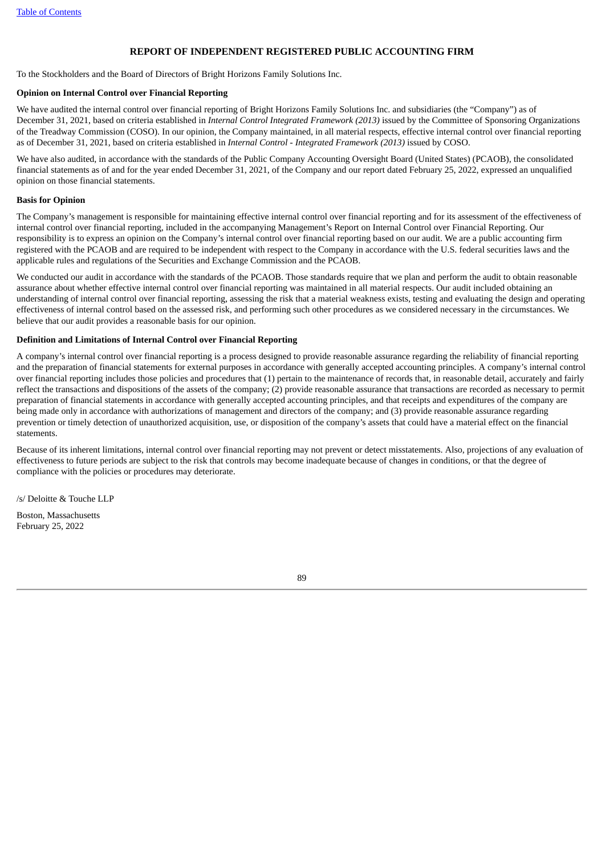## **REPORT OF INDEPENDENT REGISTERED PUBLIC ACCOUNTING FIRM**

To the Stockholders and the Board of Directors of Bright Horizons Family Solutions Inc.

#### **Opinion on Internal Control over Financial Reporting**

We have audited the internal control over financial reporting of Bright Horizons Family Solutions Inc. and subsidiaries (the "Company") as of December 31, 2021, based on criteria established in *Internal Control Integrated Framework (2013)* issued by the Committee of Sponsoring Organizations of the Treadway Commission (COSO). In our opinion, the Company maintained, in all material respects, effective internal control over financial reporting as of December 31, 2021, based on criteria established in *Internal Control* - *Integrated Framework (2013)* issued by COSO.

We have also audited, in accordance with the standards of the Public Company Accounting Oversight Board (United States) (PCAOB), the consolidated financial statements as of and for the year ended December 31, 2021, of the Company and our report dated February 25, 2022, expressed an unqualified opinion on those financial statements.

### **Basis for Opinion**

The Company's management is responsible for maintaining effective internal control over financial reporting and for its assessment of the effectiveness of internal control over financial reporting, included in the accompanying Management's Report on Internal Control over Financial Reporting. Our responsibility is to express an opinion on the Company's internal control over financial reporting based on our audit. We are a public accounting firm registered with the PCAOB and are required to be independent with respect to the Company in accordance with the U.S. federal securities laws and the applicable rules and regulations of the Securities and Exchange Commission and the PCAOB.

We conducted our audit in accordance with the standards of the PCAOB. Those standards require that we plan and perform the audit to obtain reasonable assurance about whether effective internal control over financial reporting was maintained in all material respects. Our audit included obtaining an understanding of internal control over financial reporting, assessing the risk that a material weakness exists, testing and evaluating the design and operating effectiveness of internal control based on the assessed risk, and performing such other procedures as we considered necessary in the circumstances. We believe that our audit provides a reasonable basis for our opinion.

### **Definition and Limitations of Internal Control over Financial Reporting**

A company's internal control over financial reporting is a process designed to provide reasonable assurance regarding the reliability of financial reporting and the preparation of financial statements for external purposes in accordance with generally accepted accounting principles. A company's internal control over financial reporting includes those policies and procedures that (1) pertain to the maintenance of records that, in reasonable detail, accurately and fairly reflect the transactions and dispositions of the assets of the company; (2) provide reasonable assurance that transactions are recorded as necessary to permit preparation of financial statements in accordance with generally accepted accounting principles, and that receipts and expenditures of the company are being made only in accordance with authorizations of management and directors of the company; and (3) provide reasonable assurance regarding prevention or timely detection of unauthorized acquisition, use, or disposition of the company's assets that could have a material effect on the financial statements.

Because of its inherent limitations, internal control over financial reporting may not prevent or detect misstatements. Also, projections of any evaluation of effectiveness to future periods are subject to the risk that controls may become inadequate because of changes in conditions, or that the degree of compliance with the policies or procedures may deteriorate.

/s/ Deloitte & Touche LLP

Boston, Massachusetts February 25, 2022

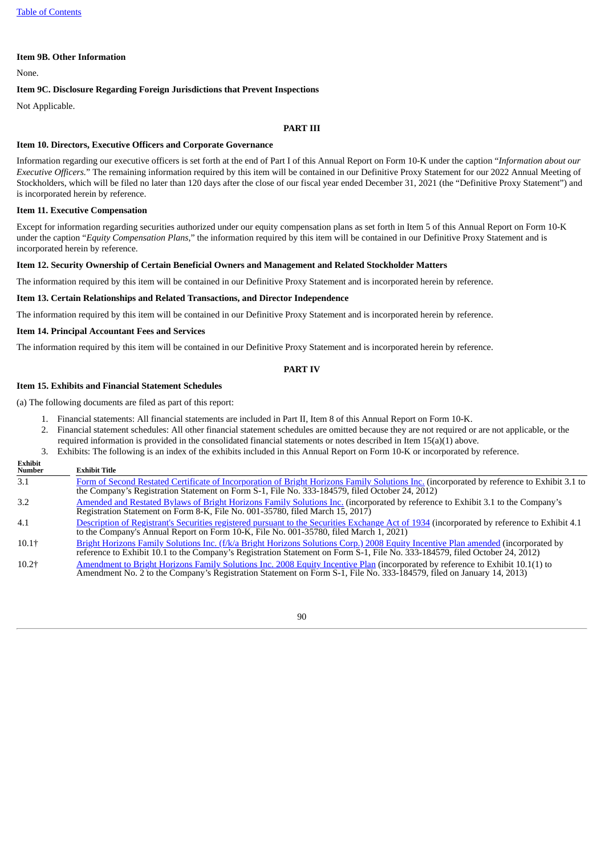## **Item 9B. Other Information**

None.

### **Item 9C. Disclosure Regarding Foreign Jurisdictions that Prevent Inspections**

Not Applicable.

#### **PART III**

## **Item 10. Directors, Executive Officers and Corporate Governance**

Information regarding our executive officers is set forth at the end of Part I of this Annual Report on Form 10-K under the caption "*Information about our Executive Officers.*" The remaining information required by this item will be contained in our Definitive Proxy Statement for our 2022 Annual Meeting of Stockholders, which will be filed no later than 120 days after the close of our fiscal year ended December 31, 2021 (the "Definitive Proxy Statement") and is incorporated herein by reference.

#### **Item 11. Executive Compensation**

Except for information regarding securities authorized under our equity compensation plans as set forth in Item 5 of this Annual Report on Form 10-K under the caption "*Equity Compensation Plans*," the information required by this item will be contained in our Definitive Proxy Statement and is incorporated herein by reference.

## **Item 12. Security Ownership of Certain Beneficial Owners and Management and Related Stockholder Matters**

The information required by this item will be contained in our Definitive Proxy Statement and is incorporated herein by reference.

### **Item 13. Certain Relationships and Related Transactions, and Director Independence**

The information required by this item will be contained in our Definitive Proxy Statement and is incorporated herein by reference.

### **Item 14. Principal Accountant Fees and Services**

The information required by this item will be contained in our Definitive Proxy Statement and is incorporated herein by reference.

### **PART IV**

### **Item 15. Exhibits and Financial Statement Schedules**

(a) The following documents are filed as part of this report:

- 1. Financial statements: All financial statements are included in Part II, Item 8 of this Annual Report on Form 10-K.
- 2. Financial statement schedules: All other financial statement schedules are omitted because they are not required or are not applicable, or the required information is provided in the consolidated financial statements or notes described in Item 15(a)(1) above.
- 3. Exhibits: The following is an index of the exhibits included in this Annual Report on Form 10-K or incorporated by reference.

| Exhibit<br>Number | <b>Exhibit Title</b>                                                                                                                                                                                                                                             |
|-------------------|------------------------------------------------------------------------------------------------------------------------------------------------------------------------------------------------------------------------------------------------------------------|
| 3.1               | Form of Second Restated Certificate of Incorporation of Bright Horizons Family Solutions Inc. (incorporated by reference to Exhibit 3.1 to<br>the Company's Registration Statement on Form S-1, File No. 333-184579, filed October 24, 2012)                     |
| 3.2               | Amended and Restated Bylaws of Bright Horizons Family Solutions Inc. (incorporated by reference to Exhibit 3.1 to the Company's<br>Registration Statement on Form 8-K, File No. 001-35780, filed March 15, 2017)                                                 |
| 4.1               | Description of Registrant's Securities registered pursuant to the Securities Exchange Act of 1934 (incorporated by reference to Exhibit 4.1)<br>to the Company's Annual Report on Form 10-K, File No. 001-35780, filed March 1, 2021)                            |
| $10.1+$           | Bright Horizons Family Solutions Inc. (f/k/a Bright Horizons Solutions Corp.) 2008 Equity Incentive Plan amended (incorporated by<br>reference to Exhibit 10.1 to the Company's Registration Statement on Form S-1, File No. 333-184579, filed October 24, 2012) |
| $10.2+$           | Amendment to Bright Horizons Family Solutions Inc. 2008 Equity Incentive Plan (incorporated by reference to Exhibit 10.1(1) to<br>Amendment No. 2 to the Company's Registration Statement on Form S-1, File No. 333-184579, filed on January 14, 2013)           |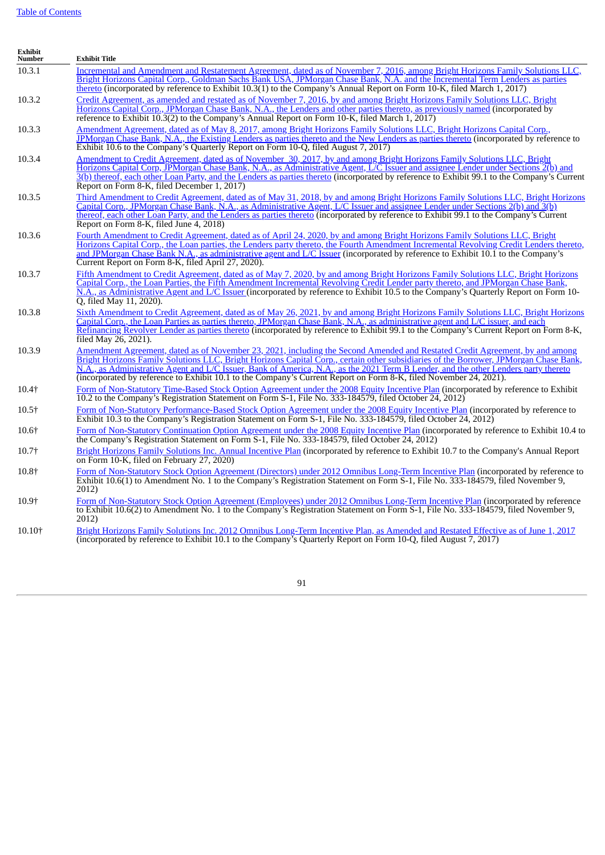| <b>Exhibit</b><br><b>Number</b>        | <b>Exhibit Title</b>                                                                                                                                                                                                                                                                                                                                                                                                                                                                                                              |
|----------------------------------------|-----------------------------------------------------------------------------------------------------------------------------------------------------------------------------------------------------------------------------------------------------------------------------------------------------------------------------------------------------------------------------------------------------------------------------------------------------------------------------------------------------------------------------------|
| 10.3.1                                 | Incremental and Amendment and Restatement Agreement, dated as of November 7, 2016, among Bright Horizons Family Solutions LLC,<br>Bright Horizons Capital Corp., Goldman Sachs Bank USA, JPMorgan Chase Bank, N.A. and the Incremental Term Lenders as parties<br>thereto (incorporated by reference to Exhibit 10.3(1) to the Company's Annual Report on Form 10-K, filed March 1, 2017)                                                                                                                                         |
| 10.3.2                                 | Credit Agreement, as amended and restated as of November 7, 2016, by and among Bright Horizons Family Solutions LLC, Bright<br>Horizons Capital Corp., JPMorgan Chase Bank, N.A., the Lenders and other parties thereto, as previously named (incorporated by<br>reference to Exhibit 10.3(2) to the Company's Annual Report on Form 10-K, filed March 1, 2017)                                                                                                                                                                   |
| 10.3.3                                 | Amendment Agreement, dated as of May 8, 2017, among Bright Horizons Family Solutions LLC, Bright Horizons Capital Corp.,<br>JPMorgan Chase Bank, N.A., the Existing Lenders as parties thereto and the New Lenders as parties thereto (incorporated by reference to<br>Exhibit 10.6 to the Company's Quarterly Report on Form 10-Q, filed August 7, 2017)                                                                                                                                                                         |
| 10.3.4                                 | Amendment to Credit Agreement, dated as of November 30, 2017, by and among Bright Horizons Family Solutions LLC, Bright<br>Horizons Capital Corp. JPMorgan Chase Bank, N.A., as Administrative Agent, L/C Issuer and assignee Lender under Sections 2(b) and<br>$\overline{3(b)}$ thereof, each other Loan Party, and the Lenders as parties thereto (incorporated by reference to Exhibit 99.1 to the Company's Current<br>Report on Form 8-K, filed December 1, 2017)                                                           |
| 10.3.5                                 | Third Amendment to Credit Agreement, dated as of May 31, 2018, by and among Bright Horizons Family Solutions LLC, Bright Horizons<br>Capital Corp., JPMorgan Chase Bank, N.A., as Administrative Agent, L/C Issuer and assignee Lender under Sections 2(b) and 3(b)<br>thereof, each other Loan Party, and the Lenders as parties thereto (incorporated by reference to Exhibit 99.1 to the Company's Current<br>Report on Form 8-K, filed June 4, 2018)                                                                          |
| 10.3.6                                 | Fourth Amendment to Credit Agreement, dated as of April 24, 2020, by and among Bright Horizons Family Solutions LLC, Bright<br><u>Horizons Capital Corp., the Loan parties, the Lenders party thereto, the Fourth Amendment Incremental Revolving Credit Lenders thereto,</u><br>and JPMorgan Chase Bank N.A., as administrative agent and L/C Issuer (incorporated by reference to Exhibit 10.1 to the Company's<br>Current Report on Form 8-K, filed April 27, 2020).                                                           |
| 10.3.7                                 | Fifth Amendment to Credit Agreement, dated as of May 7, 2020, by and among Bright Horizons Family Solutions LLC, Bright Horizons<br>Capital Corp., the Loan Parties, the Fifth Amendment Incremental Revolving Credit Lender party thereto, and JPMorgan Chase Bank,<br>N.A., as Administrative Agent and L/C Issuer (incorporated by reference to Exhibit 10.5 to the Company's Quarterly Report on Form 10-<br>Q, filed May 11, 2020).                                                                                          |
| 10.3.8                                 | Sixth Amendment to Credit Agreement, dated as of May 26, 2021, by and among Bright Horizons Family Solutions LLC, Bright Horizons<br>Capital Corp., the Loan Parties as parties thereto, JPMorgan Chase Bank, N.A., as administrative agent and L/C issuer, and each<br>Refinancing Revolver Lender as parties thereto (incorporated by reference to Exhibit 99.1 to the Company's Current Report on Form 8-K,<br>filed May 26, 2021).                                                                                            |
| 10.3.9                                 | Amendment Agreement, dated as of November 23, 2021, including the Second Amended and Restated Credit Agreement, by and among<br>Bright Horizons Family Solutions LLC, Bright Horizons Capital Corp., certain other subsidiaries of the Borrower, JPMorgan Chase Bank,<br>N.A., as Administrative Agent and L/C Issuer, Bank of America, N.A., as the 2021 Term B Lender, and the other Lenders party thereto<br>(incorporated by reference to Exhibit 10.1 to the Company's Current Report on Form 8-K, filed November 24, 2021). |
| $10.4$ <sup><math>\dagger</math></sup> | Form of Non-Statutory Time-Based Stock Option Agreement under the 2008 Equity Incentive Plan (incorporated by reference to Exhibit<br>10.2 to the Company's Registration Statement on Form S-1, File No. 333-184579, filed October 24, 2012)                                                                                                                                                                                                                                                                                      |
| $10.5+$                                | Form of Non-Statutory Performance-Based Stock Option Agreement under the 2008 Equity Incentive Plan (incorporated by reference to<br>Exhibit 10.3 to the Company's Registration Statement on Form S-1, File No. 333-184579, filed October 24, 2012)                                                                                                                                                                                                                                                                               |
| 10.6†                                  | Form of Non-Statutory Continuation Option Agreement under the 2008 Equity Incentive Plan (incorporated by reference to Exhibit 10.4 to<br>the Company's Registration Statement on Form S-1, File No. 333-184579, filed October 24, 2012)                                                                                                                                                                                                                                                                                          |
| 10.7†                                  | Bright Horizons Family Solutions Inc. Annual Incentive Plan (incorporated by reference to Exhibit 10.7 to the Company's Annual Report<br>on Form 10-K, filed on February 27, 2020)                                                                                                                                                                                                                                                                                                                                                |
| 10.8†                                  | Form of Non-Statutory Stock Option Agreement (Directors) under 2012 Omnibus Long-Term Incentive Plan (incorporated by reference to<br>Exhibit 10.6(1) to Amendment No. 1 to the Company's Registration Statement on Form S-1, File No. 333-184579, filed November 9,<br>2012)                                                                                                                                                                                                                                                     |
| 10.9†                                  | Form of Non-Statutory Stock Option Agreement (Employees) under 2012 Omnibus Long-Term Incentive Plan (incorporated by reference<br>to Exhibit 10.6(2) to Amendment No. 1 to the Company's Registration Statement on Form S-1, File No. 333-184579, filed November 9,<br>2012)                                                                                                                                                                                                                                                     |
| 10.10+                                 | Bright Horizons Family Solutions Inc. 2012 Omnibus Long-Term Incentive Plan, as Amended and Restated Effective as of June 1, 2017<br>(incorporated by reference to Exhibit 10.1 to the Company's Quarterly Report on Form 10-Q, filed August 7, 2017)                                                                                                                                                                                                                                                                             |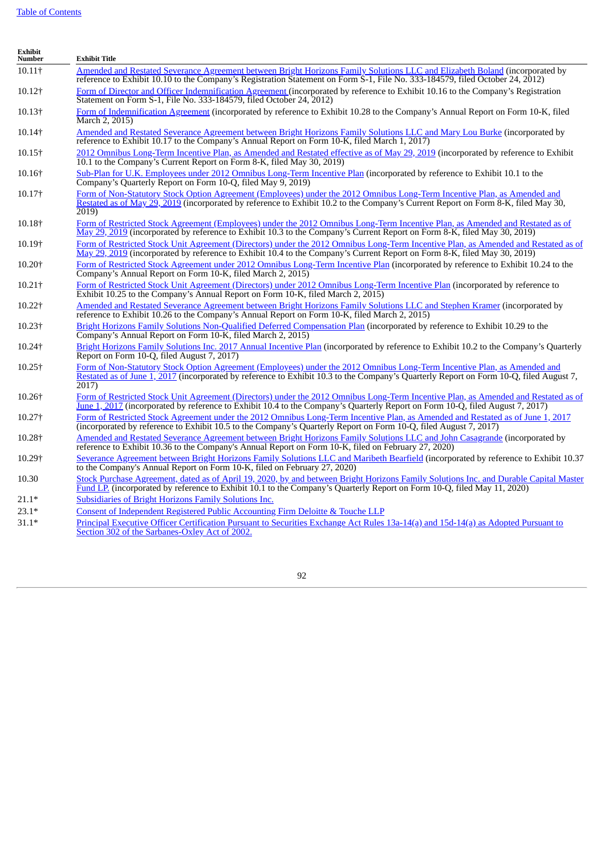| Exhibit<br><b>Number</b> | <b>Exhibit Title</b>                                                                                                                                                                                                                                                        |
|--------------------------|-----------------------------------------------------------------------------------------------------------------------------------------------------------------------------------------------------------------------------------------------------------------------------|
| 10.11 <sup>†</sup>       | Amended and Restated Severance Agreement between Bright Horizons Family Solutions LLC and Elizabeth Boland (incorporated by<br>reference to Exhibit 10.10 to the Company's Registration Statement on Form S-1, File No. 333-184579, filed October 24, 2012)                 |
| 10.12†                   | Form of Director and Officer Indemnification Agreement (incorporated by reference to Exhibit 10.16 to the Company's Registration<br>Statement on Form S-1, File No. 333-184579, filed October 24, 2012)                                                                     |
| 10.13†                   | Form of Indemnification Agreement (incorporated by reference to Exhibit 10.28 to the Company's Annual Report on Form 10-K, filed<br>March 2, 2015)                                                                                                                          |
| $10.14\dagger$           | Amended and Restated Severance Agreement between Bright Horizons Family Solutions LLC and Mary Lou Burke (incorporated by<br>reference to Exhibit 10.17 to the Company's Annual Report on Form 10-K, filed March 1, 2017)                                                   |
| 10.15†                   | 2012 Omnibus Long-Term Incentive Plan, as Amended and Restated effective as of May 29, 2019 (incorporated by reference to Exhibit<br>10.1 to the Company's Current Report on Form 8-K, filed May 30, 2019)                                                                  |
| 10.16†                   | Sub-Plan for U.K. Employees under 2012 Omnibus Long-Term Incentive Plan (incorporated by reference to Exhibit 10.1 to the<br>Company's Quarterly Report on Form 10-Q, filed May 9, 2019)                                                                                    |
| $10.17+$                 | Form of Non-Statutory Stock Option Agreement (Employees) under the 2012 Omnibus Long-Term Incentive Plan, as Amended and<br>Restated as of May 29, 2019 (incorporated by reference to Exhibit 10.2 to the Company's Current Report on Form 8-K, filed May 30,<br>2019)      |
| 10.18†                   | Form of Restricted Stock Agreement (Employees) under the 2012 Omnibus Long-Term Incentive Plan, as Amended and Restated as of<br>May 29, 2019 (incorporated by reference to Exhibit 10.3 to the Company's Current Report on Form 8-K, filed May 30, 2019)                   |
| 10.19†                   | Form of Restricted Stock Unit Agreement (Directors) under the 2012 Omnibus Long-Term Incentive Plan, as Amended and Restated as of<br>May 29, 2019 (incorporated by reference to Exhibit 10.4 to the Company's Current Report on Form 8-K, filed May 30, 2019)              |
| 10.20†                   | Form of Restricted Stock Agreement under 2012 Omnibus Long-Term Incentive Plan (incorporated by reference to Exhibit 10.24 to the<br>Company's Annual Report on Form 10-K, filed March 2, 2015)                                                                             |
| $10.21\dagger$           | Form of Restricted Stock Unit Agreement (Directors) under 2012 Omnibus Long-Term Incentive Plan (incorporated by reference to<br>Exhibit 10.25 to the Company's Annual Report on Form 10-K, filed March 2, 2015)                                                            |
| 10.22†                   | Amended and Restated Severance Agreement between Bright Horizons Family Solutions LLC and Stephen Kramer (incorporated by<br>reference to Exhibit 10.26 to the Company's Annual Report on Form 10-K, filed March 2, 2015)                                                   |
| $10.23\dagger$           | Bright Horizons Family Solutions Non-Qualified Deferred Compensation Plan (incorporated by reference to Exhibit 10.29 to the<br>Company's Annual Report on Form 10-K, filed March 2, 2015)                                                                                  |
| 10.24†                   | Bright Horizons Family Solutions Inc. 2017 Annual Incentive Plan (incorporated by reference to Exhibit 10.2 to the Company's Quarterly<br>Report on Form 10-Q, filed August 7, 2017)                                                                                        |
| $10.25\dagger$           | Form of Non-Statutory Stock Option Agreement (Employees) under the 2012 Omnibus Long-Term Incentive Plan, as Amended and<br>Restated as of June 1, 2017 (incorporated by reference to Exhibit 10.3 to the Company's Quarterly Report on Form 10-Q, filed August 7,<br>2017) |
| 10.26†                   | Form of Restricted Stock Unit Agreement (Directors) under the 2012 Omnibus Long-Term Incentive Plan, as Amended and Restated as of<br>June 1, 2017 (incorporated by reference to Exhibit 10.4 to the Company's Quarterly Report on Form 10-Q, filed August 7, 2017)         |
| $10.27+$                 | Form of Restricted Stock Agreement under the 2012 Omnibus Long-Term Incentive Plan, as Amended and Restated as of June 1, 2017<br>(incorporated by reference to Exhibit 10.5 to the Company's Quarterly Report on Form 10-Q, filed August 7, 2017)                          |
| 10.28+                   | Amended and Restated Severance Agreement between Bright Horizons Family Solutions LLC and John Casagrande (incorporated by<br>reference to Exhibit 10.36 to the Company's Annual Report on Form 10-K, filed on February 27, 2020)                                           |
| 10.29†                   | Severance Agreement between Bright Horizons Family Solutions LLC and Maribeth Bearfield (incorporated by reference to Exhibit 10.37<br>to the Company's Annual Report on Form 10-K, filed on February 27, 2020)                                                             |
| 10.30                    | Stock Purchase Agreement, dated as of April 19, 2020, by and between Bright Horizons Family Solutions Inc. and Durable Capital Master<br>Fund LP. (incorporated by reference to Exhibit 10.1 to the Company's Quarterly Report on Form 10-Q, filed May 11, 2020)            |
| $21.1*$                  | Subsidiaries of Bright Horizons Family Solutions Inc.                                                                                                                                                                                                                       |
| $23.1*$                  | Consent of Independent Registered Public Accounting Firm Deloitte & Touche LLP                                                                                                                                                                                              |
| $31.1*$                  | Principal Executive Officer Certification Pursuant to Securities Exchange Act Rules 13a-14(a) and 15d-14(a) as Adopted Pursuant to<br>Section 302 of the Sarbanes-Oxley Act of 2002.                                                                                        |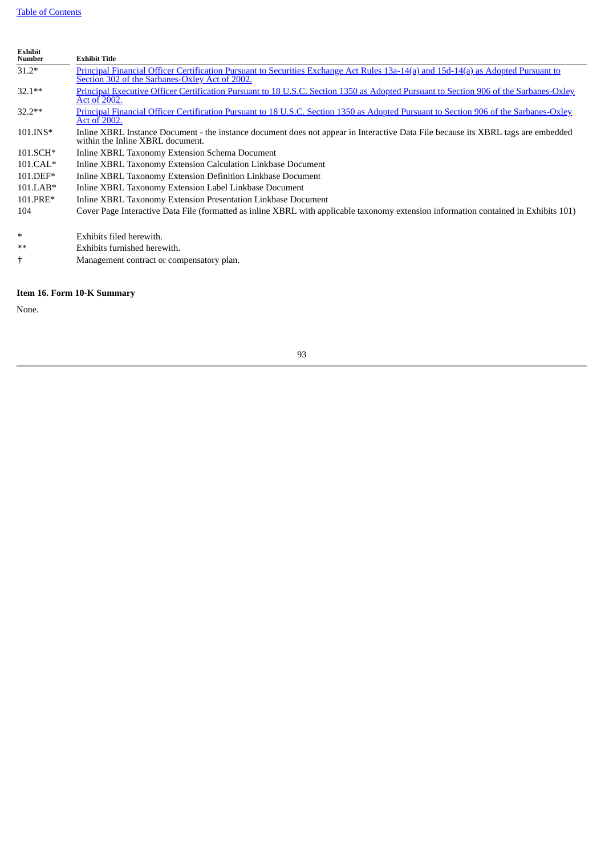| Exhibit<br>Number | <b>Exhibit Title</b>                                                                                                                                                                 |
|-------------------|--------------------------------------------------------------------------------------------------------------------------------------------------------------------------------------|
| $31.2*$           | Principal Financial Officer Certification Pursuant to Securities Exchange Act Rules 13a-14(a) and 15d-14(a) as Adopted Pursuant to<br>Section 302 of the Sarbanes-Oxley Act of 2002. |
| $32.1**$          | Principal Executive Officer Certification Pursuant to 18 U.S.C. Section 1350 as Adopted Pursuant to Section 906 of the Sarbanes-Oxley<br>Act of 2002.                                |
| $32.2**$          | Principal Financial Officer Certification Pursuant to 18 U.S.C. Section 1350 as Adopted Pursuant to Section 906 of the Sarbanes-Oxley<br>Act of 2002.                                |
| $101.INS*$        | Inline XBRL Instance Document - the instance document does not appear in Interactive Data File because its XBRL tags are embedded<br>within the Inline XBRL document.                |
| $101.SCH*$        | Inline XBRL Taxonomy Extension Schema Document                                                                                                                                       |
| $101.CAL*$        | Inline XBRL Taxonomy Extension Calculation Linkbase Document                                                                                                                         |
| $101.DEF*$        | Inline XBRL Taxonomy Extension Definition Linkbase Document                                                                                                                          |
| $101.LAB*$        | Inline XBRL Taxonomy Extension Label Linkbase Document                                                                                                                               |
| 101.PRE*          | Inline XBRL Taxonomy Extension Presentation Linkbase Document                                                                                                                        |
| 104               | Cover Page Interactive Data File (formatted as inline XBRL with applicable taxonomy extension information contained in Exhibits 101)                                                 |
| $\ast$            | Exhibits filed herewith.                                                                                                                                                             |
| $**$              | Exhibits furnished herewith.                                                                                                                                                         |
| ÷                 | Management contract or compensatory plan.                                                                                                                                            |

# **Item 16. Form 10-K Summary**

None.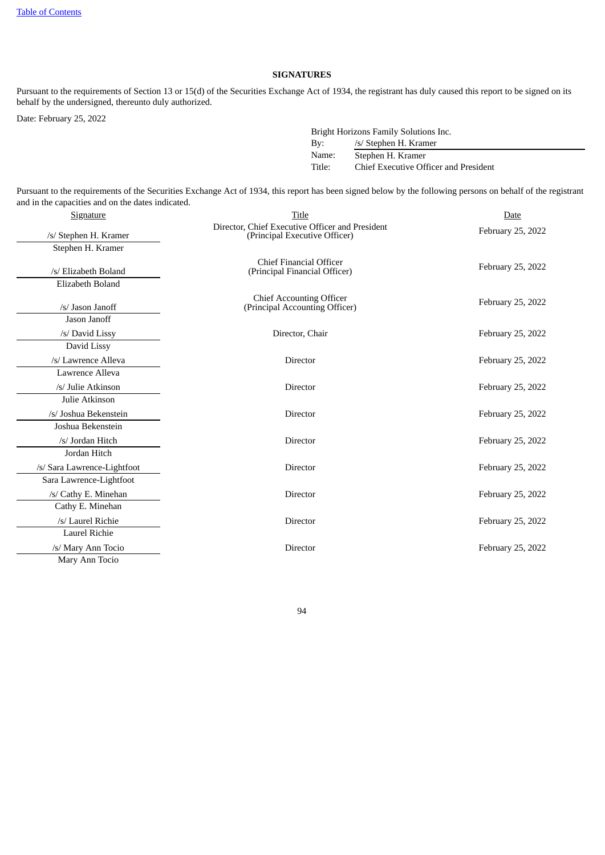## **SIGNATURES**

Pursuant to the requirements of Section 13 or 15(d) of the Securities Exchange Act of 1934, the registrant has duly caused this report to be signed on its behalf by the undersigned, thereunto duly authorized.

Date: February 25, 2022

Bright Horizons Family Solutions Inc.

By: /s/ Stephen H. Kramer Name: Stephen H. Kramer Title: Chief Executive Officer and President

Pursuant to the requirements of the Securities Exchange Act of 1934, this report has been signed below by the following persons on behalf of the registrant and in the capacities and on the dates indicated.

| Signature                                | Title                                                                            | Date              |
|------------------------------------------|----------------------------------------------------------------------------------|-------------------|
| /s/ Stephen H. Kramer                    | Director, Chief Executive Officer and President<br>(Principal Executive Officer) | February 25, 2022 |
| Stephen H. Kramer                        |                                                                                  |                   |
| /s/ Elizabeth Boland<br>Elizabeth Boland | Chief Financial Officer<br>(Principal Financial Officer)                         | February 25, 2022 |
| /s/ Jason Janoff<br>Jason Janoff         | <b>Chief Accounting Officer</b><br>(Principal Accounting Officer)                | February 25, 2022 |
| /s/ David Lissy                          | Director, Chair                                                                  | February 25, 2022 |
| David Lissy                              |                                                                                  |                   |
| /s/ Lawrence Alleva                      | Director                                                                         | February 25, 2022 |
| Lawrence Alleva                          |                                                                                  |                   |
| /s/ Julie Atkinson                       | Director                                                                         | February 25, 2022 |
| Julie Atkinson                           |                                                                                  |                   |
| /s/ Joshua Bekenstein                    | <b>Director</b>                                                                  | February 25, 2022 |
| Joshua Bekenstein                        |                                                                                  |                   |
| /s/ Jordan Hitch                         | Director                                                                         | February 25, 2022 |
| Jordan Hitch                             |                                                                                  |                   |
| /s/ Sara Lawrence-Lightfoot              | Director                                                                         | February 25, 2022 |
| Sara Lawrence-Lightfoot                  |                                                                                  |                   |
| /s/ Cathy E. Minehan                     | Director                                                                         | February 25, 2022 |
| Cathy E. Minehan                         |                                                                                  |                   |
| /s/ Laurel Richie                        | Director                                                                         | February 25, 2022 |
| Laurel Richie                            |                                                                                  |                   |
| /s/ Mary Ann Tocio                       | Director                                                                         | February 25, 2022 |
| Mary Ann Tocio                           |                                                                                  |                   |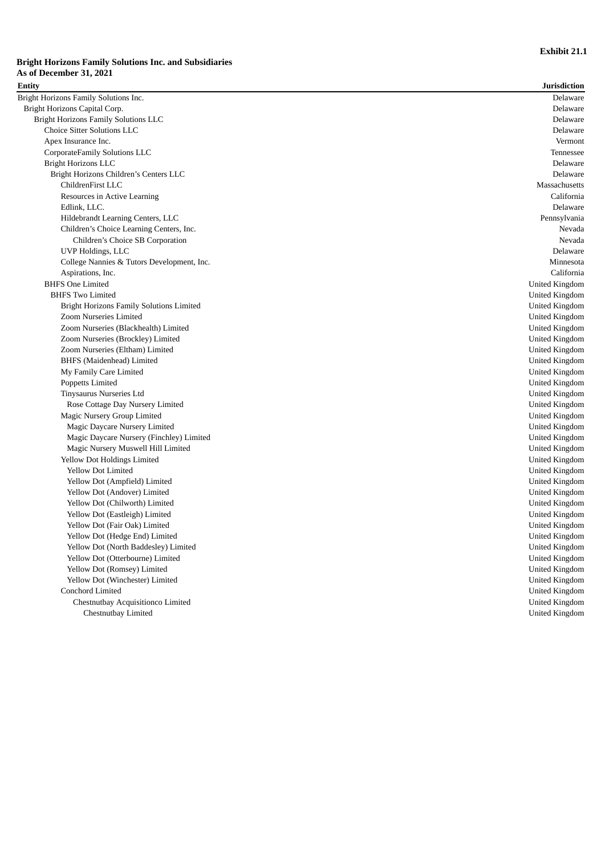# <span id="page-94-0"></span>**Bright Horizons Family Solutions Inc. and Subsidiaries** As of December 31, 2021

| Entity                                      | <b>Jurisdiction</b>   |
|---------------------------------------------|-----------------------|
| Bright Horizons Family Solutions Inc.       | Delaware              |
| Bright Horizons Capital Corp.               | Delaware              |
| <b>Bright Horizons Family Solutions LLC</b> | Delaware              |
| Choice Sitter Solutions LLC                 | Delaware              |
| Apex Insurance Inc.                         | Vermont               |
| CorporateFamily Solutions LLC               | Tennessee             |
| Bright Horizons LLC                         | Delaware              |
| Bright Horizons Children's Centers LLC      | Delaware              |
| ChildrenFirst LLC                           | Massachusetts         |
| Resources in Active Learning                | California            |
| Edlink, LLC.                                | Delaware              |
| Hildebrandt Learning Centers, LLC           | Pennsylvania          |
| Children's Choice Learning Centers, Inc.    | Nevada                |
| Children's Choice SB Corporation            | Nevada                |
| UVP Holdings, LLC                           | Delaware              |
| College Nannies & Tutors Development, Inc.  | Minnesota             |
| Aspirations, Inc.                           | California            |
| <b>BHFS One Limited</b>                     | <b>United Kingdom</b> |
| <b>BHFS Two Limited</b>                     | <b>United Kingdom</b> |
| Bright Horizons Family Solutions Limited    | <b>United Kingdom</b> |
| Zoom Nurseries Limited                      | <b>United Kingdom</b> |
| Zoom Nurseries (Blackhealth) Limited        | <b>United Kingdom</b> |
| Zoom Nurseries (Brockley) Limited           | <b>United Kingdom</b> |
| Zoom Nurseries (Eltham) Limited             | <b>United Kingdom</b> |
| BHFS (Maidenhead) Limited                   | United Kingdom        |
| My Family Care Limited                      | <b>United Kingdom</b> |
| Poppetts Limited                            | <b>United Kingdom</b> |
| Tinysaurus Nurseries Ltd                    | <b>United Kingdom</b> |
| Rose Cottage Day Nursery Limited            | <b>United Kingdom</b> |
| Magic Nursery Group Limited                 | <b>United Kingdom</b> |
| Magic Daycare Nursery Limited               | <b>United Kingdom</b> |
| Magic Daycare Nursery (Finchley) Limited    | <b>United Kingdom</b> |
| Magic Nursery Muswell Hill Limited          | <b>United Kingdom</b> |
| Yellow Dot Holdings Limited                 | <b>United Kingdom</b> |
| <b>Yellow Dot Limited</b>                   | United Kingdom        |
| Yellow Dot (Ampfield) Limited               | <b>United Kingdom</b> |
| Yellow Dot (Andover) Limited                | <b>United Kingdom</b> |
| Yellow Dot (Chilworth) Limited              | <b>United Kingdom</b> |
| Yellow Dot (Eastleigh) Limited              | <b>United Kingdom</b> |
| Yellow Dot (Fair Oak) Limited               | <b>United Kingdom</b> |
| Yellow Dot (Hedge End) Limited              | <b>United Kingdom</b> |
| Yellow Dot (North Baddesley) Limited        | <b>United Kingdom</b> |
| Yellow Dot (Otterbourne) Limited            | <b>United Kingdom</b> |
| Yellow Dot (Romsey) Limited                 | <b>United Kingdom</b> |
| Yellow Dot (Winchester) Limited             | <b>United Kingdom</b> |
| Conchord Limited                            | <b>United Kingdom</b> |
| Chestnutbay Acquisitionco Limited           | <b>United Kingdom</b> |
| Chestnutbay Limited                         | <b>United Kingdom</b> |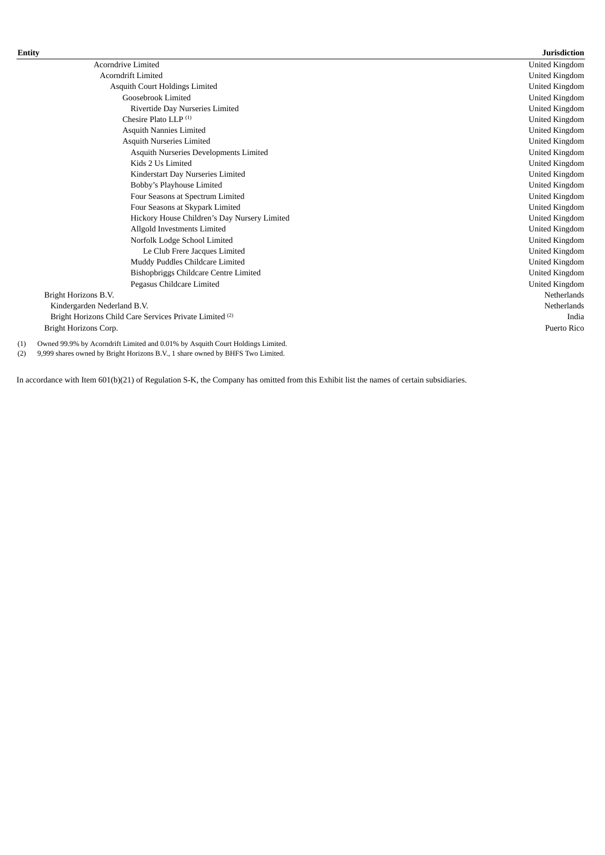## Acorndrive Limited **Material Contract Contract Contract Contract Contract Contract Contract Contract Contract Contract Contract Contract Contract Contract Contract Contract Contract Contract Contract Contract Contract Cont** Acorndrift Limited **Kingdom** United Kingdom Contact Acorndrift Limited Kingdom United Kingdom Asquith Court Holdings Limited **Example 20** and the United Kingdom Court Holdings Limited Kingdom Court **Example 20** and the United Kingdom Court **Example 20 and the United Kingdom** Goosebrook Limited United Kingdom Rivertide Day Nurseries Limited United Kingdom Chesire Plato LLP<sup>(1)</sup> United Kingdom Asquith Nannies Limited United Kingdom Asquith Nurseries Limited United Kingdom Asquith Nurseries Developments Limited **Example 2018** United Kingdom United Kingdom **Kids 2 Us Limited** United Kingdom Communication Communication Communication Communication Communication Communication Communication Communication Communication Communication Communication Communication Communication Commu Kinderstart Day Nurseries Limited **Exercise 2** Control of the United Kingdom United Kingdom Bobby's Playhouse Limited United Kingdom Four Seasons at Spectrum Limited **Example 2018** United Kingdom United Kingdom Four Seasons at Skypark Limited United Kingdom Hickory House Children's Day Nursery Limited **Example 2018** 2019 12:30 Million 2019 12:30 Million 2019 12:30 Million 2019 12:30 Million 2019 12:30 Million 2019 12:30 Million 2019 12:30 Million 2019 12:30 Million 2019 12:30 Allgold Investments Limited United Kingdom Norfolk Lodge School Limited United Kingdom Le Club Frere Jacques Limited United Kingdom Muddy Puddles Childcare Limited United Kingdom Bishopbriggs Childcare Centre Limited **Nights and Science Centre Limited** United Kingdom Pegasus Childcare Limited United Kingdom Bright Horizons B.V. Netherlands

Kindergarden Nederland B.V. Netherlands Bright Horizons Child Care Services Private Limited <sup>(2)</sup> 2008 and 2009 and 2009 and 2009 and 2009 and 2009 and 2009 and 2009 and 2009 and 2009 and 2009 and 2009 and 2009 and 2009 and 2009 and 2009 and 2009 and 2009 and 20 Bright Horizons Corp. Puerto Rico

(1) Owned 99.9% by Acorndrift Limited and 0.01% by Asquith Court Holdings Limited.

(2) 9,999 shares owned by Bright Horizons B.V., 1 share owned by BHFS Two Limited.

In accordance with Item 601(b)(21) of Regulation S-K, the Company has omitted from this Exhibit list the names of certain subsidiaries.

## **Entity Jurisdiction**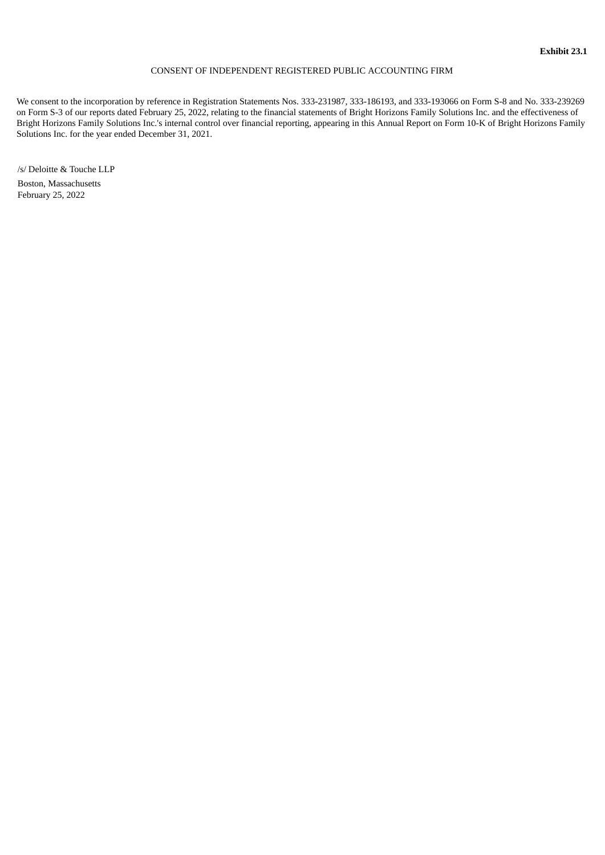### CONSENT OF INDEPENDENT REGISTERED PUBLIC ACCOUNTING FIRM

<span id="page-96-0"></span>We consent to the incorporation by reference in Registration Statements Nos. 333-231987, 333-186193, and 333-193066 on Form S-8 and No. 333-239269 on Form S-3 of our reports dated February 25, 2022, relating to the financial statements of Bright Horizons Family Solutions Inc. and the effectiveness of Bright Horizons Family Solutions Inc.'s internal control over financial reporting, appearing in this Annual Report on Form 10-K of Bright Horizons Family Solutions Inc. for the year ended December 31, 2021.

/s/ Deloitte & Touche LLP

Boston, Massachusetts February 25, 2022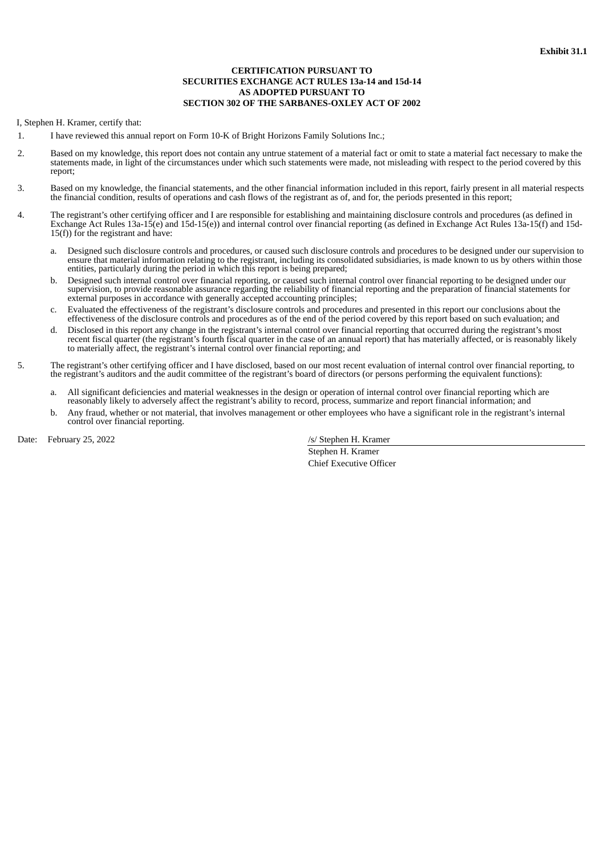### **CERTIFICATION PURSUANT TO SECURITIES EXCHANGE ACT RULES 13a-14 and 15d-14 AS ADOPTED PURSUANT TO SECTION 302 OF THE SARBANES-OXLEY ACT OF 2002**

<span id="page-97-0"></span>I, Stephen H. Kramer, certify that:

- 1. I have reviewed this annual report on Form 10-K of Bright Horizons Family Solutions Inc.;
- 2. Based on my knowledge, this report does not contain any untrue statement of a material fact or omit to state a material fact necessary to make the statements made, in light of the circumstances under which such statements were made, not misleading with respect to the period covered by this report;
- 3. Based on my knowledge, the financial statements, and the other financial information included in this report, fairly present in all material respects the financial condition, results of operations and cash flows of the registrant as of, and for, the periods presented in this report;
- 4. The registrant's other certifying officer and I are responsible for establishing and maintaining disclosure controls and procedures (as defined in Exchange Act Rules 13a-15(e) and 15d-15(e)) and internal control over financial reporting (as defined in Exchange Act Rules 13a-15(f) and 15d- $15(f)$ ) for the registrant and have:
	- a. Designed such disclosure controls and procedures, or caused such disclosure controls and procedures to be designed under our supervision to ensure that material information relating to the registrant, including its consolidated subsidiaries, is made known to us by others within those entities, particularly during the period in which this report is being prepared;
	- b. Designed such internal control over financial reporting, or caused such internal control over financial reporting to be designed under our supervision, to provide reasonable assurance regarding the reliability of financial reporting and the preparation of financial statements for external purposes in accordance with generally accepted accounting principles;
	- c. Evaluated the effectiveness of the registrant's disclosure controls and procedures and presented in this report our conclusions about the effectiveness of the disclosure controls and procedures as of the end of the period covered by this report based on such evaluation; and
	- d. Disclosed in this report any change in the registrant's internal control over financial reporting that occurred during the registrant's most recent fiscal quarter (the registrant's fourth fiscal quarter in the case of an annual report) that has materially affected, or is reasonably likely to materially affect, the registrant's internal control over financial reporting; and
- 5. The registrant's other certifying officer and I have disclosed, based on our most recent evaluation of internal control over financial reporting, to the registrant's auditors and the audit committee of the registrant's board of directors (or persons performing the equivalent functions):
	- a. All significant deficiencies and material weaknesses in the design or operation of internal control over financial reporting which are reasonably likely to adversely affect the registrant's ability to record, process, summarize and report financial information; and
	- b. Any fraud, whether or not material, that involves management or other employees who have a significant role in the registrant's internal control over financial reporting.

Date: February 25, 2022 /s/ Stephen H. Kramer

Stephen H. Kramer Chief Executive Officer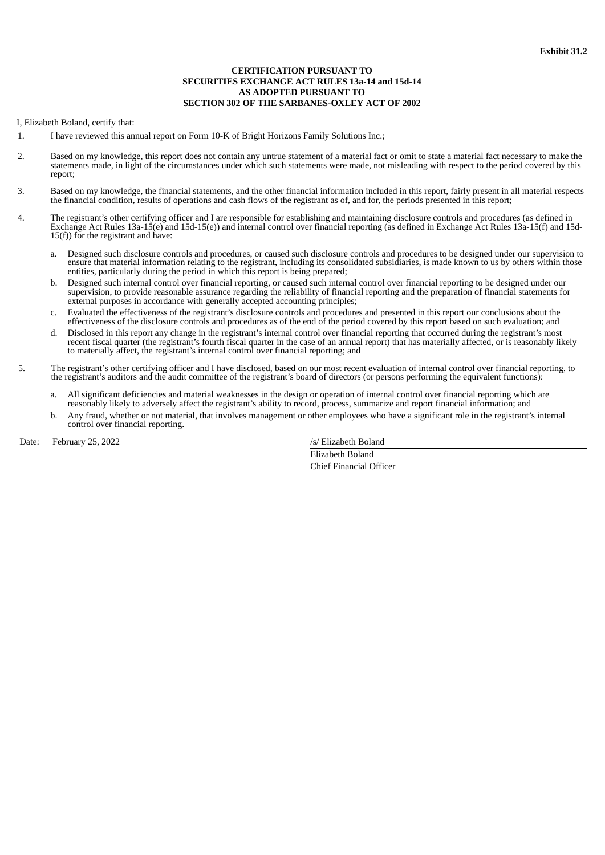## **CERTIFICATION PURSUANT TO SECURITIES EXCHANGE ACT RULES 13a-14 and 15d-14 AS ADOPTED PURSUANT TO SECTION 302 OF THE SARBANES-OXLEY ACT OF 2002**

<span id="page-98-0"></span>I, Elizabeth Boland, certify that:

- 1. I have reviewed this annual report on Form 10-K of Bright Horizons Family Solutions Inc.;
- 2. Based on my knowledge, this report does not contain any untrue statement of a material fact or omit to state a material fact necessary to make the statements made, in light of the circumstances under which such statements were made, not misleading with respect to the period covered by this report;
- 3. Based on my knowledge, the financial statements, and the other financial information included in this report, fairly present in all material respects the financial condition, results of operations and cash flows of the registrant as of, and for, the periods presented in this report;
- 4. The registrant's other certifying officer and I are responsible for establishing and maintaining disclosure controls and procedures (as defined in Exchange Act Rules 13a-15(e) and 15d-15(e)) and internal control over financial reporting (as defined in Exchange Act Rules 13a-15(f) and 15d- $15(f)$ ) for the registrant and have:
	- a. Designed such disclosure controls and procedures, or caused such disclosure controls and procedures to be designed under our supervision to ensure that material information relating to the registrant, including its consolidated subsidiaries, is made known to us by others within those entities, particularly during the period in which this report is being prepared;
	- b. Designed such internal control over financial reporting, or caused such internal control over financial reporting to be designed under our supervision, to provide reasonable assurance regarding the reliability of financial reporting and the preparation of financial statements for external purposes in accordance with generally accepted accounting principles;
	- c. Evaluated the effectiveness of the registrant's disclosure controls and procedures and presented in this report our conclusions about the effectiveness of the disclosure controls and procedures as of the end of the period covered by this report based on such evaluation; and
	- d. Disclosed in this report any change in the registrant's internal control over financial reporting that occurred during the registrant's most recent fiscal quarter (the registrant's fourth fiscal quarter in the case of an annual report) that has materially affected, or is reasonably likely to materially affect, the registrant's internal control over financial reporting; and
- 5. The registrant's other certifying officer and I have disclosed, based on our most recent evaluation of internal control over financial reporting, to the registrant's auditors and the audit committee of the registrant's board of directors (or persons performing the equivalent functions):
	- a. All significant deficiencies and material weaknesses in the design or operation of internal control over financial reporting which are reasonably likely to adversely affect the registrant's ability to record, process, summarize and report financial information; and
	- b. Any fraud, whether or not material, that involves management or other employees who have a significant role in the registrant's internal control over financial reporting.

Date: February 25, 2022 /s/ Elizabeth Boland

Elizabeth Boland Chief Financial Officer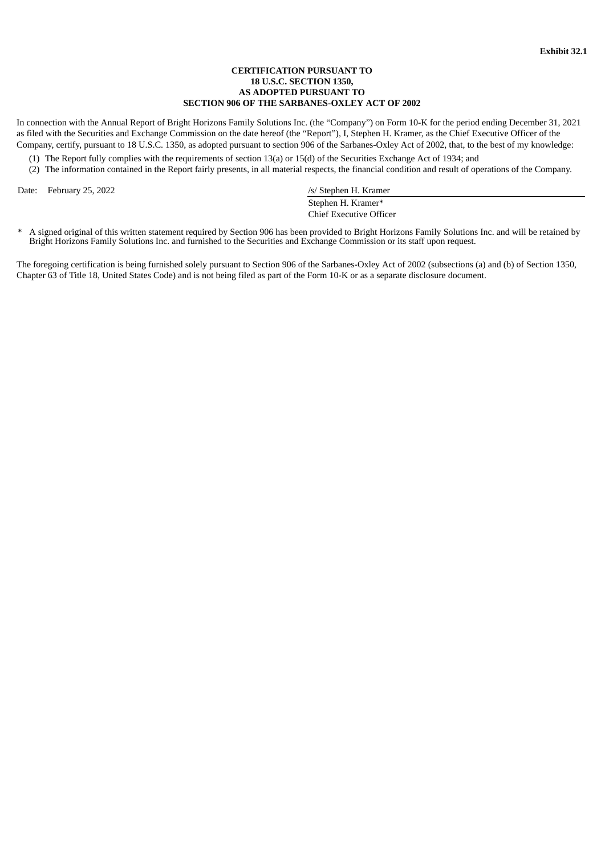### **CERTIFICATION PURSUANT TO 18 U.S.C. SECTION 1350, AS ADOPTED PURSUANT TO SECTION 906 OF THE SARBANES-OXLEY ACT OF 2002**

<span id="page-99-0"></span>In connection with the Annual Report of Bright Horizons Family Solutions Inc. (the "Company") on Form 10-K for the period ending December 31, 2021 as filed with the Securities and Exchange Commission on the date hereof (the "Report"), I, Stephen H. Kramer, as the Chief Executive Officer of the Company, certify, pursuant to 18 U.S.C. 1350, as adopted pursuant to section 906 of the Sarbanes-Oxley Act of 2002, that, to the best of my knowledge:

- (1) The Report fully complies with the requirements of section 13(a) or 15(d) of the Securities Exchange Act of 1934; and
- (2) The information contained in the Report fairly presents, in all material respects, the financial condition and result of operations of the Company.

Date: February 25, 2022 *CON CON CON CON CON CON CON CON CON CON CON CON CON CON CON CON CON CON CON CON CON CON CON CON CON* 

Stephen H. Kramer\* Chief Executive Officer

\* A signed original of this written statement required by Section 906 has been provided to Bright Horizons Family Solutions Inc. and will be retained by Bright Horizons Family Solutions Inc. and furnished to the Securities and Exchange Commission or its staff upon request.

The foregoing certification is being furnished solely pursuant to Section 906 of the Sarbanes-Oxley Act of 2002 (subsections (a) and (b) of Section 1350, Chapter 63 of Title 18, United States Code) and is not being filed as part of the Form 10-K or as a separate disclosure document.